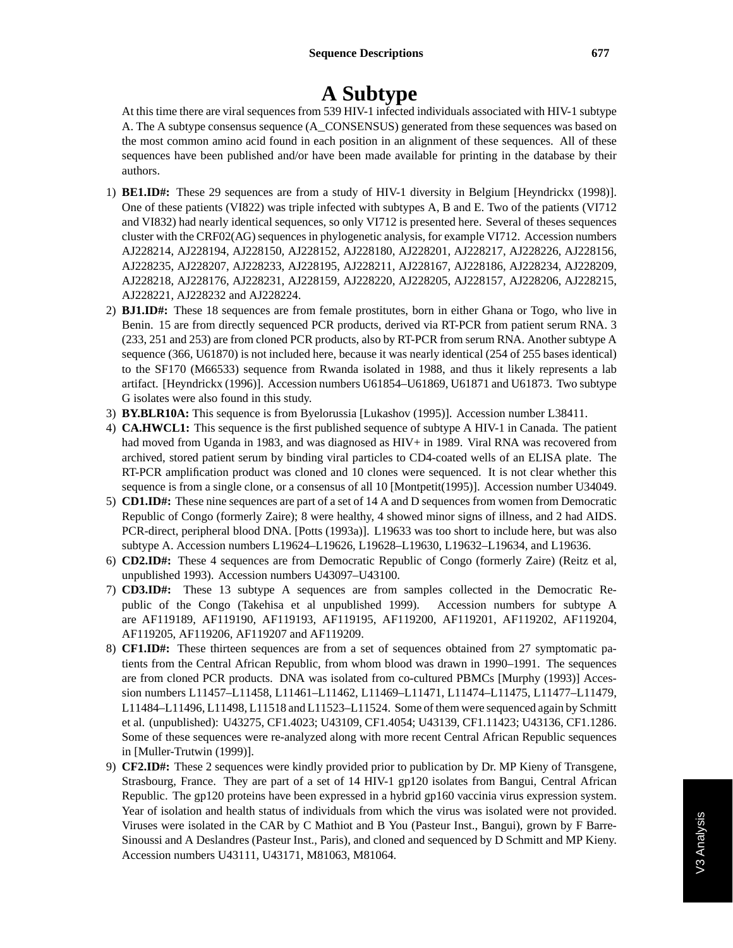## **A Subtype**

At this time there are viral sequences from 539 HIV-1 infected individuals associated with HIV-1 subtype A. The A subtype consensus sequence (A\_CONSENSUS) generated from these sequences was based on the most common amino acid found in each position in an alignment of these sequences. All of these sequences have been published and/or have been made available for printing in the database by their authors.

- 1) **BE1.ID#:** These 29 sequences are from a study of HIV-1 diversity in Belgium [Heyndrickx (1998)]. One of these patients (VI822) was triple infected with subtypes A, B and E. Two of the patients (VI712 and VI832) had nearly identical sequences, so only VI712 is presented here. Several of theses sequences cluster with the CRF02(AG) sequences in phylogenetic analysis, for example VI712. Accession numbers AJ228214, AJ228194, AJ228150, AJ228152, AJ228180, AJ228201, AJ228217, AJ228226, AJ228156, AJ228235, AJ228207, AJ228233, AJ228195, AJ228211, AJ228167, AJ228186, AJ228234, AJ228209, AJ228218, AJ228176, AJ228231, AJ228159, AJ228220, AJ228205, AJ228157, AJ228206, AJ228215, AJ228221, AJ228232 and AJ228224.
- 2) **BJ1.ID#:** These 18 sequences are from female prostitutes, born in either Ghana or Togo, who live in Benin. 15 are from directly sequenced PCR products, derived via RT-PCR from patient serum RNA. 3 (233, 251 and 253) are from cloned PCR products, also by RT-PCR from serum RNA. Another subtype A sequence (366, U61870) is not included here, because it was nearly identical (254 of 255 bases identical) to the SF170 (M66533) sequence from Rwanda isolated in 1988, and thus it likely represents a lab artifact. [Heyndrickx (1996)]. Accession numbers U61854–U61869, U61871 and U61873. Two subtype G isolates were also found in this study.
- 3) **BY.BLR10A:** This sequence is from Byelorussia [Lukashov (1995)]. Accession number L38411.
- 4) **CA.HWCL1:** This sequence is the first published sequence of subtype A HIV-1 in Canada. The patient had moved from Uganda in 1983, and was diagnosed as HIV+ in 1989. Viral RNA was recovered from archived, stored patient serum by binding viral particles to CD4-coated wells of an ELISA plate. The RT-PCR amplification product was cloned and 10 clones were sequenced. It is not clear whether this sequence is from a single clone, or a consensus of all 10 [Montpetit(1995)]. Accession number U34049.
- 5) **CD1.ID#:** These nine sequences are part of a set of 14 A and D sequences from women from Democratic Republic of Congo (formerly Zaire); 8 were healthy, 4 showed minor signs of illness, and 2 had AIDS. PCR-direct, peripheral blood DNA. [Potts (1993a)]. L19633 was too short to include here, but was also subtype A. Accession numbers L19624–L19626, L19628–L19630, L19632–L19634, and L19636.
- 6) **CD2.ID#:** These 4 sequences are from Democratic Republic of Congo (formerly Zaire) (Reitz et al, unpublished 1993). Accession numbers U43097–U43100.
- 7) **CD3.ID#:** These 13 subtype A sequences are from samples collected in the Democratic Republic of the Congo (Takehisa et al unpublished 1999). Accession numbers for subtype A are AF119189, AF119190, AF119193, AF119195, AF119200, AF119201, AF119202, AF119204, AF119205, AF119206, AF119207 and AF119209.
- 8) **CF1.ID#:** These thirteen sequences are from a set of sequences obtained from 27 symptomatic patients from the Central African Republic, from whom blood was drawn in 1990–1991. The sequences are from cloned PCR products. DNA was isolated from co-cultured PBMCs [Murphy (1993)] Accession numbers L11457–L11458, L11461–L11462, L11469–L11471, L11474–L11475, L11477–L11479, L11484–L11496, L11498, L11518 and L11523–L11524. Some of them were sequenced again by Schmitt et al. (unpublished): U43275, CF1.4023; U43109, CF1.4054; U43139, CF1.11423; U43136, CF1.1286. Some of these sequences were re-analyzed along with more recent Central African Republic sequences in [Muller-Trutwin (1999)].
- 9) **CF2.ID#:** These 2 sequences were kindly provided prior to publication by Dr. MP Kieny of Transgene, Strasbourg, France. They are part of a set of 14 HIV-1 gp120 isolates from Bangui, Central African Republic. The gp120 proteins have been expressed in a hybrid gp160 vaccinia virus expression system. Year of isolation and health status of individuals from which the virus was isolated were not provided. Viruses were isolated in the CAR by C Mathiot and B You (Pasteur Inst., Bangui), grown by F Barre-Sinoussi and A Deslandres (Pasteur Inst., Paris), and cloned and sequenced by D Schmitt and MP Kieny. Accession numbers U43111, U43171, M81063, M81064.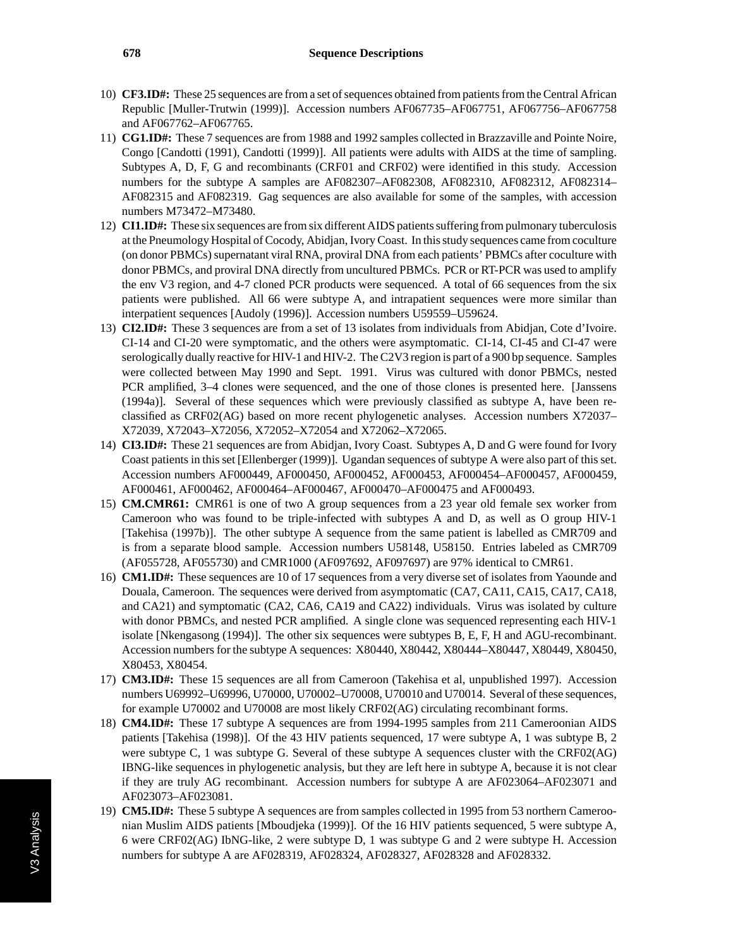- 10) **CF3.ID#:** These 25 sequences are from a set of sequences obtained from patients from the Central African Republic [Muller-Trutwin (1999)]. Accession numbers AF067735–AF067751, AF067756–AF067758 and AF067762–AF067765.
- 11) **CG1.ID#:** These 7 sequences are from 1988 and 1992 samples collected in Brazzaville and Pointe Noire, Congo [Candotti (1991), Candotti (1999)]. All patients were adults with AIDS at the time of sampling. Subtypes A, D, F, G and recombinants (CRF01 and CRF02) were identified in this study. Accession numbers for the subtype A samples are AF082307–AF082308, AF082310, AF082312, AF082314– AF082315 and AF082319. Gag sequences are also available for some of the samples, with accession numbers M73472–M73480.
- 12) **CI1.ID#:** These six sequences are from six different AIDS patients suffering from pulmonary tuberculosis at the Pneumology Hospital of Cocody, Abidjan, Ivory Coast. In this study sequences came from coculture (on donor PBMCs) supernatant viral RNA, proviral DNA from each patients' PBMCs after coculture with donor PBMCs, and proviral DNA directly from uncultured PBMCs. PCR or RT-PCR was used to amplify the env V3 region, and 4-7 cloned PCR products were sequenced. A total of 66 sequences from the six patients were published. All 66 were subtype A, and intrapatient sequences were more similar than interpatient sequences [Audoly (1996)]. Accession numbers U59559–U59624.
- 13) **CI2.ID#:** These 3 sequences are from a set of 13 isolates from individuals from Abidjan, Cote d'Ivoire. CI-14 and CI-20 were symptomatic, and the others were asymptomatic. CI-14, CI-45 and CI-47 were serologically dually reactive for HIV-1 and HIV-2. The C2V3 region is part of a 900 bp sequence. Samples were collected between May 1990 and Sept. 1991. Virus was cultured with donor PBMCs, nested PCR amplified, 3–4 clones were sequenced, and the one of those clones is presented here. [Janssens (1994a)]. Several of these sequences which were previously classified as subtype A, have been reclassified as CRF02(AG) based on more recent phylogenetic analyses. Accession numbers X72037– X72039, X72043–X72056, X72052–X72054 and X72062–X72065.
- 14) **CI3.ID#:** These 21 sequences are from Abidjan, Ivory Coast. Subtypes A, D and G were found for Ivory Coast patients in this set [Ellenberger (1999)]. Ugandan sequences of subtype A were also part of this set. Accession numbers AF000449, AF000450, AF000452, AF000453, AF000454–AF000457, AF000459, AF000461, AF000462, AF000464–AF000467, AF000470–AF000475 and AF000493.
- 15) **CM.CMR61:** CMR61 is one of two A group sequences from a 23 year old female sex worker from Cameroon who was found to be triple-infected with subtypes A and D, as well as O group HIV-1 [Takehisa (1997b)]. The other subtype A sequence from the same patient is labelled as CMR709 and is from a separate blood sample. Accession numbers U58148, U58150. Entries labeled as CMR709 (AF055728, AF055730) and CMR1000 (AF097692, AF097697) are 97% identical to CMR61.
- 16) **CM1.ID#:** These sequences are 10 of 17 sequences from a very diverse set of isolates from Yaounde and Douala, Cameroon. The sequences were derived from asymptomatic (CA7, CA11, CA15, CA17, CA18, and CA21) and symptomatic (CA2, CA6, CA19 and CA22) individuals. Virus was isolated by culture with donor PBMCs, and nested PCR amplified. A single clone was sequenced representing each HIV-1 isolate [Nkengasong (1994)]. The other six sequences were subtypes B, E, F, H and AGU-recombinant. Accession numbers for the subtype A sequences: X80440, X80442, X80444–X80447, X80449, X80450, X80453, X80454.
- 17) **CM3.ID#:** These 15 sequences are all from Cameroon (Takehisa et al, unpublished 1997). Accession numbers U69992–U69996, U70000, U70002–U70008, U70010 and U70014. Several of these sequences, for example U70002 and U70008 are most likely CRF02(AG) circulating recombinant forms.
- 18) **CM4.ID#:** These 17 subtype A sequences are from 1994-1995 samples from 211 Cameroonian AIDS patients [Takehisa (1998)]. Of the 43 HIV patients sequenced, 17 were subtype A, 1 was subtype B, 2 were subtype C, 1 was subtype G. Several of these subtype A sequences cluster with the CRF02(AG) IBNG-like sequences in phylogenetic analysis, but they are left here in subtype A, because it is not clear if they are truly AG recombinant. Accession numbers for subtype A are AF023064–AF023071 and AF023073–AF023081.
- 19) **CM5.ID#:** These 5 subtype A sequences are from samples collected in 1995 from 53 northern Cameroonian Muslim AIDS patients [Mboudjeka (1999)]. Of the 16 HIV patients sequenced, 5 were subtype A, 6 were CRF02(AG) IbNG-like, 2 were subtype D, 1 was subtype G and 2 were subtype H. Accession numbers for subtype A are AF028319, AF028324, AF028327, AF028328 and AF028332.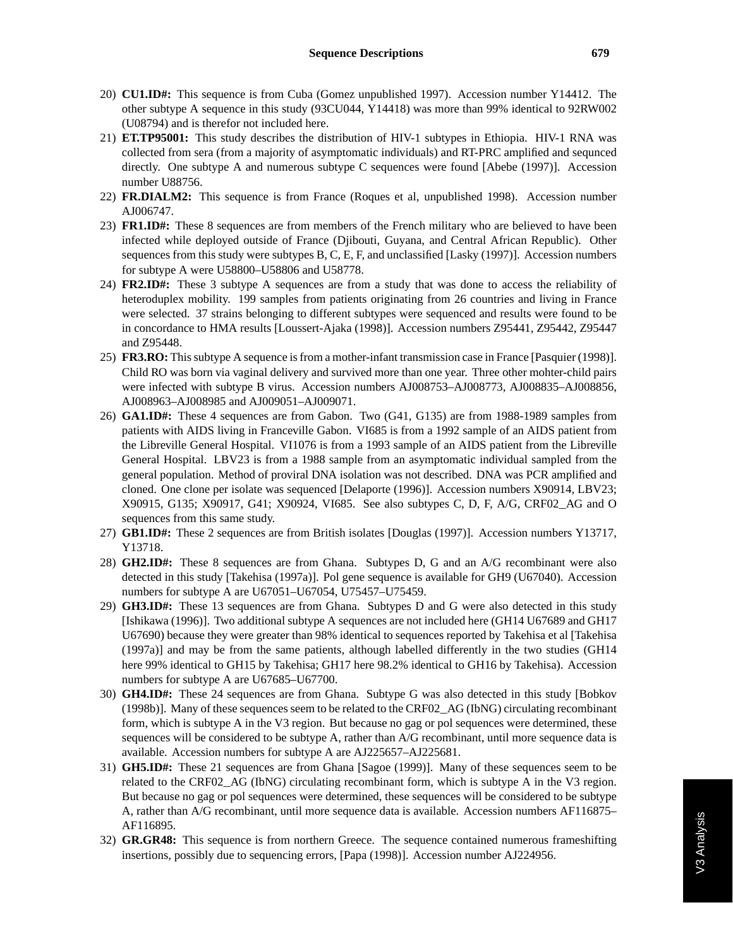- 20) **CU1.ID#:** This sequence is from Cuba (Gomez unpublished 1997). Accession number Y14412. The other subtype A sequence in this study (93CU044, Y14418) was more than 99% identical to 92RW002 (U08794) and is therefor not included here.
- 21) **ET.TP95001:** This study describes the distribution of HIV-1 subtypes in Ethiopia. HIV-1 RNA was collected from sera (from a majority of asymptomatic individuals) and RT-PRC amplified and sequnced directly. One subtype A and numerous subtype C sequences were found [Abebe (1997)]. Accession number U88756.
- 22) **FR.DIALM2:** This sequence is from France (Roques et al, unpublished 1998). Accession number AJ006747.
- 23) **FR1.ID#:** These 8 sequences are from members of the French military who are believed to have been infected while deployed outside of France (Djibouti, Guyana, and Central African Republic). Other sequences from this study were subtypes B, C, E, F, and unclassified [Lasky (1997)]. Accession numbers for subtype A were U58800–U58806 and U58778.
- 24) **FR2.ID#:** These 3 subtype A sequences are from a study that was done to access the reliability of heteroduplex mobility. 199 samples from patients originating from 26 countries and living in France were selected. 37 strains belonging to different subtypes were sequenced and results were found to be in concordance to HMA results [Loussert-Ajaka (1998)]. Accession numbers Z95441, Z95442, Z95447 and Z95448.
- 25) **FR3.RO:** This subtype A sequence is from a mother-infant transmission case in France [Pasquier (1998)]. Child RO was born via vaginal delivery and survived more than one year. Three other mohter-child pairs were infected with subtype B virus. Accession numbers AJ008753–AJ008773, AJ008835–AJ008856, AJ008963–AJ008985 and AJ009051–AJ009071.
- 26) **GA1.ID#:** These 4 sequences are from Gabon. Two (G41, G135) are from 1988-1989 samples from patients with AIDS living in Franceville Gabon. VI685 is from a 1992 sample of an AIDS patient from the Libreville General Hospital. VI1076 is from a 1993 sample of an AIDS patient from the Libreville General Hospital. LBV23 is from a 1988 sample from an asymptomatic individual sampled from the general population. Method of proviral DNA isolation was not described. DNA was PCR amplified and cloned. One clone per isolate was sequenced [Delaporte (1996)]. Accession numbers X90914, LBV23; X90915, G135; X90917, G41; X90924, VI685. See also subtypes C, D, F, A/G, CRF02\_AG and O sequences from this same study.
- 27) **GB1.ID#:** These 2 sequences are from British isolates [Douglas (1997)]. Accession numbers Y13717, Y13718.
- 28) **GH2.ID#:** These 8 sequences are from Ghana. Subtypes D, G and an A/G recombinant were also detected in this study [Takehisa (1997a)]. Pol gene sequence is available for GH9 (U67040). Accession numbers for subtype A are U67051–U67054, U75457–U75459.
- 29) **GH3.ID#:** These 13 sequences are from Ghana. Subtypes D and G were also detected in this study [Ishikawa (1996)]. Two additional subtype A sequences are not included here (GH14 U67689 and GH17 U67690) because they were greater than 98% identical to sequences reported by Takehisa et al [Takehisa (1997a)] and may be from the same patients, although labelled differently in the two studies (GH14 here 99% identical to GH15 by Takehisa; GH17 here 98.2% identical to GH16 by Takehisa). Accession numbers for subtype A are U67685–U67700.
- 30) **GH4.ID#:** These 24 sequences are from Ghana. Subtype G was also detected in this study [Bobkov (1998b)]. Many of these sequences seem to be related to the CRF02\_AG (IbNG) circulating recombinant form, which is subtype A in the V3 region. But because no gag or pol sequences were determined, these sequences will be considered to be subtype A, rather than A/G recombinant, until more sequence data is available. Accession numbers for subtype A are AJ225657–AJ225681.
- 31) **GH5.ID#:** These 21 sequences are from Ghana [Sagoe (1999)]. Many of these sequences seem to be related to the CRF02\_AG (IbNG) circulating recombinant form, which is subtype A in the V3 region. But because no gag or pol sequences were determined, these sequences will be considered to be subtype A, rather than A/G recombinant, until more sequence data is available. Accession numbers AF116875– AF116895.
- 32) **GR.GR48:** This sequence is from northern Greece. The sequence contained numerous frameshifting insertions, possibly due to sequencing errors, [Papa (1998)]. Accession number AJ224956.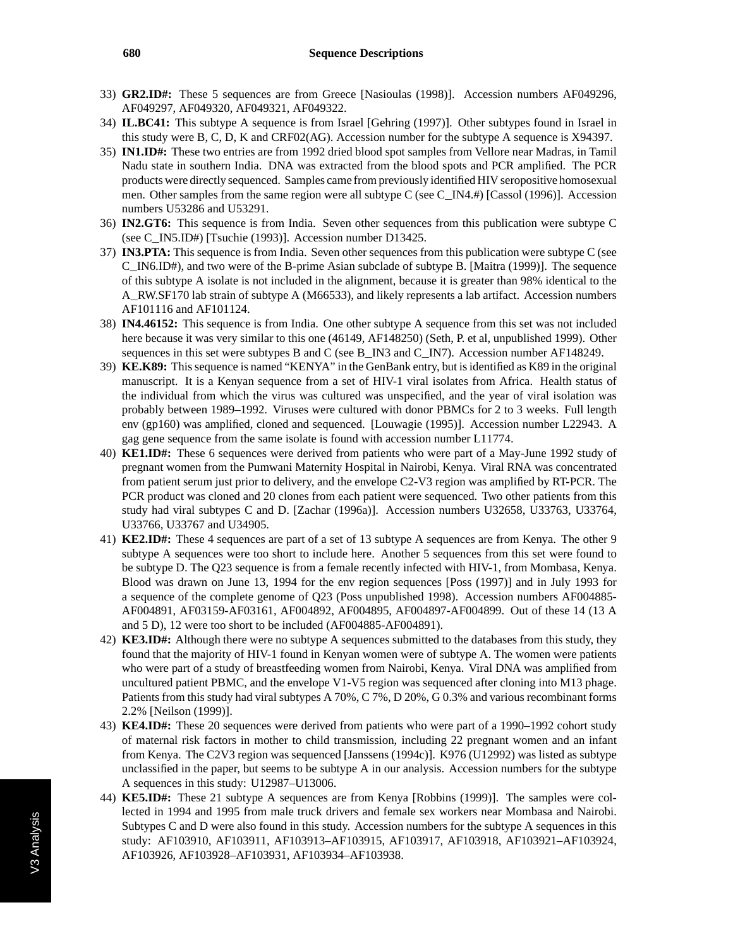- 33) **GR2.ID#:** These 5 sequences are from Greece [Nasioulas (1998)]. Accession numbers AF049296, AF049297, AF049320, AF049321, AF049322.
- 34) **IL.BC41:** This subtype A sequence is from Israel [Gehring (1997)]. Other subtypes found in Israel in this study were B, C, D, K and CRF02(AG). Accession number for the subtype A sequence is X94397.
- 35) **IN1.ID#:** These two entries are from 1992 dried blood spot samples from Vellore near Madras, in Tamil Nadu state in southern India. DNA was extracted from the blood spots and PCR amplified. The PCR products were directly sequenced. Samples came from previously identified HIV seropositive homosexual men. Other samples from the same region were all subtype C (see C\_IN4.#) [Cassol (1996)]. Accession numbers U53286 and U53291.
- 36) **IN2.GT6:** This sequence is from India. Seven other sequences from this publication were subtype C (see C\_IN5.ID#) [Tsuchie (1993)]. Accession number D13425.
- 37) **IN3.PTA:** This sequence is from India. Seven other sequences from this publication were subtype C (see C\_IN6.ID#), and two were of the B-prime Asian subclade of subtype B. [Maitra (1999)]. The sequence of this subtype A isolate is not included in the alignment, because it is greater than 98% identical to the A\_RW.SF170 lab strain of subtype A (M66533), and likely represents a lab artifact. Accession numbers AF101116 and AF101124.
- 38) **IN4.46152:** This sequence is from India. One other subtype A sequence from this set was not included here because it was very similar to this one (46149, AF148250) (Seth, P. et al, unpublished 1999). Other sequences in this set were subtypes B and C (see B\_IN3 and C\_IN7). Accession number AF148249.
- 39) **KE.K89:** This sequence is named "KENYA" in the GenBank entry, but is identified as K89 in the original manuscript. It is a Kenyan sequence from a set of HIV-1 viral isolates from Africa. Health status of the individual from which the virus was cultured was unspecified, and the year of viral isolation was probably between 1989–1992. Viruses were cultured with donor PBMCs for 2 to 3 weeks. Full length env (gp160) was amplified, cloned and sequenced. [Louwagie (1995)]. Accession number L22943. A gag gene sequence from the same isolate is found with accession number L11774.
- 40) **KE1.ID#:** These 6 sequences were derived from patients who were part of a May-June 1992 study of pregnant women from the Pumwani Maternity Hospital in Nairobi, Kenya. Viral RNA was concentrated from patient serum just prior to delivery, and the envelope C2-V3 region was amplified by RT-PCR. The PCR product was cloned and 20 clones from each patient were sequenced. Two other patients from this study had viral subtypes C and D. [Zachar (1996a)]. Accession numbers U32658, U33763, U33764, U33766, U33767 and U34905.
- 41) **KE2.ID#:** These 4 sequences are part of a set of 13 subtype A sequences are from Kenya. The other 9 subtype A sequences were too short to include here. Another 5 sequences from this set were found to be subtype D. The Q23 sequence is from a female recently infected with HIV-1, from Mombasa, Kenya. Blood was drawn on June 13, 1994 for the env region sequences [Poss (1997)] and in July 1993 for a sequence of the complete genome of Q23 (Poss unpublished 1998). Accession numbers AF004885- AF004891, AF03159-AF03161, AF004892, AF004895, AF004897-AF004899. Out of these 14 (13 A and 5 D), 12 were too short to be included (AF004885-AF004891).
- 42) **KE3.ID#:** Although there were no subtype A sequences submitted to the databases from this study, they found that the majority of HIV-1 found in Kenyan women were of subtype A. The women were patients who were part of a study of breastfeeding women from Nairobi, Kenya. Viral DNA was amplified from uncultured patient PBMC, and the envelope V1-V5 region was sequenced after cloning into M13 phage. Patients from this study had viral subtypes A 70%, C 7%, D 20%, G 0.3% and various recombinant forms 2.2% [Neilson (1999)].
- 43) **KE4.ID#:** These 20 sequences were derived from patients who were part of a 1990–1992 cohort study of maternal risk factors in mother to child transmission, including 22 pregnant women and an infant from Kenya. The C2V3 region was sequenced [Janssens (1994c)]. K976 (U12992) was listed as subtype unclassified in the paper, but seems to be subtype A in our analysis. Accession numbers for the subtype A sequences in this study: U12987–U13006.
- 44) **KE5.ID#:** These 21 subtype A sequences are from Kenya [Robbins (1999)]. The samples were collected in 1994 and 1995 from male truck drivers and female sex workers near Mombasa and Nairobi. Subtypes C and D were also found in this study. Accession numbers for the subtype A sequences in this study: AF103910, AF103911, AF103913–AF103915, AF103917, AF103918, AF103921–AF103924, AF103926, AF103928–AF103931, AF103934–AF103938.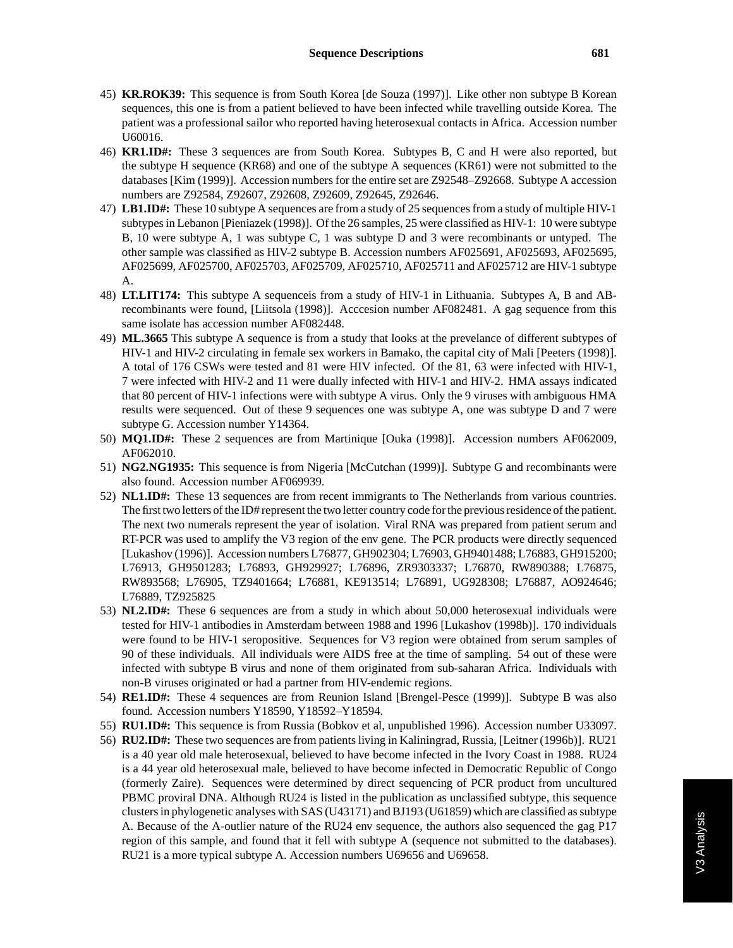- 45) **KR.ROK39:** This sequence is from South Korea [de Souza (1997)]. Like other non subtype B Korean sequences, this one is from a patient believed to have been infected while travelling outside Korea. The patient was a professional sailor who reported having heterosexual contacts in Africa. Accession number U60016.
- 46) **KR1.ID#:** These 3 sequences are from South Korea. Subtypes B, C and H were also reported, but the subtype H sequence (KR68) and one of the subtype A sequences (KR61) were not submitted to the databases [Kim (1999)]. Accession numbers for the entire set are Z92548–Z92668. Subtype A accession numbers are Z92584, Z92607, Z92608, Z92609, Z92645, Z92646.
- 47) **LB1.ID#:** These 10 subtype A sequences are from a study of 25 sequences from a study of multiple HIV-1 subtypes in Lebanon [Pieniazek (1998)]. Of the 26 samples, 25 were classified as HIV-1: 10 were subtype B, 10 were subtype A, 1 was subtype C, 1 was subtype D and 3 were recombinants or untyped. The other sample was classified as HIV-2 subtype B. Accession numbers AF025691, AF025693, AF025695, AF025699, AF025700, AF025703, AF025709, AF025710, AF025711 and AF025712 are HIV-1 subtype A.
- 48) **LT.LIT174:** This subtype A sequenceis from a study of HIV-1 in Lithuania. Subtypes A, B and ABrecombinants were found, [Liitsola (1998)]. Acccesion number AF082481. A gag sequence from this same isolate has accession number AF082448.
- 49) **ML.3665** This subtype A sequence is from a study that looks at the prevelance of different subtypes of HIV-1 and HIV-2 circulating in female sex workers in Bamako, the capital city of Mali [Peeters (1998)]. A total of 176 CSWs were tested and 81 were HIV infected. Of the 81, 63 were infected with HIV-1, 7 were infected with HIV-2 and 11 were dually infected with HIV-1 and HIV-2. HMA assays indicated that 80 percent of HIV-1 infections were with subtype A virus. Only the 9 viruses with ambiguous HMA results were sequenced. Out of these 9 sequences one was subtype A, one was subtype D and 7 were subtype G. Accession number Y14364.
- 50) **MQ1.ID#:** These 2 sequences are from Martinique [Ouka (1998)]. Accession numbers AF062009, AF062010.
- 51) **NG2.NG1935:** This sequence is from Nigeria [McCutchan (1999)]. Subtype G and recombinants were also found. Accession number AF069939.
- 52) **NL1.ID#:** These 13 sequences are from recent immigrants to The Netherlands from various countries. The first two letters of the ID# represent the two letter country code for the previous residence of the patient. The next two numerals represent the year of isolation. Viral RNA was prepared from patient serum and RT-PCR was used to amplify the V3 region of the env gene. The PCR products were directly sequenced [Lukashov (1996)]. Accession numbers L76877, GH902304; L76903, GH9401488; L76883, GH915200; L76913, GH9501283; L76893, GH929927; L76896, ZR9303337; L76870, RW890388; L76875, RW893568; L76905, TZ9401664; L76881, KE913514; L76891, UG928308; L76887, AO924646; L76889, TZ925825
- 53) **NL2.ID#:** These 6 sequences are from a study in which about 50,000 heterosexual individuals were tested for HIV-1 antibodies in Amsterdam between 1988 and 1996 [Lukashov (1998b)]. 170 individuals were found to be HIV-1 seropositive. Sequences for V3 region were obtained from serum samples of 90 of these individuals. All individuals were AIDS free at the time of sampling. 54 out of these were infected with subtype B virus and none of them originated from sub-saharan Africa. Individuals with non-B viruses originated or had a partner from HIV-endemic regions.
- 54) **RE1.ID#:** These 4 sequences are from Reunion Island [Brengel-Pesce (1999)]. Subtype B was also found. Accession numbers Y18590, Y18592–Y18594.
- 55) **RU1.ID#:** This sequence is from Russia (Bobkov et al, unpublished 1996). Accession number U33097.
- 56) **RU2.ID#:** These two sequences are from patients living in Kaliningrad, Russia, [Leitner (1996b)]. RU21 is a 40 year old male heterosexual, believed to have become infected in the Ivory Coast in 1988. RU24 is a 44 year old heterosexual male, believed to have become infected in Democratic Republic of Congo (formerly Zaire). Sequences were determined by direct sequencing of PCR product from uncultured PBMC proviral DNA. Although RU24 is listed in the publication as unclassified subtype, this sequence clusters in phylogenetic analyses with SAS (U43171) and BJ193 (U61859) which are classified as subtype A. Because of the A-outlier nature of the RU24 env sequence, the authors also sequenced the gag P17 region of this sample, and found that it fell with subtype A (sequence not submitted to the databases). RU21 is a more typical subtype A. Accession numbers U69656 and U69658.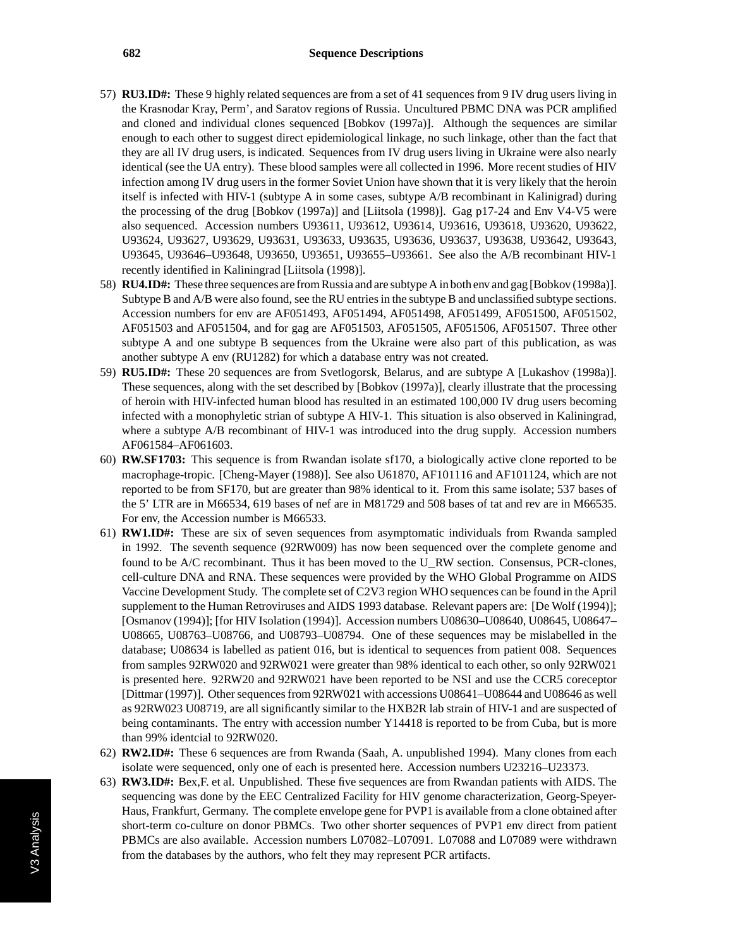- 57) **RU3.ID#:** These 9 highly related sequences are from a set of 41 sequences from 9 IV drug users living in the Krasnodar Kray, Perm', and Saratov regions of Russia. Uncultured PBMC DNA was PCR amplified and cloned and individual clones sequenced [Bobkov (1997a)]. Although the sequences are similar enough to each other to suggest direct epidemiological linkage, no such linkage, other than the fact that they are all IV drug users, is indicated. Sequences from IV drug users living in Ukraine were also nearly identical (see the UA entry). These blood samples were all collected in 1996. More recent studies of HIV infection among IV drug users in the former Soviet Union have shown that it is very likely that the heroin itself is infected with HIV-1 (subtype A in some cases, subtype A/B recombinant in Kalinigrad) during the processing of the drug [Bobkov (1997a)] and [Liitsola (1998)]. Gag p17-24 and Env V4-V5 were also sequenced. Accession numbers U93611, U93612, U93614, U93616, U93618, U93620, U93622, U93624, U93627, U93629, U93631, U93633, U93635, U93636, U93637, U93638, U93642, U93643, U93645, U93646–U93648, U93650, U93651, U93655–U93661. See also the A/B recombinant HIV-1 recently identified in Kaliningrad [Liitsola (1998)].
- 58) **RU4.ID#:** These three sequences are from Russia and are subtype A in both env and gag [Bobkov (1998a)]. Subtype B and A/B were also found, see the RU entries in the subtype B and unclassified subtype sections. Accession numbers for env are AF051493, AF051494, AF051498, AF051499, AF051500, AF051502, AF051503 and AF051504, and for gag are AF051503, AF051505, AF051506, AF051507. Three other subtype A and one subtype B sequences from the Ukraine were also part of this publication, as was another subtype A env (RU1282) for which a database entry was not created.
- 59) **RU5.ID#:** These 20 sequences are from Svetlogorsk, Belarus, and are subtype A [Lukashov (1998a)]. These sequences, along with the set described by [Bobkov (1997a)], clearly illustrate that the processing of heroin with HIV-infected human blood has resulted in an estimated 100,000 IV drug users becoming infected with a monophyletic strian of subtype A HIV-1. This situation is also observed in Kaliningrad, where a subtype A/B recombinant of HIV-1 was introduced into the drug supply. Accession numbers AF061584–AF061603.
- 60) **RW.SF1703:** This sequence is from Rwandan isolate sf170, a biologically active clone reported to be macrophage-tropic. [Cheng-Mayer (1988)]. See also U61870, AF101116 and AF101124, which are not reported to be from SF170, but are greater than 98% identical to it. From this same isolate; 537 bases of the 5' LTR are in M66534, 619 bases of nef are in M81729 and 508 bases of tat and rev are in M66535. For env, the Accession number is M66533.
- 61) **RW1.ID#:** These are six of seven sequences from asymptomatic individuals from Rwanda sampled in 1992. The seventh sequence (92RW009) has now been sequenced over the complete genome and found to be A/C recombinant. Thus it has been moved to the U\_RW section. Consensus, PCR-clones, cell-culture DNA and RNA. These sequences were provided by the WHO Global Programme on AIDS Vaccine Development Study. The complete set of C2V3 region WHO sequences can be found in the April supplement to the Human Retroviruses and AIDS 1993 database. Relevant papers are: [De Wolf (1994)]; [Osmanov (1994)]; [for HIV Isolation (1994)]. Accession numbers U08630–U08640, U08645, U08647– U08665, U08763–U08766, and U08793–U08794. One of these sequences may be mislabelled in the database; U08634 is labelled as patient 016, but is identical to sequences from patient 008. Sequences from samples 92RW020 and 92RW021 were greater than 98% identical to each other, so only 92RW021 is presented here. 92RW20 and 92RW021 have been reported to be NSI and use the CCR5 coreceptor [Dittmar (1997)]. Other sequences from 92RW021 with accessions U08641–U08644 and U08646 as well as 92RW023 U08719, are all significantly similar to the HXB2R lab strain of HIV-1 and are suspected of being contaminants. The entry with accession number Y14418 is reported to be from Cuba, but is more than 99% identcial to 92RW020.
- 62) **RW2.ID#:** These 6 sequences are from Rwanda (Saah, A. unpublished 1994). Many clones from each isolate were sequenced, only one of each is presented here. Accession numbers U23216–U23373.
- 63) **RW3.ID#:** Bex,F. et al. Unpublished. These five sequences are from Rwandan patients with AIDS. The sequencing was done by the EEC Centralized Facility for HIV genome characterization, Georg-Speyer-Haus, Frankfurt, Germany. The complete envelope gene for PVP1 is available from a clone obtained after short-term co-culture on donor PBMCs. Two other shorter sequences of PVP1 env direct from patient PBMCs are also available. Accession numbers L07082–L07091. L07088 and L07089 were withdrawn from the databases by the authors, who felt they may represent PCR artifacts.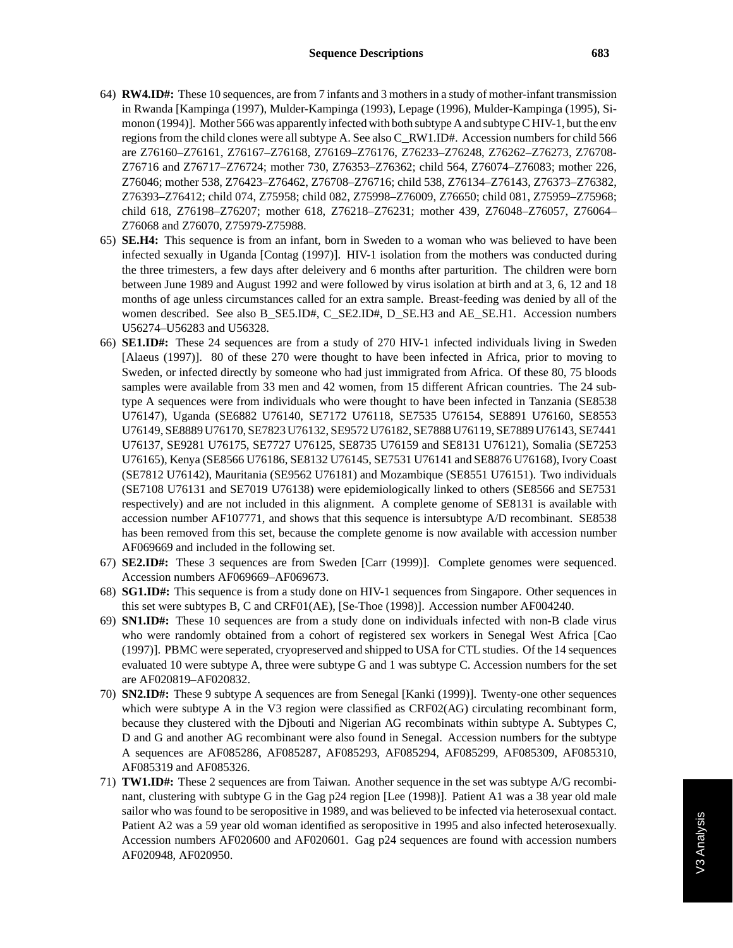- 64) **RW4.ID#:** These 10 sequences, are from 7 infants and 3 mothers in a study of mother-infant transmission in Rwanda [Kampinga (1997), Mulder-Kampinga (1993), Lepage (1996), Mulder-Kampinga (1995), Simonon (1994)]. Mother 566 was apparently infected with both subtype A and subtype C HIV-1, but the env regions from the child clones were all subtype A. See also C\_RW1.ID#. Accession numbers for child 566 are Z76160–Z76161, Z76167–Z76168, Z76169–Z76176, Z76233–Z76248, Z76262–Z76273, Z76708- Z76716 and Z76717–Z76724; mother 730, Z76353–Z76362; child 564, Z76074–Z76083; mother 226, Z76046; mother 538, Z76423–Z76462, Z76708–Z76716; child 538, Z76134–Z76143, Z76373–Z76382, Z76393–Z76412; child 074, Z75958; child 082, Z75998–Z76009, Z76650; child 081, Z75959–Z75968; child 618, Z76198–Z76207; mother 618, Z76218–Z76231; mother 439, Z76048–Z76057, Z76064– Z76068 and Z76070, Z75979-Z75988.
- 65) **SE.H4:** This sequence is from an infant, born in Sweden to a woman who was believed to have been infected sexually in Uganda [Contag (1997)]. HIV-1 isolation from the mothers was conducted during the three trimesters, a few days after deleivery and 6 months after parturition. The children were born between June 1989 and August 1992 and were followed by virus isolation at birth and at 3, 6, 12 and 18 months of age unless circumstances called for an extra sample. Breast-feeding was denied by all of the women described. See also B\_SE5.ID#, C\_SE2.ID#, D\_SE.H3 and AE\_SE.H1. Accession numbers U56274–U56283 and U56328.
- 66) **SE1.ID#:** These 24 sequences are from a study of 270 HIV-1 infected individuals living in Sweden [Alaeus (1997)]. 80 of these 270 were thought to have been infected in Africa, prior to moving to Sweden, or infected directly by someone who had just immigrated from Africa. Of these 80, 75 bloods samples were available from 33 men and 42 women, from 15 different African countries. The 24 subtype A sequences were from individuals who were thought to have been infected in Tanzania (SE8538 U76147), Uganda (SE6882 U76140, SE7172 U76118, SE7535 U76154, SE8891 U76160, SE8553 U76149, SE8889 U76170, SE7823 U76132, SE9572 U76182, SE7888 U76119, SE7889 U76143, SE7441 U76137, SE9281 U76175, SE7727 U76125, SE8735 U76159 and SE8131 U76121), Somalia (SE7253 U76165), Kenya (SE8566 U76186, SE8132 U76145, SE7531 U76141 and SE8876 U76168), Ivory Coast (SE7812 U76142), Mauritania (SE9562 U76181) and Mozambique (SE8551 U76151). Two individuals (SE7108 U76131 and SE7019 U76138) were epidemiologically linked to others (SE8566 and SE7531 respectively) and are not included in this alignment. A complete genome of SE8131 is available with accession number AF107771, and shows that this sequence is intersubtype A/D recombinant. SE8538 has been removed from this set, because the complete genome is now available with accession number AF069669 and included in the following set.
- 67) **SE2.ID#:** These 3 sequences are from Sweden [Carr (1999)]. Complete genomes were sequenced. Accession numbers AF069669–AF069673.
- 68) **SG1.ID#:** This sequence is from a study done on HIV-1 sequences from Singapore. Other sequences in this set were subtypes B, C and CRF01(AE), [Se-Thoe (1998)]. Accession number AF004240.
- 69) **SN1.ID#:** These 10 sequences are from a study done on individuals infected with non-B clade virus who were randomly obtained from a cohort of registered sex workers in Senegal West Africa [Cao (1997)]. PBMC were seperated, cryopreserved and shipped to USA for CTL studies. Of the 14 sequences evaluated 10 were subtype A, three were subtype G and 1 was subtype C. Accession numbers for the set are AF020819–AF020832.
- 70) **SN2.ID#:** These 9 subtype A sequences are from Senegal [Kanki (1999)]. Twenty-one other sequences which were subtype A in the V3 region were classified as CRF02(AG) circulating recombinant form, because they clustered with the Djbouti and Nigerian AG recombinats within subtype A. Subtypes C, D and G and another AG recombinant were also found in Senegal. Accession numbers for the subtype A sequences are AF085286, AF085287, AF085293, AF085294, AF085299, AF085309, AF085310, AF085319 and AF085326.
- 71) **TW1.ID#:** These 2 sequences are from Taiwan. Another sequence in the set was subtype A/G recombinant, clustering with subtype G in the Gag p24 region [Lee (1998)]. Patient A1 was a 38 year old male sailor who was found to be seropositive in 1989, and was believed to be infected via heterosexual contact. Patient A2 was a 59 year old woman identified as seropositive in 1995 and also infected heterosexually. Accession numbers AF020600 and AF020601. Gag p24 sequences are found with accession numbers AF020948, AF020950.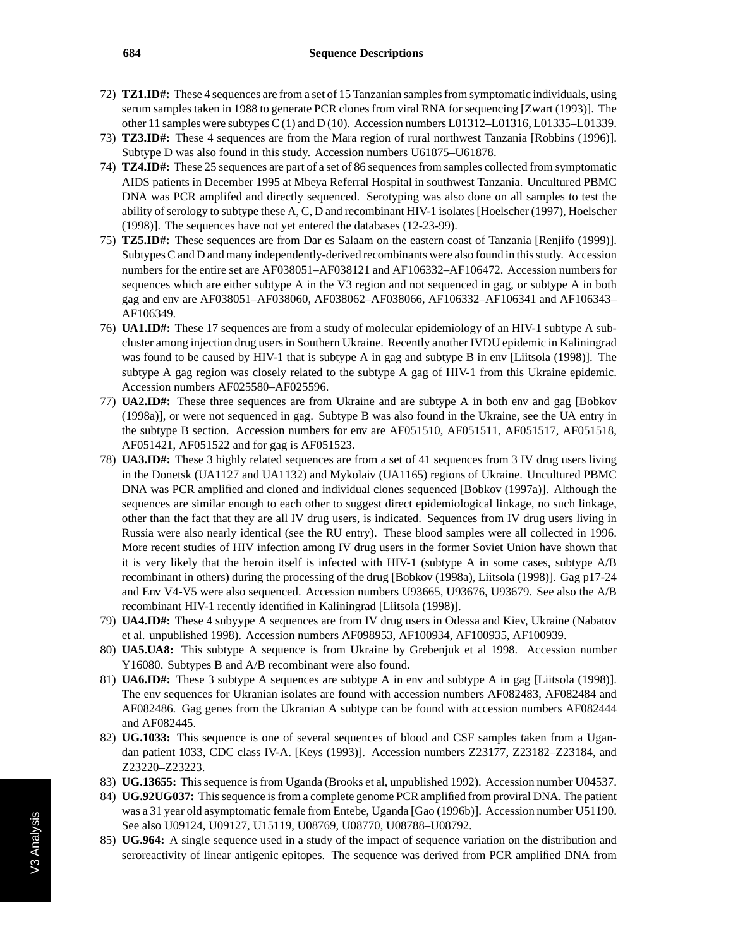- 72) **TZ1.ID#:** These 4 sequences are from a set of 15 Tanzanian samples from symptomatic individuals, using serum samples taken in 1988 to generate PCR clones from viral RNA for sequencing [Zwart (1993)]. The other 11 samples were subtypes C (1) and D (10). Accession numbers L01312–L01316, L01335–L01339.
- 73) **TZ3.ID#:** These 4 sequences are from the Mara region of rural northwest Tanzania [Robbins (1996)]. Subtype D was also found in this study. Accession numbers U61875–U61878.
- 74) **TZ4.ID#:** These 25 sequences are part of a set of 86 sequences from samples collected from symptomatic AIDS patients in December 1995 at Mbeya Referral Hospital in southwest Tanzania. Uncultured PBMC DNA was PCR amplifed and directly sequenced. Serotyping was also done on all samples to test the ability of serology to subtype these A, C, D and recombinant HIV-1 isolates [Hoelscher (1997), Hoelscher (1998)]. The sequences have not yet entered the databases (12-23-99).
- 75) **TZ5.ID#:** These sequences are from Dar es Salaam on the eastern coast of Tanzania [Renjifo (1999)]. Subtypes C and D and many independently-derived recombinants were also found in this study. Accession numbers for the entire set are AF038051–AF038121 and AF106332–AF106472. Accession numbers for sequences which are either subtype A in the V3 region and not sequenced in gag, or subtype A in both gag and env are AF038051–AF038060, AF038062–AF038066, AF106332–AF106341 and AF106343– AF106349.
- 76) **UA1.ID#:** These 17 sequences are from a study of molecular epidemiology of an HIV-1 subtype A subcluster among injection drug users in Southern Ukraine. Recently another IVDU epidemic in Kaliningrad was found to be caused by HIV-1 that is subtype A in gag and subtype B in env [Liitsola (1998)]. The subtype A gag region was closely related to the subtype A gag of HIV-1 from this Ukraine epidemic. Accession numbers AF025580–AF025596.
- 77) **UA2.ID#:** These three sequences are from Ukraine and are subtype A in both env and gag [Bobkov (1998a)], or were not sequenced in gag. Subtype B was also found in the Ukraine, see the UA entry in the subtype B section. Accession numbers for env are AF051510, AF051511, AF051517, AF051518, AF051421, AF051522 and for gag is AF051523.
- 78) **UA3.ID#:** These 3 highly related sequences are from a set of 41 sequences from 3 IV drug users living in the Donetsk (UA1127 and UA1132) and Mykolaiv (UA1165) regions of Ukraine. Uncultured PBMC DNA was PCR amplified and cloned and individual clones sequenced [Bobkov (1997a)]. Although the sequences are similar enough to each other to suggest direct epidemiological linkage, no such linkage, other than the fact that they are all IV drug users, is indicated. Sequences from IV drug users living in Russia were also nearly identical (see the RU entry). These blood samples were all collected in 1996. More recent studies of HIV infection among IV drug users in the former Soviet Union have shown that it is very likely that the heroin itself is infected with HIV-1 (subtype A in some cases, subtype A/B recombinant in others) during the processing of the drug [Bobkov (1998a), Liitsola (1998)]. Gag p17-24 and Env V4-V5 were also sequenced. Accession numbers U93665, U93676, U93679. See also the A/B recombinant HIV-1 recently identified in Kaliningrad [Liitsola (1998)].
- 79) **UA4.ID#:** These 4 subyype A sequences are from IV drug users in Odessa and Kiev, Ukraine (Nabatov et al. unpublished 1998). Accession numbers AF098953, AF100934, AF100935, AF100939.
- 80) **UA5.UA8:** This subtype A sequence is from Ukraine by Grebenjuk et al 1998. Accession number Y16080. Subtypes B and A/B recombinant were also found.
- 81) **UA6.ID#:** These 3 subtype A sequences are subtype A in env and subtype A in gag [Liitsola (1998)]. The env sequences for Ukranian isolates are found with accession numbers AF082483, AF082484 and AF082486. Gag genes from the Ukranian A subtype can be found with accession numbers AF082444 and AF082445.
- 82) **UG.1033:** This sequence is one of several sequences of blood and CSF samples taken from a Ugandan patient 1033, CDC class IV-A. [Keys (1993)]. Accession numbers Z23177, Z23182–Z23184, and Z23220–Z23223.
- 83) **UG.13655:** This sequence is from Uganda (Brooks et al, unpublished 1992). Accession number U04537.
- 84) **UG.92UG037:** This sequence is from a complete genome PCR amplified from proviral DNA. The patient was a 31 year old asymptomatic female from Entebe, Uganda [Gao (1996b)]. Accession number U51190. See also U09124, U09127, U15119, U08769, U08770, U08788–U08792.
- 85) **UG.964:** A single sequence used in a study of the impact of sequence variation on the distribution and seroreactivity of linear antigenic epitopes. The sequence was derived from PCR amplified DNA from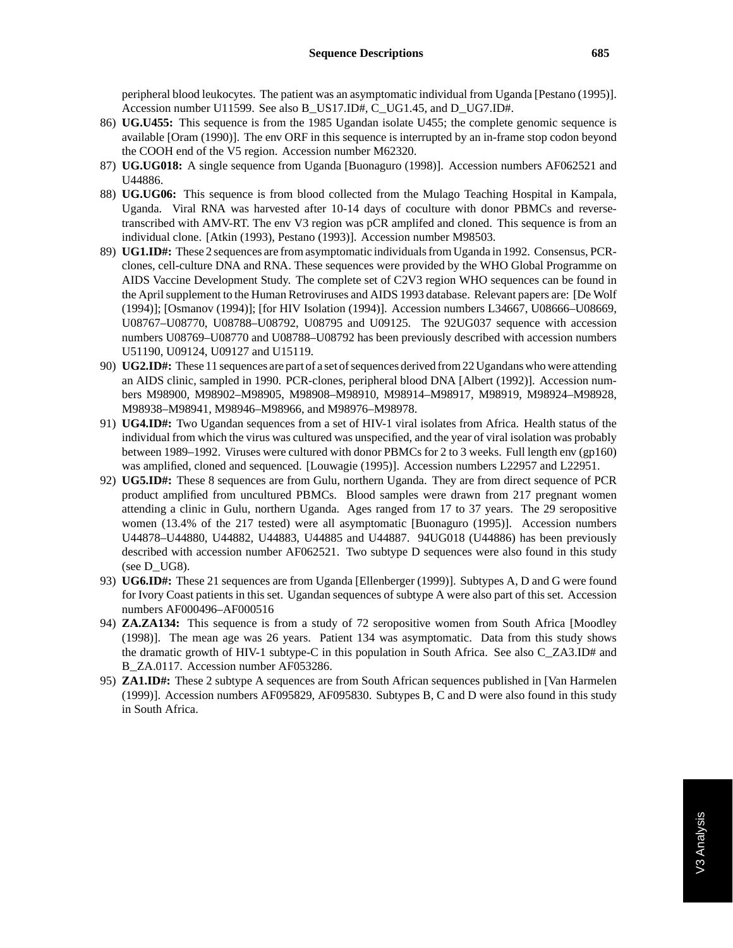peripheral blood leukocytes. The patient was an asymptomatic individual from Uganda [Pestano (1995)]. Accession number U11599. See also B\_US17.ID#, C\_UG1.45, and D\_UG7.ID#.

- 86) **UG.U455:** This sequence is from the 1985 Ugandan isolate U455; the complete genomic sequence is available [Oram (1990)]. The env ORF in this sequence is interrupted by an in-frame stop codon beyond the COOH end of the V5 region. Accession number M62320.
- 87) **UG.UG018:** A single sequence from Uganda [Buonaguro (1998)]. Accession numbers AF062521 and U44886.
- 88) **UG.UG06:** This sequence is from blood collected from the Mulago Teaching Hospital in Kampala, Uganda. Viral RNA was harvested after 10-14 days of coculture with donor PBMCs and reversetranscribed with AMV-RT. The env V3 region was pCR amplifed and cloned. This sequence is from an individual clone. [Atkin (1993), Pestano (1993)]. Accession number M98503.
- 89) **UG1.ID#:** These 2 sequences are from asymptomatic individuals from Uganda in 1992. Consensus, PCRclones, cell-culture DNA and RNA. These sequences were provided by the WHO Global Programme on AIDS Vaccine Development Study. The complete set of C2V3 region WHO sequences can be found in the April supplement to the Human Retroviruses and AIDS 1993 database. Relevant papers are: [De Wolf (1994)]; [Osmanov (1994)]; [for HIV Isolation (1994)]. Accession numbers L34667, U08666–U08669, U08767–U08770, U08788–U08792, U08795 and U09125. The 92UG037 sequence with accession numbers U08769–U08770 and U08788–U08792 has been previously described with accession numbers U51190, U09124, U09127 and U15119.
- 90) **UG2.ID#:** These 11 sequences are part of a set of sequences derived from 22 Ugandans who were attending an AIDS clinic, sampled in 1990. PCR-clones, peripheral blood DNA [Albert (1992)]. Accession numbers M98900, M98902–M98905, M98908–M98910, M98914–M98917, M98919, M98924–M98928, M98938–M98941, M98946–M98966, and M98976–M98978.
- 91) **UG4.ID#:** Two Ugandan sequences from a set of HIV-1 viral isolates from Africa. Health status of the individual from which the virus was cultured was unspecified, and the year of viral isolation was probably between 1989–1992. Viruses were cultured with donor PBMCs for 2 to 3 weeks. Full length env (gp160) was amplified, cloned and sequenced. [Louwagie (1995)]. Accession numbers L22957 and L22951.
- 92) **UG5.ID#:** These 8 sequences are from Gulu, northern Uganda. They are from direct sequence of PCR product amplified from uncultured PBMCs. Blood samples were drawn from 217 pregnant women attending a clinic in Gulu, northern Uganda. Ages ranged from 17 to 37 years. The 29 seropositive women (13.4% of the 217 tested) were all asymptomatic [Buonaguro (1995)]. Accession numbers U44878–U44880, U44882, U44883, U44885 and U44887. 94UG018 (U44886) has been previously described with accession number AF062521. Two subtype D sequences were also found in this study (see D\_UG8).
- 93) **UG6.ID#:** These 21 sequences are from Uganda [Ellenberger (1999)]. Subtypes A, D and G were found for Ivory Coast patients in this set. Ugandan sequences of subtype A were also part of this set. Accession numbers AF000496–AF000516
- 94) **ZA.ZA134:** This sequence is from a study of 72 seropositive women from South Africa [Moodley (1998)]. The mean age was 26 years. Patient 134 was asymptomatic. Data from this study shows the dramatic growth of HIV-1 subtype-C in this population in South Africa. See also C\_ZA3.ID# and B ZA.0117. Accession number AF053286.
- 95) **ZA1.ID#:** These 2 subtype A sequences are from South African sequences published in [Van Harmelen (1999)]. Accession numbers AF095829, AF095830. Subtypes B, C and D were also found in this study in South Africa.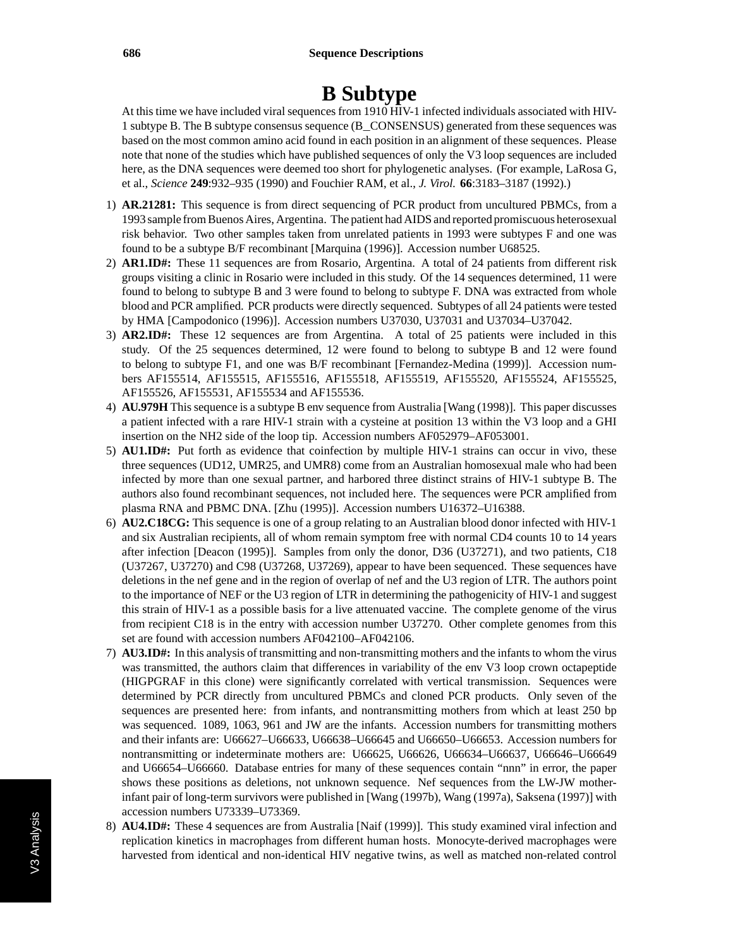## **B Subtype**

At this time we have included viral sequences from 1910  $\overline{H}V$ -1 infected individuals associated with HIV-1 subtype B. The B subtype consensus sequence (B\_CONSENSUS) generated from these sequences was based on the most common amino acid found in each position in an alignment of these sequences. Please note that none of the studies which have published sequences of only the V3 loop sequences are included here, as the DNA sequences were deemed too short for phylogenetic analyses. (For example, LaRosa G, et al., *Science* **249**:932–935 (1990) and Fouchier RAM, et al., *J. Virol.* **66**:3183–3187 (1992).)

- 1) **AR.21281:** This sequence is from direct sequencing of PCR product from uncultured PBMCs, from a 1993 sample from Buenos Aires, Argentina. The patient had AIDS and reported promiscuous heterosexual risk behavior. Two other samples taken from unrelated patients in 1993 were subtypes F and one was found to be a subtype B/F recombinant [Marquina (1996)]. Accession number U68525.
- 2) **AR1.ID#:** These 11 sequences are from Rosario, Argentina. A total of 24 patients from different risk groups visiting a clinic in Rosario were included in this study. Of the 14 sequences determined, 11 were found to belong to subtype B and 3 were found to belong to subtype F. DNA was extracted from whole blood and PCR amplified. PCR products were directly sequenced. Subtypes of all 24 patients were tested by HMA [Campodonico (1996)]. Accession numbers U37030, U37031 and U37034–U37042.
- 3) **AR2.ID#:** These 12 sequences are from Argentina. A total of 25 patients were included in this study. Of the 25 sequences determined, 12 were found to belong to subtype B and 12 were found to belong to subtype F1, and one was B/F recombinant [Fernandez-Medina (1999)]. Accession numbers AF155514, AF155515, AF155516, AF155518, AF155519, AF155520, AF155524, AF155525, AF155526, AF155531, AF155534 and AF155536.
- 4) **AU.979H** This sequence is a subtype B env sequence from Australia [Wang (1998)]. This paper discusses a patient infected with a rare HIV-1 strain with a cysteine at position 13 within the V3 loop and a GHI insertion on the NH2 side of the loop tip. Accession numbers AF052979–AF053001.
- 5) **AU1.ID#:** Put forth as evidence that coinfection by multiple HIV-1 strains can occur in vivo, these three sequences (UD12, UMR25, and UMR8) come from an Australian homosexual male who had been infected by more than one sexual partner, and harbored three distinct strains of HIV-1 subtype B. The authors also found recombinant sequences, not included here. The sequences were PCR amplified from plasma RNA and PBMC DNA. [Zhu (1995)]. Accession numbers U16372–U16388.
- 6) **AU2.C18CG:** This sequence is one of a group relating to an Australian blood donor infected with HIV-1 and six Australian recipients, all of whom remain symptom free with normal CD4 counts 10 to 14 years after infection [Deacon (1995)]. Samples from only the donor, D36 (U37271), and two patients, C18 (U37267, U37270) and C98 (U37268, U37269), appear to have been sequenced. These sequences have deletions in the nef gene and in the region of overlap of nef and the U3 region of LTR. The authors point to the importance of NEF or the U3 region of LTR in determining the pathogenicity of HIV-1 and suggest this strain of HIV-1 as a possible basis for a live attenuated vaccine. The complete genome of the virus from recipient C18 is in the entry with accession number U37270. Other complete genomes from this set are found with accession numbers AF042100–AF042106.
- 7) **AU3.ID#:** In this analysis of transmitting and non-transmitting mothers and the infants to whom the virus was transmitted, the authors claim that differences in variability of the env V3 loop crown octapeptide (HIGPGRAF in this clone) were significantly correlated with vertical transmission. Sequences were determined by PCR directly from uncultured PBMCs and cloned PCR products. Only seven of the sequences are presented here: from infants, and nontransmitting mothers from which at least 250 bp was sequenced. 1089, 1063, 961 and JW are the infants. Accession numbers for transmitting mothers and their infants are: U66627–U66633, U66638–U66645 and U66650–U66653. Accession numbers for nontransmitting or indeterminate mothers are: U66625, U66626, U66634–U66637, U66646–U66649 and U66654–U66660. Database entries for many of these sequences contain "nnn" in error, the paper shows these positions as deletions, not unknown sequence. Nef sequences from the LW-JW motherinfant pair of long-term survivors were published in [Wang (1997b), Wang (1997a), Saksena (1997)] with accession numbers U73339–U73369.
- 8) **AU4.ID#:** These 4 sequences are from Australia [Naif (1999)]. This study examined viral infection and replication kinetics in macrophages from different human hosts. Monocyte-derived macrophages were harvested from identical and non-identical HIV negative twins, as well as matched non-related control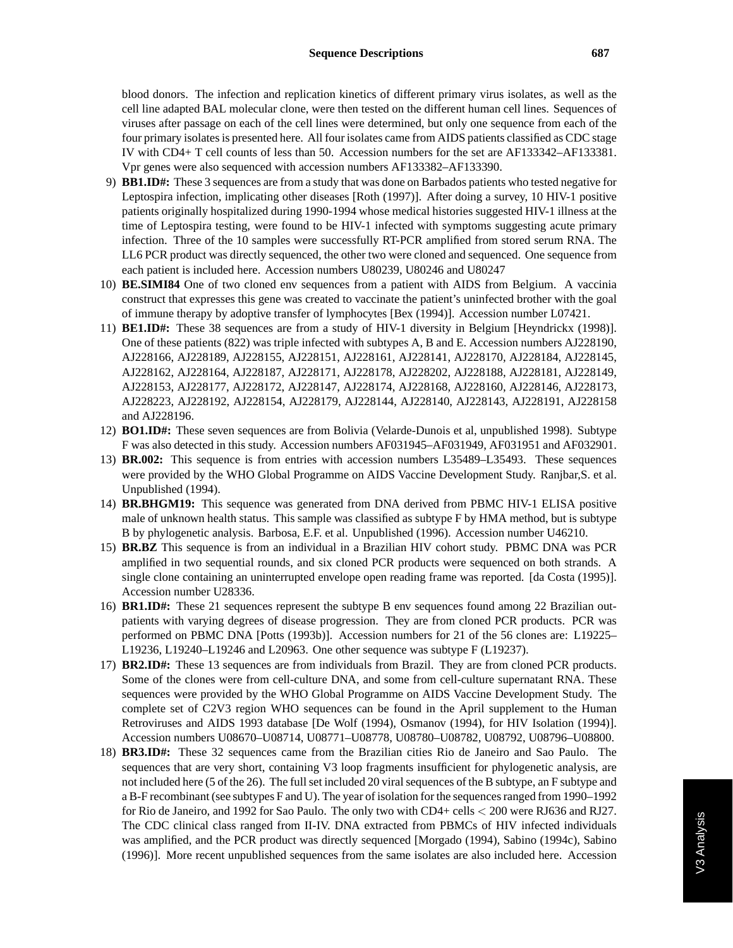blood donors. The infection and replication kinetics of different primary virus isolates, as well as the cell line adapted BAL molecular clone, were then tested on the different human cell lines. Sequences of viruses after passage on each of the cell lines were determined, but only one sequence from each of the four primary isolates is presented here. All four isolates came from AIDS patients classified as CDC stage IV with CD4+ T cell counts of less than 50. Accession numbers for the set are AF133342–AF133381. Vpr genes were also sequenced with accession numbers AF133382–AF133390.

- 9) **BB1.ID#:** These 3 sequences are from a study that was done on Barbados patients who tested negative for Leptospira infection, implicating other diseases [Roth (1997)]. After doing a survey, 10 HIV-1 positive patients originally hospitalized during 1990-1994 whose medical histories suggested HIV-1 illness at the time of Leptospira testing, were found to be HIV-1 infected with symptoms suggesting acute primary infection. Three of the 10 samples were successfully RT-PCR amplified from stored serum RNA. The LL6 PCR product was directly sequenced, the other two were cloned and sequenced. One sequence from each patient is included here. Accession numbers U80239, U80246 and U80247
- 10) **BE.SIMI84** One of two cloned env sequences from a patient with AIDS from Belgium. A vaccinia construct that expresses this gene was created to vaccinate the patient's uninfected brother with the goal of immune therapy by adoptive transfer of lymphocytes [Bex (1994)]. Accession number L07421.
- 11) **BE1.ID#:** These 38 sequences are from a study of HIV-1 diversity in Belgium [Heyndrickx (1998)]. One of these patients (822) was triple infected with subtypes A, B and E. Accession numbers AJ228190, AJ228166, AJ228189, AJ228155, AJ228151, AJ228161, AJ228141, AJ228170, AJ228184, AJ228145, AJ228162, AJ228164, AJ228187, AJ228171, AJ228178, AJ228202, AJ228188, AJ228181, AJ228149, AJ228153, AJ228177, AJ228172, AJ228147, AJ228174, AJ228168, AJ228160, AJ228146, AJ228173, AJ228223, AJ228192, AJ228154, AJ228179, AJ228144, AJ228140, AJ228143, AJ228191, AJ228158 and AJ228196.
- 12) **BO1.ID#:** These seven sequences are from Bolivia (Velarde-Dunois et al, unpublished 1998). Subtype F was also detected in this study. Accession numbers AF031945–AF031949, AF031951 and AF032901.
- 13) **BR.002:** This sequence is from entries with accession numbers L35489–L35493. These sequences were provided by the WHO Global Programme on AIDS Vaccine Development Study. Ranjbar,S. et al. Unpublished (1994).
- 14) **BR.BHGM19:** This sequence was generated from DNA derived from PBMC HIV-1 ELISA positive male of unknown health status. This sample was classified as subtype F by HMA method, but is subtype B by phylogenetic analysis. Barbosa, E.F. et al. Unpublished (1996). Accession number U46210.
- 15) **BR.BZ** This sequence is from an individual in a Brazilian HIV cohort study. PBMC DNA was PCR amplified in two sequential rounds, and six cloned PCR products were sequenced on both strands. A single clone containing an uninterrupted envelope open reading frame was reported. [da Costa (1995)]. Accession number U28336.
- 16) **BR1.ID#:** These 21 sequences represent the subtype B env sequences found among 22 Brazilian outpatients with varying degrees of disease progression. They are from cloned PCR products. PCR was performed on PBMC DNA [Potts (1993b)]. Accession numbers for 21 of the 56 clones are: L19225– L19236, L19240–L19246 and L20963. One other sequence was subtype F (L19237).
- 17) **BR2.ID#:** These 13 sequences are from individuals from Brazil. They are from cloned PCR products. Some of the clones were from cell-culture DNA, and some from cell-culture supernatant RNA. These sequences were provided by the WHO Global Programme on AIDS Vaccine Development Study. The complete set of C2V3 region WHO sequences can be found in the April supplement to the Human Retroviruses and AIDS 1993 database [De Wolf (1994), Osmanov (1994), for HIV Isolation (1994)]. Accession numbers U08670–U08714, U08771–U08778, U08780–U08782, U08792, U08796–U08800.
- 18) **BR3.ID#:** These 32 sequences came from the Brazilian cities Rio de Janeiro and Sao Paulo. The sequences that are very short, containing V3 loop fragments insufficient for phylogenetic analysis, are not included here (5 of the 26). The full set included 20 viral sequences of the B subtype, an F subtype and a B-F recombinant (see subtypes F and U). The year of isolation for the sequences ranged from 1990–1992 for Rio de Janeiro, and 1992 for Sao Paulo. The only two with CD4+ cells *<* 200 were RJ636 and RJ27. The CDC clinical class ranged from II-IV. DNA extracted from PBMCs of HIV infected individuals was amplified, and the PCR product was directly sequenced [Morgado (1994), Sabino (1994c), Sabino (1996)]. More recent unpublished sequences from the same isolates are also included here. Accession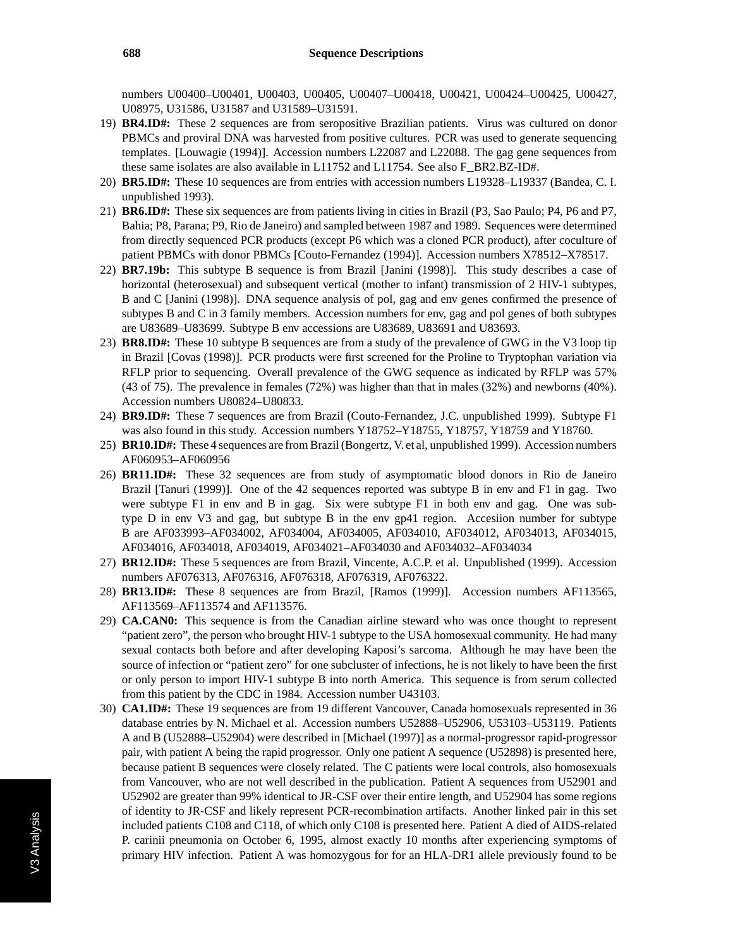numbers U00400–U00401, U00403, U00405, U00407–U00418, U00421, U00424–U00425, U00427, U08975, U31586, U31587 and U31589–U31591.

- 19) **BR4.ID#:** These 2 sequences are from seropositive Brazilian patients. Virus was cultured on donor PBMCs and proviral DNA was harvested from positive cultures. PCR was used to generate sequencing templates. [Louwagie (1994)]. Accession numbers L22087 and L22088. The gag gene sequences from these same isolates are also available in L11752 and L11754. See also F\_BR2.BZ-ID#.
- 20) **BR5.ID#:** These 10 sequences are from entries with accession numbers L19328–L19337 (Bandea, C. I. unpublished 1993).
- 21) **BR6.ID#:** These six sequences are from patients living in cities in Brazil (P3, Sao Paulo; P4, P6 and P7, Bahia; P8, Parana; P9, Rio de Janeiro) and sampled between 1987 and 1989. Sequences were determined from directly sequenced PCR products (except P6 which was a cloned PCR product), after coculture of patient PBMCs with donor PBMCs [Couto-Fernandez (1994)]. Accession numbers X78512–X78517.
- 22) **BR7.19b:** This subtype B sequence is from Brazil [Janini (1998)]. This study describes a case of horizontal (heterosexual) and subsequent vertical (mother to infant) transmission of 2 HIV-1 subtypes, B and C [Janini (1998)]. DNA sequence analysis of pol, gag and env genes confirmed the presence of subtypes B and C in 3 family members. Accession numbers for env, gag and pol genes of both subtypes are U83689–U83699. Subtype B env accessions are U83689, U83691 and U83693.
- 23) **BR8.ID#:** These 10 subtype B sequences are from a study of the prevalence of GWG in the V3 loop tip in Brazil [Covas (1998)]. PCR products were first screened for the Proline to Tryptophan variation via RFLP prior to sequencing. Overall prevalence of the GWG sequence as indicated by RFLP was 57% (43 of 75). The prevalence in females (72%) was higher than that in males (32%) and newborns (40%). Accession numbers U80824–U80833.
- 24) **BR9.ID#:** These 7 sequences are from Brazil (Couto-Fernandez, J.C. unpublished 1999). Subtype F1 was also found in this study. Accession numbers Y18752–Y18755, Y18757, Y18759 and Y18760.
- 25) **BR10.ID#:** These 4 sequences are from Brazil (Bongertz, V. et al, unpublished 1999). Accession numbers AF060953–AF060956
- 26) **BR11.ID#:** These 32 sequences are from study of asymptomatic blood donors in Rio de Janeiro Brazil [Tanuri (1999)]. One of the 42 sequences reported was subtype B in env and F1 in gag. Two were subtype F1 in env and B in gag. Six were subtype F1 in both env and gag. One was subtype D in env V3 and gag, but subtype B in the env gp41 region. Accesiion number for subtype B are AF033993–AF034002, AF034004, AF034005, AF034010, AF034012, AF034013, AF034015, AF034016, AF034018, AF034019, AF034021–AF034030 and AF034032–AF034034
- 27) **BR12.ID#:** These 5 sequences are from Brazil, Vincente, A.C.P. et al. Unpublished (1999). Accession numbers AF076313, AF076316, AF076318, AF076319, AF076322.
- 28) **BR13.ID#:** These 8 sequences are from Brazil, [Ramos (1999)]. Accession numbers AF113565, AF113569–AF113574 and AF113576.
- 29) **CA.CAN0:** This sequence is from the Canadian airline steward who was once thought to represent "patient zero", the person who brought HIV-1 subtype to the USA homosexual community. He had many sexual contacts both before and after developing Kaposi's sarcoma. Although he may have been the source of infection or "patient zero" for one subcluster of infections, he is not likely to have been the first or only person to import HIV-1 subtype B into north America. This sequence is from serum collected from this patient by the CDC in 1984. Accession number U43103.
- 30) **CA1.ID#:** These 19 sequences are from 19 different Vancouver, Canada homosexuals represented in 36 database entries by N. Michael et al. Accession numbers U52888–U52906, U53103–U53119. Patients A and B (U52888–U52904) were described in [Michael (1997)] as a normal-progressor rapid-progressor pair, with patient A being the rapid progressor. Only one patient A sequence (U52898) is presented here, because patient B sequences were closely related. The C patients were local controls, also homosexuals from Vancouver, who are not well described in the publication. Patient A sequences from U52901 and U52902 are greater than 99% identical to JR-CSF over their entire length, and U52904 has some regions of identity to JR-CSF and likely represent PCR-recombination artifacts. Another linked pair in this set included patients C108 and C118, of which only C108 is presented here. Patient A died of AIDS-related P. carinii pneumonia on October 6, 1995, almost exactly 10 months after experiencing symptoms of primary HIV infection. Patient A was homozygous for for an HLA-DR1 allele previously found to be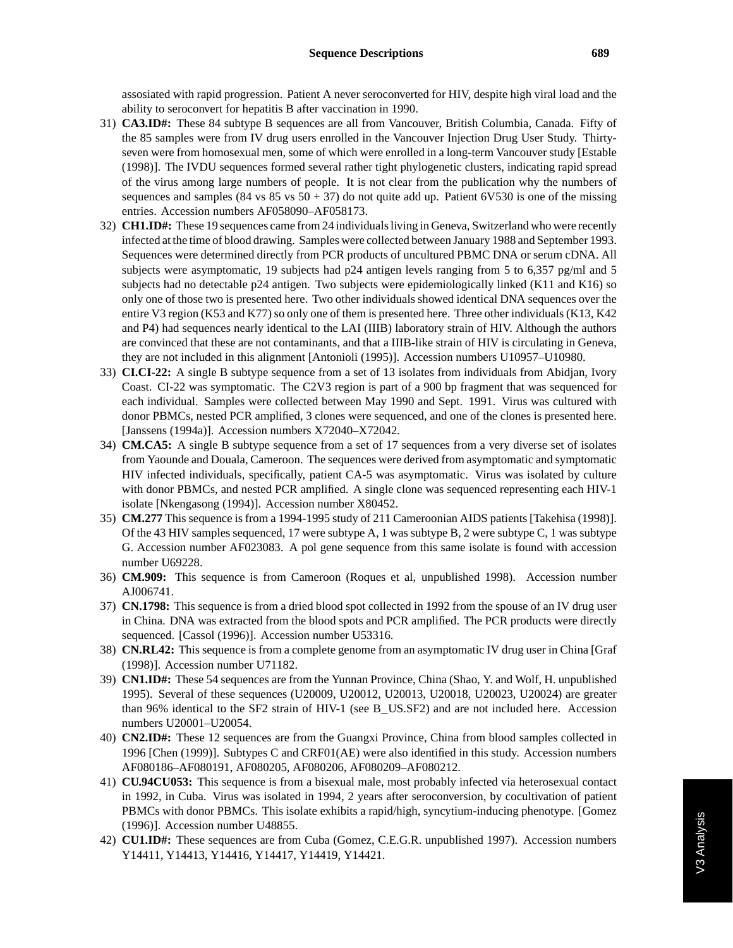assosiated with rapid progression. Patient A never seroconverted for HIV, despite high viral load and the ability to seroconvert for hepatitis B after vaccination in 1990.

- 31) **CA3.ID#:** These 84 subtype B sequences are all from Vancouver, British Columbia, Canada. Fifty of the 85 samples were from IV drug users enrolled in the Vancouver Injection Drug User Study. Thirtyseven were from homosexual men, some of which were enrolled in a long-term Vancouver study [Estable (1998)]. The IVDU sequences formed several rather tight phylogenetic clusters, indicating rapid spread of the virus among large numbers of people. It is not clear from the publication why the numbers of sequences and samples (84 vs  $85$  vs  $50 + 37$ ) do not quite add up. Patient 6V530 is one of the missing entries. Accession numbers AF058090–AF058173.
- 32) **CH1.ID#:** These 19 sequences came from 24 individuals living in Geneva, Switzerland who were recently infected at the time of blood drawing. Samples were collected between January 1988 and September 1993. Sequences were determined directly from PCR products of uncultured PBMC DNA or serum cDNA. All subjects were asymptomatic, 19 subjects had p24 antigen levels ranging from 5 to 6,357 pg/ml and 5 subjects had no detectable p24 antigen. Two subjects were epidemiologically linked (K11 and K16) so only one of those two is presented here. Two other individuals showed identical DNA sequences over the entire V3 region (K53 and K77) so only one of them is presented here. Three other individuals (K13, K42 and P4) had sequences nearly identical to the LAI (IIIB) laboratory strain of HIV. Although the authors are convinced that these are not contaminants, and that a IIIB-like strain of HIV is circulating in Geneva, they are not included in this alignment [Antonioli (1995)]. Accession numbers U10957–U10980.
- 33) **CI.CI-22:** A single B subtype sequence from a set of 13 isolates from individuals from Abidjan, Ivory Coast. CI-22 was symptomatic. The C2V3 region is part of a 900 bp fragment that was sequenced for each individual. Samples were collected between May 1990 and Sept. 1991. Virus was cultured with donor PBMCs, nested PCR amplified, 3 clones were sequenced, and one of the clones is presented here. [Janssens (1994a)]. Accession numbers X72040–X72042.
- 34) **CM.CA5:** A single B subtype sequence from a set of 17 sequences from a very diverse set of isolates from Yaounde and Douala, Cameroon. The sequences were derived from asymptomatic and symptomatic HIV infected individuals, specifically, patient CA-5 was asymptomatic. Virus was isolated by culture with donor PBMCs, and nested PCR amplified. A single clone was sequenced representing each HIV-1 isolate [Nkengasong (1994)]. Accession number X80452.
- 35) **CM.277** This sequence is from a 1994-1995 study of 211 Cameroonian AIDS patients [Takehisa (1998)]. Of the 43 HIV samples sequenced, 17 were subtype A, 1 was subtype B, 2 were subtype C, 1 was subtype G. Accession number AF023083. A pol gene sequence from this same isolate is found with accession number U69228.
- 36) **CM.909:** This sequence is from Cameroon (Roques et al, unpublished 1998). Accession number AJ006741.
- 37) **CN.1798:** This sequence is from a dried blood spot collected in 1992 from the spouse of an IV drug user in China. DNA was extracted from the blood spots and PCR amplified. The PCR products were directly sequenced. [Cassol (1996)]. Accession number U53316.
- 38) **CN.RL42:** This sequence is from a complete genome from an asymptomatic IV drug user in China [Graf (1998)]. Accession number U71182.
- 39) **CN1.ID#:** These 54 sequences are from the Yunnan Province, China (Shao, Y. and Wolf, H. unpublished 1995). Several of these sequences (U20009, U20012, U20013, U20018, U20023, U20024) are greater than 96% identical to the SF2 strain of HIV-1 (see B\_US.SF2) and are not included here. Accession numbers U20001–U20054.
- 40) **CN2.ID#:** These 12 sequences are from the Guangxi Province, China from blood samples collected in 1996 [Chen (1999)]. Subtypes C and CRF01(AE) were also identified in this study. Accession numbers AF080186–AF080191, AF080205, AF080206, AF080209–AF080212.
- 41) **CU.94CU053:** This sequence is from a bisexual male, most probably infected via heterosexual contact in 1992, in Cuba. Virus was isolated in 1994, 2 years after seroconversion, by cocultivation of patient PBMCs with donor PBMCs. This isolate exhibits a rapid/high, syncytium-inducing phenotype. [Gomez (1996)]. Accession number U48855.
- 42) **CU1.ID#:** These sequences are from Cuba (Gomez, C.E.G.R. unpublished 1997). Accession numbers Y14411, Y14413, Y14416, Y14417, Y14419, Y14421.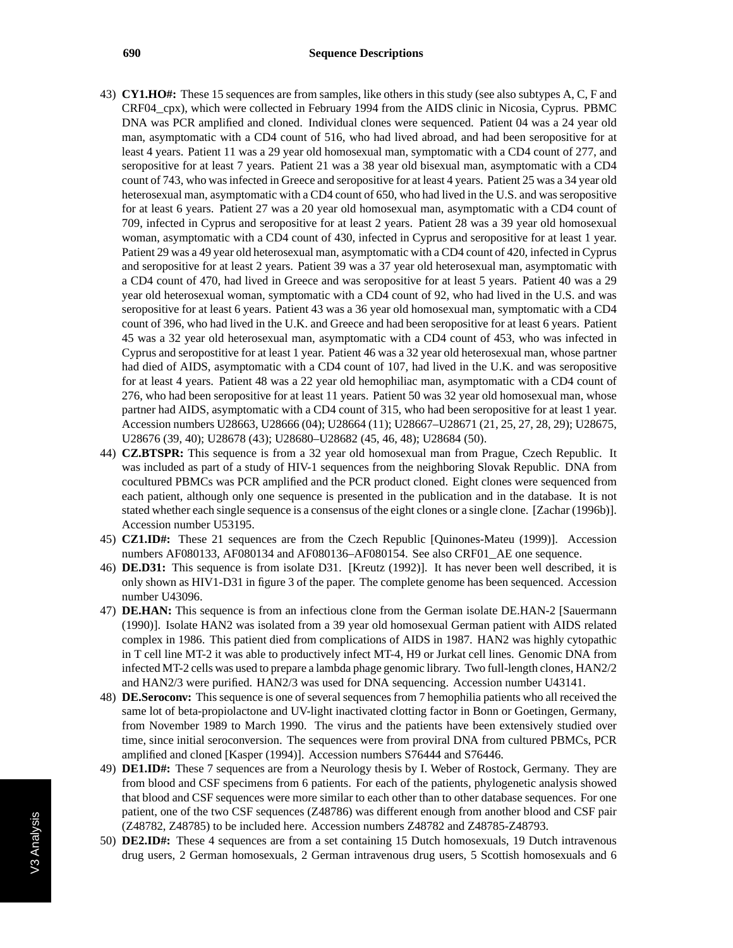- 43) **CY1.HO#:** These 15 sequences are from samples, like others in this study (see also subtypes A, C, F and CRF04\_cpx), which were collected in February 1994 from the AIDS clinic in Nicosia, Cyprus. PBMC DNA was PCR amplified and cloned. Individual clones were sequenced. Patient 04 was a 24 year old man, asymptomatic with a CD4 count of 516, who had lived abroad, and had been seropositive for at least 4 years. Patient 11 was a 29 year old homosexual man, symptomatic with a CD4 count of 277, and seropositive for at least 7 years. Patient 21 was a 38 year old bisexual man, asymptomatic with a CD4 count of 743, who was infected in Greece and seropositive for at least 4 years. Patient 25 was a 34 year old heterosexual man, asymptomatic with a CD4 count of 650, who had lived in the U.S. and was seropositive for at least 6 years. Patient 27 was a 20 year old homosexual man, asymptomatic with a CD4 count of 709, infected in Cyprus and seropositive for at least 2 years. Patient 28 was a 39 year old homosexual woman, asymptomatic with a CD4 count of 430, infected in Cyprus and seropositive for at least 1 year. Patient 29 was a 49 year old heterosexual man, asymptomatic with a CD4 count of 420, infected in Cyprus and seropositive for at least 2 years. Patient 39 was a 37 year old heterosexual man, asymptomatic with a CD4 count of 470, had lived in Greece and was seropositive for at least 5 years. Patient 40 was a 29 year old heterosexual woman, symptomatic with a CD4 count of 92, who had lived in the U.S. and was seropositive for at least 6 years. Patient 43 was a 36 year old homosexual man, symptomatic with a CD4 count of 396, who had lived in the U.K. and Greece and had been seropositive for at least 6 years. Patient 45 was a 32 year old heterosexual man, asymptomatic with a CD4 count of 453, who was infected in Cyprus and seropostitive for at least 1 year. Patient 46 was a 32 year old heterosexual man, whose partner had died of AIDS, asymptomatic with a CD4 count of 107, had lived in the U.K. and was seropositive for at least 4 years. Patient 48 was a 22 year old hemophiliac man, asymptomatic with a CD4 count of 276, who had been seropositive for at least 11 years. Patient 50 was 32 year old homosexual man, whose partner had AIDS, asymptomatic with a CD4 count of 315, who had been seropositive for at least 1 year. Accession numbers U28663, U28666 (04); U28664 (11); U28667–U28671 (21, 25, 27, 28, 29); U28675, U28676 (39, 40); U28678 (43); U28680–U28682 (45, 46, 48); U28684 (50).
- 44) **CZ.BTSPR:** This sequence is from a 32 year old homosexual man from Prague, Czech Republic. It was included as part of a study of HIV-1 sequences from the neighboring Slovak Republic. DNA from cocultured PBMCs was PCR amplified and the PCR product cloned. Eight clones were sequenced from each patient, although only one sequence is presented in the publication and in the database. It is not stated whether each single sequence is a consensus of the eight clones or a single clone. [Zachar (1996b)]. Accession number U53195.
- 45) **CZ1.ID#:** These 21 sequences are from the Czech Republic [Quinones-Mateu (1999)]. Accession numbers AF080133, AF080134 and AF080136–AF080154. See also CRF01\_AE one sequence.
- 46) **DE.D31:** This sequence is from isolate D31. [Kreutz (1992)]. It has never been well described, it is only shown as HIV1-D31 in figure 3 of the paper. The complete genome has been sequenced. Accession number U43096.
- 47) **DE.HAN:** This sequence is from an infectious clone from the German isolate DE.HAN-2 [Sauermann (1990)]. Isolate HAN2 was isolated from a 39 year old homosexual German patient with AIDS related complex in 1986. This patient died from complications of AIDS in 1987. HAN2 was highly cytopathic in T cell line MT-2 it was able to productively infect MT-4, H9 or Jurkat cell lines. Genomic DNA from infected MT-2 cells was used to prepare a lambda phage genomic library. Two full-length clones, HAN2/2 and HAN2/3 were purified. HAN2/3 was used for DNA sequencing. Accession number U43141.
- 48) **DE.Seroconv:** This sequence is one of several sequences from 7 hemophilia patients who all received the same lot of beta-propiolactone and UV-light inactivated clotting factor in Bonn or Goetingen, Germany, from November 1989 to March 1990. The virus and the patients have been extensively studied over time, since initial seroconversion. The sequences were from proviral DNA from cultured PBMCs, PCR amplified and cloned [Kasper (1994)]. Accession numbers S76444 and S76446.
- 49) **DE1.ID#:** These 7 sequences are from a Neurology thesis by I. Weber of Rostock, Germany. They are from blood and CSF specimens from 6 patients. For each of the patients, phylogenetic analysis showed that blood and CSF sequences were more similar to each other than to other database sequences. For one patient, one of the two CSF sequences (Z48786) was different enough from another blood and CSF pair (Z48782, Z48785) to be included here. Accession numbers Z48782 and Z48785-Z48793.
- 50) **DE2.ID#:** These 4 sequences are from a set containing 15 Dutch homosexuals, 19 Dutch intravenous drug users, 2 German homosexuals, 2 German intravenous drug users, 5 Scottish homosexuals and 6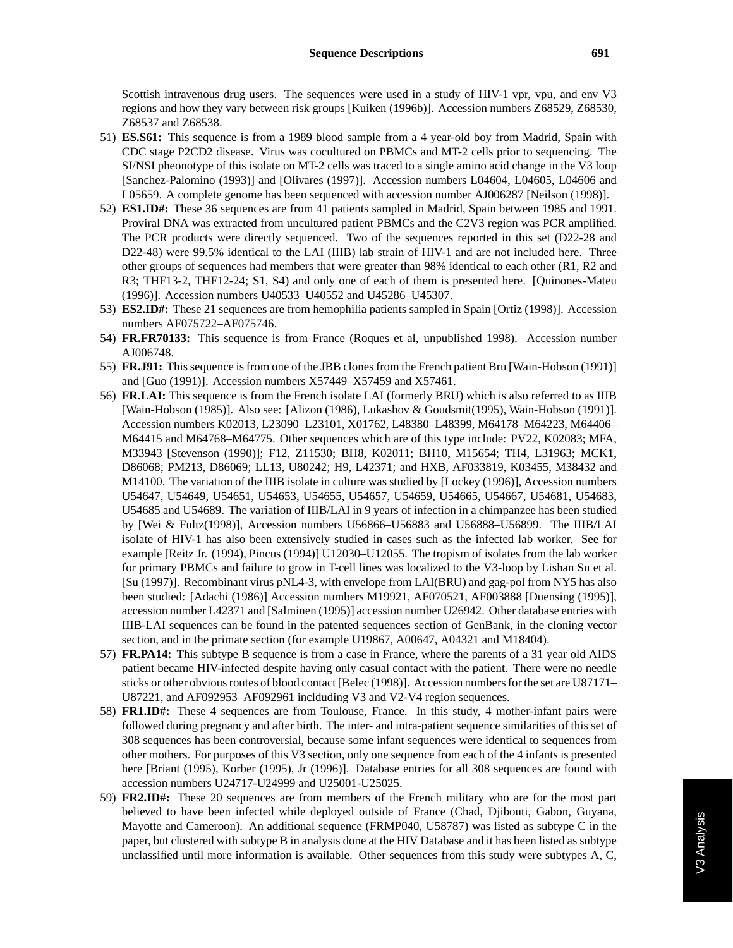Scottish intravenous drug users. The sequences were used in a study of HIV-1 vpr, vpu, and env V3 regions and how they vary between risk groups [Kuiken (1996b)]. Accession numbers Z68529, Z68530, Z68537 and Z68538.

- 51) **ES.S61:** This sequence is from a 1989 blood sample from a 4 year-old boy from Madrid, Spain with CDC stage P2CD2 disease. Virus was cocultured on PBMCs and MT-2 cells prior to sequencing. The SI/NSI pheonotype of this isolate on MT-2 cells was traced to a single amino acid change in the V3 loop [Sanchez-Palomino (1993)] and [Olivares (1997)]. Accession numbers L04604, L04605, L04606 and L05659. A complete genome has been sequenced with accession number AJ006287 [Neilson (1998)].
- 52) **ES1.ID#:** These 36 sequences are from 41 patients sampled in Madrid, Spain between 1985 and 1991. Proviral DNA was extracted from uncultured patient PBMCs and the C2V3 region was PCR amplified. The PCR products were directly sequenced. Two of the sequences reported in this set (D22-28 and D22-48) were 99.5% identical to the LAI (IIIB) lab strain of HIV-1 and are not included here. Three other groups of sequences had members that were greater than 98% identical to each other (R1, R2 and R3; THF13-2, THF12-24; S1, S4) and only one of each of them is presented here. [Quinones-Mateu (1996)]. Accession numbers U40533–U40552 and U45286–U45307.
- 53) **ES2.ID#:** These 21 sequences are from hemophilia patients sampled in Spain [Ortiz (1998)]. Accession numbers AF075722–AF075746.
- 54) **FR.FR70133:** This sequence is from France (Roques et al, unpublished 1998). Accession number AJ006748.
- 55) **FR.J91:** This sequence is from one of the JBB clones from the French patient Bru [Wain-Hobson (1991)] and [Guo (1991)]. Accession numbers X57449–X57459 and X57461.
- 56) **FR.LAI:** This sequence is from the French isolate LAI (formerly BRU) which is also referred to as IIIB [Wain-Hobson (1985)]. Also see: [Alizon (1986), Lukashov & Goudsmit(1995), Wain-Hobson (1991)]. Accession numbers K02013, L23090–L23101, X01762, L48380–L48399, M64178–M64223, M64406– M64415 and M64768–M64775. Other sequences which are of this type include: PV22, K02083; MFA, M33943 [Stevenson (1990)]; F12, Z11530; BH8, K02011; BH10, M15654; TH4, L31963; MCK1, D86068; PM213, D86069; LL13, U80242; H9, L42371; and HXB, AF033819, K03455, M38432 and M14100. The variation of the IIIB isolate in culture was studied by [Lockey (1996)], Accession numbers U54647, U54649, U54651, U54653, U54655, U54657, U54659, U54665, U54667, U54681, U54683, U54685 and U54689. The variation of IIIB/LAI in 9 years of infection in a chimpanzee has been studied by [Wei & Fultz(1998)], Accession numbers U56866–U56883 and U56888–U56899. The IIIB/LAI isolate of HIV-1 has also been extensively studied in cases such as the infected lab worker. See for example [Reitz Jr. (1994), Pincus (1994)] U12030–U12055. The tropism of isolates from the lab worker for primary PBMCs and failure to grow in T-cell lines was localized to the V3-loop by Lishan Su et al. [Su (1997)]. Recombinant virus pNL4-3, with envelope from LAI(BRU) and gag-pol from NY5 has also been studied: [Adachi (1986)] Accession numbers M19921, AF070521, AF003888 [Duensing (1995)], accession number L42371 and [Salminen (1995)] accession number U26942. Other database entries with IIIB-LAI sequences can be found in the patented sequences section of GenBank, in the cloning vector section, and in the primate section (for example U19867, A00647, A04321 and M18404).
- 57) **FR.PA14:** This subtype B sequence is from a case in France, where the parents of a 31 year old AIDS patient became HIV-infected despite having only casual contact with the patient. There were no needle sticks or other obvious routes of blood contact [Belec (1998)]. Accession numbers for the set are U87171– U87221, and AF092953–AF092961 inclduding V3 and V2-V4 region sequences.
- 58) **FR1.ID#:** These 4 sequences are from Toulouse, France. In this study, 4 mother-infant pairs were followed during pregnancy and after birth. The inter- and intra-patient sequence similarities of this set of 308 sequences has been controversial, because some infant sequences were identical to sequences from other mothers. For purposes of this V3 section, only one sequence from each of the 4 infants is presented here [Briant (1995), Korber (1995), Jr (1996)]. Database entries for all 308 sequences are found with accession numbers U24717-U24999 and U25001-U25025.
- 59) **FR2.ID#:** These 20 sequences are from members of the French military who are for the most part believed to have been infected while deployed outside of France (Chad, Djibouti, Gabon, Guyana, Mayotte and Cameroon). An additional sequence (FRMP040, U58787) was listed as subtype C in the paper, but clustered with subtype B in analysis done at the HIV Database and it has been listed as subtype unclassified until more information is available. Other sequences from this study were subtypes A, C,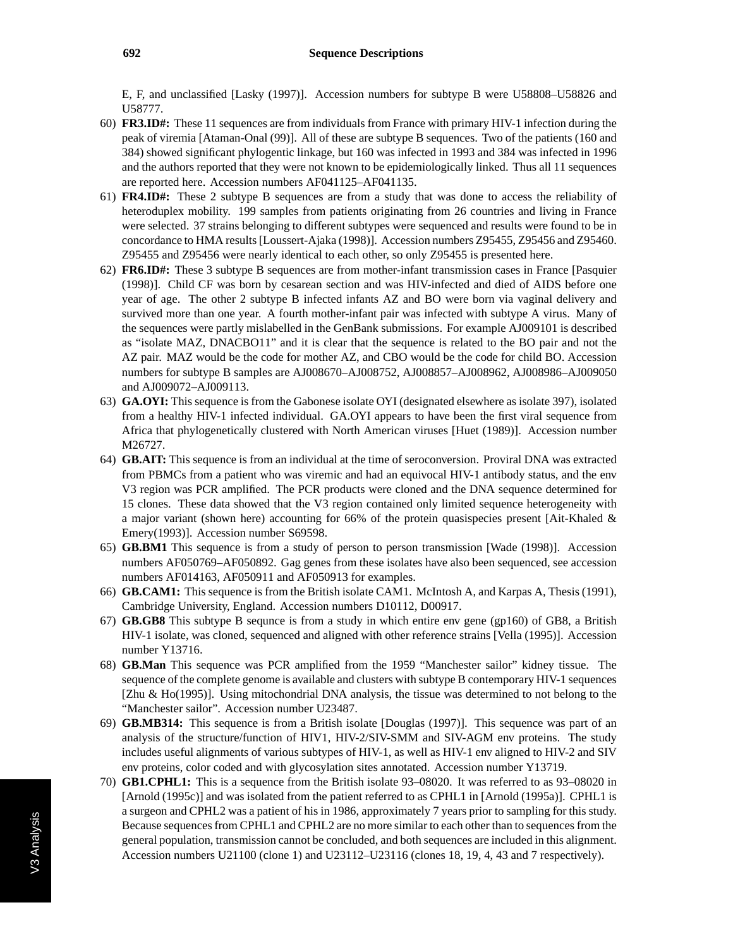E, F, and unclassified [Lasky (1997)]. Accession numbers for subtype B were U58808–U58826 and U58777.

- 60) **FR3.ID#:** These 11 sequences are from individuals from France with primary HIV-1 infection during the peak of viremia [Ataman-Onal (99)]. All of these are subtype B sequences. Two of the patients (160 and 384) showed significant phylogentic linkage, but 160 was infected in 1993 and 384 was infected in 1996 and the authors reported that they were not known to be epidemiologically linked. Thus all 11 sequences are reported here. Accession numbers AF041125–AF041135.
- 61) **FR4.ID#:** These 2 subtype B sequences are from a study that was done to access the reliability of heteroduplex mobility. 199 samples from patients originating from 26 countries and living in France were selected. 37 strains belonging to different subtypes were sequenced and results were found to be in concordance to HMA results [Loussert-Ajaka (1998)]. Accession numbers Z95455, Z95456 and Z95460. Z95455 and Z95456 were nearly identical to each other, so only Z95455 is presented here.
- 62) **FR6.ID#:** These 3 subtype B sequences are from mother-infant transmission cases in France [Pasquier (1998)]. Child CF was born by cesarean section and was HIV-infected and died of AIDS before one year of age. The other 2 subtype B infected infants AZ and BO were born via vaginal delivery and survived more than one year. A fourth mother-infant pair was infected with subtype A virus. Many of the sequences were partly mislabelled in the GenBank submissions. For example AJ009101 is described as "isolate MAZ, DNACBO11" and it is clear that the sequence is related to the BO pair and not the AZ pair. MAZ would be the code for mother AZ, and CBO would be the code for child BO. Accession numbers for subtype B samples are AJ008670–AJ008752, AJ008857–AJ008962, AJ008986–AJ009050 and AJ009072–AJ009113.
- 63) **GA.OYI:** This sequence is from the Gabonese isolate OYI (designated elsewhere as isolate 397), isolated from a healthy HIV-1 infected individual. GA.OYI appears to have been the first viral sequence from Africa that phylogenetically clustered with North American viruses [Huet (1989)]. Accession number M26727.
- 64) **GB.AIT:** This sequence is from an individual at the time of seroconversion. Proviral DNA was extracted from PBMCs from a patient who was viremic and had an equivocal HIV-1 antibody status, and the env V3 region was PCR amplified. The PCR products were cloned and the DNA sequence determined for 15 clones. These data showed that the V3 region contained only limited sequence heterogeneity with a major variant (shown here) accounting for 66% of the protein quasispecies present [Ait-Khaled & Emery(1993)]. Accession number S69598.
- 65) **GB.BM1** This sequence is from a study of person to person transmission [Wade (1998)]. Accession numbers AF050769–AF050892. Gag genes from these isolates have also been sequenced, see accession numbers AF014163, AF050911 and AF050913 for examples.
- 66) **GB.CAM1:** This sequence is from the British isolate CAM1. McIntosh A, and Karpas A, Thesis (1991), Cambridge University, England. Accession numbers D10112, D00917.
- 67) **GB.GB8** This subtype B sequnce is from a study in which entire env gene (gp160) of GB8, a British HIV-1 isolate, was cloned, sequenced and aligned with other reference strains [Vella (1995)]. Accession number Y13716.
- 68) **GB.Man** This sequence was PCR amplified from the 1959 "Manchester sailor" kidney tissue. The sequence of the complete genome is available and clusters with subtype B contemporary HIV-1 sequences [Zhu & Ho(1995)]. Using mitochondrial DNA analysis, the tissue was determined to not belong to the "Manchester sailor". Accession number U23487.
- 69) **GB.MB314:** This sequence is from a British isolate [Douglas (1997)]. This sequence was part of an analysis of the structure/function of HIV1, HIV-2/SIV-SMM and SIV-AGM env proteins. The study includes useful alignments of various subtypes of HIV-1, as well as HIV-1 env aligned to HIV-2 and SIV env proteins, color coded and with glycosylation sites annotated. Accession number Y13719.
- 70) **GB1.CPHL1:** This is a sequence from the British isolate 93–08020. It was referred to as 93–08020 in [Arnold (1995c)] and was isolated from the patient referred to as CPHL1 in [Arnold (1995a)]. CPHL1 is a surgeon and CPHL2 was a patient of his in 1986, approximately 7 years prior to sampling for this study. Because sequences from CPHL1 and CPHL2 are no more similar to each other than to sequences from the general population, transmission cannot be concluded, and both sequences are included in this alignment. Accession numbers U21100 (clone 1) and U23112–U23116 (clones 18, 19, 4, 43 and 7 respectively).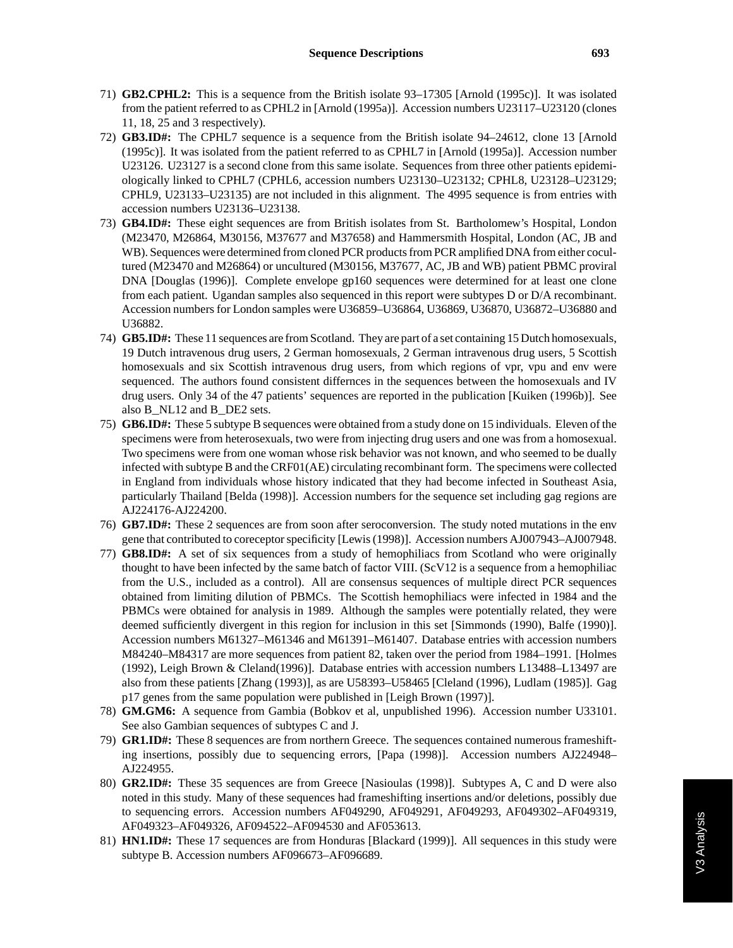- 71) **GB2.CPHL2:** This is a sequence from the British isolate 93–17305 [Arnold (1995c)]. It was isolated from the patient referred to as CPHL2 in [Arnold (1995a)]. Accession numbers U23117–U23120 (clones 11, 18, 25 and 3 respectively).
- 72) **GB3.ID#:** The CPHL7 sequence is a sequence from the British isolate 94–24612, clone 13 [Arnold (1995c)]. It was isolated from the patient referred to as CPHL7 in [Arnold (1995a)]. Accession number U23126. U23127 is a second clone from this same isolate. Sequences from three other patients epidemiologically linked to CPHL7 (CPHL6, accession numbers U23130–U23132; CPHL8, U23128–U23129; CPHL9, U23133–U23135) are not included in this alignment. The 4995 sequence is from entries with accession numbers U23136–U23138.
- 73) **GB4.ID#:** These eight sequences are from British isolates from St. Bartholomew's Hospital, London (M23470, M26864, M30156, M37677 and M37658) and Hammersmith Hospital, London (AC, JB and WB). Sequences were determined from cloned PCR products from PCR amplified DNA from either cocultured (M23470 and M26864) or uncultured (M30156, M37677, AC, JB and WB) patient PBMC proviral DNA [Douglas (1996)]. Complete envelope gp160 sequences were determined for at least one clone from each patient. Ugandan samples also sequenced in this report were subtypes D or D/A recombinant. Accession numbers for London samples were U36859–U36864, U36869, U36870, U36872–U36880 and U36882.
- 74) **GB5.ID#:** These 11 sequences are from Scotland. They are part of a set containing 15 Dutch homosexuals, 19 Dutch intravenous drug users, 2 German homosexuals, 2 German intravenous drug users, 5 Scottish homosexuals and six Scottish intravenous drug users, from which regions of vpr, vpu and env were sequenced. The authors found consistent differnces in the sequences between the homosexuals and IV drug users. Only 34 of the 47 patients' sequences are reported in the publication [Kuiken (1996b)]. See also B\_NL12 and B\_DE2 sets.
- 75) **GB6.ID#:** These 5 subtype B sequences were obtained from a study done on 15 individuals. Eleven of the specimens were from heterosexuals, two were from injecting drug users and one was from a homosexual. Two specimens were from one woman whose risk behavior was not known, and who seemed to be dually infected with subtype B and the CRF01(AE) circulating recombinant form. The specimens were collected in England from individuals whose history indicated that they had become infected in Southeast Asia, particularly Thailand [Belda (1998)]. Accession numbers for the sequence set including gag regions are AJ224176-AJ224200.
- 76) **GB7.ID#:** These 2 sequences are from soon after seroconversion. The study noted mutations in the env gene that contributed to coreceptor specificity [Lewis (1998)]. Accession numbers AJ007943–AJ007948.
- 77) **GB8.ID#:** A set of six sequences from a study of hemophiliacs from Scotland who were originally thought to have been infected by the same batch of factor VIII. (ScV12 is a sequence from a hemophiliac from the U.S., included as a control). All are consensus sequences of multiple direct PCR sequences obtained from limiting dilution of PBMCs. The Scottish hemophiliacs were infected in 1984 and the PBMCs were obtained for analysis in 1989. Although the samples were potentially related, they were deemed sufficiently divergent in this region for inclusion in this set [Simmonds (1990), Balfe (1990)]. Accession numbers M61327–M61346 and M61391–M61407. Database entries with accession numbers M84240–M84317 are more sequences from patient 82, taken over the period from 1984–1991. [Holmes (1992), Leigh Brown & Cleland(1996)]. Database entries with accession numbers L13488–L13497 are also from these patients [Zhang (1993)], as are U58393–U58465 [Cleland (1996), Ludlam (1985)]. Gag p17 genes from the same population were published in [Leigh Brown (1997)].
- 78) **GM.GM6:** A sequence from Gambia (Bobkov et al, unpublished 1996). Accession number U33101. See also Gambian sequences of subtypes C and J.
- 79) **GR1.ID#:** These 8 sequences are from northern Greece. The sequences contained numerous frameshifting insertions, possibly due to sequencing errors, [Papa (1998)]. Accession numbers AJ224948– AJ224955.
- 80) **GR2.ID#:** These 35 sequences are from Greece [Nasioulas (1998)]. Subtypes A, C and D were also noted in this study. Many of these sequences had frameshifting insertions and/or deletions, possibly due to sequencing errors. Accession numbers AF049290, AF049291, AF049293, AF049302–AF049319, AF049323–AF049326, AF094522–AF094530 and AF053613.
- 81) **HN1.ID#:** These 17 sequences are from Honduras [Blackard (1999)]. All sequences in this study were subtype B. Accession numbers AF096673–AF096689.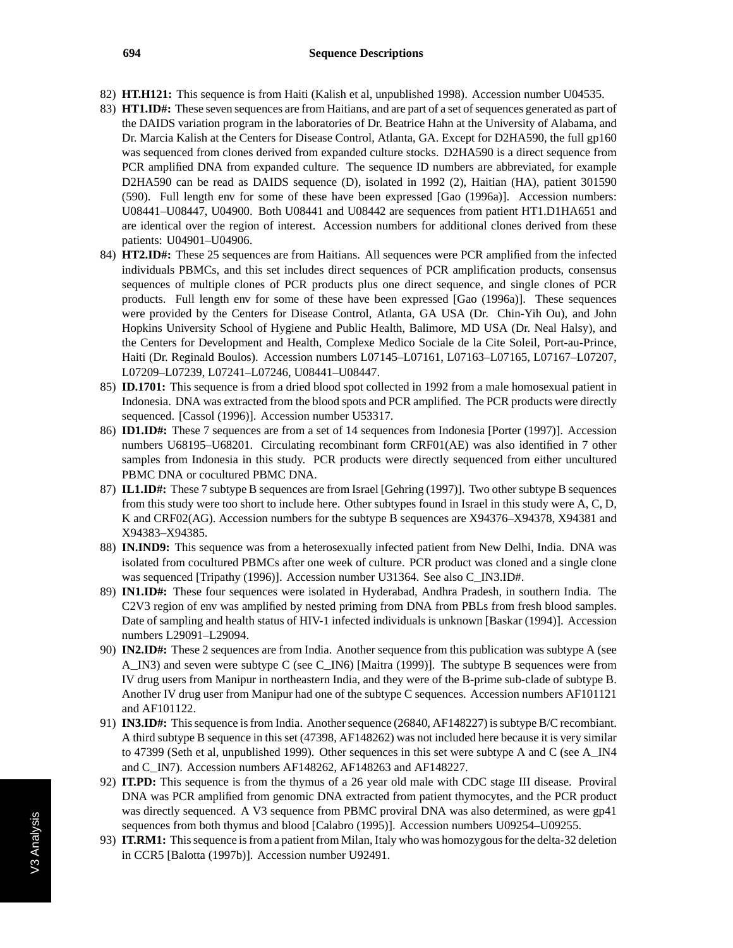- 82) **HT.H121:** This sequence is from Haiti (Kalish et al, unpublished 1998). Accession number U04535.
- 83) **HT1.ID#:** These seven sequences are from Haitians, and are part of a set of sequences generated as part of the DAIDS variation program in the laboratories of Dr. Beatrice Hahn at the University of Alabama, and Dr. Marcia Kalish at the Centers for Disease Control, Atlanta, GA. Except for D2HA590, the full gp160 was sequenced from clones derived from expanded culture stocks. D2HA590 is a direct sequence from PCR amplified DNA from expanded culture. The sequence ID numbers are abbreviated, for example D2HA590 can be read as DAIDS sequence (D), isolated in 1992 (2), Haitian (HA), patient 301590 (590). Full length env for some of these have been expressed [Gao (1996a)]. Accession numbers: U08441–U08447, U04900. Both U08441 and U08442 are sequences from patient HT1.D1HA651 and are identical over the region of interest. Accession numbers for additional clones derived from these patients: U04901–U04906.
- 84) **HT2.ID#:** These 25 sequences are from Haitians. All sequences were PCR amplified from the infected individuals PBMCs, and this set includes direct sequences of PCR amplification products, consensus sequences of multiple clones of PCR products plus one direct sequence, and single clones of PCR products. Full length env for some of these have been expressed [Gao (1996a)]. These sequences were provided by the Centers for Disease Control, Atlanta, GA USA (Dr. Chin-Yih Ou), and John Hopkins University School of Hygiene and Public Health, Balimore, MD USA (Dr. Neal Halsy), and the Centers for Development and Health, Complexe Medico Sociale de la Cite Soleil, Port-au-Prince, Haiti (Dr. Reginald Boulos). Accession numbers L07145–L07161, L07163–L07165, L07167–L07207, L07209–L07239, L07241–L07246, U08441–U08447.
- 85) **ID.1701:** This sequence is from a dried blood spot collected in 1992 from a male homosexual patient in Indonesia. DNA was extracted from the blood spots and PCR amplified. The PCR products were directly sequenced. [Cassol (1996)]. Accession number U53317.
- 86) **ID1.ID#:** These 7 sequences are from a set of 14 sequences from Indonesia [Porter (1997)]. Accession numbers U68195–U68201. Circulating recombinant form CRF01(AE) was also identified in 7 other samples from Indonesia in this study. PCR products were directly sequenced from either uncultured PBMC DNA or cocultured PBMC DNA.
- 87) **IL1.ID#:** These 7 subtype B sequences are from Israel [Gehring (1997)]. Two other subtype B sequences from this study were too short to include here. Other subtypes found in Israel in this study were A, C, D, K and CRF02(AG). Accession numbers for the subtype B sequences are X94376–X94378, X94381 and X94383–X94385.
- 88) **IN.IND9:** This sequence was from a heterosexually infected patient from New Delhi, India. DNA was isolated from cocultured PBMCs after one week of culture. PCR product was cloned and a single clone was sequenced [Tripathy (1996)]. Accession number U31364. See also C\_IN3.ID#.
- 89) **IN1.ID#:** These four sequences were isolated in Hyderabad, Andhra Pradesh, in southern India. The C2V3 region of env was amplified by nested priming from DNA from PBLs from fresh blood samples. Date of sampling and health status of HIV-1 infected individuals is unknown [Baskar (1994)]. Accession numbers L29091–L29094.
- 90) **IN2.ID#:** These 2 sequences are from India. Another sequence from this publication was subtype A (see A\_IN3) and seven were subtype C (see C\_IN6) [Maitra (1999)]. The subtype B sequences were from IV drug users from Manipur in northeastern India, and they were of the B-prime sub-clade of subtype B. Another IV drug user from Manipur had one of the subtype C sequences. Accession numbers AF101121 and AF101122.
- 91) **IN3.ID#:** This sequence is from India. Another sequence (26840, AF148227) is subtype B/C recombiant. A third subtype B sequence in this set (47398, AF148262) was not included here because it is very similar to 47399 (Seth et al, unpublished 1999). Other sequences in this set were subtype A and C (see A\_IN4 and C\_IN7). Accession numbers AF148262, AF148263 and AF148227.
- 92) **IT.PD:** This sequence is from the thymus of a 26 year old male with CDC stage III disease. Proviral DNA was PCR amplified from genomic DNA extracted from patient thymocytes, and the PCR product was directly sequenced. A V3 sequence from PBMC proviral DNA was also determined, as were gp41 sequences from both thymus and blood [Calabro (1995)]. Accession numbers U09254–U09255.
- 93) **IT.RM1:** This sequence is from a patient from Milan, Italy who was homozygous for the delta-32 deletion in CCR5 [Balotta (1997b)]. Accession number U92491.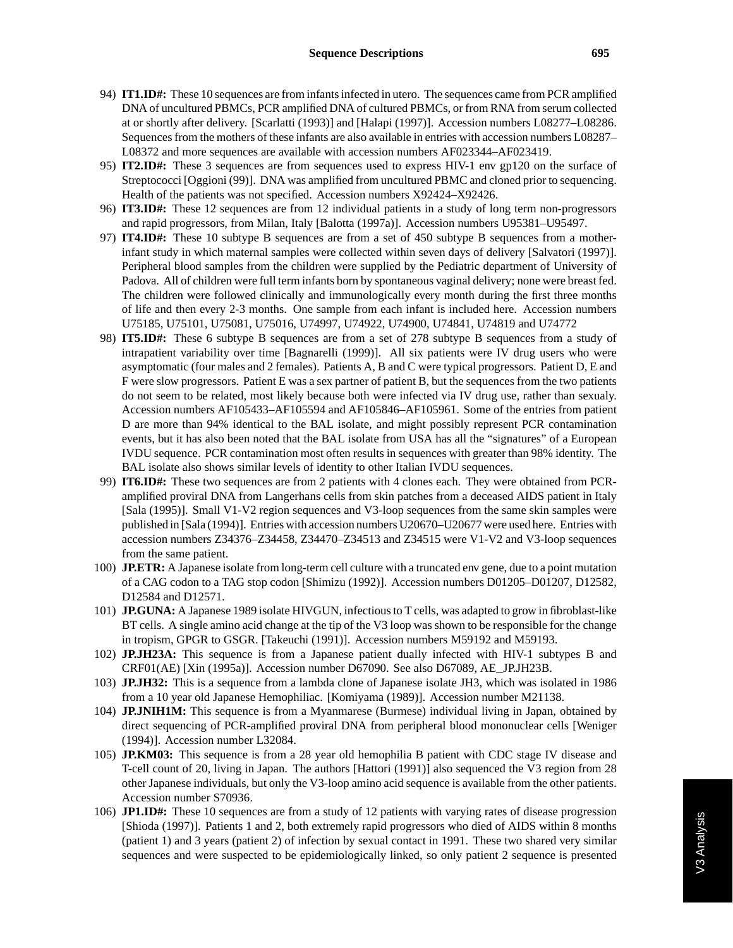- 94) **IT1.ID#:** These 10 sequences are from infants infected in utero. The sequences came from PCR amplified DNA of uncultured PBMCs, PCR amplified DNA of cultured PBMCs, or from RNA from serum collected at or shortly after delivery. [Scarlatti (1993)] and [Halapi (1997)]. Accession numbers L08277–L08286. Sequences from the mothers of these infants are also available in entries with accession numbers L08287– L08372 and more sequences are available with accession numbers AF023344–AF023419.
- 95) **IT2.ID#:** These 3 sequences are from sequences used to express HIV-1 env gp120 on the surface of Streptococci [Oggioni (99)]. DNA was amplified from uncultured PBMC and cloned prior to sequencing. Health of the patients was not specified. Accession numbers X92424–X92426.
- 96) **IT3.ID#:** These 12 sequences are from 12 individual patients in a study of long term non-progressors and rapid progressors, from Milan, Italy [Balotta (1997a)]. Accession numbers U95381–U95497.
- 97) **IT4.ID#:** These 10 subtype B sequences are from a set of 450 subtype B sequences from a motherinfant study in which maternal samples were collected within seven days of delivery [Salvatori (1997)]. Peripheral blood samples from the children were supplied by the Pediatric department of University of Padova. All of children were full term infants born by spontaneous vaginal delivery; none were breast fed. The children were followed clinically and immunologically every month during the first three months of life and then every 2-3 months. One sample from each infant is included here. Accession numbers U75185, U75101, U75081, U75016, U74997, U74922, U74900, U74841, U74819 and U74772
- 98) **IT5.ID#:** These 6 subtype B sequences are from a set of 278 subtype B sequences from a study of intrapatient variability over time [Bagnarelli (1999)]. All six patients were IV drug users who were asymptomatic (four males and 2 females). Patients A, B and C were typical progressors. Patient D, E and F were slow progressors. Patient E was a sex partner of patient B, but the sequences from the two patients do not seem to be related, most likely because both were infected via IV drug use, rather than sexualy. Accession numbers AF105433–AF105594 and AF105846–AF105961. Some of the entries from patient D are more than 94% identical to the BAL isolate, and might possibly represent PCR contamination events, but it has also been noted that the BAL isolate from USA has all the "signatures" of a European IVDU sequence. PCR contamination most often results in sequences with greater than 98% identity. The BAL isolate also shows similar levels of identity to other Italian IVDU sequences.
- 99) **IT6.ID#:** These two sequences are from 2 patients with 4 clones each. They were obtained from PCRamplified proviral DNA from Langerhans cells from skin patches from a deceased AIDS patient in Italy [Sala (1995)]. Small V1-V2 region sequences and V3-loop sequences from the same skin samples were published in [Sala (1994)]. Entries with accession numbers U20670–U20677 were used here. Entries with accession numbers Z34376–Z34458, Z34470–Z34513 and Z34515 were V1-V2 and V3-loop sequences from the same patient.
- 100) **JP.ETR:** A Japanese isolate from long-term cell culture with a truncated env gene, due to a point mutation of a CAG codon to a TAG stop codon [Shimizu (1992)]. Accession numbers D01205–D01207, D12582, D12584 and D12571.
- 101) **JP.GUNA:** A Japanese 1989 isolate HIVGUN, infectious to T cells, was adapted to grow in fibroblast-like BT cells. A single amino acid change at the tip of the V3 loop was shown to be responsible for the change in tropism, GPGR to GSGR. [Takeuchi (1991)]. Accession numbers M59192 and M59193.
- 102) **JP.JH23A:** This sequence is from a Japanese patient dually infected with HIV-1 subtypes B and CRF01(AE) [Xin (1995a)]. Accession number D67090. See also D67089, AE\_JP.JH23B.
- 103) **JP.JH32:** This is a sequence from a lambda clone of Japanese isolate JH3, which was isolated in 1986 from a 10 year old Japanese Hemophiliac. [Komiyama (1989)]. Accession number M21138.
- 104) **JP.JNIH1M:** This sequence is from a Myanmarese (Burmese) individual living in Japan, obtained by direct sequencing of PCR-amplified proviral DNA from peripheral blood mononuclear cells [Weniger (1994)]. Accession number L32084.
- 105) **JP.KM03:** This sequence is from a 28 year old hemophilia B patient with CDC stage IV disease and T-cell count of 20, living in Japan. The authors [Hattori (1991)] also sequenced the V3 region from 28 other Japanese individuals, but only the V3-loop amino acid sequence is available from the other patients. Accession number S70936.
- 106) **JP1.ID#:** These 10 sequences are from a study of 12 patients with varying rates of disease progression [Shioda (1997)]. Patients 1 and 2, both extremely rapid progressors who died of AIDS within 8 months (patient 1) and 3 years (patient 2) of infection by sexual contact in 1991. These two shared very similar sequences and were suspected to be epidemiologically linked, so only patient 2 sequence is presented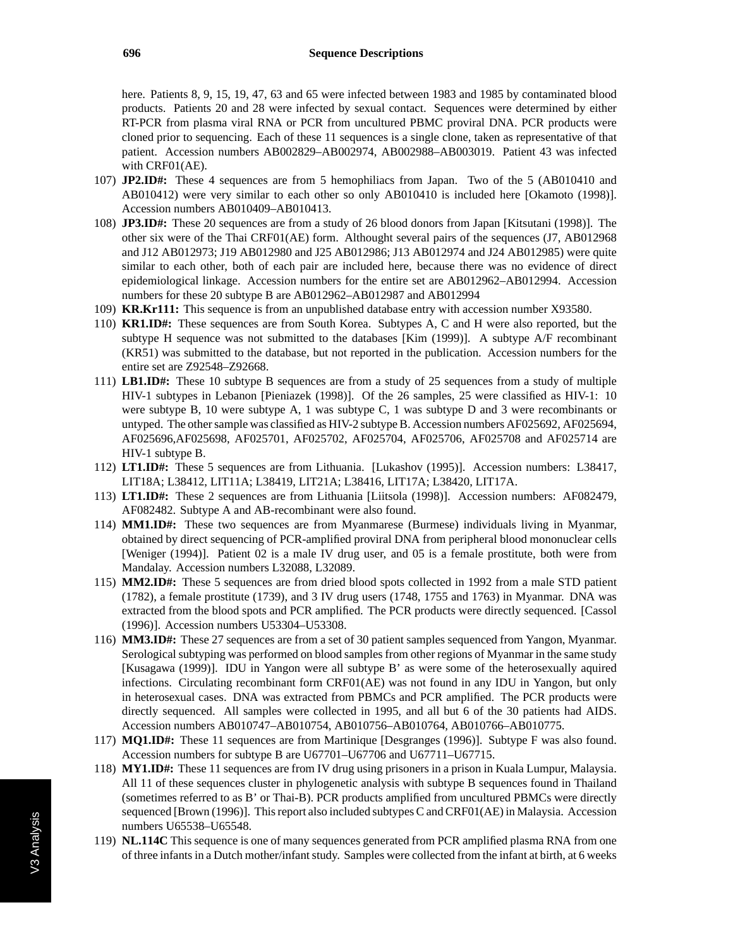here. Patients 8, 9, 15, 19, 47, 63 and 65 were infected between 1983 and 1985 by contaminated blood products. Patients 20 and 28 were infected by sexual contact. Sequences were determined by either RT-PCR from plasma viral RNA or PCR from uncultured PBMC proviral DNA. PCR products were cloned prior to sequencing. Each of these 11 sequences is a single clone, taken as representative of that patient. Accession numbers AB002829–AB002974, AB002988–AB003019. Patient 43 was infected with CRF01(AE).

- 107) **JP2.ID#:** These 4 sequences are from 5 hemophiliacs from Japan. Two of the 5 (AB010410 and AB010412) were very similar to each other so only AB010410 is included here [Okamoto (1998)]. Accession numbers AB010409–AB010413.
- 108) **JP3.ID#:** These 20 sequences are from a study of 26 blood donors from Japan [Kitsutani (1998)]. The other six were of the Thai CRF01(AE) form. Althought several pairs of the sequences (J7, AB012968 and J12 AB012973; J19 AB012980 and J25 AB012986; J13 AB012974 and J24 AB012985) were quite similar to each other, both of each pair are included here, because there was no evidence of direct epidemiological linkage. Accession numbers for the entire set are AB012962–AB012994. Accession numbers for these 20 subtype B are AB012962–AB012987 and AB012994
- 109) **KR.Kr111:** This sequence is from an unpublished database entry with accession number X93580.
- 110) **KR1.ID#:** These sequences are from South Korea. Subtypes A, C and H were also reported, but the subtype H sequence was not submitted to the databases [Kim (1999)]. A subtype A/F recombinant (KR51) was submitted to the database, but not reported in the publication. Accession numbers for the entire set are Z92548–Z92668.
- 111) **LB1.ID#:** These 10 subtype B sequences are from a study of 25 sequences from a study of multiple HIV-1 subtypes in Lebanon [Pieniazek (1998)]. Of the 26 samples, 25 were classified as HIV-1: 10 were subtype B, 10 were subtype A, 1 was subtype C, 1 was subtype D and 3 were recombinants or untyped. The other sample was classified as HIV-2 subtype B. Accession numbers AF025692, AF025694, AF025696,AF025698, AF025701, AF025702, AF025704, AF025706, AF025708 and AF025714 are HIV-1 subtype B.
- 112) **LT1.ID#:** These 5 sequences are from Lithuania. [Lukashov (1995)]. Accession numbers: L38417, LIT18A; L38412, LIT11A; L38419, LIT21A; L38416, LIT17A; L38420, LIT17A.
- 113) **LT1.ID#:** These 2 sequences are from Lithuania [Liitsola (1998)]. Accession numbers: AF082479, AF082482. Subtype A and AB-recombinant were also found.
- 114) **MM1.ID#:** These two sequences are from Myanmarese (Burmese) individuals living in Myanmar, obtained by direct sequencing of PCR-amplified proviral DNA from peripheral blood mononuclear cells [Weniger (1994)]. Patient 02 is a male IV drug user, and 05 is a female prostitute, both were from Mandalay. Accession numbers L32088, L32089.
- 115) **MM2.ID#:** These 5 sequences are from dried blood spots collected in 1992 from a male STD patient (1782), a female prostitute (1739), and 3 IV drug users (1748, 1755 and 1763) in Myanmar. DNA was extracted from the blood spots and PCR amplified. The PCR products were directly sequenced. [Cassol (1996)]. Accession numbers U53304–U53308.
- 116) **MM3.ID#:** These 27 sequences are from a set of 30 patient samples sequenced from Yangon, Myanmar. Serological subtyping was performed on blood samples from other regions of Myanmar in the same study [Kusagawa (1999)]. IDU in Yangon were all subtype B' as were some of the heterosexually aquired infections. Circulating recombinant form CRF01(AE) was not found in any IDU in Yangon, but only in heterosexual cases. DNA was extracted from PBMCs and PCR amplified. The PCR products were directly sequenced. All samples were collected in 1995, and all but 6 of the 30 patients had AIDS. Accession numbers AB010747–AB010754, AB010756–AB010764, AB010766–AB010775.
- 117) **MQ1.ID#:** These 11 sequences are from Martinique [Desgranges (1996)]. Subtype F was also found. Accession numbers for subtype B are U67701–U67706 and U67711–U67715.
- 118) **MY1.ID#:** These 11 sequences are from IV drug using prisoners in a prison in Kuala Lumpur, Malaysia. All 11 of these sequences cluster in phylogenetic analysis with subtype B sequences found in Thailand (sometimes referred to as B' or Thai-B). PCR products amplified from uncultured PBMCs were directly sequenced [Brown (1996)]. This report also included subtypes C and CRF01(AE) in Malaysia. Accession numbers U65538–U65548.
- 119) **NL.114C** This sequence is one of many sequences generated from PCR amplified plasma RNA from one of three infants in a Dutch mother/infant study. Samples were collected from the infant at birth, at 6 weeks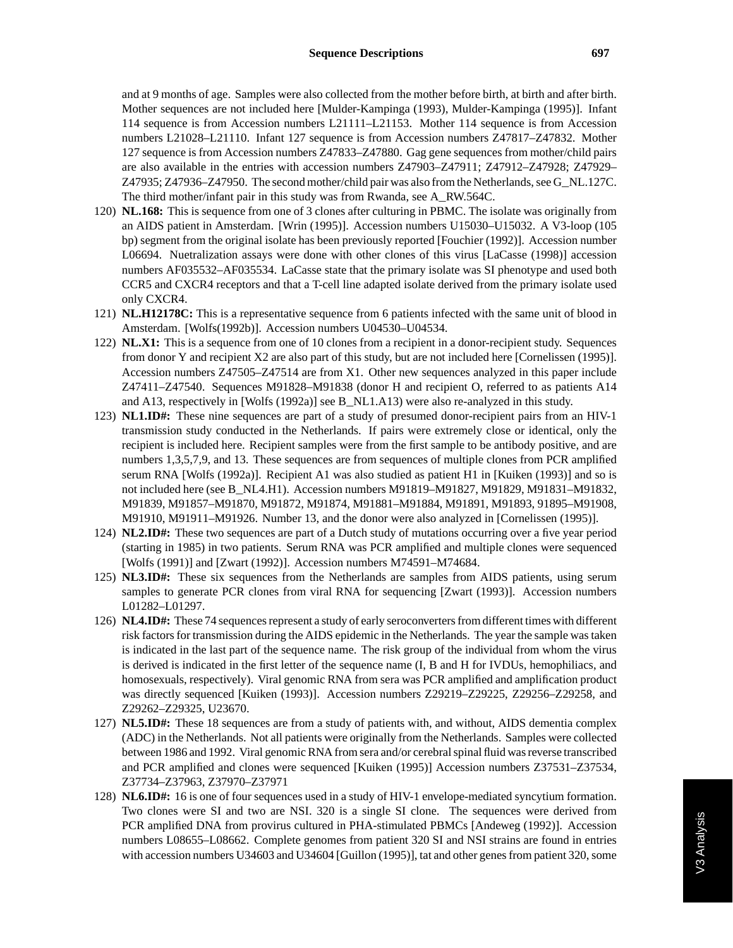and at 9 months of age. Samples were also collected from the mother before birth, at birth and after birth. Mother sequences are not included here [Mulder-Kampinga (1993), Mulder-Kampinga (1995)]. Infant 114 sequence is from Accession numbers L21111–L21153. Mother 114 sequence is from Accession numbers L21028–L21110. Infant 127 sequence is from Accession numbers Z47817–Z47832. Mother 127 sequence is from Accession numbers Z47833–Z47880. Gag gene sequences from mother/child pairs are also available in the entries with accession numbers Z47903–Z47911; Z47912–Z47928; Z47929– Z47935; Z47936–Z47950. The second mother/child pair was also from the Netherlands, see G\_NL.127C. The third mother/infant pair in this study was from Rwanda, see A\_RW.564C.

- 120) **NL.168:** This is sequence from one of 3 clones after culturing in PBMC. The isolate was originally from an AIDS patient in Amsterdam. [Wrin (1995)]. Accession numbers U15030–U15032. A V3-loop (105 bp) segment from the original isolate has been previously reported [Fouchier (1992)]. Accession number L06694. Nuetralization assays were done with other clones of this virus [LaCasse (1998)] accession numbers AF035532–AF035534. LaCasse state that the primary isolate was SI phenotype and used both CCR5 and CXCR4 receptors and that a T-cell line adapted isolate derived from the primary isolate used only CXCR4.
- 121) **NL.H12178C:** This is a representative sequence from 6 patients infected with the same unit of blood in Amsterdam. [Wolfs(1992b)]. Accession numbers U04530–U04534.
- 122) **NL.X1:** This is a sequence from one of 10 clones from a recipient in a donor-recipient study. Sequences from donor Y and recipient X2 are also part of this study, but are not included here [Cornelissen (1995)]. Accession numbers Z47505–Z47514 are from X1. Other new sequences analyzed in this paper include Z47411–Z47540. Sequences M91828–M91838 (donor H and recipient O, referred to as patients A14 and A13, respectively in [Wolfs (1992a)] see B\_NL1.A13) were also re-analyzed in this study.
- 123) **NL1.ID#:** These nine sequences are part of a study of presumed donor-recipient pairs from an HIV-1 transmission study conducted in the Netherlands. If pairs were extremely close or identical, only the recipient is included here. Recipient samples were from the first sample to be antibody positive, and are numbers 1,3,5,7,9, and 13. These sequences are from sequences of multiple clones from PCR amplified serum RNA [Wolfs (1992a)]. Recipient A1 was also studied as patient H1 in [Kuiken (1993)] and so is not included here (see B\_NL4.H1). Accession numbers M91819–M91827, M91829, M91831–M91832, M91839, M91857–M91870, M91872, M91874, M91881–M91884, M91891, M91893, 91895–M91908, M91910, M91911–M91926. Number 13, and the donor were also analyzed in [Cornelissen (1995)].
- 124) **NL2.ID#:** These two sequences are part of a Dutch study of mutations occurring over a five year period (starting in 1985) in two patients. Serum RNA was PCR amplified and multiple clones were sequenced [Wolfs (1991)] and [Zwart (1992)]. Accession numbers M74591–M74684.
- 125) **NL3.ID#:** These six sequences from the Netherlands are samples from AIDS patients, using serum samples to generate PCR clones from viral RNA for sequencing [Zwart (1993)]. Accession numbers L01282–L01297.
- 126) **NL4.ID#:** These 74 sequences represent a study of early seroconverters from different times with different risk factors for transmission during the AIDS epidemic in the Netherlands. The year the sample was taken is indicated in the last part of the sequence name. The risk group of the individual from whom the virus is derived is indicated in the first letter of the sequence name (I, B and H for IVDUs, hemophiliacs, and homosexuals, respectively). Viral genomic RNA from sera was PCR amplified and amplification product was directly sequenced [Kuiken (1993)]. Accession numbers Z29219–Z29225, Z29256–Z29258, and Z29262–Z29325, U23670.
- 127) **NL5.ID#:** These 18 sequences are from a study of patients with, and without, AIDS dementia complex (ADC) in the Netherlands. Not all patients were originally from the Netherlands. Samples were collected between 1986 and 1992. Viral genomic RNA from sera and/or cerebral spinal fluid was reverse transcribed and PCR amplified and clones were sequenced [Kuiken (1995)] Accession numbers Z37531–Z37534, Z37734–Z37963, Z37970–Z37971
- 128) **NL6.ID#:** 16 is one of four sequences used in a study of HIV-1 envelope-mediated syncytium formation. Two clones were SI and two are NSI. 320 is a single SI clone. The sequences were derived from PCR amplified DNA from provirus cultured in PHA-stimulated PBMCs [Andeweg (1992)]. Accession numbers L08655–L08662. Complete genomes from patient 320 SI and NSI strains are found in entries with accession numbers U34603 and U34604 [Guillon (1995)], tat and other genes from patient 320, some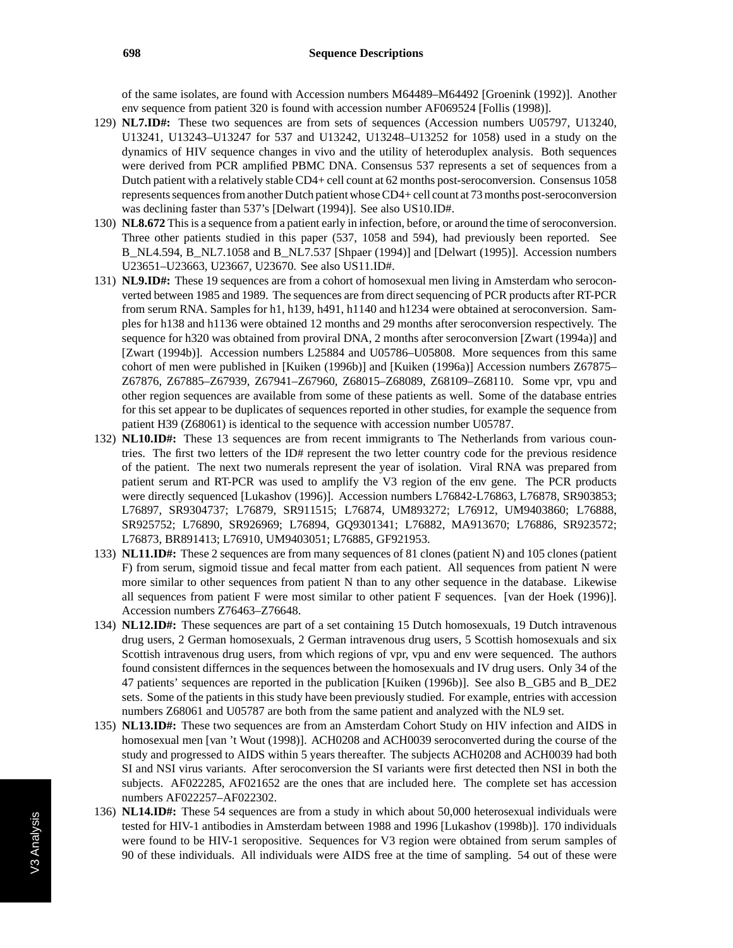of the same isolates, are found with Accession numbers M64489–M64492 [Groenink (1992)]. Another env sequence from patient 320 is found with accession number AF069524 [Follis (1998)].

- 129) **NL7.ID#:** These two sequences are from sets of sequences (Accession numbers U05797, U13240, U13241, U13243–U13247 for 537 and U13242, U13248–U13252 for 1058) used in a study on the dynamics of HIV sequence changes in vivo and the utility of heteroduplex analysis. Both sequences were derived from PCR amplified PBMC DNA. Consensus 537 represents a set of sequences from a Dutch patient with a relatively stable CD4+ cell count at 62 months post-seroconversion. Consensus 1058 represents sequences from another Dutch patient whose CD4+ cell count at 73 months post-seroconversion was declining faster than 537's [Delwart (1994)]. See also US10.ID#.
- 130) **NL8.672** This is a sequence from a patient early in infection, before, or around the time of seroconversion. Three other patients studied in this paper (537, 1058 and 594), had previously been reported. See B\_NL4.594, B\_NL7.1058 and B\_NL7.537 [Shpaer (1994)] and [Delwart (1995)]. Accession numbers U23651–U23663, U23667, U23670. See also US11.ID#.
- 131) **NL9.ID#:** These 19 sequences are from a cohort of homosexual men living in Amsterdam who seroconverted between 1985 and 1989. The sequences are from direct sequencing of PCR products after RT-PCR from serum RNA. Samples for h1, h139, h491, h1140 and h1234 were obtained at seroconversion. Samples for h138 and h1136 were obtained 12 months and 29 months after seroconversion respectively. The sequence for h320 was obtained from proviral DNA, 2 months after seroconversion [Zwart (1994a)] and [Zwart (1994b)]. Accession numbers L25884 and U05786–U05808. More sequences from this same cohort of men were published in [Kuiken (1996b)] and [Kuiken (1996a)] Accession numbers Z67875– Z67876, Z67885–Z67939, Z67941–Z67960, Z68015–Z68089, Z68109–Z68110. Some vpr, vpu and other region sequences are available from some of these patients as well. Some of the database entries for this set appear to be duplicates of sequences reported in other studies, for example the sequence from patient H39 (Z68061) is identical to the sequence with accession number U05787.
- 132) **NL10.ID#:** These 13 sequences are from recent immigrants to The Netherlands from various countries. The first two letters of the ID# represent the two letter country code for the previous residence of the patient. The next two numerals represent the year of isolation. Viral RNA was prepared from patient serum and RT-PCR was used to amplify the V3 region of the env gene. The PCR products were directly sequenced [Lukashov (1996)]. Accession numbers L76842-L76863, L76878, SR903853; L76897, SR9304737; L76879, SR911515; L76874, UM893272; L76912, UM9403860; L76888, SR925752; L76890, SR926969; L76894, GQ9301341; L76882, MA913670; L76886, SR923572; L76873, BR891413; L76910, UM9403051; L76885, GF921953.
- 133) **NL11.ID#:** These 2 sequences are from many sequences of 81 clones (patient N) and 105 clones (patient F) from serum, sigmoid tissue and fecal matter from each patient. All sequences from patient N were more similar to other sequences from patient N than to any other sequence in the database. Likewise all sequences from patient F were most similar to other patient F sequences. [van der Hoek (1996)]. Accession numbers Z76463–Z76648.
- 134) **NL12.ID#:** These sequences are part of a set containing 15 Dutch homosexuals, 19 Dutch intravenous drug users, 2 German homosexuals, 2 German intravenous drug users, 5 Scottish homosexuals and six Scottish intravenous drug users, from which regions of vpr, vpu and env were sequenced. The authors found consistent differnces in the sequences between the homosexuals and IV drug users. Only 34 of the 47 patients' sequences are reported in the publication [Kuiken (1996b)]. See also B\_GB5 and B\_DE2 sets. Some of the patients in this study have been previously studied. For example, entries with accession numbers Z68061 and U05787 are both from the same patient and analyzed with the NL9 set.
- 135) **NL13.ID#:** These two sequences are from an Amsterdam Cohort Study on HIV infection and AIDS in homosexual men [van 't Wout (1998)]. ACH0208 and ACH0039 seroconverted during the course of the study and progressed to AIDS within 5 years thereafter. The subjects ACH0208 and ACH0039 had both SI and NSI virus variants. After seroconversion the SI variants were first detected then NSI in both the subjects. AF022285, AF021652 are the ones that are included here. The complete set has accession numbers AF022257–AF022302.
- 136) **NL14.ID#:** These 54 sequences are from a study in which about 50,000 heterosexual individuals were tested for HIV-1 antibodies in Amsterdam between 1988 and 1996 [Lukashov (1998b)]. 170 individuals were found to be HIV-1 seropositive. Sequences for V3 region were obtained from serum samples of 90 of these individuals. All individuals were AIDS free at the time of sampling. 54 out of these were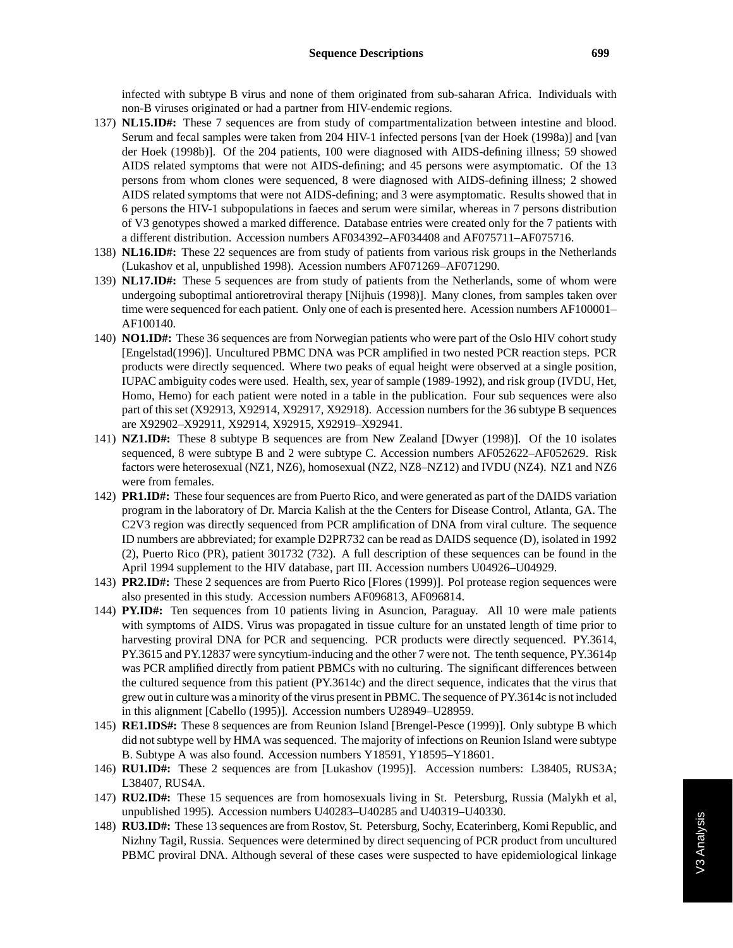infected with subtype B virus and none of them originated from sub-saharan Africa. Individuals with non-B viruses originated or had a partner from HIV-endemic regions.

- 137) **NL15.ID#:** These 7 sequences are from study of compartmentalization between intestine and blood. Serum and fecal samples were taken from 204 HIV-1 infected persons [van der Hoek (1998a)] and [van der Hoek (1998b)]. Of the 204 patients, 100 were diagnosed with AIDS-defining illness; 59 showed AIDS related symptoms that were not AIDS-defining; and 45 persons were asymptomatic. Of the 13 persons from whom clones were sequenced, 8 were diagnosed with AIDS-defining illness; 2 showed AIDS related symptoms that were not AIDS-defining; and 3 were asymptomatic. Results showed that in 6 persons the HIV-1 subpopulations in faeces and serum were similar, whereas in 7 persons distribution of V3 genotypes showed a marked difference. Database entries were created only for the 7 patients with a different distribution. Accession numbers AF034392–AF034408 and AF075711–AF075716.
- 138) **NL16.ID#:** These 22 sequences are from study of patients from various risk groups in the Netherlands (Lukashov et al, unpublished 1998). Acession numbers AF071269–AF071290.
- 139) **NL17.ID#:** These 5 sequences are from study of patients from the Netherlands, some of whom were undergoing suboptimal antioretroviral therapy [Nijhuis (1998)]. Many clones, from samples taken over time were sequenced for each patient. Only one of each is presented here. Acession numbers AF100001– AF100140.
- 140) **NO1.ID#:** These 36 sequences are from Norwegian patients who were part of the Oslo HIV cohort study [Engelstad(1996)]. Uncultured PBMC DNA was PCR amplified in two nested PCR reaction steps. PCR products were directly sequenced. Where two peaks of equal height were observed at a single position, IUPAC ambiguity codes were used. Health, sex, year of sample (1989-1992), and risk group (IVDU, Het, Homo, Hemo) for each patient were noted in a table in the publication. Four sub sequences were also part of this set (X92913, X92914, X92917, X92918). Accession numbers for the 36 subtype B sequences are X92902–X92911, X92914, X92915, X92919–X92941.
- 141) **NZ1.ID#:** These 8 subtype B sequences are from New Zealand [Dwyer (1998)]. Of the 10 isolates sequenced, 8 were subtype B and 2 were subtype C. Accession numbers AF052622–AF052629. Risk factors were heterosexual (NZ1, NZ6), homosexual (NZ2, NZ8–NZ12) and IVDU (NZ4). NZ1 and NZ6 were from females.
- 142) **PR1.ID#:** These four sequences are from Puerto Rico, and were generated as part of the DAIDS variation program in the laboratory of Dr. Marcia Kalish at the the Centers for Disease Control, Atlanta, GA. The C2V3 region was directly sequenced from PCR amplification of DNA from viral culture. The sequence ID numbers are abbreviated; for example D2PR732 can be read as DAIDS sequence (D), isolated in 1992 (2), Puerto Rico (PR), patient 301732 (732). A full description of these sequences can be found in the April 1994 supplement to the HIV database, part III. Accession numbers U04926–U04929.
- 143) **PR2.ID#:** These 2 sequences are from Puerto Rico [Flores (1999)]. Pol protease region sequences were also presented in this study. Accession numbers AF096813, AF096814.
- 144) **PY.ID#:** Ten sequences from 10 patients living in Asuncion, Paraguay. All 10 were male patients with symptoms of AIDS. Virus was propagated in tissue culture for an unstated length of time prior to harvesting proviral DNA for PCR and sequencing. PCR products were directly sequenced. PY.3614, PY.3615 and PY.12837 were syncytium-inducing and the other 7 were not. The tenth sequence, PY.3614p was PCR amplified directly from patient PBMCs with no culturing. The significant differences between the cultured sequence from this patient (PY.3614c) and the direct sequence, indicates that the virus that grew out in culture was a minority of the virus present in PBMC. The sequence of PY.3614c is not included in this alignment [Cabello (1995)]. Accession numbers U28949–U28959.
- 145) **RE1.IDS#:** These 8 sequences are from Reunion Island [Brengel-Pesce (1999)]. Only subtype B which did not subtype well by HMA was sequenced. The majority of infections on Reunion Island were subtype B. Subtype A was also found. Accession numbers Y18591, Y18595–Y18601.
- 146) **RU1.ID#:** These 2 sequences are from [Lukashov (1995)]. Accession numbers: L38405, RUS3A; L38407, RUS4A.
- 147) **RU2.ID#:** These 15 sequences are from homosexuals living in St. Petersburg, Russia (Malykh et al, unpublished 1995). Accession numbers U40283–U40285 and U40319–U40330.
- 148) **RU3.ID#:** These 13 sequences are from Rostov, St. Petersburg, Sochy, Ecaterinberg, Komi Republic, and Nizhny Tagil, Russia. Sequences were determined by direct sequencing of PCR product from uncultured PBMC proviral DNA. Although several of these cases were suspected to have epidemiological linkage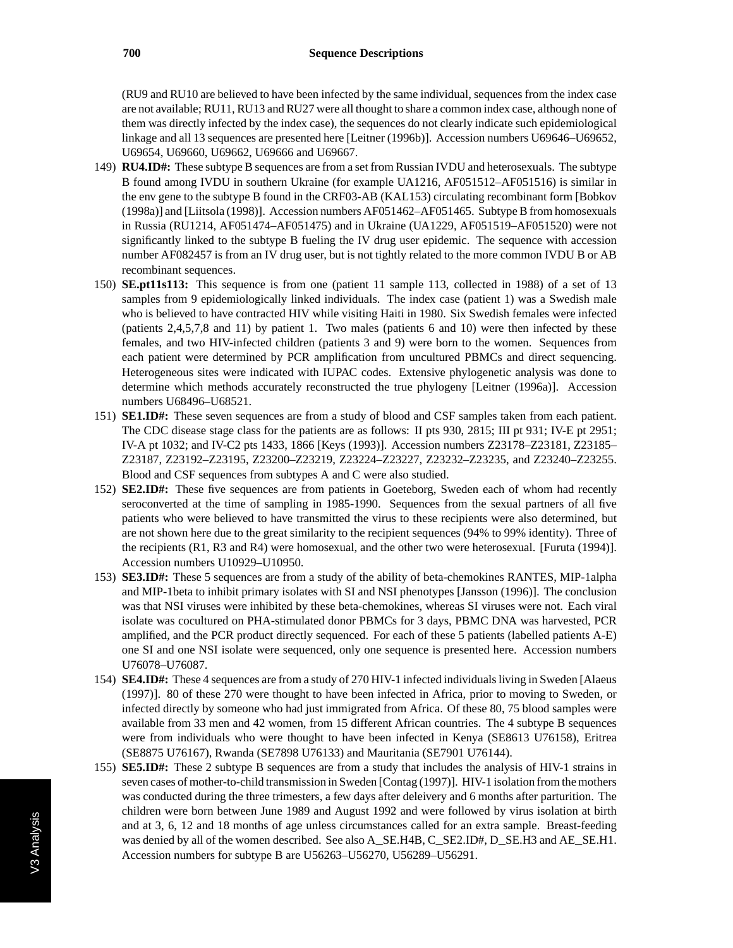(RU9 and RU10 are believed to have been infected by the same individual, sequences from the index case are not available; RU11, RU13 and RU27 were all thought to share a common index case, although none of them was directly infected by the index case), the sequences do not clearly indicate such epidemiological linkage and all 13 sequences are presented here [Leitner (1996b)]. Accession numbers U69646–U69652, U69654, U69660, U69662, U69666 and U69667.

- 149) **RU4.ID#:** These subtype B sequences are from a set from Russian IVDU and heterosexuals. The subtype B found among IVDU in southern Ukraine (for example UA1216, AF051512–AF051516) is similar in the env gene to the subtype B found in the CRF03-AB (KAL153) circulating recombinant form [Bobkov (1998a)] and [Liitsola (1998)]. Accession numbers AF051462–AF051465. Subtype B from homosexuals in Russia (RU1214, AF051474–AF051475) and in Ukraine (UA1229, AF051519–AF051520) were not significantly linked to the subtype B fueling the IV drug user epidemic. The sequence with accession number AF082457 is from an IV drug user, but is not tightly related to the more common IVDU B or AB recombinant sequences.
- 150) **SE.pt11s113:** This sequence is from one (patient 11 sample 113, collected in 1988) of a set of 13 samples from 9 epidemiologically linked individuals. The index case (patient 1) was a Swedish male who is believed to have contracted HIV while visiting Haiti in 1980. Six Swedish females were infected (patients 2,4,5,7,8 and 11) by patient 1. Two males (patients 6 and 10) were then infected by these females, and two HIV-infected children (patients 3 and 9) were born to the women. Sequences from each patient were determined by PCR amplification from uncultured PBMCs and direct sequencing. Heterogeneous sites were indicated with IUPAC codes. Extensive phylogenetic analysis was done to determine which methods accurately reconstructed the true phylogeny [Leitner (1996a)]. Accession numbers U68496–U68521.
- 151) **SE1.ID#:** These seven sequences are from a study of blood and CSF samples taken from each patient. The CDC disease stage class for the patients are as follows: II pts 930, 2815; III pt 931; IV-E pt 2951; IV-A pt 1032; and IV-C2 pts 1433, 1866 [Keys (1993)]. Accession numbers Z23178–Z23181, Z23185– Z23187, Z23192–Z23195, Z23200–Z23219, Z23224–Z23227, Z23232–Z23235, and Z23240–Z23255. Blood and CSF sequences from subtypes A and C were also studied.
- 152) **SE2.ID#:** These five sequences are from patients in Goeteborg, Sweden each of whom had recently seroconverted at the time of sampling in 1985-1990. Sequences from the sexual partners of all five patients who were believed to have transmitted the virus to these recipients were also determined, but are not shown here due to the great similarity to the recipient sequences (94% to 99% identity). Three of the recipients (R1, R3 and R4) were homosexual, and the other two were heterosexual. [Furuta (1994)]. Accession numbers U10929–U10950.
- 153) **SE3.ID#:** These 5 sequences are from a study of the ability of beta-chemokines RANTES, MIP-1alpha and MIP-1beta to inhibit primary isolates with SI and NSI phenotypes [Jansson (1996)]. The conclusion was that NSI viruses were inhibited by these beta-chemokines, whereas SI viruses were not. Each viral isolate was cocultured on PHA-stimulated donor PBMCs for 3 days, PBMC DNA was harvested, PCR amplified, and the PCR product directly sequenced. For each of these 5 patients (labelled patients A-E) one SI and one NSI isolate were sequenced, only one sequence is presented here. Accession numbers U76078–U76087.
- 154) **SE4.ID#:** These 4 sequences are from a study of 270 HIV-1 infected individuals living in Sweden [Alaeus (1997)]. 80 of these 270 were thought to have been infected in Africa, prior to moving to Sweden, or infected directly by someone who had just immigrated from Africa. Of these 80, 75 blood samples were available from 33 men and 42 women, from 15 different African countries. The 4 subtype B sequences were from individuals who were thought to have been infected in Kenya (SE8613 U76158), Eritrea (SE8875 U76167), Rwanda (SE7898 U76133) and Mauritania (SE7901 U76144).
- 155) **SE5.ID#:** These 2 subtype B sequences are from a study that includes the analysis of HIV-1 strains in seven cases of mother-to-child transmission in Sweden [Contag (1997)]. HIV-1 isolation from the mothers was conducted during the three trimesters, a few days after deleivery and 6 months after parturition. The children were born between June 1989 and August 1992 and were followed by virus isolation at birth and at 3, 6, 12 and 18 months of age unless circumstances called for an extra sample. Breast-feeding was denied by all of the women described. See also A\_SE.H4B, C\_SE2.ID#, D\_SE.H3 and AE\_SE.H1. Accession numbers for subtype B are U56263–U56270, U56289–U56291.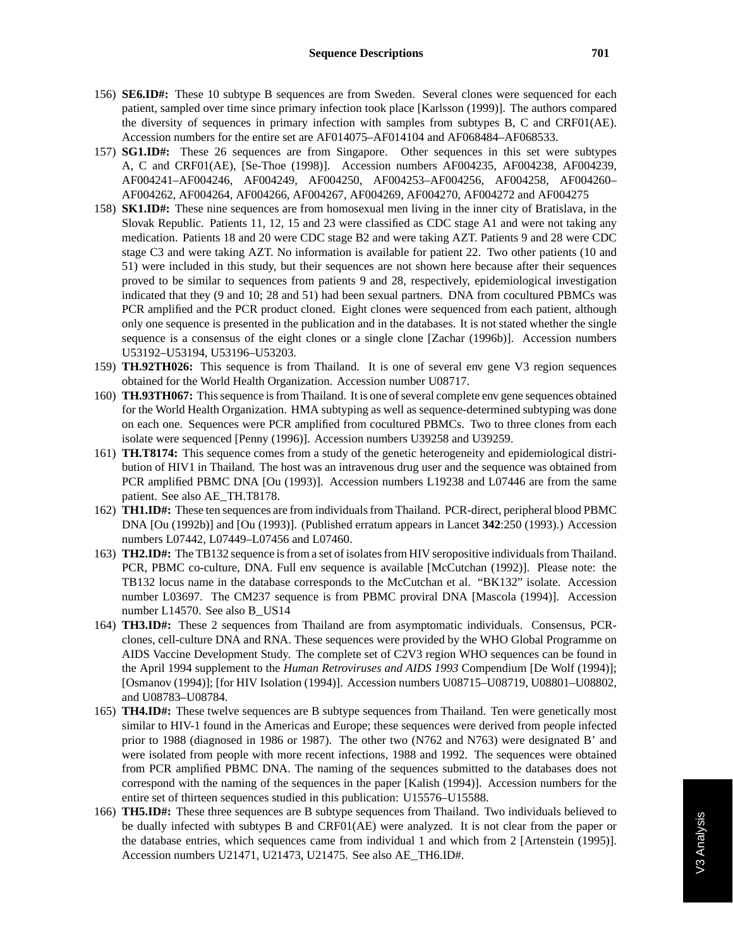- 156) **SE6.ID#:** These 10 subtype B sequences are from Sweden. Several clones were sequenced for each patient, sampled over time since primary infection took place [Karlsson (1999)]. The authors compared the diversity of sequences in primary infection with samples from subtypes B, C and CRF01(AE). Accession numbers for the entire set are AF014075–AF014104 and AF068484–AF068533.
- 157) **SG1.ID#:** These 26 sequences are from Singapore. Other sequences in this set were subtypes A, C and CRF01(AE), [Se-Thoe (1998)]. Accession numbers AF004235, AF004238, AF004239, AF004241–AF004246, AF004249, AF004250, AF004253–AF004256, AF004258, AF004260– AF004262, AF004264, AF004266, AF004267, AF004269, AF004270, AF004272 and AF004275
- 158) **SK1.ID#:** These nine sequences are from homosexual men living in the inner city of Bratislava, in the Slovak Republic. Patients 11, 12, 15 and 23 were classified as CDC stage A1 and were not taking any medication. Patients 18 and 20 were CDC stage B2 and were taking AZT. Patients 9 and 28 were CDC stage C3 and were taking AZT. No information is available for patient 22. Two other patients (10 and 51) were included in this study, but their sequences are not shown here because after their sequences proved to be similar to sequences from patients 9 and 28, respectively, epidemiological investigation indicated that they (9 and 10; 28 and 51) had been sexual partners. DNA from cocultured PBMCs was PCR amplified and the PCR product cloned. Eight clones were sequenced from each patient, although only one sequence is presented in the publication and in the databases. It is not stated whether the single sequence is a consensus of the eight clones or a single clone [Zachar (1996b)]. Accession numbers U53192–U53194, U53196–U53203.
- 159) **TH.92TH026:** This sequence is from Thailand. It is one of several env gene V3 region sequences obtained for the World Health Organization. Accession number U08717.
- 160) **TH.93TH067:** This sequence is from Thailand. It is one of several complete env gene sequences obtained for the World Health Organization. HMA subtyping as well as sequence-determined subtyping was done on each one. Sequences were PCR amplified from cocultured PBMCs. Two to three clones from each isolate were sequenced [Penny (1996)]. Accession numbers U39258 and U39259.
- 161) **TH.T8174:** This sequence comes from a study of the genetic heterogeneity and epidemiological distribution of HIV1 in Thailand. The host was an intravenous drug user and the sequence was obtained from PCR amplified PBMC DNA [Ou (1993)]. Accession numbers L19238 and L07446 are from the same patient. See also AE\_TH.T8178.
- 162) **TH1.ID#:** These ten sequences are from individuals from Thailand. PCR-direct, peripheral blood PBMC DNA [Ou (1992b)] and [Ou (1993)]. (Published erratum appears in Lancet **342**:250 (1993).) Accession numbers L07442, L07449–L07456 and L07460.
- 163) **TH2.ID#:** The TB132 sequence is from a set of isolates from HIV seropositive individuals from Thailand. PCR, PBMC co-culture, DNA. Full env sequence is available [McCutchan (1992)]. Please note: the TB132 locus name in the database corresponds to the McCutchan et al. "BK132" isolate. Accession number L03697. The CM237 sequence is from PBMC proviral DNA [Mascola (1994)]. Accession number L14570. See also B\_US14
- 164) **TH3.ID#:** These 2 sequences from Thailand are from asymptomatic individuals. Consensus, PCRclones, cell-culture DNA and RNA. These sequences were provided by the WHO Global Programme on AIDS Vaccine Development Study. The complete set of C2V3 region WHO sequences can be found in the April 1994 supplement to the *Human Retroviruses and AIDS 1993* Compendium [De Wolf (1994)]; [Osmanov (1994)]; [for HIV Isolation (1994)]. Accession numbers U08715–U08719, U08801–U08802, and U08783–U08784.
- 165) **TH4.ID#:** These twelve sequences are B subtype sequences from Thailand. Ten were genetically most similar to HIV-1 found in the Americas and Europe; these sequences were derived from people infected prior to 1988 (diagnosed in 1986 or 1987). The other two (N762 and N763) were designated B' and were isolated from people with more recent infections, 1988 and 1992. The sequences were obtained from PCR amplified PBMC DNA. The naming of the sequences submitted to the databases does not correspond with the naming of the sequences in the paper [Kalish (1994)]. Accession numbers for the entire set of thirteen sequences studied in this publication: U15576–U15588.
- 166) **TH5.ID#:** These three sequences are B subtype sequences from Thailand. Two individuals believed to be dually infected with subtypes B and CRF01(AE) were analyzed. It is not clear from the paper or the database entries, which sequences came from individual 1 and which from 2 [Artenstein (1995)]. Accession numbers U21471, U21473, U21475. See also AE\_TH6.ID#.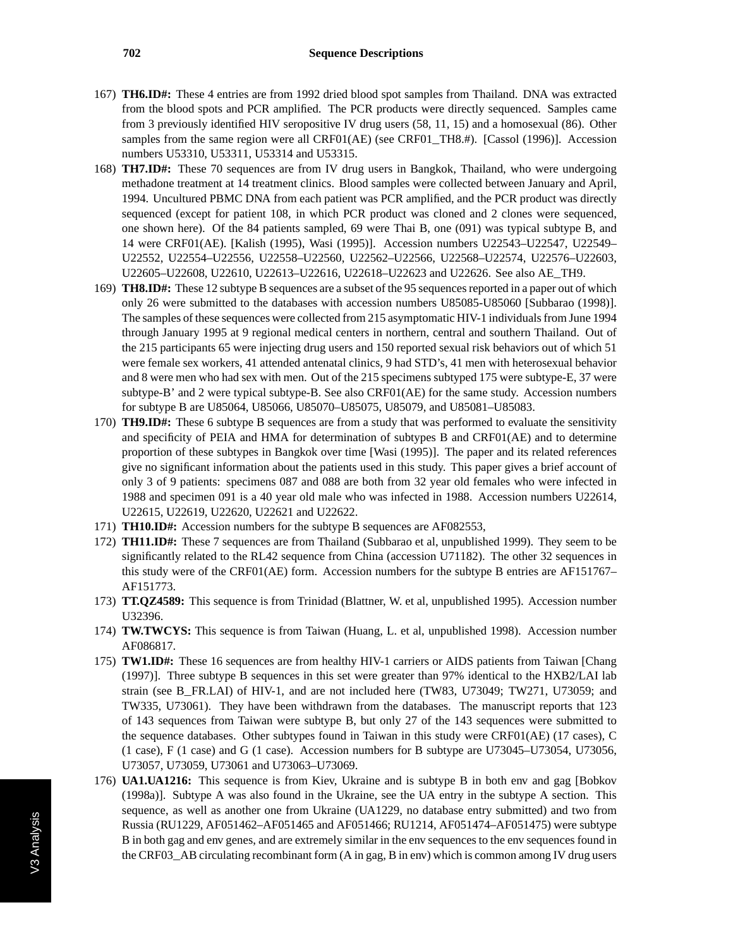- 167) **TH6.ID#:** These 4 entries are from 1992 dried blood spot samples from Thailand. DNA was extracted from the blood spots and PCR amplified. The PCR products were directly sequenced. Samples came from 3 previously identified HIV seropositive IV drug users (58, 11, 15) and a homosexual (86). Other samples from the same region were all CRF01(AE) (see CRF01\_TH8.#). [Cassol (1996)]. Accession numbers U53310, U53311, U53314 and U53315.
- 168) **TH7.ID#:** These 70 sequences are from IV drug users in Bangkok, Thailand, who were undergoing methadone treatment at 14 treatment clinics. Blood samples were collected between January and April, 1994. Uncultured PBMC DNA from each patient was PCR amplified, and the PCR product was directly sequenced (except for patient 108, in which PCR product was cloned and 2 clones were sequenced, one shown here). Of the 84 patients sampled, 69 were Thai B, one (091) was typical subtype B, and 14 were CRF01(AE). [Kalish (1995), Wasi (1995)]. Accession numbers U22543–U22547, U22549– U22552, U22554–U22556, U22558–U22560, U22562–U22566, U22568–U22574, U22576–U22603, U22605–U22608, U22610, U22613–U22616, U22618–U22623 and U22626. See also AE\_TH9.
- 169) **TH8.ID#:** These 12 subtype B sequences are a subset of the 95 sequences reported in a paper out of which only 26 were submitted to the databases with accession numbers U85085-U85060 [Subbarao (1998)]. The samples of these sequences were collected from 215 asymptomatic HIV-1 individuals from June 1994 through January 1995 at 9 regional medical centers in northern, central and southern Thailand. Out of the 215 participants 65 were injecting drug users and 150 reported sexual risk behaviors out of which 51 were female sex workers, 41 attended antenatal clinics, 9 had STD's, 41 men with heterosexual behavior and 8 were men who had sex with men. Out of the 215 specimens subtyped 175 were subtype-E, 37 were subtype-B' and 2 were typical subtype-B. See also CRF01(AE) for the same study. Accession numbers for subtype B are U85064, U85066, U85070–U85075, U85079, and U85081–U85083.
- 170) **TH9.ID#:** These 6 subtype B sequences are from a study that was performed to evaluate the sensitivity and specificity of PEIA and HMA for determination of subtypes B and CRF01(AE) and to determine proportion of these subtypes in Bangkok over time [Wasi (1995)]. The paper and its related references give no significant information about the patients used in this study. This paper gives a brief account of only 3 of 9 patients: specimens 087 and 088 are both from 32 year old females who were infected in 1988 and specimen 091 is a 40 year old male who was infected in 1988. Accession numbers U22614, U22615, U22619, U22620, U22621 and U22622.
- 171) **TH10.ID#:** Accession numbers for the subtype B sequences are AF082553,
- 172) **TH11.ID#:** These 7 sequences are from Thailand (Subbarao et al, unpublished 1999). They seem to be significantly related to the RL42 sequence from China (accession U71182). The other 32 sequences in this study were of the CRF01(AE) form. Accession numbers for the subtype B entries are AF151767– AF151773.
- 173) **TT.QZ4589:** This sequence is from Trinidad (Blattner, W. et al, unpublished 1995). Accession number U32396.
- 174) **TW.TWCYS:** This sequence is from Taiwan (Huang, L. et al, unpublished 1998). Accession number AF086817.
- 175) **TW1.ID#:** These 16 sequences are from healthy HIV-1 carriers or AIDS patients from Taiwan [Chang (1997)]. Three subtype B sequences in this set were greater than 97% identical to the HXB2/LAI lab strain (see B\_FR.LAI) of HIV-1, and are not included here (TW83, U73049; TW271, U73059; and TW335, U73061). They have been withdrawn from the databases. The manuscript reports that 123 of 143 sequences from Taiwan were subtype B, but only 27 of the 143 sequences were submitted to the sequence databases. Other subtypes found in Taiwan in this study were CRF01(AE) (17 cases), C (1 case), F (1 case) and G (1 case). Accession numbers for B subtype are U73045–U73054, U73056, U73057, U73059, U73061 and U73063–U73069.
- 176) **UA1.UA1216:** This sequence is from Kiev, Ukraine and is subtype B in both env and gag [Bobkov (1998a)]. Subtype A was also found in the Ukraine, see the UA entry in the subtype A section. This sequence, as well as another one from Ukraine (UA1229, no database entry submitted) and two from Russia (RU1229, AF051462–AF051465 and AF051466; RU1214, AF051474–AF051475) were subtype B in both gag and env genes, and are extremely similar in the env sequences to the env sequences found in the CRF03\_AB circulating recombinant form (A in gag, B in env) which is common among IV drug users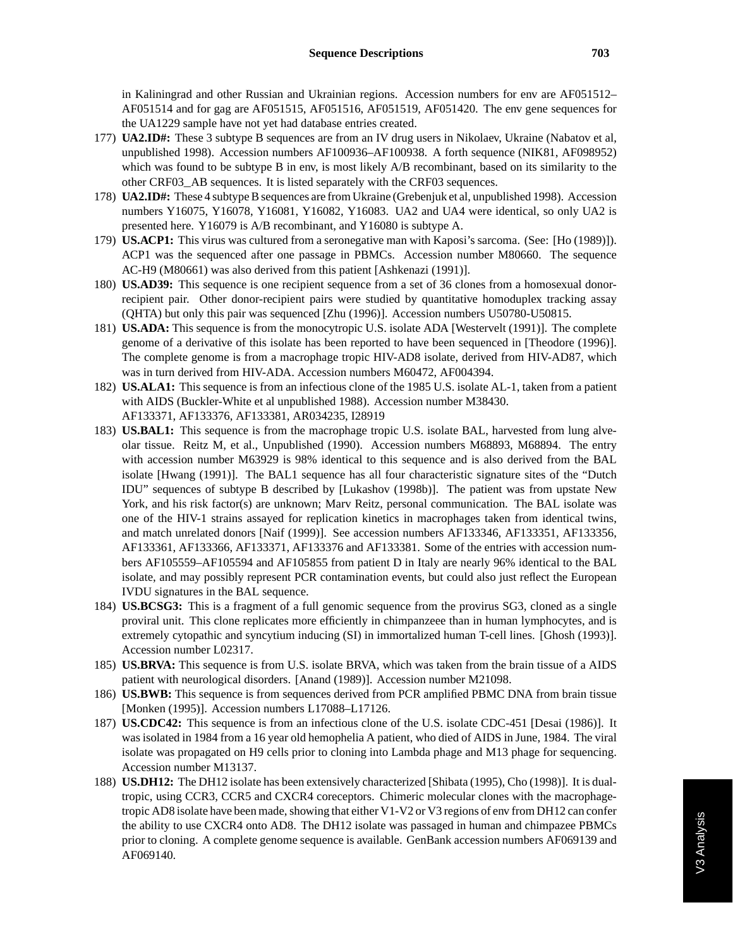in Kaliningrad and other Russian and Ukrainian regions. Accession numbers for env are AF051512– AF051514 and for gag are AF051515, AF051516, AF051519, AF051420. The env gene sequences for the UA1229 sample have not yet had database entries created.

- 177) **UA2.ID#:** These 3 subtype B sequences are from an IV drug users in Nikolaev, Ukraine (Nabatov et al, unpublished 1998). Accession numbers AF100936–AF100938. A forth sequence (NIK81, AF098952) which was found to be subtype B in env, is most likely A/B recombinant, based on its similarity to the other CRF03\_AB sequences. It is listed separately with the CRF03 sequences.
- 178) **UA2.ID#:** These 4 subtype B sequences are from Ukraine (Grebenjuk et al, unpublished 1998). Accession numbers Y16075, Y16078, Y16081, Y16082, Y16083. UA2 and UA4 were identical, so only UA2 is presented here. Y16079 is A/B recombinant, and Y16080 is subtype A.
- 179) **US.ACP1:** This virus was cultured from a seronegative man with Kaposi's sarcoma. (See: [Ho (1989)]). ACP1 was the sequenced after one passage in PBMCs. Accession number M80660. The sequence AC-H9 (M80661) was also derived from this patient [Ashkenazi (1991)].
- 180) **US.AD39:** This sequence is one recipient sequence from a set of 36 clones from a homosexual donorrecipient pair. Other donor-recipient pairs were studied by quantitative homoduplex tracking assay (QHTA) but only this pair was sequenced [Zhu (1996)]. Accession numbers U50780-U50815.
- 181) **US.ADA:** This sequence is from the monocytropic U.S. isolate ADA [Westervelt (1991)]. The complete genome of a derivative of this isolate has been reported to have been sequenced in [Theodore (1996)]. The complete genome is from a macrophage tropic HIV-AD8 isolate, derived from HIV-AD87, which was in turn derived from HIV-ADA. Accession numbers M60472, AF004394.
- 182) **US.ALA1:** This sequence is from an infectious clone of the 1985 U.S. isolate AL-1, taken from a patient with AIDS (Buckler-White et al unpublished 1988). Accession number M38430. AF133371, AF133376, AF133381, AR034235, I28919
- 183) **US.BAL1:** This sequence is from the macrophage tropic U.S. isolate BAL, harvested from lung alveolar tissue. Reitz M, et al., Unpublished (1990). Accession numbers M68893, M68894. The entry with accession number M63929 is 98% identical to this sequence and is also derived from the BAL isolate [Hwang (1991)]. The BAL1 sequence has all four characteristic signature sites of the "Dutch IDU" sequences of subtype B described by [Lukashov (1998b)]. The patient was from upstate New York, and his risk factor(s) are unknown; Marv Reitz, personal communication. The BAL isolate was one of the HIV-1 strains assayed for replication kinetics in macrophages taken from identical twins, and match unrelated donors [Naif (1999)]. See accession numbers AF133346, AF133351, AF133356, AF133361, AF133366, AF133371, AF133376 and AF133381. Some of the entries with accession numbers AF105559–AF105594 and AF105855 from patient D in Italy are nearly 96% identical to the BAL isolate, and may possibly represent PCR contamination events, but could also just reflect the European IVDU signatures in the BAL sequence.
- 184) **US.BCSG3:** This is a fragment of a full genomic sequence from the provirus SG3, cloned as a single proviral unit. This clone replicates more efficiently in chimpanzeee than in human lymphocytes, and is extremely cytopathic and syncytium inducing (SI) in immortalized human T-cell lines. [Ghosh (1993)]. Accession number L02317.
- 185) **US.BRVA:** This sequence is from U.S. isolate BRVA, which was taken from the brain tissue of a AIDS patient with neurological disorders. [Anand (1989)]. Accession number M21098.
- 186) **US.BWB:** This sequence is from sequences derived from PCR amplified PBMC DNA from brain tissue [Monken (1995)]. Accession numbers L17088–L17126.
- 187) **US.CDC42:** This sequence is from an infectious clone of the U.S. isolate CDC-451 [Desai (1986)]. It was isolated in 1984 from a 16 year old hemophelia A patient, who died of AIDS in June, 1984. The viral isolate was propagated on H9 cells prior to cloning into Lambda phage and M13 phage for sequencing. Accession number M13137.
- 188) **US.DH12:** The DH12 isolate has been extensively characterized [Shibata (1995), Cho (1998)]. It is dualtropic, using CCR3, CCR5 and CXCR4 coreceptors. Chimeric molecular clones with the macrophagetropic AD8 isolate have been made, showing that either V1-V2 or V3 regions of env from DH12 can confer the ability to use CXCR4 onto AD8. The DH12 isolate was passaged in human and chimpazee PBMCs prior to cloning. A complete genome sequence is available. GenBank accession numbers AF069139 and AF069140.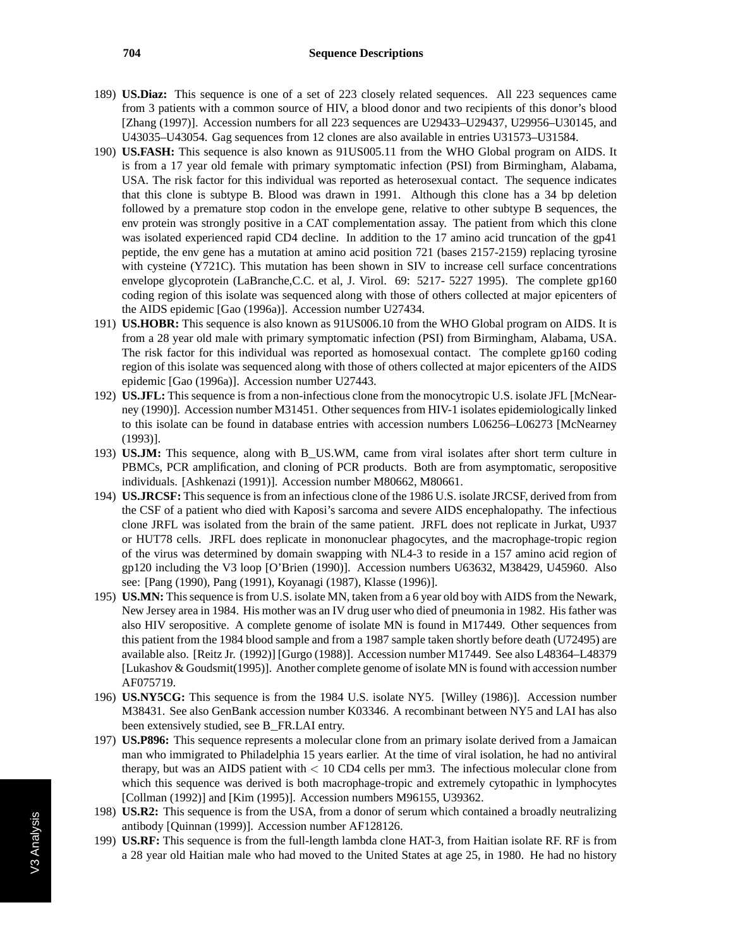- 189) **US.Diaz:** This sequence is one of a set of 223 closely related sequences. All 223 sequences came from 3 patients with a common source of HIV, a blood donor and two recipients of this donor's blood [Zhang (1997)]. Accession numbers for all 223 sequences are U29433–U29437, U29956–U30145, and U43035–U43054. Gag sequences from 12 clones are also available in entries U31573–U31584.
- 190) **US.FASH:** This sequence is also known as 91US005.11 from the WHO Global program on AIDS. It is from a 17 year old female with primary symptomatic infection (PSI) from Birmingham, Alabama, USA. The risk factor for this individual was reported as heterosexual contact. The sequence indicates that this clone is subtype B. Blood was drawn in 1991. Although this clone has a 34 bp deletion followed by a premature stop codon in the envelope gene, relative to other subtype B sequences, the env protein was strongly positive in a CAT complementation assay. The patient from which this clone was isolated experienced rapid CD4 decline. In addition to the 17 amino acid truncation of the gp41 peptide, the env gene has a mutation at amino acid position 721 (bases 2157-2159) replacing tyrosine with cysteine (Y721C). This mutation has been shown in SIV to increase cell surface concentrations envelope glycoprotein (LaBranche,C.C. et al, J. Virol. 69: 5217- 5227 1995). The complete gp160 coding region of this isolate was sequenced along with those of others collected at major epicenters of the AIDS epidemic [Gao (1996a)]. Accession number U27434.
- 191) **US.HOBR:** This sequence is also known as 91US006.10 from the WHO Global program on AIDS. It is from a 28 year old male with primary symptomatic infection (PSI) from Birmingham, Alabama, USA. The risk factor for this individual was reported as homosexual contact. The complete gp160 coding region of this isolate was sequenced along with those of others collected at major epicenters of the AIDS epidemic [Gao (1996a)]. Accession number U27443.
- 192) **US.JFL:** This sequence is from a non-infectious clone from the monocytropic U.S. isolate JFL [McNearney (1990)]. Accession number M31451. Other sequences from HIV-1 isolates epidemiologically linked to this isolate can be found in database entries with accession numbers L06256–L06273 [McNearney (1993)].
- 193) **US.JM:** This sequence, along with B\_US.WM, came from viral isolates after short term culture in PBMCs, PCR amplification, and cloning of PCR products. Both are from asymptomatic, seropositive individuals. [Ashkenazi (1991)]. Accession number M80662, M80661.
- 194) **US.JRCSF:** This sequence is from an infectious clone of the 1986 U.S. isolate JRCSF, derived from from the CSF of a patient who died with Kaposi's sarcoma and severe AIDS encephalopathy. The infectious clone JRFL was isolated from the brain of the same patient. JRFL does not replicate in Jurkat, U937 or HUT78 cells. JRFL does replicate in mononuclear phagocytes, and the macrophage-tropic region of the virus was determined by domain swapping with NL4-3 to reside in a 157 amino acid region of gp120 including the V3 loop [O'Brien (1990)]. Accession numbers U63632, M38429, U45960. Also see: [Pang (1990), Pang (1991), Koyanagi (1987), Klasse (1996)].
- 195) **US.MN:** This sequence is from U.S. isolate MN, taken from a 6 year old boy with AIDS from the Newark, New Jersey area in 1984. His mother was an IV drug user who died of pneumonia in 1982. His father was also HIV seropositive. A complete genome of isolate MN is found in M17449. Other sequences from this patient from the 1984 blood sample and from a 1987 sample taken shortly before death (U72495) are available also. [Reitz Jr. (1992)] [Gurgo (1988)]. Accession number M17449. See also L48364–L48379 [Lukashov & Goudsmit(1995)]. Another complete genome of isolate MN is found with accession number AF075719.
- 196) **US.NY5CG:** This sequence is from the 1984 U.S. isolate NY5. [Willey (1986)]. Accession number M38431. See also GenBank accession number K03346. A recombinant between NY5 and LAI has also been extensively studied, see B FR.LAI entry.
- 197) **US.P896:** This sequence represents a molecular clone from an primary isolate derived from a Jamaican man who immigrated to Philadelphia 15 years earlier. At the time of viral isolation, he had no antiviral therapy, but was an AIDS patient with *<* 10 CD4 cells per mm3. The infectious molecular clone from which this sequence was derived is both macrophage-tropic and extremely cytopathic in lymphocytes [Collman (1992)] and [Kim (1995)]. Accession numbers M96155, U39362.
- 198) **US.R2:** This sequence is from the USA, from a donor of serum which contained a broadly neutralizing antibody [Quinnan (1999)]. Accession number AF128126.
- 199) **US.RF:** This sequence is from the full-length lambda clone HAT-3, from Haitian isolate RF. RF is from a 28 year old Haitian male who had moved to the United States at age 25, in 1980. He had no history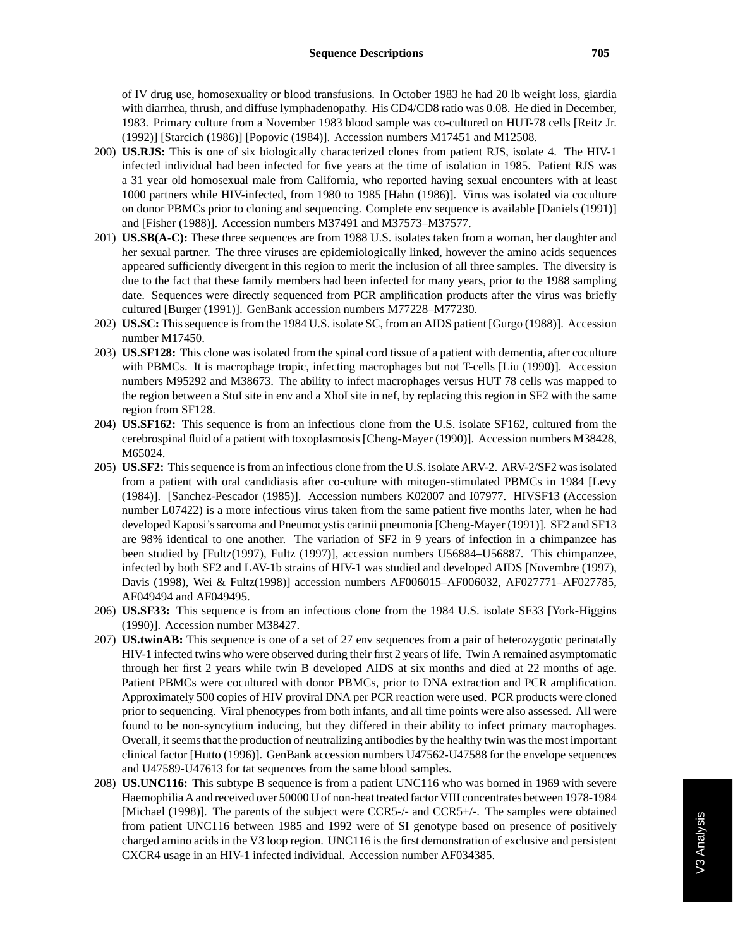of IV drug use, homosexuality or blood transfusions. In October 1983 he had 20 lb weight loss, giardia with diarrhea, thrush, and diffuse lymphadenopathy. His CD4/CD8 ratio was 0.08. He died in December, 1983. Primary culture from a November 1983 blood sample was co-cultured on HUT-78 cells [Reitz Jr. (1992)] [Starcich (1986)] [Popovic (1984)]. Accession numbers M17451 and M12508.

- 200) **US.RJS:** This is one of six biologically characterized clones from patient RJS, isolate 4. The HIV-1 infected individual had been infected for five years at the time of isolation in 1985. Patient RJS was a 31 year old homosexual male from California, who reported having sexual encounters with at least 1000 partners while HIV-infected, from 1980 to 1985 [Hahn (1986)]. Virus was isolated via coculture on donor PBMCs prior to cloning and sequencing. Complete env sequence is available [Daniels (1991)] and [Fisher (1988)]. Accession numbers M37491 and M37573–M37577.
- 201) **US.SB(A-C):** These three sequences are from 1988 U.S. isolates taken from a woman, her daughter and her sexual partner. The three viruses are epidemiologically linked, however the amino acids sequences appeared sufficiently divergent in this region to merit the inclusion of all three samples. The diversity is due to the fact that these family members had been infected for many years, prior to the 1988 sampling date. Sequences were directly sequenced from PCR amplification products after the virus was briefly cultured [Burger (1991)]. GenBank accession numbers M77228–M77230.
- 202) **US.SC:** This sequence is from the 1984 U.S. isolate SC, from an AIDS patient [Gurgo (1988)]. Accession number M17450.
- 203) **US.SF128:** This clone was isolated from the spinal cord tissue of a patient with dementia, after coculture with PBMCs. It is macrophage tropic, infecting macrophages but not T-cells [Liu (1990)]. Accession numbers M95292 and M38673. The ability to infect macrophages versus HUT 78 cells was mapped to the region between a StuI site in env and a XhoI site in nef, by replacing this region in SF2 with the same region from SF128.
- 204) **US.SF162:** This sequence is from an infectious clone from the U.S. isolate SF162, cultured from the cerebrospinal fluid of a patient with toxoplasmosis [Cheng-Mayer (1990)]. Accession numbers M38428, M65024.
- 205) **US.SF2:** This sequence is from an infectious clone from the U.S. isolate ARV-2. ARV-2/SF2 was isolated from a patient with oral candidiasis after co-culture with mitogen-stimulated PBMCs in 1984 [Levy (1984)]. [Sanchez-Pescador (1985)]. Accession numbers K02007 and I07977. HIVSF13 (Accession number L07422) is a more infectious virus taken from the same patient five months later, when he had developed Kaposi's sarcoma and Pneumocystis carinii pneumonia [Cheng-Mayer (1991)]. SF2 and SF13 are 98% identical to one another. The variation of SF2 in 9 years of infection in a chimpanzee has been studied by [Fultz(1997), Fultz (1997)], accession numbers U56884–U56887. This chimpanzee, infected by both SF2 and LAV-1b strains of HIV-1 was studied and developed AIDS [Novembre (1997), Davis (1998), Wei & Fultz(1998)] accession numbers AF006015–AF006032, AF027771–AF027785, AF049494 and AF049495.
- 206) **US.SF33:** This sequence is from an infectious clone from the 1984 U.S. isolate SF33 [York-Higgins (1990)]. Accession number M38427.
- 207) **US.twinAB:** This sequence is one of a set of 27 env sequences from a pair of heterozygotic perinatally HIV-1 infected twins who were observed during their first 2 years of life. Twin A remained asymptomatic through her first 2 years while twin B developed AIDS at six months and died at 22 months of age. Patient PBMCs were cocultured with donor PBMCs, prior to DNA extraction and PCR amplification. Approximately 500 copies of HIV proviral DNA per PCR reaction were used. PCR products were cloned prior to sequencing. Viral phenotypes from both infants, and all time points were also assessed. All were found to be non-syncytium inducing, but they differed in their ability to infect primary macrophages. Overall, it seems that the production of neutralizing antibodies by the healthy twin was the most important clinical factor [Hutto (1996)]. GenBank accession numbers U47562-U47588 for the envelope sequences and U47589-U47613 for tat sequences from the same blood samples.
- 208) **US.UNC116:** This subtype B sequence is from a patient UNC116 who was borned in 1969 with severe Haemophilia A and received over 50000 U of non-heat treated factor VIII concentrates between 1978-1984 [Michael (1998)]. The parents of the subject were CCR5-/- and CCR5+/-. The samples were obtained from patient UNC116 between 1985 and 1992 were of SI genotype based on presence of positively charged amino acids in the V3 loop region. UNC116 is the first demonstration of exclusive and persistent CXCR4 usage in an HIV-1 infected individual. Accession number AF034385.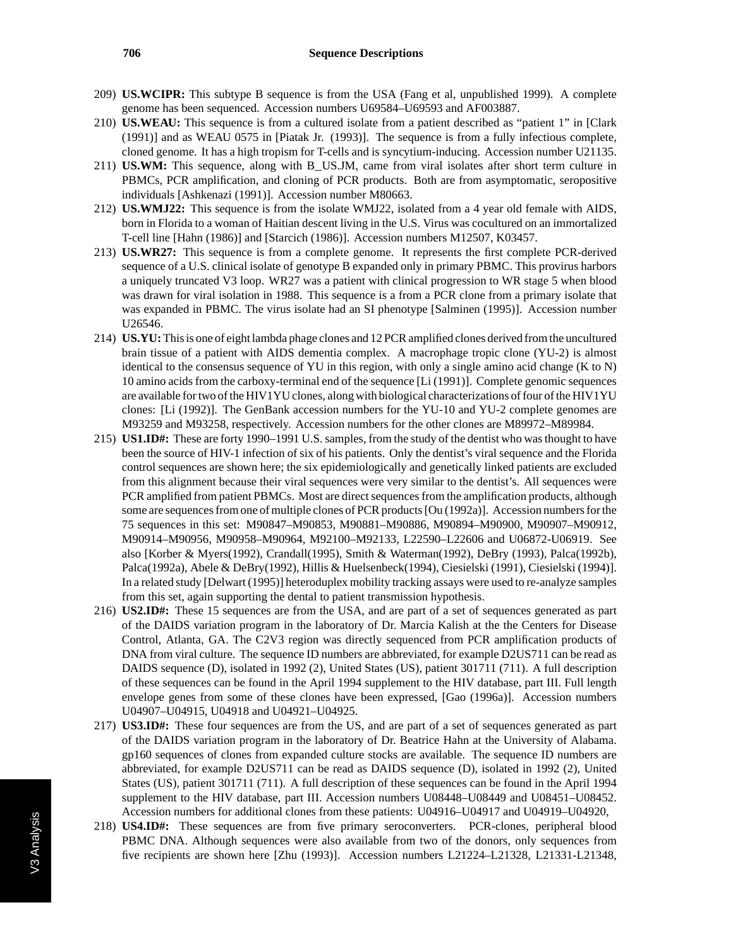## **706 Sequence Descriptions**

- 209) **US.WCIPR:** This subtype B sequence is from the USA (Fang et al, unpublished 1999). A complete genome has been sequenced. Accession numbers U69584–U69593 and AF003887.
- 210) **US.WEAU:** This sequence is from a cultured isolate from a patient described as "patient 1" in [Clark (1991)] and as WEAU 0575 in [Piatak Jr. (1993)]. The sequence is from a fully infectious complete, cloned genome. It has a high tropism for T-cells and is syncytium-inducing. Accession number U21135.
- 211) **US.WM:** This sequence, along with B\_US.JM, came from viral isolates after short term culture in PBMCs, PCR amplification, and cloning of PCR products. Both are from asymptomatic, seropositive individuals [Ashkenazi (1991)]. Accession number M80663.
- 212) **US.WMJ22:** This sequence is from the isolate WMJ22, isolated from a 4 year old female with AIDS, born in Florida to a woman of Haitian descent living in the U.S. Virus was cocultured on an immortalized T-cell line [Hahn (1986)] and [Starcich (1986)]. Accession numbers M12507, K03457.
- 213) **US.WR27:** This sequence is from a complete genome. It represents the first complete PCR-derived sequence of a U.S. clinical isolate of genotype B expanded only in primary PBMC. This provirus harbors a uniquely truncated V3 loop. WR27 was a patient with clinical progression to WR stage 5 when blood was drawn for viral isolation in 1988. This sequence is a from a PCR clone from a primary isolate that was expanded in PBMC. The virus isolate had an SI phenotype [Salminen (1995)]. Accession number U26546.
- 214) **US.YU:**This is one of eight lambda phage clones and 12 PCR amplified clones derived from the uncultured brain tissue of a patient with AIDS dementia complex. A macrophage tropic clone (YU-2) is almost identical to the consensus sequence of YU in this region, with only a single amino acid change (K to N) 10 amino acids from the carboxy-terminal end of the sequence [Li (1991)]. Complete genomic sequences are available for two of the HIV1YU clones, along with biological characterizations of four of the HIV1YU clones: [Li (1992)]. The GenBank accession numbers for the YU-10 and YU-2 complete genomes are M93259 and M93258, respectively. Accession numbers for the other clones are M89972–M89984.
- 215) **US1.ID#:** These are forty 1990–1991 U.S. samples, from the study of the dentist who was thought to have been the source of HIV-1 infection of six of his patients. Only the dentist's viral sequence and the Florida control sequences are shown here; the six epidemiologically and genetically linked patients are excluded from this alignment because their viral sequences were very similar to the dentist's. All sequences were PCR amplified from patient PBMCs. Most are direct sequences from the amplification products, although some are sequences from one of multiple clones of PCR products [Ou (1992a)]. Accession numbers for the 75 sequences in this set: M90847–M90853, M90881–M90886, M90894–M90900, M90907–M90912, M90914–M90956, M90958–M90964, M92100–M92133, L22590–L22606 and U06872-U06919. See also [Korber & Myers(1992), Crandall(1995), Smith & Waterman(1992), DeBry (1993), Palca(1992b), Palca(1992a), Abele & DeBry(1992), Hillis & Huelsenbeck(1994), Ciesielski (1991), Ciesielski (1994)]. In a related study [Delwart (1995)] heteroduplex mobility tracking assays were used to re-analyze samples from this set, again supporting the dental to patient transmission hypothesis.
- 216) **US2.ID#:** These 15 sequences are from the USA, and are part of a set of sequences generated as part of the DAIDS variation program in the laboratory of Dr. Marcia Kalish at the the Centers for Disease Control, Atlanta, GA. The C2V3 region was directly sequenced from PCR amplification products of DNA from viral culture. The sequence ID numbers are abbreviated, for example D2US711 can be read as DAIDS sequence (D), isolated in 1992 (2), United States (US), patient 301711 (711). A full description of these sequences can be found in the April 1994 supplement to the HIV database, part III. Full length envelope genes from some of these clones have been expressed, [Gao (1996a)]. Accession numbers U04907–U04915, U04918 and U04921–U04925.
- 217) **US3.ID#:** These four sequences are from the US, and are part of a set of sequences generated as part of the DAIDS variation program in the laboratory of Dr. Beatrice Hahn at the University of Alabama. gp160 sequences of clones from expanded culture stocks are available. The sequence ID numbers are abbreviated, for example D2US711 can be read as DAIDS sequence (D), isolated in 1992 (2), United States (US), patient 301711 (711). A full description of these sequences can be found in the April 1994 supplement to the HIV database, part III. Accession numbers U08448–U08449 and U08451–U08452. Accession numbers for additional clones from these patients: U04916–U04917 and U04919–U04920,
- 218) **US4.ID#:** These sequences are from five primary seroconverters. PCR-clones, peripheral blood PBMC DNA. Although sequences were also available from two of the donors, only sequences from five recipients are shown here [Zhu (1993)]. Accession numbers L21224–L21328, L21331-L21348,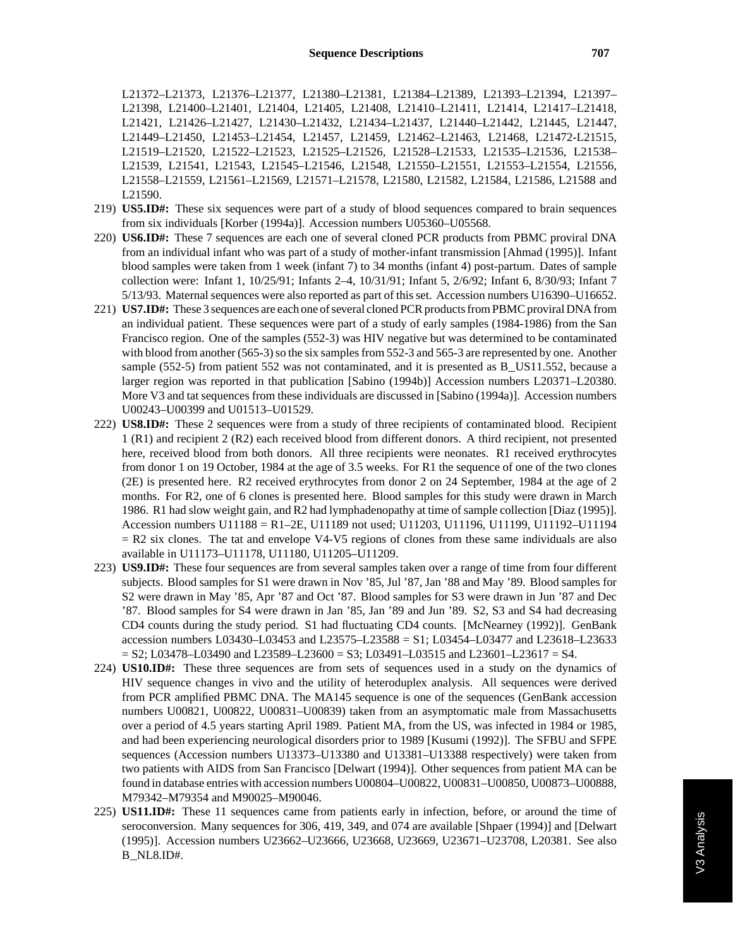L21372–L21373, L21376–L21377, L21380–L21381, L21384–L21389, L21393–L21394, L21397– L21398, L21400–L21401, L21404, L21405, L21408, L21410–L21411, L21414, L21417–L21418, L21421, L21426–L21427, L21430–L21432, L21434–L21437, L21440–L21442, L21445, L21447, L21449–L21450, L21453–L21454, L21457, L21459, L21462–L21463, L21468, L21472-L21515, L21519–L21520, L21522–L21523, L21525–L21526, L21528–L21533, L21535–L21536, L21538– L21539, L21541, L21543, L21545–L21546, L21548, L21550–L21551, L21553–L21554, L21556, L21558–L21559, L21561–L21569, L21571–L21578, L21580, L21582, L21584, L21586, L21588 and L21590.

- 219) **US5.ID#:** These six sequences were part of a study of blood sequences compared to brain sequences from six individuals [Korber (1994a)]. Accession numbers U05360–U05568.
- 220) **US6.ID#:** These 7 sequences are each one of several cloned PCR products from PBMC proviral DNA from an individual infant who was part of a study of mother-infant transmission [Ahmad (1995)]. Infant blood samples were taken from 1 week (infant 7) to 34 months (infant 4) post-partum. Dates of sample collection were: Infant 1, 10/25/91; Infants 2–4, 10/31/91; Infant 5, 2/6/92; Infant 6, 8/30/93; Infant 7 5/13/93. Maternal sequences were also reported as part of this set. Accession numbers U16390–U16652.
- 221) **US7.ID#:** These 3 sequences are each one of several cloned PCR products from PBMC proviral DNA from an individual patient. These sequences were part of a study of early samples (1984-1986) from the San Francisco region. One of the samples (552-3) was HIV negative but was determined to be contaminated with blood from another (565-3) so the six samples from 552-3 and 565-3 are represented by one. Another sample (552-5) from patient 552 was not contaminated, and it is presented as B\_US11.552, because a larger region was reported in that publication [Sabino (1994b)] Accession numbers L20371–L20380. More V3 and tat sequences from these individuals are discussed in [Sabino (1994a)]. Accession numbers U00243–U00399 and U01513–U01529.
- 222) **US8.ID#:** These 2 sequences were from a study of three recipients of contaminated blood. Recipient 1 (R1) and recipient 2 (R2) each received blood from different donors. A third recipient, not presented here, received blood from both donors. All three recipients were neonates. R1 received erythrocytes from donor 1 on 19 October, 1984 at the age of 3.5 weeks. For R1 the sequence of one of the two clones (2E) is presented here. R2 received erythrocytes from donor 2 on 24 September, 1984 at the age of 2 months. For R2, one of 6 clones is presented here. Blood samples for this study were drawn in March 1986. R1 had slow weight gain, and R2 had lymphadenopathy at time of sample collection [Diaz (1995)]. Accession numbers U11188 = R1–2E, U11189 not used; U11203, U11196, U11199, U11192–U11194  $= R2$  six clones. The tat and envelope V4-V5 regions of clones from these same individuals are also available in U11173–U11178, U11180, U11205–U11209.
- 223) **US9.ID#:** These four sequences are from several samples taken over a range of time from four different subjects. Blood samples for S1 were drawn in Nov '85, Jul '87, Jan '88 and May '89. Blood samples for S2 were drawn in May '85, Apr '87 and Oct '87. Blood samples for S3 were drawn in Jun '87 and Dec '87. Blood samples for S4 were drawn in Jan '85, Jan '89 and Jun '89. S2, S3 and S4 had decreasing CD4 counts during the study period. S1 had fluctuating CD4 counts. [McNearney (1992)]. GenBank accession numbers L03430–L03453 and L23575–L23588 = S1; L03454–L03477 and L23618–L23633  $=$  S2; L03478–L03490 and L23589–L23600 = S3; L03491–L03515 and L23601–L23617 = S4.
- 224) **US10.ID#:** These three sequences are from sets of sequences used in a study on the dynamics of HIV sequence changes in vivo and the utility of heteroduplex analysis. All sequences were derived from PCR amplified PBMC DNA. The MA145 sequence is one of the sequences (GenBank accession numbers U00821, U00822, U00831–U00839) taken from an asymptomatic male from Massachusetts over a period of 4.5 years starting April 1989. Patient MA, from the US, was infected in 1984 or 1985, and had been experiencing neurological disorders prior to 1989 [Kusumi (1992)]. The SFBU and SFPE sequences (Accession numbers U13373–U13380 and U13381–U13388 respectively) were taken from two patients with AIDS from San Francisco [Delwart (1994)]. Other sequences from patient MA can be found in database entries with accession numbers U00804–U00822, U00831–U00850, U00873–U00888, M79342–M79354 and M90025–M90046.
- 225) **US11.ID#:** These 11 sequences came from patients early in infection, before, or around the time of seroconversion. Many sequences for 306, 419, 349, and 074 are available [Shpaer (1994)] and [Delwart (1995)]. Accession numbers U23662–U23666, U23668, U23669, U23671–U23708, L20381. See also B\_NL8.ID#.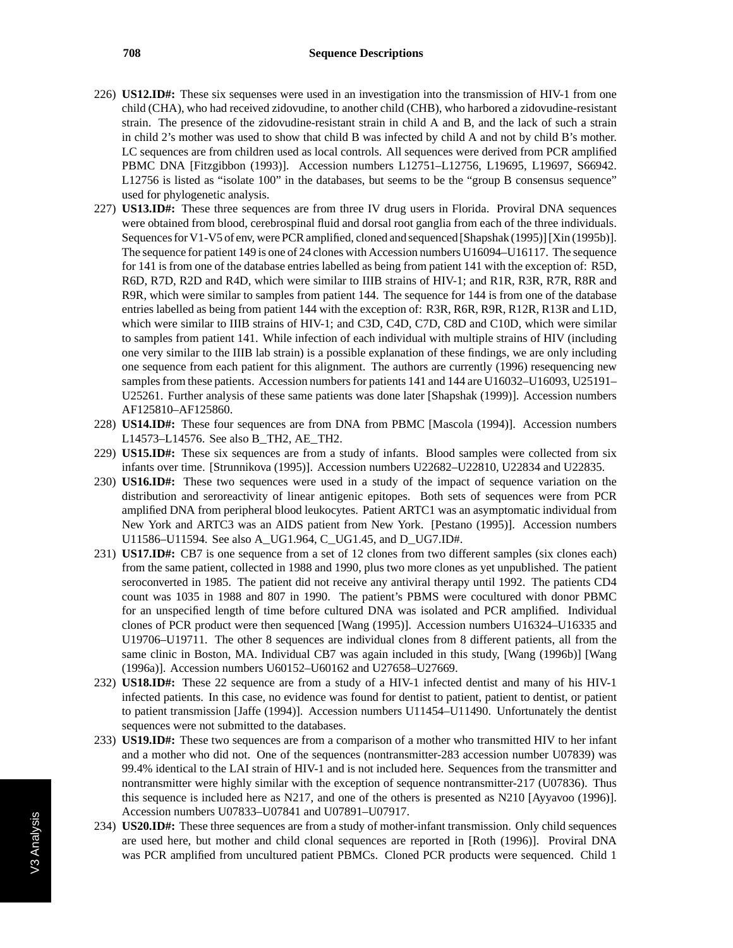- 226) **US12.ID#:** These six sequenses were used in an investigation into the transmission of HIV-1 from one child (CHA), who had received zidovudine, to another child (CHB), who harbored a zidovudine-resistant strain. The presence of the zidovudine-resistant strain in child A and B, and the lack of such a strain in child 2's mother was used to show that child B was infected by child A and not by child B's mother. LC sequences are from children used as local controls. All sequences were derived from PCR amplified PBMC DNA [Fitzgibbon (1993)]. Accession numbers L12751–L12756, L19695, L19697, S66942. L12756 is listed as "isolate 100" in the databases, but seems to be the "group B consensus sequence" used for phylogenetic analysis.
- 227) **US13.ID#:** These three sequences are from three IV drug users in Florida. Proviral DNA sequences were obtained from blood, cerebrospinal fluid and dorsal root ganglia from each of the three individuals. Sequences for V1-V5 of env, were PCR amplified, cloned and sequenced [Shapshak (1995)] [Xin (1995b)]. The sequence for patient 149 is one of 24 clones with Accession numbers U16094–U16117. The sequence for 141 is from one of the database entries labelled as being from patient 141 with the exception of: R5D, R6D, R7D, R2D and R4D, which were similar to IIIB strains of HIV-1; and R1R, R3R, R7R, R8R and R9R, which were similar to samples from patient 144. The sequence for 144 is from one of the database entries labelled as being from patient 144 with the exception of: R3R, R6R, R9R, R12R, R13R and L1D, which were similar to IIIB strains of HIV-1; and C3D, C4D, C7D, C8D and C10D, which were similar to samples from patient 141. While infection of each individual with multiple strains of HIV (including one very similar to the IIIB lab strain) is a possible explanation of these findings, we are only including one sequence from each patient for this alignment. The authors are currently (1996) resequencing new samples from these patients. Accession numbers for patients 141 and 144 are U16032–U16093, U25191– U25261. Further analysis of these same patients was done later [Shapshak (1999)]. Accession numbers AF125810–AF125860.
- 228) **US14.ID#:** These four sequences are from DNA from PBMC [Mascola (1994)]. Accession numbers L14573–L14576. See also B\_TH2, AE\_TH2.
- 229) **US15.ID#:** These six sequences are from a study of infants. Blood samples were collected from six infants over time. [Strunnikova (1995)]. Accession numbers U22682–U22810, U22834 and U22835.
- 230) **US16.ID#:** These two sequences were used in a study of the impact of sequence variation on the distribution and seroreactivity of linear antigenic epitopes. Both sets of sequences were from PCR amplified DNA from peripheral blood leukocytes. Patient ARTC1 was an asymptomatic individual from New York and ARTC3 was an AIDS patient from New York. [Pestano (1995)]. Accession numbers U11586–U11594. See also A\_UG1.964, C\_UG1.45, and D\_UG7.ID#.
- 231) **US17.ID#:** CB7 is one sequence from a set of 12 clones from two different samples (six clones each) from the same patient, collected in 1988 and 1990, plus two more clones as yet unpublished. The patient seroconverted in 1985. The patient did not receive any antiviral therapy until 1992. The patients CD4 count was 1035 in 1988 and 807 in 1990. The patient's PBMS were cocultured with donor PBMC for an unspecified length of time before cultured DNA was isolated and PCR amplified. Individual clones of PCR product were then sequenced [Wang (1995)]. Accession numbers U16324–U16335 and U19706–U19711. The other 8 sequences are individual clones from 8 different patients, all from the same clinic in Boston, MA. Individual CB7 was again included in this study, [Wang (1996b)] [Wang (1996a)]. Accession numbers U60152–U60162 and U27658–U27669.
- 232) **US18.ID#:** These 22 sequence are from a study of a HIV-1 infected dentist and many of his HIV-1 infected patients. In this case, no evidence was found for dentist to patient, patient to dentist, or patient to patient transmission [Jaffe (1994)]. Accession numbers U11454–U11490. Unfortunately the dentist sequences were not submitted to the databases.
- 233) **US19.ID#:** These two sequences are from a comparison of a mother who transmitted HIV to her infant and a mother who did not. One of the sequences (nontransmitter-283 accession number U07839) was 99.4% identical to the LAI strain of HIV-1 and is not included here. Sequences from the transmitter and nontransmitter were highly similar with the exception of sequence nontransmitter-217 (U07836). Thus this sequence is included here as N217, and one of the others is presented as N210 [Ayyavoo (1996)]. Accession numbers U07833–U07841 and U07891–U07917.
- 234) **US20.ID#:** These three sequences are from a study of mother-infant transmission. Only child sequences are used here, but mother and child clonal sequences are reported in [Roth (1996)]. Proviral DNA was PCR amplified from uncultured patient PBMCs. Cloned PCR products were sequenced. Child 1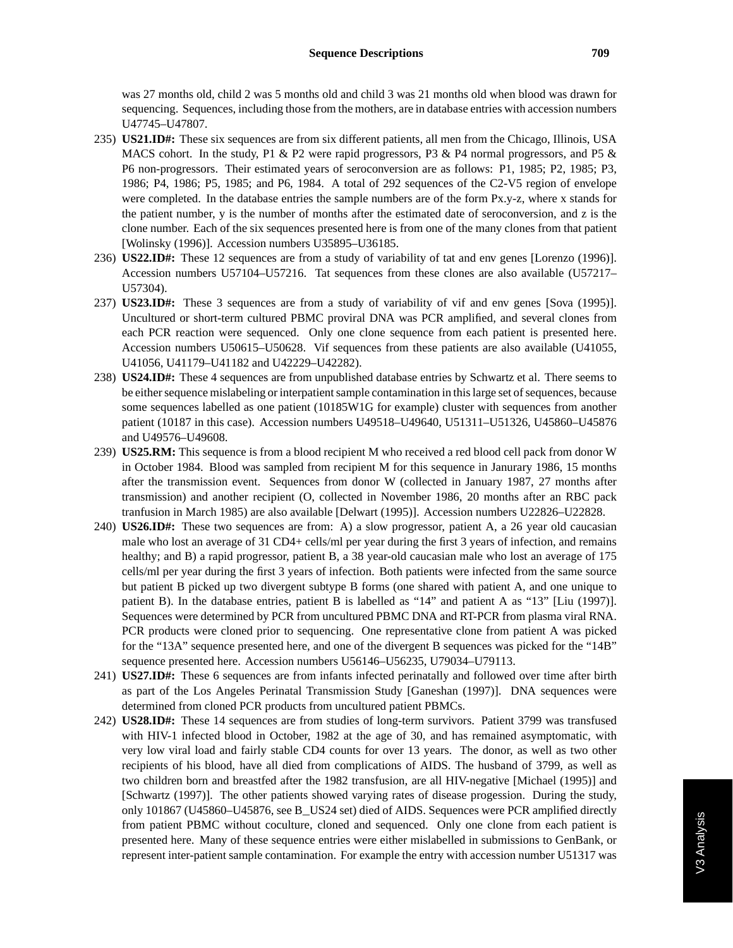was 27 months old, child 2 was 5 months old and child 3 was 21 months old when blood was drawn for sequencing. Sequences, including those from the mothers, are in database entries with accession numbers U47745–U47807.

- 235) **US21.ID#:** These six sequences are from six different patients, all men from the Chicago, Illinois, USA MACS cohort. In the study, P1 & P2 were rapid progressors, P3 & P4 normal progressors, and P5 & P6 non-progressors. Their estimated years of seroconversion are as follows: P1, 1985; P2, 1985; P3, 1986; P4, 1986; P5, 1985; and P6, 1984. A total of 292 sequences of the C2-V5 region of envelope were completed. In the database entries the sample numbers are of the form Px.y-z, where x stands for the patient number, y is the number of months after the estimated date of seroconversion, and z is the clone number. Each of the six sequences presented here is from one of the many clones from that patient [Wolinsky (1996)]. Accession numbers U35895–U36185.
- 236) **US22.ID#:** These 12 sequences are from a study of variability of tat and env genes [Lorenzo (1996)]. Accession numbers U57104–U57216. Tat sequences from these clones are also available (U57217– U57304).
- 237) **US23.ID#:** These 3 sequences are from a study of variability of vif and env genes [Sova (1995)]. Uncultured or short-term cultured PBMC proviral DNA was PCR amplified, and several clones from each PCR reaction were sequenced. Only one clone sequence from each patient is presented here. Accession numbers U50615–U50628. Vif sequences from these patients are also available (U41055, U41056, U41179–U41182 and U42229–U42282).
- 238) **US24.ID#:** These 4 sequences are from unpublished database entries by Schwartz et al. There seems to be either sequence mislabeling or interpatient sample contamination in this large set of sequences, because some sequences labelled as one patient (10185W1G for example) cluster with sequences from another patient (10187 in this case). Accession numbers U49518–U49640, U51311–U51326, U45860–U45876 and U49576–U49608.
- 239) **US25.RM:** This sequence is from a blood recipient M who received a red blood cell pack from donor W in October 1984. Blood was sampled from recipient M for this sequence in Janurary 1986, 15 months after the transmission event. Sequences from donor W (collected in January 1987, 27 months after transmission) and another recipient (O, collected in November 1986, 20 months after an RBC pack tranfusion in March 1985) are also available [Delwart (1995)]. Accession numbers U22826–U22828.
- 240) **US26.ID#:** These two sequences are from: A) a slow progressor, patient A, a 26 year old caucasian male who lost an average of 31 CD4+ cells/ml per year during the first 3 years of infection, and remains healthy; and B) a rapid progressor, patient B, a 38 year-old caucasian male who lost an average of 175 cells/ml per year during the first 3 years of infection. Both patients were infected from the same source but patient B picked up two divergent subtype B forms (one shared with patient A, and one unique to patient B). In the database entries, patient B is labelled as "14" and patient A as "13" [Liu (1997)]. Sequences were determined by PCR from uncultured PBMC DNA and RT-PCR from plasma viral RNA. PCR products were cloned prior to sequencing. One representative clone from patient A was picked for the "13A" sequence presented here, and one of the divergent B sequences was picked for the "14B" sequence presented here. Accession numbers U56146–U56235, U79034–U79113.
- 241) **US27.ID#:** These 6 sequences are from infants infected perinatally and followed over time after birth as part of the Los Angeles Perinatal Transmission Study [Ganeshan (1997)]. DNA sequences were determined from cloned PCR products from uncultured patient PBMCs.
- 242) **US28.ID#:** These 14 sequences are from studies of long-term survivors. Patient 3799 was transfused with HIV-1 infected blood in October, 1982 at the age of 30, and has remained asymptomatic, with very low viral load and fairly stable CD4 counts for over 13 years. The donor, as well as two other recipients of his blood, have all died from complications of AIDS. The husband of 3799, as well as two children born and breastfed after the 1982 transfusion, are all HIV-negative [Michael (1995)] and [Schwartz (1997)]. The other patients showed varying rates of disease progession. During the study, only 101867 (U45860–U45876, see B\_US24 set) died of AIDS. Sequences were PCR amplified directly from patient PBMC without coculture, cloned and sequenced. Only one clone from each patient is presented here. Many of these sequence entries were either mislabelled in submissions to GenBank, or represent inter-patient sample contamination. For example the entry with accession number U51317 was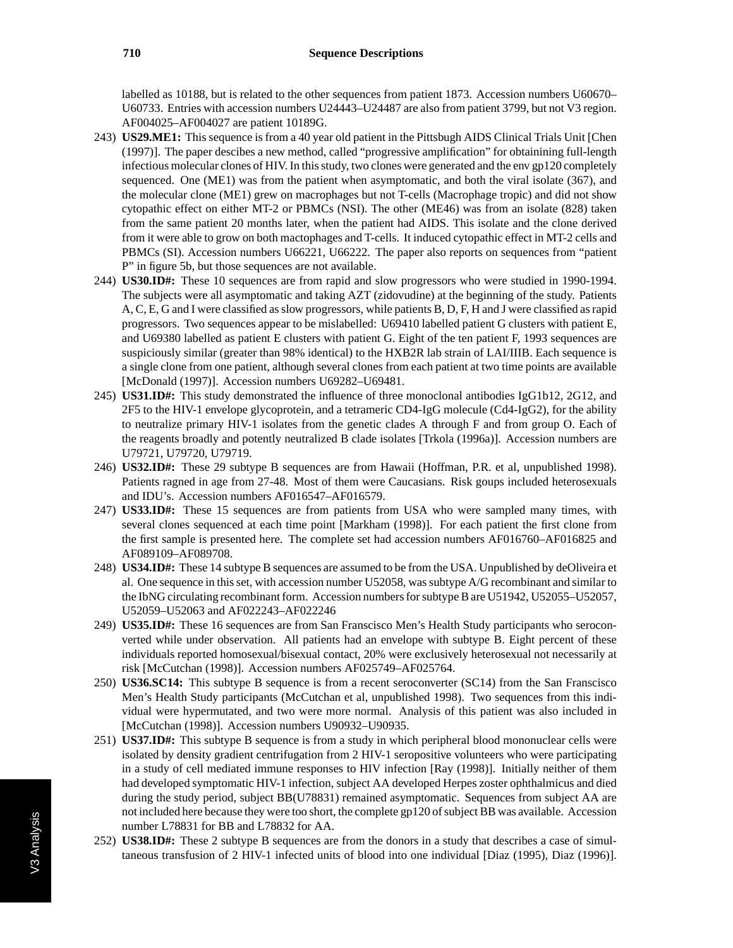labelled as 10188, but is related to the other sequences from patient 1873. Accession numbers U60670– U60733. Entries with accession numbers U24443–U24487 are also from patient 3799, but not V3 region. AF004025–AF004027 are patient 10189G.

- 243) **US29.ME1:** This sequence is from a 40 year old patient in the Pittsbugh AIDS Clinical Trials Unit [Chen (1997)]. The paper descibes a new method, called "progressive amplification" for obtainining full-length infectious molecular clones of HIV. In this study, two clones were generated and the env gp120 completely sequenced. One (ME1) was from the patient when asymptomatic, and both the viral isolate (367), and the molecular clone (ME1) grew on macrophages but not T-cells (Macrophage tropic) and did not show cytopathic effect on either MT-2 or PBMCs (NSI). The other (ME46) was from an isolate (828) taken from the same patient 20 months later, when the patient had AIDS. This isolate and the clone derived from it were able to grow on both mactophages and T-cells. It induced cytopathic effect in MT-2 cells and PBMCs (SI). Accession numbers U66221, U66222. The paper also reports on sequences from "patient P" in figure 5b, but those sequences are not available.
- 244) **US30.ID#:** These 10 sequences are from rapid and slow progressors who were studied in 1990-1994. The subjects were all asymptomatic and taking AZT (zidovudine) at the beginning of the study. Patients A, C, E, G and I were classified as slow progressors, while patients B, D, F, H and J were classified as rapid progressors. Two sequences appear to be mislabelled: U69410 labelled patient G clusters with patient E, and U69380 labelled as patient E clusters with patient G. Eight of the ten patient F, 1993 sequences are suspiciously similar (greater than 98% identical) to the HXB2R lab strain of LAI/IIIB. Each sequence is a single clone from one patient, although several clones from each patient at two time points are available [McDonald (1997)]. Accession numbers U69282–U69481.
- 245) **US31.ID#:** This study demonstrated the influence of three monoclonal antibodies IgG1b12, 2G12, and 2F5 to the HIV-1 envelope glycoprotein, and a tetrameric CD4-IgG molecule (Cd4-IgG2), for the ability to neutralize primary HIV-1 isolates from the genetic clades A through F and from group O. Each of the reagents broadly and potently neutralized B clade isolates [Trkola (1996a)]. Accession numbers are U79721, U79720, U79719.
- 246) **US32.ID#:** These 29 subtype B sequences are from Hawaii (Hoffman, P.R. et al, unpublished 1998). Patients ragned in age from 27-48. Most of them were Caucasians. Risk goups included heterosexuals and IDU's. Accession numbers AF016547–AF016579.
- 247) **US33.ID#:** These 15 sequences are from patients from USA who were sampled many times, with several clones sequenced at each time point [Markham (1998)]. For each patient the first clone from the first sample is presented here. The complete set had accession numbers AF016760–AF016825 and AF089109–AF089708.
- 248) **US34.ID#:** These 14 subtype B sequences are assumed to be from the USA. Unpublished by deOliveira et al. One sequence in this set, with accession number U52058, was subtype A/G recombinant and similar to the IbNG circulating recombinant form. Accession numbers for subtype B are U51942, U52055–U52057, U52059–U52063 and AF022243–AF022246
- 249) **US35.ID#:** These 16 sequences are from San Franscisco Men's Health Study participants who seroconverted while under observation. All patients had an envelope with subtype B. Eight percent of these individuals reported homosexual/bisexual contact, 20% were exclusively heterosexual not necessarily at risk [McCutchan (1998)]. Accession numbers AF025749–AF025764.
- 250) **US36.SC14:** This subtype B sequence is from a recent seroconverter (SC14) from the San Franscisco Men's Health Study participants (McCutchan et al, unpublished 1998). Two sequences from this individual were hypermutated, and two were more normal. Analysis of this patient was also included in [McCutchan (1998)]. Accession numbers U90932–U90935.
- 251) **US37.ID#:** This subtype B sequence is from a study in which peripheral blood mononuclear cells were isolated by density gradient centrifugation from 2 HIV-1 seropositive volunteers who were participating in a study of cell mediated immune responses to HIV infection [Ray (1998)]. Initially neither of them had developed symptomatic HIV-1 infection, subject AA developed Herpes zoster ophthalmicus and died during the study period, subject BB(U78831) remained asymptomatic. Sequences from subject AA are not included here because they were too short, the complete gp120 of subject BB was available. Accession number L78831 for BB and L78832 for AA.
- 252) **US38.ID#:** These 2 subtype B sequences are from the donors in a study that describes a case of simultaneous transfusion of 2 HIV-1 infected units of blood into one individual [Diaz (1995), Diaz (1996)].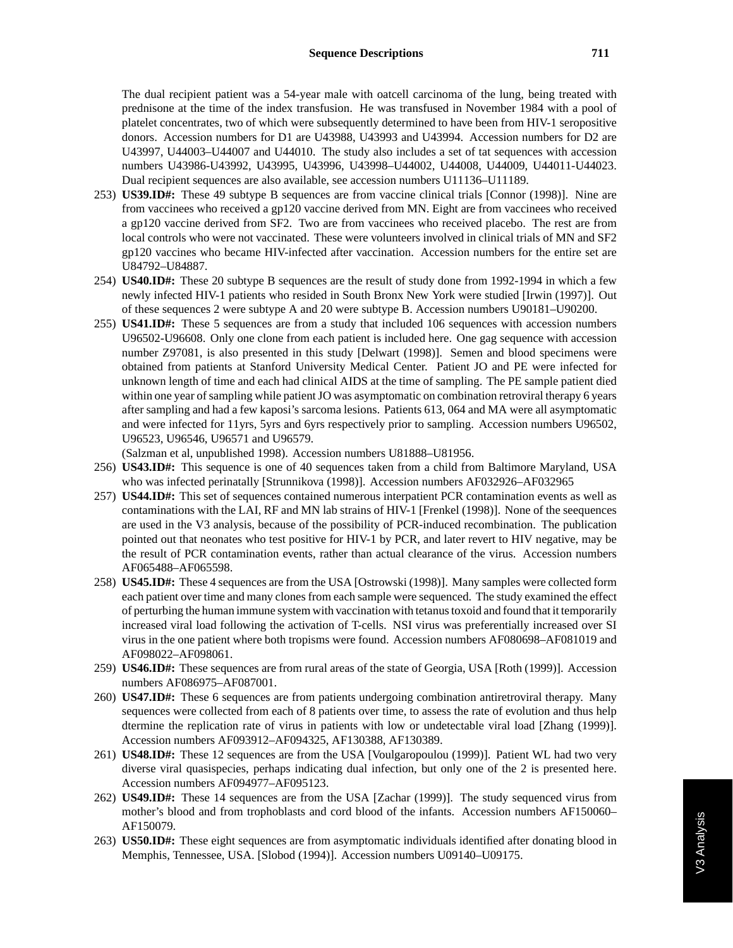The dual recipient patient was a 54-year male with oatcell carcinoma of the lung, being treated with prednisone at the time of the index transfusion. He was transfused in November 1984 with a pool of platelet concentrates, two of which were subsequently determined to have been from HIV-1 seropositive donors. Accession numbers for D1 are U43988, U43993 and U43994. Accession numbers for D2 are U43997, U44003–U44007 and U44010. The study also includes a set of tat sequences with accession numbers U43986-U43992, U43995, U43996, U43998–U44002, U44008, U44009, U44011-U44023. Dual recipient sequences are also available, see accession numbers U11136–U11189.

- 253) **US39.ID#:** These 49 subtype B sequences are from vaccine clinical trials [Connor (1998)]. Nine are from vaccinees who received a gp120 vaccine derived from MN. Eight are from vaccinees who received a gp120 vaccine derived from SF2. Two are from vaccinees who received placebo. The rest are from local controls who were not vaccinated. These were volunteers involved in clinical trials of MN and SF2 gp120 vaccines who became HIV-infected after vaccination. Accession numbers for the entire set are U84792–U84887.
- 254) **US40.ID#:** These 20 subtype B sequences are the result of study done from 1992-1994 in which a few newly infected HIV-1 patients who resided in South Bronx New York were studied [Irwin (1997)]. Out of these sequences 2 were subtype A and 20 were subtype B. Accession numbers U90181–U90200.
- 255) **US41.ID#:** These 5 sequences are from a study that included 106 sequences with accession numbers U96502-U96608. Only one clone from each patient is included here. One gag sequence with accession number Z97081, is also presented in this study [Delwart (1998)]. Semen and blood specimens were obtained from patients at Stanford University Medical Center. Patient JO and PE were infected for unknown length of time and each had clinical AIDS at the time of sampling. The PE sample patient died within one year of sampling while patient JO was asymptomatic on combination retroviral therapy 6 years after sampling and had a few kaposi's sarcoma lesions. Patients 613, 064 and MA were all asymptomatic and were infected for 11yrs, 5yrs and 6yrs respectively prior to sampling. Accession numbers U96502, U96523, U96546, U96571 and U96579.

(Salzman et al, unpublished 1998). Accession numbers U81888–U81956.

- 256) **US43.ID#:** This sequence is one of 40 sequences taken from a child from Baltimore Maryland, USA who was infected perinatally [Strunnikova (1998)]. Accession numbers AF032926–AF032965
- 257) **US44.ID#:** This set of sequences contained numerous interpatient PCR contamination events as well as contaminations with the LAI, RF and MN lab strains of HIV-1 [Frenkel (1998)]. None of the seequences are used in the V3 analysis, because of the possibility of PCR-induced recombination. The publication pointed out that neonates who test positive for HIV-1 by PCR, and later revert to HIV negative, may be the result of PCR contamination events, rather than actual clearance of the virus. Accession numbers AF065488–AF065598.
- 258) **US45.ID#:** These 4 sequences are from the USA [Ostrowski (1998)]. Many samples were collected form each patient over time and many clones from each sample were sequenced. The study examined the effect of perturbing the human immune system with vaccination with tetanus toxoid and found that it temporarily increased viral load following the activation of T-cells. NSI virus was preferentially increased over SI virus in the one patient where both tropisms were found. Accession numbers AF080698–AF081019 and AF098022–AF098061.
- 259) **US46.ID#:** These sequences are from rural areas of the state of Georgia, USA [Roth (1999)]. Accession numbers AF086975–AF087001.
- 260) **US47.ID#:** These 6 sequences are from patients undergoing combination antiretroviral therapy. Many sequences were collected from each of 8 patients over time, to assess the rate of evolution and thus help dtermine the replication rate of virus in patients with low or undetectable viral load [Zhang (1999)]. Accession numbers AF093912–AF094325, AF130388, AF130389.
- 261) **US48.ID#:** These 12 sequences are from the USA [Voulgaropoulou (1999)]. Patient WL had two very diverse viral quasispecies, perhaps indicating dual infection, but only one of the 2 is presented here. Accession numbers AF094977–AF095123.
- 262) **US49.ID#:** These 14 sequences are from the USA [Zachar (1999)]. The study sequenced virus from mother's blood and from trophoblasts and cord blood of the infants. Accession numbers AF150060– AF150079.
- 263) **US50.ID#:** These eight sequences are from asymptomatic individuals identified after donating blood in Memphis, Tennessee, USA. [Slobod (1994)]. Accession numbers U09140–U09175.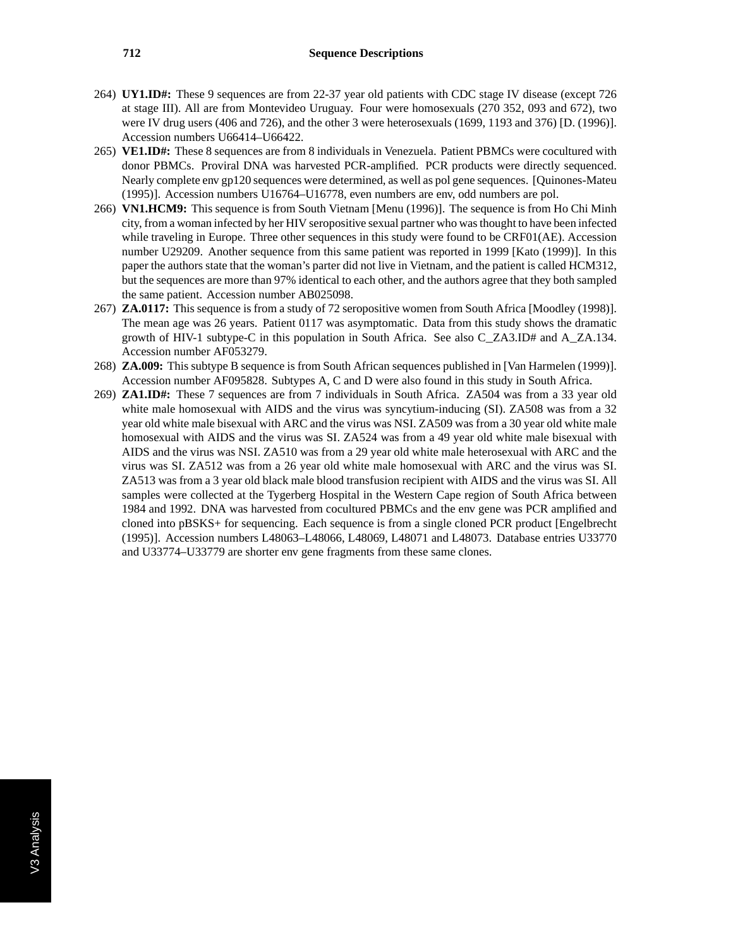- 264) **UY1.ID#:** These 9 sequences are from 22-37 year old patients with CDC stage IV disease (except 726 at stage III). All are from Montevideo Uruguay. Four were homosexuals (270 352, 093 and 672), two were IV drug users (406 and 726), and the other 3 were heterosexuals (1699, 1193 and 376) [D. (1996)]. Accession numbers U66414–U66422.
- 265) **VE1.ID#:** These 8 sequences are from 8 individuals in Venezuela. Patient PBMCs were cocultured with donor PBMCs. Proviral DNA was harvested PCR-amplified. PCR products were directly sequenced. Nearly complete env gp120 sequences were determined, as well as pol gene sequences. [Quinones-Mateu (1995)]. Accession numbers U16764–U16778, even numbers are env, odd numbers are pol.
- 266) **VN1.HCM9:** This sequence is from South Vietnam [Menu (1996)]. The sequence is from Ho Chi Minh city, from a woman infected by her HIV seropositive sexual partner who was thought to have been infected while traveling in Europe. Three other sequences in this study were found to be CRF01(AE). Accession number U29209. Another sequence from this same patient was reported in 1999 [Kato (1999)]. In this paper the authors state that the woman's parter did not live in Vietnam, and the patient is called HCM312, but the sequences are more than 97% identical to each other, and the authors agree that they both sampled the same patient. Accession number AB025098.
- 267) **ZA.0117:** This sequence is from a study of 72 seropositive women from South Africa [Moodley (1998)]. The mean age was 26 years. Patient 0117 was asymptomatic. Data from this study shows the dramatic growth of HIV-1 subtype-C in this population in South Africa. See also C\_ZA3.ID# and A\_ZA.134. Accession number AF053279.
- 268) **ZA.009:** This subtype B sequence is from South African sequences published in [Van Harmelen (1999)]. Accession number AF095828. Subtypes A, C and D were also found in this study in South Africa.
- 269) **ZA1.ID#:** These 7 sequences are from 7 individuals in South Africa. ZA504 was from a 33 year old white male homosexual with AIDS and the virus was syncytium-inducing (SI). ZA508 was from a 32 year old white male bisexual with ARC and the virus was NSI. ZA509 was from a 30 year old white male homosexual with AIDS and the virus was SI. ZA524 was from a 49 year old white male bisexual with AIDS and the virus was NSI. ZA510 was from a 29 year old white male heterosexual with ARC and the virus was SI. ZA512 was from a 26 year old white male homosexual with ARC and the virus was SI. ZA513 was from a 3 year old black male blood transfusion recipient with AIDS and the virus was SI. All samples were collected at the Tygerberg Hospital in the Western Cape region of South Africa between 1984 and 1992. DNA was harvested from cocultured PBMCs and the env gene was PCR amplified and cloned into pBSKS+ for sequencing. Each sequence is from a single cloned PCR product [Engelbrecht (1995)]. Accession numbers L48063–L48066, L48069, L48071 and L48073. Database entries U33770 and U33774–U33779 are shorter env gene fragments from these same clones.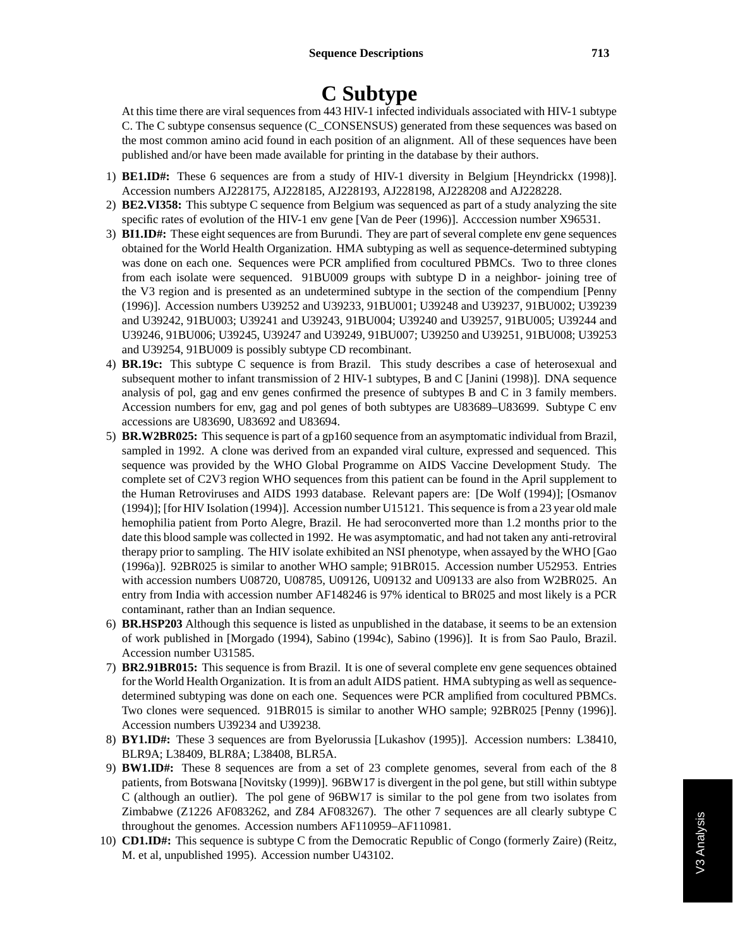# **C Subtype**

At this time there are viral sequences from 443 HIV-1 infected individuals associated with HIV-1 subtype C. The C subtype consensus sequence (C\_CONSENSUS) generated from these sequences was based on the most common amino acid found in each position of an alignment. All of these sequences have been published and/or have been made available for printing in the database by their authors.

- 1) **BE1.ID#:** These 6 sequences are from a study of HIV-1 diversity in Belgium [Heyndrickx (1998)]. Accession numbers AJ228175, AJ228185, AJ228193, AJ228198, AJ228208 and AJ228228.
- 2) **BE2.VI358:** This subtype C sequence from Belgium was sequenced as part of a study analyzing the site specific rates of evolution of the HIV-1 env gene [Van de Peer (1996)]. Acccession number X96531.
- 3) **BI1.ID#:** These eight sequences are from Burundi. They are part of several complete env gene sequences obtained for the World Health Organization. HMA subtyping as well as sequence-determined subtyping was done on each one. Sequences were PCR amplified from cocultured PBMCs. Two to three clones from each isolate were sequenced. 91BU009 groups with subtype D in a neighbor- joining tree of the V3 region and is presented as an undetermined subtype in the section of the compendium [Penny (1996)]. Accession numbers U39252 and U39233, 91BU001; U39248 and U39237, 91BU002; U39239 and U39242, 91BU003; U39241 and U39243, 91BU004; U39240 and U39257, 91BU005; U39244 and U39246, 91BU006; U39245, U39247 and U39249, 91BU007; U39250 and U39251, 91BU008; U39253 and U39254, 91BU009 is possibly subtype CD recombinant.
- 4) **BR.19c:** This subtype C sequence is from Brazil. This study describes a case of heterosexual and subsequent mother to infant transmission of 2 HIV-1 subtypes, B and C [Janini (1998)]. DNA sequence analysis of pol, gag and env genes confirmed the presence of subtypes B and C in 3 family members. Accession numbers for env, gag and pol genes of both subtypes are U83689–U83699. Subtype C env accessions are U83690, U83692 and U83694.
- 5) **BR.W2BR025:** This sequence is part of a gp160 sequence from an asymptomatic individual from Brazil, sampled in 1992. A clone was derived from an expanded viral culture, expressed and sequenced. This sequence was provided by the WHO Global Programme on AIDS Vaccine Development Study. The complete set of C2V3 region WHO sequences from this patient can be found in the April supplement to the Human Retroviruses and AIDS 1993 database. Relevant papers are: [De Wolf (1994)]; [Osmanov (1994)]; [for HIV Isolation (1994)]. Accession number U15121. This sequence is from a 23 year old male hemophilia patient from Porto Alegre, Brazil. He had seroconverted more than 1.2 months prior to the date this blood sample was collected in 1992. He was asymptomatic, and had not taken any anti-retroviral therapy prior to sampling. The HIV isolate exhibited an NSI phenotype, when assayed by the WHO [Gao (1996a)]. 92BR025 is similar to another WHO sample; 91BR015. Accession number U52953. Entries with accession numbers U08720, U08785, U09126, U09132 and U09133 are also from W2BR025. An entry from India with accession number AF148246 is 97% identical to BR025 and most likely is a PCR contaminant, rather than an Indian sequence.
- 6) **BR.HSP203** Although this sequence is listed as unpublished in the database, it seems to be an extension of work published in [Morgado (1994), Sabino (1994c), Sabino (1996)]. It is from Sao Paulo, Brazil. Accession number U31585.
- 7) **BR2.91BR015:** This sequence is from Brazil. It is one of several complete env gene sequences obtained for the World Health Organization. It is from an adult AIDS patient. HMA subtyping as well as sequencedetermined subtyping was done on each one. Sequences were PCR amplified from cocultured PBMCs. Two clones were sequenced. 91BR015 is similar to another WHO sample; 92BR025 [Penny (1996)]. Accession numbers U39234 and U39238.
- 8) **BY1.ID#:** These 3 sequences are from Byelorussia [Lukashov (1995)]. Accession numbers: L38410, BLR9A; L38409, BLR8A; L38408, BLR5A.
- 9) **BW1.ID#:** These 8 sequences are from a set of 23 complete genomes, several from each of the 8 patients, from Botswana [Novitsky (1999)]. 96BW17 is divergent in the pol gene, but still within subtype C (although an outlier). The pol gene of 96BW17 is similar to the pol gene from two isolates from Zimbabwe (Z1226 AF083262, and Z84 AF083267). The other 7 sequences are all clearly subtype C throughout the genomes. Accession numbers AF110959–AF110981.
- 10) **CD1.ID#:** This sequence is subtype C from the Democratic Republic of Congo (formerly Zaire) (Reitz, M. et al, unpublished 1995). Accession number U43102.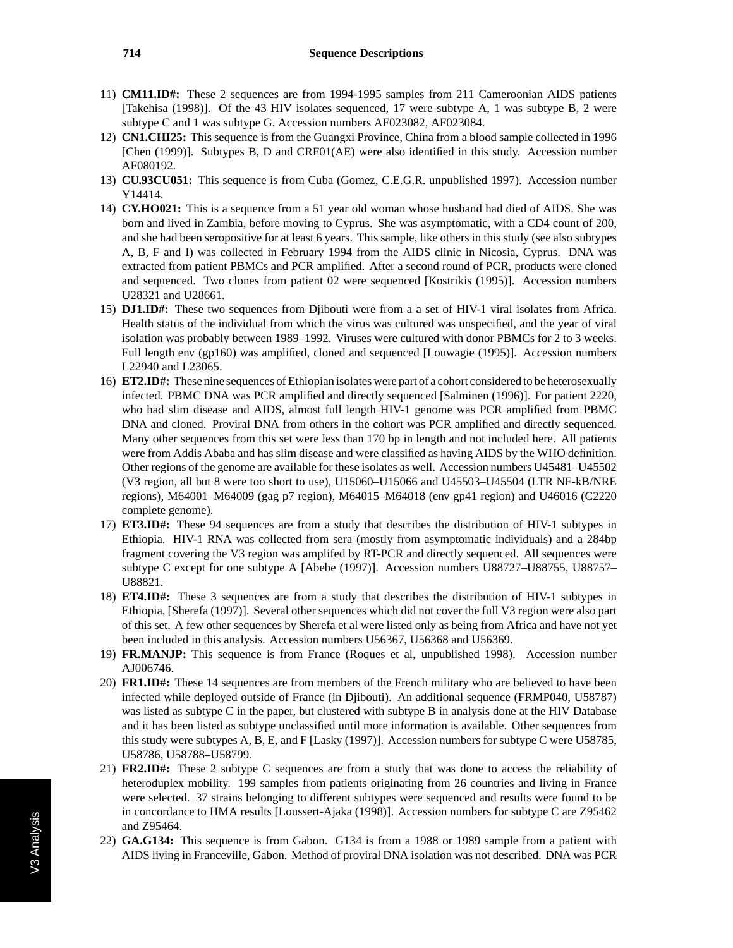- 11) **CM11.ID#:** These 2 sequences are from 1994-1995 samples from 211 Cameroonian AIDS patients [Takehisa (1998)]. Of the 43 HIV isolates sequenced, 17 were subtype A, 1 was subtype B, 2 were subtype C and 1 was subtype G. Accession numbers AF023082, AF023084.
- 12) **CN1.CHI25:** This sequence is from the Guangxi Province, China from a blood sample collected in 1996 [Chen (1999)]. Subtypes B, D and CRF01(AE) were also identified in this study. Accession number AF080192.
- 13) **CU.93CU051:** This sequence is from Cuba (Gomez, C.E.G.R. unpublished 1997). Accession number Y14414.
- 14) **CY.HO021:** This is a sequence from a 51 year old woman whose husband had died of AIDS. She was born and lived in Zambia, before moving to Cyprus. She was asymptomatic, with a CD4 count of 200, and she had been seropositive for at least 6 years. This sample, like others in this study (see also subtypes A, B, F and I) was collected in February 1994 from the AIDS clinic in Nicosia, Cyprus. DNA was extracted from patient PBMCs and PCR amplified. After a second round of PCR, products were cloned and sequenced. Two clones from patient 02 were sequenced [Kostrikis (1995)]. Accession numbers U28321 and U28661.
- 15) **DJ1.ID#:** These two sequences from Djibouti were from a a set of HIV-1 viral isolates from Africa. Health status of the individual from which the virus was cultured was unspecified, and the year of viral isolation was probably between 1989–1992. Viruses were cultured with donor PBMCs for 2 to 3 weeks. Full length env (gp160) was amplified, cloned and sequenced [Louwagie (1995)]. Accession numbers L22940 and L23065.
- 16) **ET2.ID#:** These nine sequences of Ethiopian isolates were part of a cohort considered to be heterosexually infected. PBMC DNA was PCR amplified and directly sequenced [Salminen (1996)]. For patient 2220, who had slim disease and AIDS, almost full length HIV-1 genome was PCR amplified from PBMC DNA and cloned. Proviral DNA from others in the cohort was PCR amplified and directly sequenced. Many other sequences from this set were less than 170 bp in length and not included here. All patients were from Addis Ababa and has slim disease and were classified as having AIDS by the WHO definition. Other regions of the genome are available for these isolates as well. Accession numbers U45481–U45502 (V3 region, all but 8 were too short to use), U15060–U15066 and U45503–U45504 (LTR NF-kB/NRE regions), M64001–M64009 (gag p7 region), M64015–M64018 (env gp41 region) and U46016 (C2220 complete genome).
- 17) **ET3.ID#:** These 94 sequences are from a study that describes the distribution of HIV-1 subtypes in Ethiopia. HIV-1 RNA was collected from sera (mostly from asymptomatic individuals) and a 284bp fragment covering the V3 region was amplifed by RT-PCR and directly sequenced. All sequences were subtype C except for one subtype A [Abebe (1997)]. Accession numbers U88727–U88755, U88757– U88821.
- 18) **ET4.ID#:** These 3 sequences are from a study that describes the distribution of HIV-1 subtypes in Ethiopia, [Sherefa (1997)]. Several other sequences which did not cover the full V3 region were also part of this set. A few other sequences by Sherefa et al were listed only as being from Africa and have not yet been included in this analysis. Accession numbers U56367, U56368 and U56369.
- 19) **FR.MANJP:** This sequence is from France (Roques et al, unpublished 1998). Accession number AJ006746.
- 20) **FR1.ID#:** These 14 sequences are from members of the French military who are believed to have been infected while deployed outside of France (in Djibouti). An additional sequence (FRMP040, U58787) was listed as subtype C in the paper, but clustered with subtype B in analysis done at the HIV Database and it has been listed as subtype unclassified until more information is available. Other sequences from this study were subtypes A, B, E, and F [Lasky (1997)]. Accession numbers for subtype C were U58785, U58786, U58788–U58799.
- 21) **FR2.ID#:** These 2 subtype C sequences are from a study that was done to access the reliability of heteroduplex mobility. 199 samples from patients originating from 26 countries and living in France were selected. 37 strains belonging to different subtypes were sequenced and results were found to be in concordance to HMA results [Loussert-Ajaka (1998)]. Accession numbers for subtype C are Z95462 and Z95464.
- 22) **GA.G134:** This sequence is from Gabon. G134 is from a 1988 or 1989 sample from a patient with AIDS living in Franceville, Gabon. Method of proviral DNA isolation was not described. DNA was PCR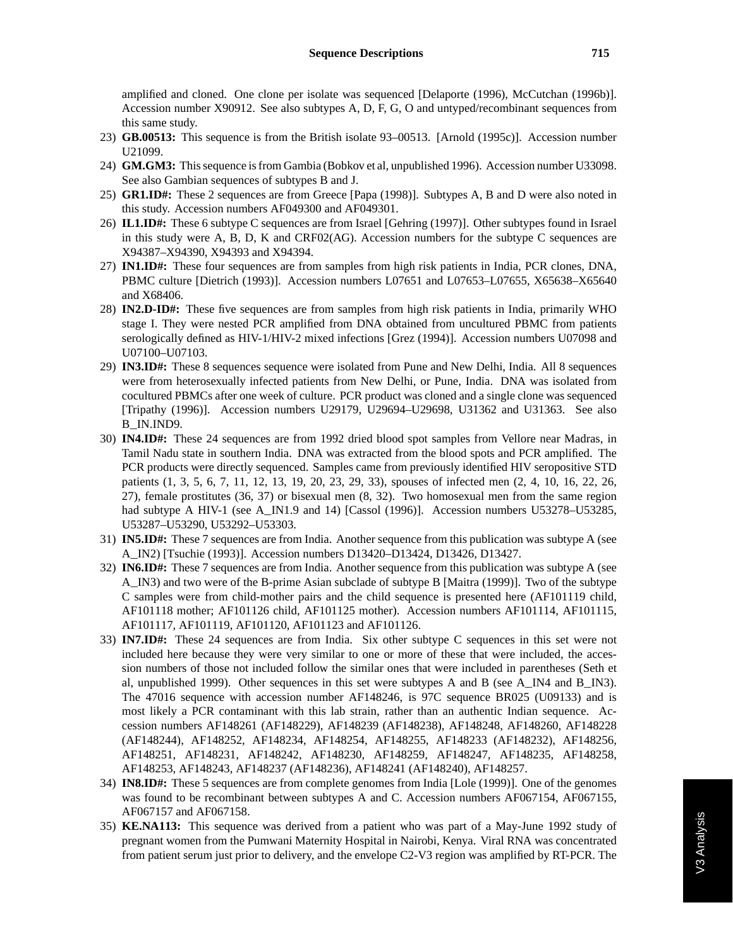amplified and cloned. One clone per isolate was sequenced [Delaporte (1996), McCutchan (1996b)]. Accession number X90912. See also subtypes A, D, F, G, O and untyped/recombinant sequences from this same study.

- 23) **GB.00513:** This sequence is from the British isolate 93–00513. [Arnold (1995c)]. Accession number U21099.
- 24) **GM.GM3:** This sequence is from Gambia (Bobkov et al, unpublished 1996). Accession number U33098. See also Gambian sequences of subtypes B and J.
- 25) **GR1.ID#:** These 2 sequences are from Greece [Papa (1998)]. Subtypes A, B and D were also noted in this study. Accession numbers AF049300 and AF049301.
- 26) **IL1.ID#:** These 6 subtype C sequences are from Israel [Gehring (1997)]. Other subtypes found in Israel in this study were A, B, D, K and CRF02(AG). Accession numbers for the subtype C sequences are X94387–X94390, X94393 and X94394.
- 27) **IN1.ID#:** These four sequences are from samples from high risk patients in India, PCR clones, DNA, PBMC culture [Dietrich (1993)]. Accession numbers L07651 and L07653–L07655, X65638–X65640 and X68406.
- 28) **IN2.D-ID#:** These five sequences are from samples from high risk patients in India, primarily WHO stage I. They were nested PCR amplified from DNA obtained from uncultured PBMC from patients serologically defined as HIV-1/HIV-2 mixed infections [Grez (1994)]. Accession numbers U07098 and U07100–U07103.
- 29) **IN3.ID#:** These 8 sequences sequence were isolated from Pune and New Delhi, India. All 8 sequences were from heterosexually infected patients from New Delhi, or Pune, India. DNA was isolated from cocultured PBMCs after one week of culture. PCR product was cloned and a single clone was sequenced [Tripathy (1996)]. Accession numbers U29179, U29694–U29698, U31362 and U31363. See also B\_IN.IND9.
- 30) **IN4.ID#:** These 24 sequences are from 1992 dried blood spot samples from Vellore near Madras, in Tamil Nadu state in southern India. DNA was extracted from the blood spots and PCR amplified. The PCR products were directly sequenced. Samples came from previously identified HIV seropositive STD patients (1, 3, 5, 6, 7, 11, 12, 13, 19, 20, 23, 29, 33), spouses of infected men (2, 4, 10, 16, 22, 26, 27), female prostitutes (36, 37) or bisexual men (8, 32). Two homosexual men from the same region had subtype A HIV-1 (see A\_IN1.9 and 14) [Cassol (1996)]. Accession numbers U53278–U53285, U53287–U53290, U53292–U53303.
- 31) **IN5.ID#:** These 7 sequences are from India. Another sequence from this publication was subtype A (see A\_IN2) [Tsuchie (1993)]. Accession numbers D13420–D13424, D13426, D13427.
- 32) **IN6.ID#:** These 7 sequences are from India. Another sequence from this publication was subtype A (see A\_IN3) and two were of the B-prime Asian subclade of subtype B [Maitra (1999)]. Two of the subtype C samples were from child-mother pairs and the child sequence is presented here (AF101119 child, AF101118 mother; AF101126 child, AF101125 mother). Accession numbers AF101114, AF101115, AF101117, AF101119, AF101120, AF101123 and AF101126.
- 33) **IN7.ID#:** These 24 sequences are from India. Six other subtype C sequences in this set were not included here because they were very similar to one or more of these that were included, the accession numbers of those not included follow the similar ones that were included in parentheses (Seth et al, unpublished 1999). Other sequences in this set were subtypes A and B (see A\_IN4 and B\_IN3). The 47016 sequence with accession number AF148246, is 97C sequence BR025 (U09133) and is most likely a PCR contaminant with this lab strain, rather than an authentic Indian sequence. Accession numbers AF148261 (AF148229), AF148239 (AF148238), AF148248, AF148260, AF148228 (AF148244), AF148252, AF148234, AF148254, AF148255, AF148233 (AF148232), AF148256, AF148251, AF148231, AF148242, AF148230, AF148259, AF148247, AF148235, AF148258, AF148253, AF148243, AF148237 (AF148236), AF148241 (AF148240), AF148257.
- 34) **IN8.ID#:** These 5 sequences are from complete genomes from India [Lole (1999)]. One of the genomes was found to be recombinant between subtypes A and C. Accession numbers AF067154, AF067155, AF067157 and AF067158.
- 35) **KE.NA113:** This sequence was derived from a patient who was part of a May-June 1992 study of pregnant women from the Pumwani Maternity Hospital in Nairobi, Kenya. Viral RNA was concentrated from patient serum just prior to delivery, and the envelope C2-V3 region was amplified by RT-PCR. The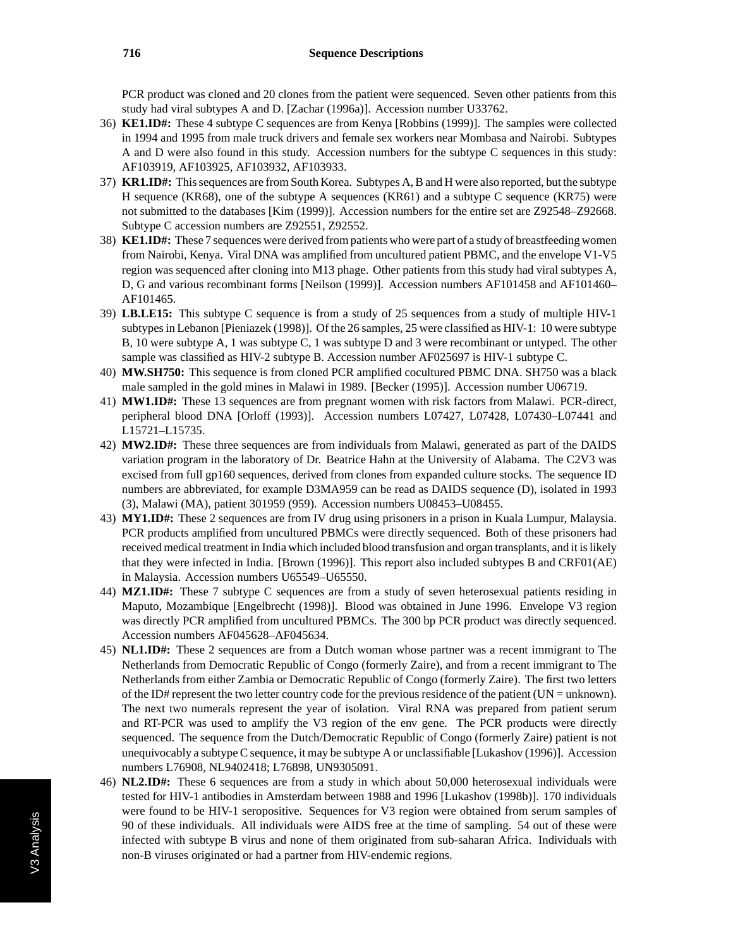PCR product was cloned and 20 clones from the patient were sequenced. Seven other patients from this study had viral subtypes A and D. [Zachar (1996a)]. Accession number U33762.

- 36) **KE1.ID#:** These 4 subtype C sequences are from Kenya [Robbins (1999)]. The samples were collected in 1994 and 1995 from male truck drivers and female sex workers near Mombasa and Nairobi. Subtypes A and D were also found in this study. Accession numbers for the subtype C sequences in this study: AF103919, AF103925, AF103932, AF103933.
- 37) **KR1.ID#:** This sequences are from South Korea. Subtypes A, B and H were also reported, but the subtype H sequence (KR68), one of the subtype A sequences (KR61) and a subtype C sequence (KR75) were not submitted to the databases [Kim (1999)]. Accession numbers for the entire set are Z92548–Z92668. Subtype C accession numbers are Z92551, Z92552.
- 38) **KE1.ID#:** These 7 sequences were derived from patients who were part of a study of breastfeeding women from Nairobi, Kenya. Viral DNA was amplified from uncultured patient PBMC, and the envelope V1-V5 region was sequenced after cloning into M13 phage. Other patients from this study had viral subtypes A, D, G and various recombinant forms [Neilson (1999)]. Accession numbers AF101458 and AF101460– AF101465.
- 39) **LB.LE15:** This subtype C sequence is from a study of 25 sequences from a study of multiple HIV-1 subtypes in Lebanon [Pieniazek (1998)]. Of the 26 samples, 25 were classified as HIV-1: 10 were subtype B, 10 were subtype A, 1 was subtype C, 1 was subtype D and 3 were recombinant or untyped. The other sample was classified as HIV-2 subtype B. Accession number AF025697 is HIV-1 subtype C.
- 40) **MW.SH750:** This sequence is from cloned PCR amplified cocultured PBMC DNA. SH750 was a black male sampled in the gold mines in Malawi in 1989. [Becker (1995)]. Accession number U06719.
- 41) **MW1.ID#:** These 13 sequences are from pregnant women with risk factors from Malawi. PCR-direct, peripheral blood DNA [Orloff (1993)]. Accession numbers L07427, L07428, L07430–L07441 and L15721–L15735.
- 42) **MW2.ID#:** These three sequences are from individuals from Malawi, generated as part of the DAIDS variation program in the laboratory of Dr. Beatrice Hahn at the University of Alabama. The C2V3 was excised from full gp160 sequences, derived from clones from expanded culture stocks. The sequence ID numbers are abbreviated, for example D3MA959 can be read as DAIDS sequence (D), isolated in 1993 (3), Malawi (MA), patient 301959 (959). Accession numbers U08453–U08455.
- 43) **MY1.ID#:** These 2 sequences are from IV drug using prisoners in a prison in Kuala Lumpur, Malaysia. PCR products amplified from uncultured PBMCs were directly sequenced. Both of these prisoners had received medical treatment in India which included blood transfusion and organ transplants, and it is likely that they were infected in India. [Brown (1996)]. This report also included subtypes B and CRF01(AE) in Malaysia. Accession numbers U65549–U65550.
- 44) **MZ1.ID#:** These 7 subtype C sequences are from a study of seven heterosexual patients residing in Maputo, Mozambique [Engelbrecht (1998)]. Blood was obtained in June 1996. Envelope V3 region was directly PCR amplified from uncultured PBMCs. The 300 bp PCR product was directly sequenced. Accession numbers AF045628–AF045634.
- 45) **NL1.ID#:** These 2 sequences are from a Dutch woman whose partner was a recent immigrant to The Netherlands from Democratic Republic of Congo (formerly Zaire), and from a recent immigrant to The Netherlands from either Zambia or Democratic Republic of Congo (formerly Zaire). The first two letters of the ID# represent the two letter country code for the previous residence of the patient (UN = unknown). The next two numerals represent the year of isolation. Viral RNA was prepared from patient serum and RT-PCR was used to amplify the V3 region of the env gene. The PCR products were directly sequenced. The sequence from the Dutch/Democratic Republic of Congo (formerly Zaire) patient is not unequivocably a subtype C sequence, it may be subtype A or unclassifiable [Lukashov (1996)]. Accession numbers L76908, NL9402418; L76898, UN9305091.
- 46) **NL2.ID#:** These 6 sequences are from a study in which about 50,000 heterosexual individuals were tested for HIV-1 antibodies in Amsterdam between 1988 and 1996 [Lukashov (1998b)]. 170 individuals were found to be HIV-1 seropositive. Sequences for V3 region were obtained from serum samples of 90 of these individuals. All individuals were AIDS free at the time of sampling. 54 out of these were infected with subtype B virus and none of them originated from sub-saharan Africa. Individuals with non-B viruses originated or had a partner from HIV-endemic regions.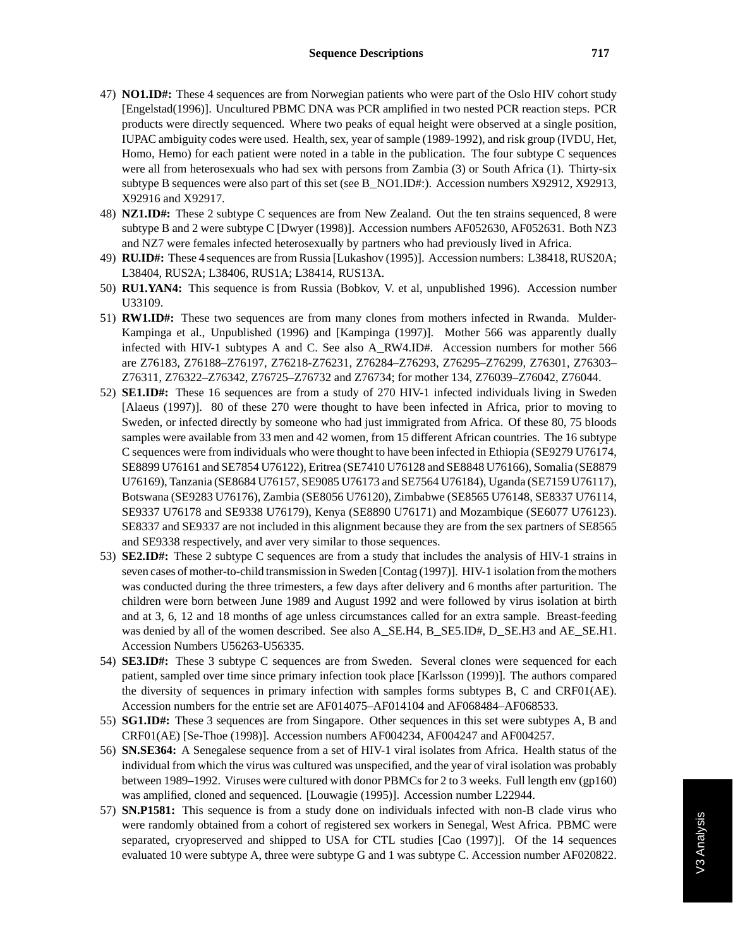- 47) **NO1.ID#:** These 4 sequences are from Norwegian patients who were part of the Oslo HIV cohort study [Engelstad(1996)]. Uncultured PBMC DNA was PCR amplified in two nested PCR reaction steps. PCR products were directly sequenced. Where two peaks of equal height were observed at a single position, IUPAC ambiguity codes were used. Health, sex, year of sample (1989-1992), and risk group (IVDU, Het, Homo, Hemo) for each patient were noted in a table in the publication. The four subtype C sequences were all from heterosexuals who had sex with persons from Zambia (3) or South Africa (1). Thirty-six subtype B sequences were also part of this set (see B\_NO1.ID#:). Accession numbers X92912, X92913, X92916 and X92917.
- 48) **NZ1.ID#:** These 2 subtype C sequences are from New Zealand. Out the ten strains sequenced, 8 were subtype B and 2 were subtype C [Dwyer (1998)]. Accession numbers AF052630, AF052631. Both NZ3 and NZ7 were females infected heterosexually by partners who had previously lived in Africa.
- 49) **RU.ID#:** These 4 sequences are from Russia [Lukashov (1995)]. Accession numbers: L38418, RUS20A; L38404, RUS2A; L38406, RUS1A; L38414, RUS13A.
- 50) **RU1.YAN4:** This sequence is from Russia (Bobkov, V. et al, unpublished 1996). Accession number U33109.
- 51) **RW1.ID#:** These two sequences are from many clones from mothers infected in Rwanda. Mulder-Kampinga et al., Unpublished (1996) and [Kampinga (1997)]. Mother 566 was apparently dually infected with HIV-1 subtypes A and C. See also A\_RW4.ID#. Accession numbers for mother 566 are Z76183, Z76188–Z76197, Z76218-Z76231, Z76284–Z76293, Z76295–Z76299, Z76301, Z76303– Z76311, Z76322–Z76342, Z76725–Z76732 and Z76734; for mother 134, Z76039–Z76042, Z76044.
- 52) **SE1.ID#:** These 16 sequences are from a study of 270 HIV-1 infected individuals living in Sweden [Alaeus (1997)]. 80 of these 270 were thought to have been infected in Africa, prior to moving to Sweden, or infected directly by someone who had just immigrated from Africa. Of these 80, 75 bloods samples were available from 33 men and 42 women, from 15 different African countries. The 16 subtype C sequences were from individuals who were thought to have been infected in Ethiopia (SE9279 U76174, SE8899 U76161 and SE7854 U76122), Eritrea (SE7410 U76128 and SE8848 U76166), Somalia (SE8879 U76169), Tanzania (SE8684 U76157, SE9085 U76173 and SE7564 U76184), Uganda (SE7159 U76117), Botswana (SE9283 U76176), Zambia (SE8056 U76120), Zimbabwe (SE8565 U76148, SE8337 U76114, SE9337 U76178 and SE9338 U76179), Kenya (SE8890 U76171) and Mozambique (SE6077 U76123). SE8337 and SE9337 are not included in this alignment because they are from the sex partners of SE8565 and SE9338 respectively, and aver very similar to those sequences.
- 53) **SE2.ID#:** These 2 subtype C sequences are from a study that includes the analysis of HIV-1 strains in seven cases of mother-to-child transmission in Sweden [Contag (1997)]. HIV-1 isolation from the mothers was conducted during the three trimesters, a few days after delivery and 6 months after parturition. The children were born between June 1989 and August 1992 and were followed by virus isolation at birth and at 3, 6, 12 and 18 months of age unless circumstances called for an extra sample. Breast-feeding was denied by all of the women described. See also A\_SE.H4, B\_SE5.ID#, D\_SE.H3 and AE\_SE.H1. Accession Numbers U56263-U56335.
- 54) **SE3.ID#:** These 3 subtype C sequences are from Sweden. Several clones were sequenced for each patient, sampled over time since primary infection took place [Karlsson (1999)]. The authors compared the diversity of sequences in primary infection with samples forms subtypes B, C and CRF01(AE). Accession numbers for the entrie set are AF014075–AF014104 and AF068484–AF068533.
- 55) **SG1.ID#:** These 3 sequences are from Singapore. Other sequences in this set were subtypes A, B and CRF01(AE) [Se-Thoe (1998)]. Accession numbers AF004234, AF004247 and AF004257.
- 56) **SN.SE364:** A Senegalese sequence from a set of HIV-1 viral isolates from Africa. Health status of the individual from which the virus was cultured was unspecified, and the year of viral isolation was probably between 1989–1992. Viruses were cultured with donor PBMCs for 2 to 3 weeks. Full length env (gp160) was amplified, cloned and sequenced. [Louwagie (1995)]. Accession number L22944.
- 57) **SN.P1581:** This sequence is from a study done on individuals infected with non-B clade virus who were randomly obtained from a cohort of registered sex workers in Senegal, West Africa. PBMC were separated, cryopreserved and shipped to USA for CTL studies [Cao (1997)]. Of the 14 sequences evaluated 10 were subtype A, three were subtype G and 1 was subtype C. Accession number AF020822.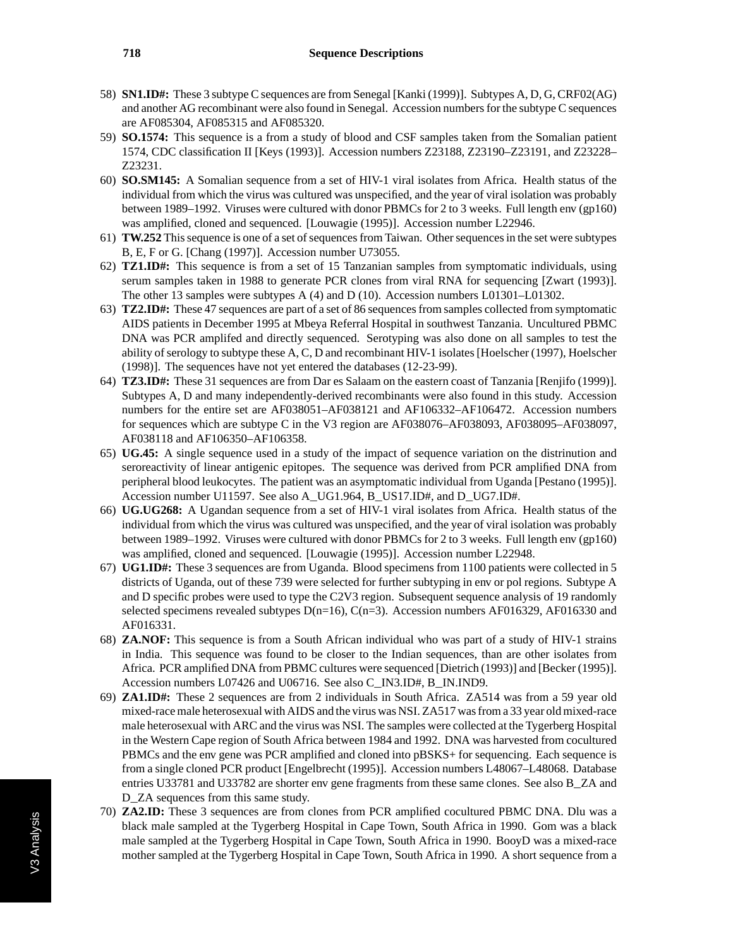- 58) **SN1.ID#:** These 3 subtype C sequences are from Senegal [Kanki (1999)]. Subtypes A, D, G, CRF02(AG) and another AG recombinant were also found in Senegal. Accession numbers for the subtype C sequences are AF085304, AF085315 and AF085320.
- 59) **SO.1574:** This sequence is a from a study of blood and CSF samples taken from the Somalian patient 1574, CDC classification II [Keys (1993)]. Accession numbers Z23188, Z23190–Z23191, and Z23228– Z23231.
- 60) **SO.SM145:** A Somalian sequence from a set of HIV-1 viral isolates from Africa. Health status of the individual from which the virus was cultured was unspecified, and the year of viral isolation was probably between 1989–1992. Viruses were cultured with donor PBMCs for 2 to 3 weeks. Full length env (gp160) was amplified, cloned and sequenced. [Louwagie (1995)]. Accession number L22946.
- 61) **TW.252** This sequence is one of a set of sequences from Taiwan. Other sequences in the set were subtypes B, E, F or G. [Chang (1997)]. Accession number U73055.
- 62) **TZ1.ID#:** This sequence is from a set of 15 Tanzanian samples from symptomatic individuals, using serum samples taken in 1988 to generate PCR clones from viral RNA for sequencing [Zwart (1993)]. The other 13 samples were subtypes A (4) and D (10). Accession numbers L01301–L01302.
- 63) **TZ2.ID#:** These 47 sequences are part of a set of 86 sequences from samples collected from symptomatic AIDS patients in December 1995 at Mbeya Referral Hospital in southwest Tanzania. Uncultured PBMC DNA was PCR amplifed and directly sequenced. Serotyping was also done on all samples to test the ability of serology to subtype these A, C, D and recombinant HIV-1 isolates [Hoelscher (1997), Hoelscher (1998)]. The sequences have not yet entered the databases (12-23-99).
- 64) **TZ3.ID#:** These 31 sequences are from Dar es Salaam on the eastern coast of Tanzania [Renjifo (1999)]. Subtypes A, D and many independently-derived recombinants were also found in this study. Accession numbers for the entire set are AF038051–AF038121 and AF106332–AF106472. Accession numbers for sequences which are subtype C in the V3 region are AF038076–AF038093, AF038095–AF038097, AF038118 and AF106350–AF106358.
- 65) **UG.45:** A single sequence used in a study of the impact of sequence variation on the distrinution and seroreactivity of linear antigenic epitopes. The sequence was derived from PCR amplified DNA from peripheral blood leukocytes. The patient was an asymptomatic individual from Uganda [Pestano (1995)]. Accession number U11597. See also A\_UG1.964, B\_US17.ID#, and D\_UG7.ID#.
- 66) **UG.UG268:** A Ugandan sequence from a set of HIV-1 viral isolates from Africa. Health status of the individual from which the virus was cultured was unspecified, and the year of viral isolation was probably between 1989–1992. Viruses were cultured with donor PBMCs for 2 to 3 weeks. Full length env (gp160) was amplified, cloned and sequenced. [Louwagie (1995)]. Accession number L22948.
- 67) **UG1.ID#:** These 3 sequences are from Uganda. Blood specimens from 1100 patients were collected in 5 districts of Uganda, out of these 739 were selected for further subtyping in env or pol regions. Subtype A and D specific probes were used to type the C2V3 region. Subsequent sequence analysis of 19 randomly selected specimens revealed subtypes  $D(n=16)$ ,  $C(n=3)$ . Accession numbers AF016329, AF016330 and AF016331.
- 68) **ZA.NOF:** This sequence is from a South African individual who was part of a study of HIV-1 strains in India. This sequence was found to be closer to the Indian sequences, than are other isolates from Africa. PCR amplified DNA from PBMC cultures were sequenced [Dietrich (1993)] and [Becker (1995)]. Accession numbers L07426 and U06716. See also C\_IN3.ID#, B\_IN.IND9.
- 69) **ZA1.ID#:** These 2 sequences are from 2 individuals in South Africa. ZA514 was from a 59 year old mixed-race male heterosexual with AIDS and the virus was NSI. ZA517 was from a 33 year old mixed-race male heterosexual with ARC and the virus was NSI. The samples were collected at the Tygerberg Hospital in the Western Cape region of South Africa between 1984 and 1992. DNA was harvested from cocultured PBMCs and the env gene was PCR amplified and cloned into pBSKS+ for sequencing. Each sequence is from a single cloned PCR product [Engelbrecht (1995)]. Accession numbers L48067–L48068. Database entries U33781 and U33782 are shorter env gene fragments from these same clones. See also B\_ZA and D ZA sequences from this same study.
- 70) **ZA2.ID:** These 3 sequences are from clones from PCR amplified cocultured PBMC DNA. Dlu was a black male sampled at the Tygerberg Hospital in Cape Town, South Africa in 1990. Gom was a black male sampled at the Tygerberg Hospital in Cape Town, South Africa in 1990. BooyD was a mixed-race mother sampled at the Tygerberg Hospital in Cape Town, South Africa in 1990. A short sequence from a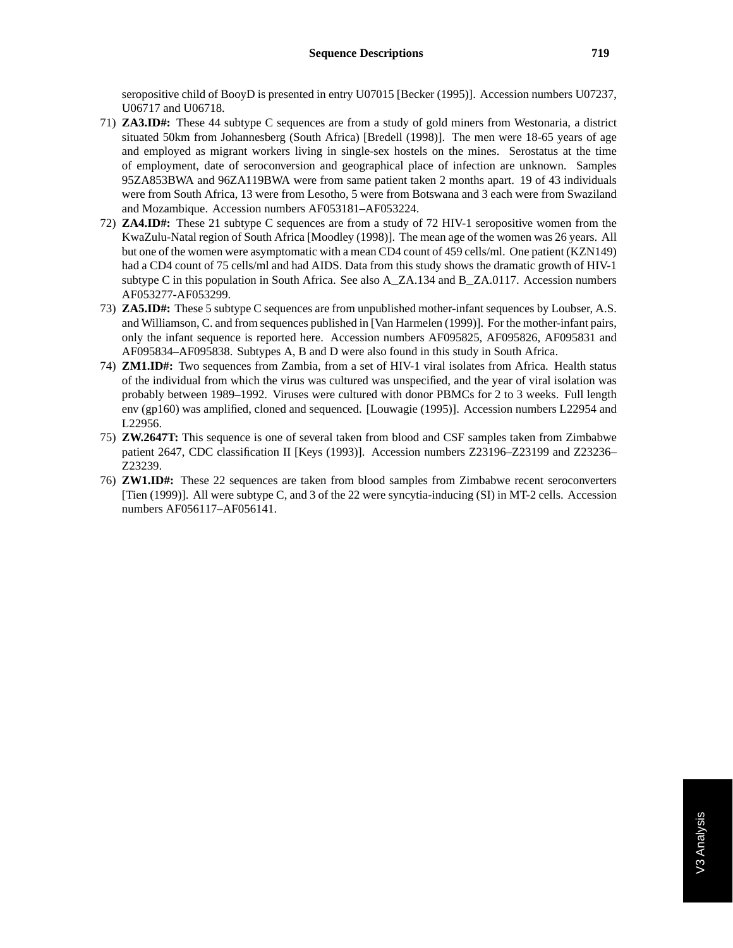seropositive child of BooyD is presented in entry U07015 [Becker (1995)]. Accession numbers U07237, U06717 and U06718.

- 71) **ZA3.ID#:** These 44 subtype C sequences are from a study of gold miners from Westonaria, a district situated 50km from Johannesberg (South Africa) [Bredell (1998)]. The men were 18-65 years of age and employed as migrant workers living in single-sex hostels on the mines. Serostatus at the time of employment, date of seroconversion and geographical place of infection are unknown. Samples 95ZA853BWA and 96ZA119BWA were from same patient taken 2 months apart. 19 of 43 individuals were from South Africa, 13 were from Lesotho, 5 were from Botswana and 3 each were from Swaziland and Mozambique. Accession numbers AF053181–AF053224.
- 72) **ZA4.ID#:** These 21 subtype C sequences are from a study of 72 HIV-1 seropositive women from the KwaZulu-Natal region of South Africa [Moodley (1998)]. The mean age of the women was 26 years. All but one of the women were asymptomatic with a mean CD4 count of 459 cells/ml. One patient (KZN149) had a CD4 count of 75 cells/ml and had AIDS. Data from this study shows the dramatic growth of HIV-1 subtype C in this population in South Africa. See also A\_ZA.134 and B\_ZA.0117. Accession numbers AF053277-AF053299.
- 73) **ZA5.ID#:** These 5 subtype C sequences are from unpublished mother-infant sequences by Loubser, A.S. and Williamson, C. and from sequences published in [Van Harmelen (1999)]. For the mother-infant pairs, only the infant sequence is reported here. Accession numbers AF095825, AF095826, AF095831 and AF095834–AF095838. Subtypes A, B and D were also found in this study in South Africa.
- 74) **ZM1.ID#:** Two sequences from Zambia, from a set of HIV-1 viral isolates from Africa. Health status of the individual from which the virus was cultured was unspecified, and the year of viral isolation was probably between 1989–1992. Viruses were cultured with donor PBMCs for 2 to 3 weeks. Full length env (gp160) was amplified, cloned and sequenced. [Louwagie (1995)]. Accession numbers L22954 and L22956.
- 75) **ZW.2647T:** This sequence is one of several taken from blood and CSF samples taken from Zimbabwe patient 2647, CDC classification II [Keys (1993)]. Accession numbers Z23196–Z23199 and Z23236– Z23239.
- 76) **ZW1.ID#:** These 22 sequences are taken from blood samples from Zimbabwe recent seroconverters [Tien (1999)]. All were subtype C, and 3 of the 22 were syncytia-inducing (SI) in MT-2 cells. Accession numbers AF056117–AF056141.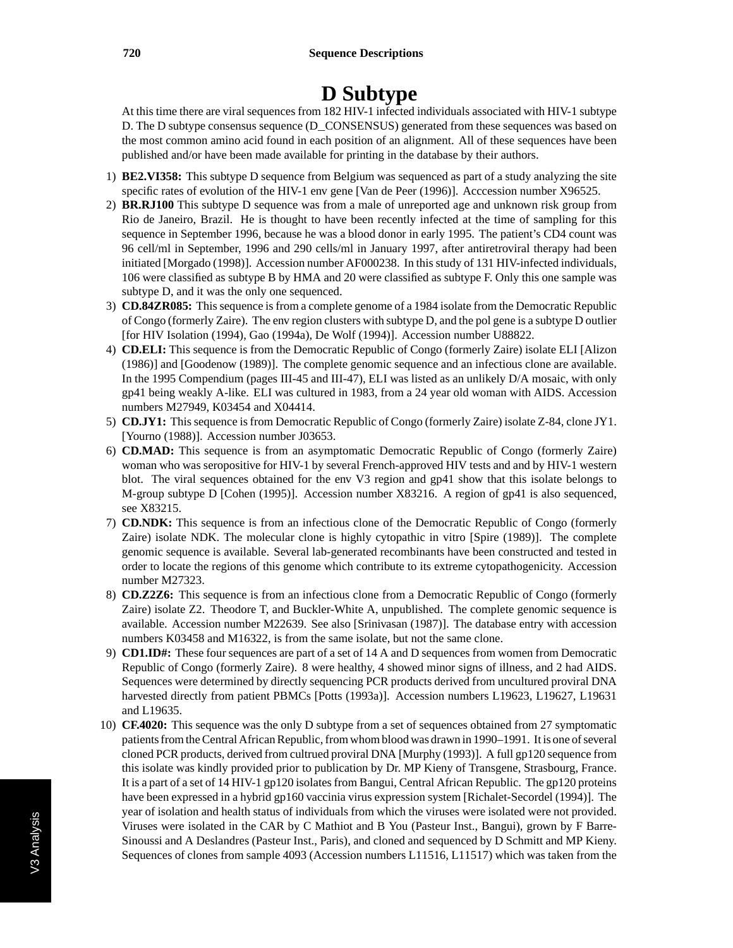# **D Subtype**

At this time there are viral sequences from 182 HIV-1 infected individuals associated with HIV-1 subtype D. The D subtype consensus sequence (D\_CONSENSUS) generated from these sequences was based on the most common amino acid found in each position of an alignment. All of these sequences have been published and/or have been made available for printing in the database by their authors.

- 1) **BE2.VI358:** This subtype D sequence from Belgium was sequenced as part of a study analyzing the site specific rates of evolution of the HIV-1 env gene [Van de Peer (1996)]. Acccession number X96525.
- 2) **BR.RJ100** This subtype D sequence was from a male of unreported age and unknown risk group from Rio de Janeiro, Brazil. He is thought to have been recently infected at the time of sampling for this sequence in September 1996, because he was a blood donor in early 1995. The patient's CD4 count was 96 cell/ml in September, 1996 and 290 cells/ml in January 1997, after antiretroviral therapy had been initiated [Morgado (1998)]. Accession number AF000238. In this study of 131 HIV-infected individuals, 106 were classified as subtype B by HMA and 20 were classified as subtype F. Only this one sample was subtype D, and it was the only one sequenced.
- 3) **CD.84ZR085:** This sequence is from a complete genome of a 1984 isolate from the Democratic Republic of Congo (formerly Zaire). The env region clusters with subtype D, and the pol gene is a subtype D outlier [for HIV Isolation (1994), Gao (1994a), De Wolf (1994)]. Accession number U88822.
- 4) **CD.ELI:** This sequence is from the Democratic Republic of Congo (formerly Zaire) isolate ELI [Alizon (1986)] and [Goodenow (1989)]. The complete genomic sequence and an infectious clone are available. In the 1995 Compendium (pages III-45 and III-47), ELI was listed as an unlikely D/A mosaic, with only gp41 being weakly A-like. ELI was cultured in 1983, from a 24 year old woman with AIDS. Accession numbers M27949, K03454 and X04414.
- 5) **CD.JY1:** This sequence is from Democratic Republic of Congo (formerly Zaire) isolate Z-84, clone JY1. [Yourno (1988)]. Accession number J03653.
- 6) **CD.MAD:** This sequence is from an asymptomatic Democratic Republic of Congo (formerly Zaire) woman who was seropositive for HIV-1 by several French-approved HIV tests and and by HIV-1 western blot. The viral sequences obtained for the env V3 region and gp41 show that this isolate belongs to M-group subtype D [Cohen (1995)]. Accession number X83216. A region of gp41 is also sequenced, see X83215.
- 7) **CD.NDK:** This sequence is from an infectious clone of the Democratic Republic of Congo (formerly Zaire) isolate NDK. The molecular clone is highly cytopathic in vitro [Spire (1989)]. The complete genomic sequence is available. Several lab-generated recombinants have been constructed and tested in order to locate the regions of this genome which contribute to its extreme cytopathogenicity. Accession number M27323.
- 8) **CD.Z2Z6:** This sequence is from an infectious clone from a Democratic Republic of Congo (formerly Zaire) isolate Z2. Theodore T, and Buckler-White A, unpublished. The complete genomic sequence is available. Accession number M22639. See also [Srinivasan (1987)]. The database entry with accession numbers K03458 and M16322, is from the same isolate, but not the same clone.
- 9) **CD1.ID#:** These four sequences are part of a set of 14 A and D sequences from women from Democratic Republic of Congo (formerly Zaire). 8 were healthy, 4 showed minor signs of illness, and 2 had AIDS. Sequences were determined by directly sequencing PCR products derived from uncultured proviral DNA harvested directly from patient PBMCs [Potts (1993a)]. Accession numbers L19623, L19627, L19631 and L19635.
- 10) **CF.4020:** This sequence was the only D subtype from a set of sequences obtained from 27 symptomatic patients from the Central African Republic, from whom blood was drawn in 1990–1991. It is one of several cloned PCR products, derived from cultrued proviral DNA [Murphy (1993)]. A full gp120 sequence from this isolate was kindly provided prior to publication by Dr. MP Kieny of Transgene, Strasbourg, France. It is a part of a set of 14 HIV-1 gp120 isolates from Bangui, Central African Republic. The gp120 proteins have been expressed in a hybrid gp160 vaccinia virus expression system [Richalet-Secordel (1994)]. The year of isolation and health status of individuals from which the viruses were isolated were not provided. Viruses were isolated in the CAR by C Mathiot and B You (Pasteur Inst., Bangui), grown by F Barre-Sinoussi and A Deslandres (Pasteur Inst., Paris), and cloned and sequenced by D Schmitt and MP Kieny. Sequences of clones from sample 4093 (Accession numbers L11516, L11517) which was taken from the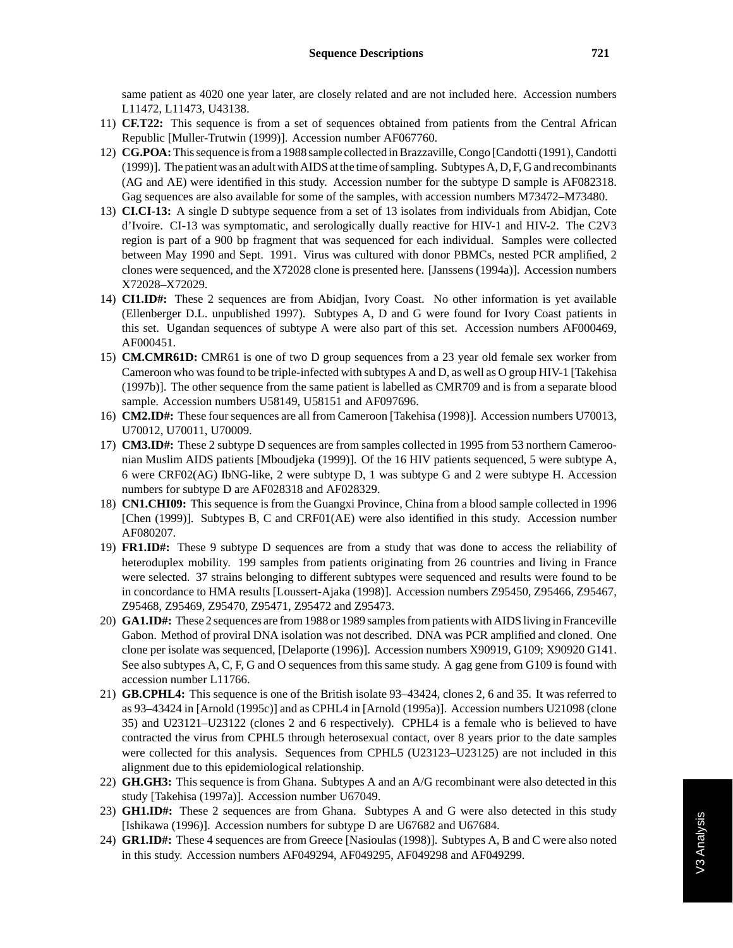same patient as 4020 one year later, are closely related and are not included here. Accession numbers L11472, L11473, U43138.

- 11) **CF.T22:** This sequence is from a set of sequences obtained from patients from the Central African Republic [Muller-Trutwin (1999)]. Accession number AF067760.
- 12) **CG.POA:**This sequence is from a 1988 sample collected in Brazzaville, Congo [Candotti (1991), Candotti (1999)]. The patient was an adult with AIDS at the time of sampling. Subtypes A, D, F, G and recombinants (AG and AE) were identified in this study. Accession number for the subtype D sample is AF082318. Gag sequences are also available for some of the samples, with accession numbers M73472–M73480.
- 13) **CI.CI-13:** A single D subtype sequence from a set of 13 isolates from individuals from Abidjan, Cote d'Ivoire. CI-13 was symptomatic, and serologically dually reactive for HIV-1 and HIV-2. The C2V3 region is part of a 900 bp fragment that was sequenced for each individual. Samples were collected between May 1990 and Sept. 1991. Virus was cultured with donor PBMCs, nested PCR amplified, 2 clones were sequenced, and the X72028 clone is presented here. [Janssens (1994a)]. Accession numbers X72028–X72029.
- 14) **CI1.ID#:** These 2 sequences are from Abidjan, Ivory Coast. No other information is yet available (Ellenberger D.L. unpublished 1997). Subtypes A, D and G were found for Ivory Coast patients in this set. Ugandan sequences of subtype A were also part of this set. Accession numbers AF000469, AF000451.
- 15) **CM.CMR61D:** CMR61 is one of two D group sequences from a 23 year old female sex worker from Cameroon who was found to be triple-infected with subtypes A and D, as well as O group HIV-1 [Takehisa (1997b)]. The other sequence from the same patient is labelled as CMR709 and is from a separate blood sample. Accession numbers U58149, U58151 and AF097696.
- 16) **CM2.ID#:** These four sequences are all from Cameroon [Takehisa (1998)]. Accession numbers U70013, U70012, U70011, U70009.
- 17) **CM3.ID#:** These 2 subtype D sequences are from samples collected in 1995 from 53 northern Cameroonian Muslim AIDS patients [Mboudjeka (1999)]. Of the 16 HIV patients sequenced, 5 were subtype A, 6 were CRF02(AG) IbNG-like, 2 were subtype D, 1 was subtype G and 2 were subtype H. Accession numbers for subtype D are AF028318 and AF028329.
- 18) **CN1.CHI09:** This sequence is from the Guangxi Province, China from a blood sample collected in 1996 [Chen (1999)]. Subtypes B, C and CRF01(AE) were also identified in this study. Accession number AF080207.
- 19) **FR1.ID#:** These 9 subtype D sequences are from a study that was done to access the reliability of heteroduplex mobility. 199 samples from patients originating from 26 countries and living in France were selected. 37 strains belonging to different subtypes were sequenced and results were found to be in concordance to HMA results [Loussert-Ajaka (1998)]. Accession numbers Z95450, Z95466, Z95467, Z95468, Z95469, Z95470, Z95471, Z95472 and Z95473.
- 20) **GA1.ID#:** These 2 sequences are from 1988 or 1989 samples from patients with AIDS living in Franceville Gabon. Method of proviral DNA isolation was not described. DNA was PCR amplified and cloned. One clone per isolate was sequenced, [Delaporte (1996)]. Accession numbers X90919, G109; X90920 G141. See also subtypes A, C, F, G and O sequences from this same study. A gag gene from G109 is found with accession number L11766.
- 21) **GB.CPHL4:** This sequence is one of the British isolate 93–43424, clones 2, 6 and 35. It was referred to as 93–43424 in [Arnold (1995c)] and as CPHL4 in [Arnold (1995a)]. Accession numbers U21098 (clone 35) and U23121–U23122 (clones 2 and 6 respectively). CPHL4 is a female who is believed to have contracted the virus from CPHL5 through heterosexual contact, over 8 years prior to the date samples were collected for this analysis. Sequences from CPHL5 (U23123–U23125) are not included in this alignment due to this epidemiological relationship.
- 22) **GH.GH3:** This sequence is from Ghana. Subtypes A and an A/G recombinant were also detected in this study [Takehisa (1997a)]. Accession number U67049.
- 23) **GH1.ID#:** These 2 sequences are from Ghana. Subtypes A and G were also detected in this study [Ishikawa (1996)]. Accession numbers for subtype D are U67682 and U67684.
- 24) **GR1.ID#:** These 4 sequences are from Greece [Nasioulas (1998)]. Subtypes A, B and C were also noted in this study. Accession numbers AF049294, AF049295, AF049298 and AF049299.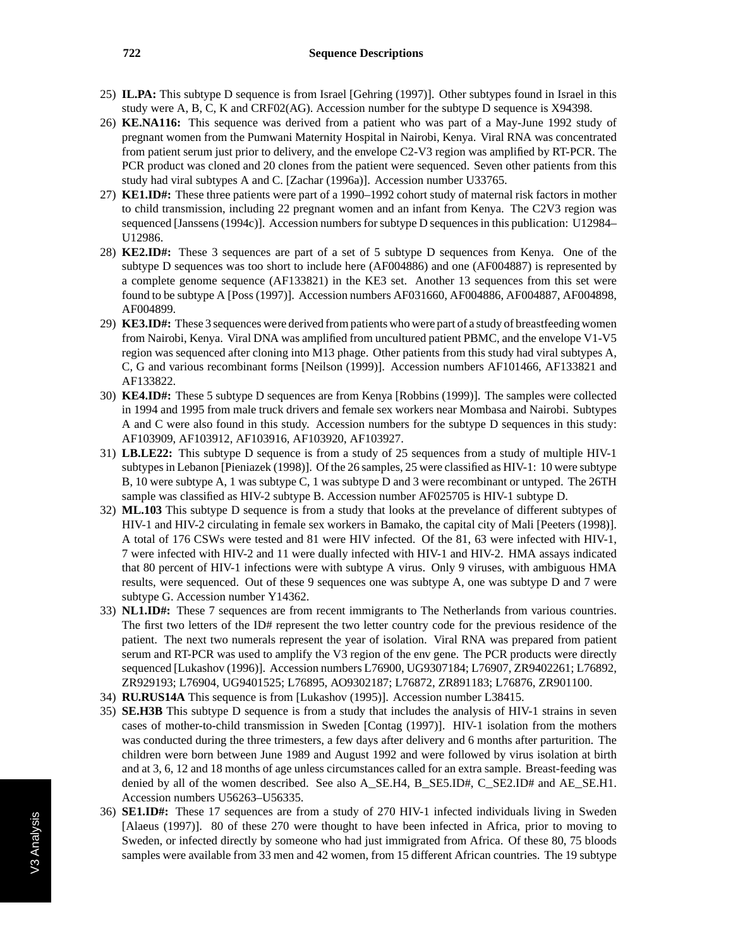#### **722 Sequence Descriptions**

- 25) **IL.PA:** This subtype D sequence is from Israel [Gehring (1997)]. Other subtypes found in Israel in this study were A, B, C, K and CRF02(AG). Accession number for the subtype D sequence is X94398.
- 26) **KE.NA116:** This sequence was derived from a patient who was part of a May-June 1992 study of pregnant women from the Pumwani Maternity Hospital in Nairobi, Kenya. Viral RNA was concentrated from patient serum just prior to delivery, and the envelope C2-V3 region was amplified by RT-PCR. The PCR product was cloned and 20 clones from the patient were sequenced. Seven other patients from this study had viral subtypes A and C. [Zachar (1996a)]. Accession number U33765.
- 27) **KE1.ID#:** These three patients were part of a 1990–1992 cohort study of maternal risk factors in mother to child transmission, including 22 pregnant women and an infant from Kenya. The C2V3 region was sequenced [Janssens (1994c)]. Accession numbers for subtype D sequences in this publication: U12984– U12986.
- 28) **KE2.ID#:** These 3 sequences are part of a set of 5 subtype D sequences from Kenya. One of the subtype D sequences was too short to include here (AF004886) and one (AF004887) is represented by a complete genome sequence (AF133821) in the KE3 set. Another 13 sequences from this set were found to be subtype A [Poss (1997)]. Accession numbers AF031660, AF004886, AF004887, AF004898, AF004899.
- 29) **KE3.ID#:** These 3 sequences were derived from patients who were part of a study of breastfeeding women from Nairobi, Kenya. Viral DNA was amplified from uncultured patient PBMC, and the envelope V1-V5 region was sequenced after cloning into M13 phage. Other patients from this study had viral subtypes A, C, G and various recombinant forms [Neilson (1999)]. Accession numbers AF101466, AF133821 and AF133822.
- 30) **KE4.ID#:** These 5 subtype D sequences are from Kenya [Robbins (1999)]. The samples were collected in 1994 and 1995 from male truck drivers and female sex workers near Mombasa and Nairobi. Subtypes A and C were also found in this study. Accession numbers for the subtype D sequences in this study: AF103909, AF103912, AF103916, AF103920, AF103927.
- 31) **LB.LE22:** This subtype D sequence is from a study of 25 sequences from a study of multiple HIV-1 subtypes in Lebanon [Pieniazek (1998)]. Of the 26 samples, 25 were classified as HIV-1: 10 were subtype B, 10 were subtype A, 1 was subtype C, 1 was subtype D and 3 were recombinant or untyped. The 26TH sample was classified as HIV-2 subtype B. Accession number AF025705 is HIV-1 subtype D.
- 32) **ML.103** This subtype D sequence is from a study that looks at the prevelance of different subtypes of HIV-1 and HIV-2 circulating in female sex workers in Bamako, the capital city of Mali [Peeters (1998)]. A total of 176 CSWs were tested and 81 were HIV infected. Of the 81, 63 were infected with HIV-1, 7 were infected with HIV-2 and 11 were dually infected with HIV-1 and HIV-2. HMA assays indicated that 80 percent of HIV-1 infections were with subtype A virus. Only 9 viruses, with ambiguous HMA results, were sequenced. Out of these 9 sequences one was subtype A, one was subtype D and 7 were subtype G. Accession number Y14362.
- 33) **NL1.ID#:** These 7 sequences are from recent immigrants to The Netherlands from various countries. The first two letters of the ID# represent the two letter country code for the previous residence of the patient. The next two numerals represent the year of isolation. Viral RNA was prepared from patient serum and RT-PCR was used to amplify the V3 region of the env gene. The PCR products were directly sequenced [Lukashov (1996)]. Accession numbers L76900, UG9307184; L76907, ZR9402261; L76892, ZR929193; L76904, UG9401525; L76895, AO9302187; L76872, ZR891183; L76876, ZR901100.
- 34) **RU.RUS14A** This sequence is from [Lukashov (1995)]. Accession number L38415.
- 35) **SE.H3B** This subtype D sequence is from a study that includes the analysis of HIV-1 strains in seven cases of mother-to-child transmission in Sweden [Contag (1997)]. HIV-1 isolation from the mothers was conducted during the three trimesters, a few days after delivery and 6 months after parturition. The children were born between June 1989 and August 1992 and were followed by virus isolation at birth and at 3, 6, 12 and 18 months of age unless circumstances called for an extra sample. Breast-feeding was denied by all of the women described. See also A\_SE.H4, B\_SE5.ID#, C\_SE2.ID# and AE\_SE.H1. Accession numbers U56263–U56335.
- 36) **SE1.ID#:** These 17 sequences are from a study of 270 HIV-1 infected individuals living in Sweden [Alaeus (1997)]. 80 of these 270 were thought to have been infected in Africa, prior to moving to Sweden, or infected directly by someone who had just immigrated from Africa. Of these 80, 75 bloods samples were available from 33 men and 42 women, from 15 different African countries. The 19 subtype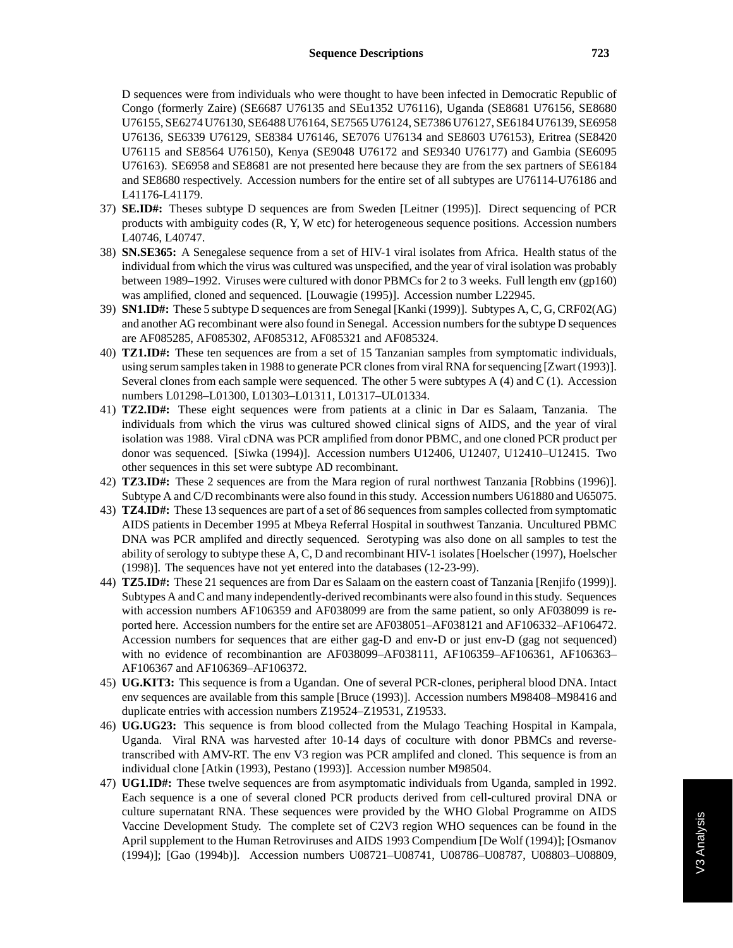D sequences were from individuals who were thought to have been infected in Democratic Republic of Congo (formerly Zaire) (SE6687 U76135 and SEu1352 U76116), Uganda (SE8681 U76156, SE8680 U76155, SE6274 U76130, SE6488 U76164, SE7565 U76124, SE7386 U76127, SE6184 U76139, SE6958 U76136, SE6339 U76129, SE8384 U76146, SE7076 U76134 and SE8603 U76153), Eritrea (SE8420 U76115 and SE8564 U76150), Kenya (SE9048 U76172 and SE9340 U76177) and Gambia (SE6095 U76163). SE6958 and SE8681 are not presented here because they are from the sex partners of SE6184 and SE8680 respectively. Accession numbers for the entire set of all subtypes are U76114-U76186 and L41176-L41179.

- 37) **SE.ID#:** Theses subtype D sequences are from Sweden [Leitner (1995)]. Direct sequencing of PCR products with ambiguity codes (R, Y, W etc) for heterogeneous sequence positions. Accession numbers L40746, L40747.
- 38) **SN.SE365:** A Senegalese sequence from a set of HIV-1 viral isolates from Africa. Health status of the individual from which the virus was cultured was unspecified, and the year of viral isolation was probably between 1989–1992. Viruses were cultured with donor PBMCs for 2 to 3 weeks. Full length env (gp160) was amplified, cloned and sequenced. [Louwagie (1995)]. Accession number L22945.
- 39) **SN1.ID#:** These 5 subtype D sequences are from Senegal [Kanki (1999)]. Subtypes A, C, G, CRF02(AG) and another AG recombinant were also found in Senegal. Accession numbers for the subtype D sequences are AF085285, AF085302, AF085312, AF085321 and AF085324.
- 40) **TZ1.ID#:** These ten sequences are from a set of 15 Tanzanian samples from symptomatic individuals, using serum samples taken in 1988 to generate PCR clones from viral RNA for sequencing [Zwart (1993)]. Several clones from each sample were sequenced. The other 5 were subtypes A (4) and C (1). Accession numbers L01298–L01300, L01303–L01311, L01317–UL01334.
- 41) **TZ2.ID#:** These eight sequences were from patients at a clinic in Dar es Salaam, Tanzania. The individuals from which the virus was cultured showed clinical signs of AIDS, and the year of viral isolation was 1988. Viral cDNA was PCR amplified from donor PBMC, and one cloned PCR product per donor was sequenced. [Siwka (1994)]. Accession numbers U12406, U12407, U12410–U12415. Two other sequences in this set were subtype AD recombinant.
- 42) **TZ3.ID#:** These 2 sequences are from the Mara region of rural northwest Tanzania [Robbins (1996)]. Subtype A and C/D recombinants were also found in this study. Accession numbers U61880 and U65075.
- 43) **TZ4.ID#:** These 13 sequences are part of a set of 86 sequences from samples collected from symptomatic AIDS patients in December 1995 at Mbeya Referral Hospital in southwest Tanzania. Uncultured PBMC DNA was PCR amplifed and directly sequenced. Serotyping was also done on all samples to test the ability of serology to subtype these A, C, D and recombinant HIV-1 isolates [Hoelscher (1997), Hoelscher (1998)]. The sequences have not yet entered into the databases (12-23-99).
- 44) **TZ5.ID#:** These 21 sequences are from Dar es Salaam on the eastern coast of Tanzania [Renjifo (1999)]. Subtypes A and C and many independently-derived recombinants were also found in this study. Sequences with accession numbers AF106359 and AF038099 are from the same patient, so only AF038099 is reported here. Accession numbers for the entire set are AF038051–AF038121 and AF106332–AF106472. Accession numbers for sequences that are either gag-D and env-D or just env-D (gag not sequenced) with no evidence of recombinantion are AF038099–AF038111, AF106359–AF106361, AF106363– AF106367 and AF106369–AF106372.
- 45) **UG.KIT3:** This sequence is from a Ugandan. One of several PCR-clones, peripheral blood DNA. Intact env sequences are available from this sample [Bruce (1993)]. Accession numbers M98408–M98416 and duplicate entries with accession numbers Z19524–Z19531, Z19533.
- 46) **UG.UG23:** This sequence is from blood collected from the Mulago Teaching Hospital in Kampala, Uganda. Viral RNA was harvested after 10-14 days of coculture with donor PBMCs and reversetranscribed with AMV-RT. The env V3 region was PCR amplifed and cloned. This sequence is from an individual clone [Atkin (1993), Pestano (1993)]. Accession number M98504.
- 47) **UG1.ID#:** These twelve sequences are from asymptomatic individuals from Uganda, sampled in 1992. Each sequence is a one of several cloned PCR products derived from cell-cultured proviral DNA or culture supernatant RNA. These sequences were provided by the WHO Global Programme on AIDS Vaccine Development Study. The complete set of C2V3 region WHO sequences can be found in the April supplement to the Human Retroviruses and AIDS 1993 Compendium [De Wolf (1994)]; [Osmanov (1994)]; [Gao (1994b)]. Accession numbers U08721–U08741, U08786–U08787, U08803–U08809,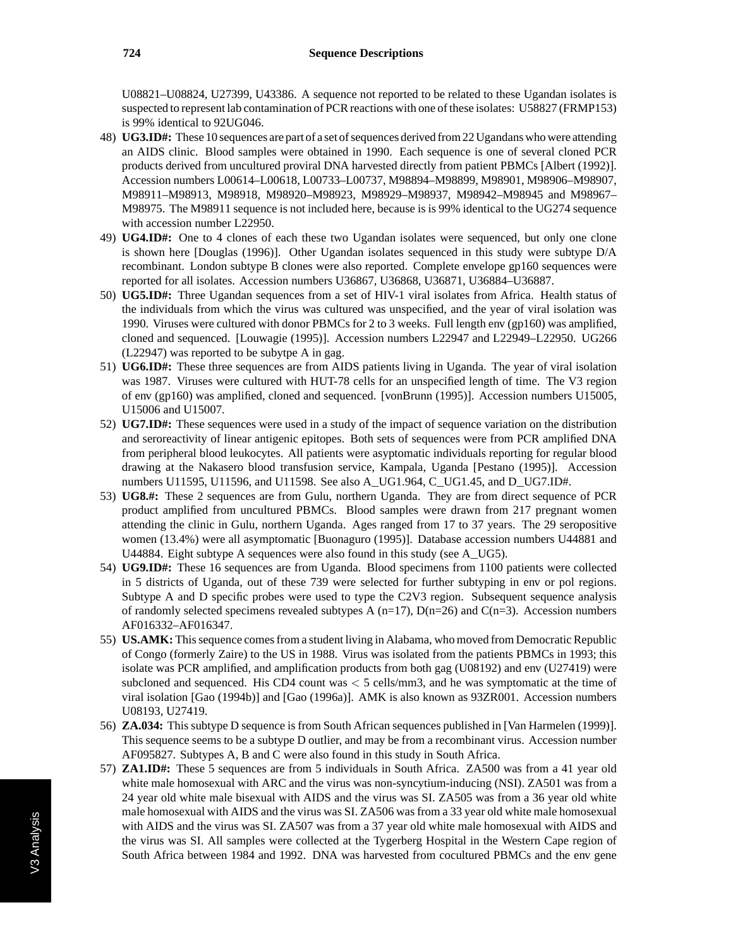U08821–U08824, U27399, U43386. A sequence not reported to be related to these Ugandan isolates is suspected to represent lab contamination of PCR reactions with one of these isolates: U58827 (FRMP153) is 99% identical to 92UG046.

- 48) **UG3.ID#:** These 10 sequences are part of a set of sequences derived from 22 Ugandans who were attending an AIDS clinic. Blood samples were obtained in 1990. Each sequence is one of several cloned PCR products derived from uncultured proviral DNA harvested directly from patient PBMCs [Albert (1992)]. Accession numbers L00614–L00618, L00733–L00737, M98894–M98899, M98901, M98906–M98907, M98911–M98913, M98918, M98920–M98923, M98929–M98937, M98942–M98945 and M98967– M98975. The M98911 sequence is not included here, because is is 99% identical to the UG274 sequence with accession number L22950.
- 49) **UG4.ID#:** One to 4 clones of each these two Ugandan isolates were sequenced, but only one clone is shown here [Douglas (1996)]. Other Ugandan isolates sequenced in this study were subtype D/A recombinant. London subtype B clones were also reported. Complete envelope gp160 sequences were reported for all isolates. Accession numbers U36867, U36868, U36871, U36884–U36887.
- 50) **UG5.ID#:** Three Ugandan sequences from a set of HIV-1 viral isolates from Africa. Health status of the individuals from which the virus was cultured was unspecified, and the year of viral isolation was 1990. Viruses were cultured with donor PBMCs for 2 to 3 weeks. Full length env (gp160) was amplified, cloned and sequenced. [Louwagie (1995)]. Accession numbers L22947 and L22949–L22950. UG266 (L22947) was reported to be subytpe A in gag.
- 51) **UG6.ID#:** These three sequences are from AIDS patients living in Uganda. The year of viral isolation was 1987. Viruses were cultured with HUT-78 cells for an unspecified length of time. The V3 region of env (gp160) was amplified, cloned and sequenced. [vonBrunn (1995)]. Accession numbers U15005, U15006 and U15007.
- 52) **UG7.ID#:** These sequences were used in a study of the impact of sequence variation on the distribution and seroreactivity of linear antigenic epitopes. Both sets of sequences were from PCR amplified DNA from peripheral blood leukocytes. All patients were asyptomatic individuals reporting for regular blood drawing at the Nakasero blood transfusion service, Kampala, Uganda [Pestano (1995)]. Accession numbers U11595, U11596, and U11598. See also A\_UG1.964, C\_UG1.45, and D\_UG7.ID#.
- 53) **UG8.#:** These 2 sequences are from Gulu, northern Uganda. They are from direct sequence of PCR product amplified from uncultured PBMCs. Blood samples were drawn from 217 pregnant women attending the clinic in Gulu, northern Uganda. Ages ranged from 17 to 37 years. The 29 seropositive women (13.4%) were all asymptomatic [Buonaguro (1995)]. Database accession numbers U44881 and U44884. Eight subtype A sequences were also found in this study (see A\_UG5).
- 54) **UG9.ID#:** These 16 sequences are from Uganda. Blood specimens from 1100 patients were collected in 5 districts of Uganda, out of these 739 were selected for further subtyping in env or pol regions. Subtype A and D specific probes were used to type the C2V3 region. Subsequent sequence analysis of randomly selected specimens revealed subtypes A  $(n=17)$ ,  $D(n=26)$  and  $C(n=3)$ . Accession numbers AF016332–AF016347.
- 55) **US.AMK:** This sequence comes from a student living in Alabama, who moved from Democratic Republic of Congo (formerly Zaire) to the US in 1988. Virus was isolated from the patients PBMCs in 1993; this isolate was PCR amplified, and amplification products from both gag (U08192) and env (U27419) were subcloned and sequenced. His CD4 count was *<* 5 cells/mm3, and he was symptomatic at the time of viral isolation [Gao (1994b)] and [Gao (1996a)]. AMK is also known as 93ZR001. Accession numbers U08193, U27419.
- 56) **ZA.034:** This subtype D sequence is from South African sequences published in [Van Harmelen (1999)]. This sequence seems to be a subtype D outlier, and may be from a recombinant virus. Accession number AF095827. Subtypes A, B and C were also found in this study in South Africa.
- 57) **ZA1.ID#:** These 5 sequences are from 5 individuals in South Africa. ZA500 was from a 41 year old white male homosexual with ARC and the virus was non-syncytium-inducing (NSI). ZA501 was from a 24 year old white male bisexual with AIDS and the virus was SI. ZA505 was from a 36 year old white male homosexual with AIDS and the virus was SI. ZA506 was from a 33 year old white male homosexual with AIDS and the virus was SI. ZA507 was from a 37 year old white male homosexual with AIDS and the virus was SI. All samples were collected at the Tygerberg Hospital in the Western Cape region of South Africa between 1984 and 1992. DNA was harvested from cocultured PBMCs and the env gene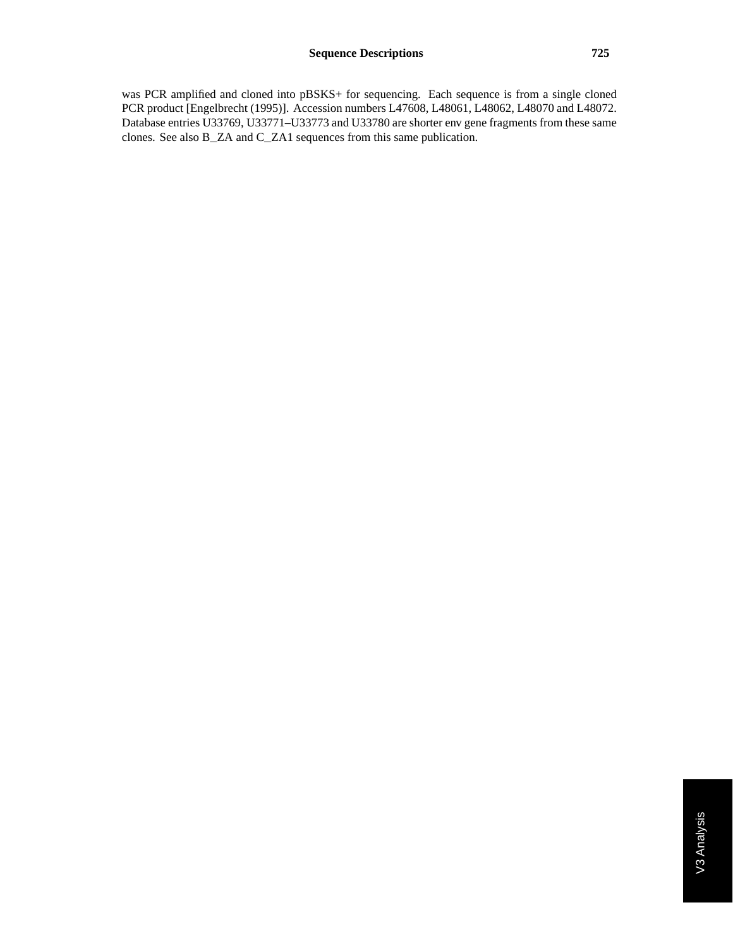was PCR amplified and cloned into pBSKS+ for sequencing. Each sequence is from a single cloned PCR product [Engelbrecht (1995)]. Accession numbers L47608, L48061, L48062, L48070 and L48072. Database entries U33769, U33771–U33773 and U33780 are shorter env gene fragments from these same clones. See also B\_ZA and C\_ZA1 sequences from this same publication.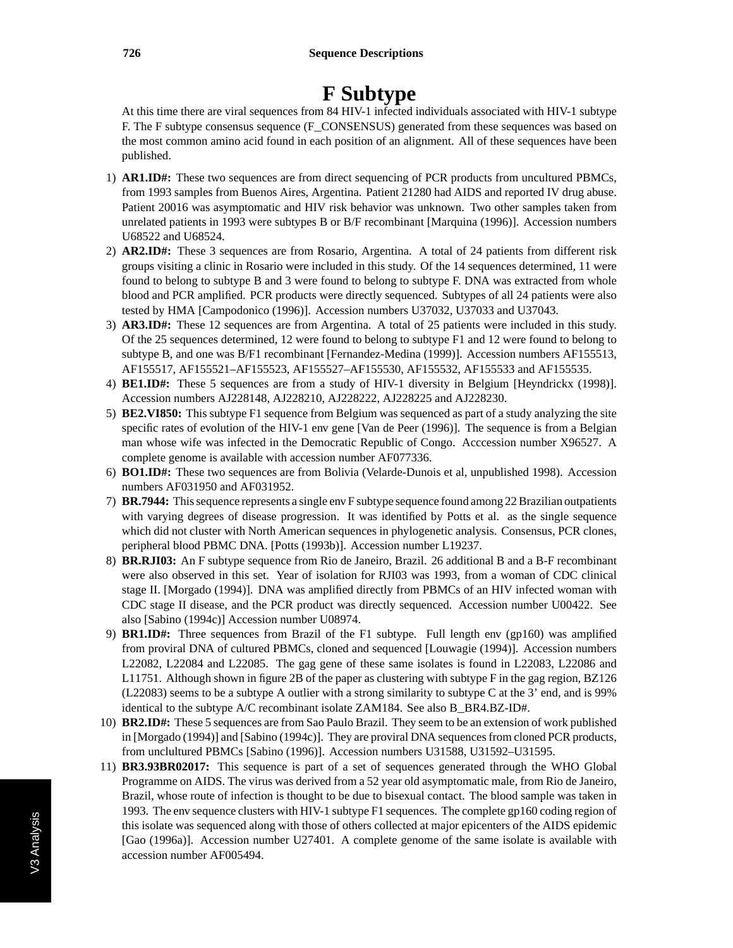# **F Subtype**

At this time there are viral sequences from 84 HIV-1 infected individuals associated with HIV-1 subtype F. The F subtype consensus sequence (F\_CONSENSUS) generated from these sequences was based on the most common amino acid found in each position of an alignment. All of these sequences have been published.

- 1) **AR1.ID#:** These two sequences are from direct sequencing of PCR products from uncultured PBMCs, from 1993 samples from Buenos Aires, Argentina. Patient 21280 had AIDS and reported IV drug abuse. Patient 20016 was asymptomatic and HIV risk behavior was unknown. Two other samples taken from unrelated patients in 1993 were subtypes B or B/F recombinant [Marquina (1996)]. Accession numbers U68522 and U68524.
- 2) **AR2.ID#:** These 3 sequences are from Rosario, Argentina. A total of 24 patients from different risk groups visiting a clinic in Rosario were included in this study. Of the 14 sequences determined, 11 were found to belong to subtype B and 3 were found to belong to subtype F. DNA was extracted from whole blood and PCR amplified. PCR products were directly sequenced. Subtypes of all 24 patients were also tested by HMA [Campodonico (1996)]. Accession numbers U37032, U37033 and U37043.
- 3) **AR3.ID#:** These 12 sequences are from Argentina. A total of 25 patients were included in this study. Of the 25 sequences determined, 12 were found to belong to subtype F1 and 12 were found to belong to subtype B, and one was B/F1 recombinant [Fernandez-Medina (1999)]. Accession numbers AF155513, AF155517, AF155521–AF155523, AF155527–AF155530, AF155532, AF155533 and AF155535.
- 4) **BE1.ID#:** These 5 sequences are from a study of HIV-1 diversity in Belgium [Heyndrickx (1998)]. Accession numbers AJ228148, AJ228210, AJ228222, AJ228225 and AJ228230.
- 5) **BE2.VI850:** This subtype F1 sequence from Belgium was sequenced as part of a study analyzing the site specific rates of evolution of the HIV-1 env gene [Van de Peer (1996)]. The sequence is from a Belgian man whose wife was infected in the Democratic Republic of Congo. Acccession number X96527. A complete genome is available with accession number AF077336.
- 6) **BO1.ID#:** These two sequences are from Bolivia (Velarde-Dunois et al, unpublished 1998). Accession numbers AF031950 and AF031952.
- 7) **BR.7944:** This sequence represents a single env F subtype sequence found among 22 Brazilian outpatients with varying degrees of disease progression. It was identified by Potts et al. as the single sequence which did not cluster with North American sequences in phylogenetic analysis. Consensus, PCR clones, peripheral blood PBMC DNA. [Potts (1993b)]. Accession number L19237.
- 8) **BR.RJI03:** An F subtype sequence from Rio de Janeiro, Brazil. 26 additional B and a B-F recombinant were also observed in this set. Year of isolation for RJI03 was 1993, from a woman of CDC clinical stage II. [Morgado (1994)]. DNA was amplified directly from PBMCs of an HIV infected woman with CDC stage II disease, and the PCR product was directly sequenced. Accession number U00422. See also [Sabino (1994c)] Accession number U08974.
- 9) **BR1.ID#:** Three sequences from Brazil of the F1 subtype. Full length env (gp160) was amplified from proviral DNA of cultured PBMCs, cloned and sequenced [Louwagie (1994)]. Accession numbers L22082, L22084 and L22085. The gag gene of these same isolates is found in L22083, L22086 and L11751. Although shown in figure 2B of the paper as clustering with subtype F in the gag region, BZ126 (L22083) seems to be a subtype A outlier with a strong similarity to subtype C at the 3' end, and is 99% identical to the subtype A/C recombinant isolate ZAM184. See also B\_BR4.BZ-ID#.
- 10) **BR2.ID#:** These 5 sequences are from Sao Paulo Brazil. They seem to be an extension of work published in [Morgado (1994)] and [Sabino (1994c)]. They are proviral DNA sequences from cloned PCR products, from unclultured PBMCs [Sabino (1996)]. Accession numbers U31588, U31592–U31595.
- 11) **BR3.93BR02017:** This sequence is part of a set of sequences generated through the WHO Global Programme on AIDS. The virus was derived from a 52 year old asymptomatic male, from Rio de Janeiro, Brazil, whose route of infection is thought to be due to bisexual contact. The blood sample was taken in 1993. The env sequence clusters with HIV-1 subtype F1 sequences. The complete gp160 coding region of this isolate was sequenced along with those of others collected at major epicenters of the AIDS epidemic [Gao (1996a)]. Accession number U27401. A complete genome of the same isolate is available with accession number AF005494.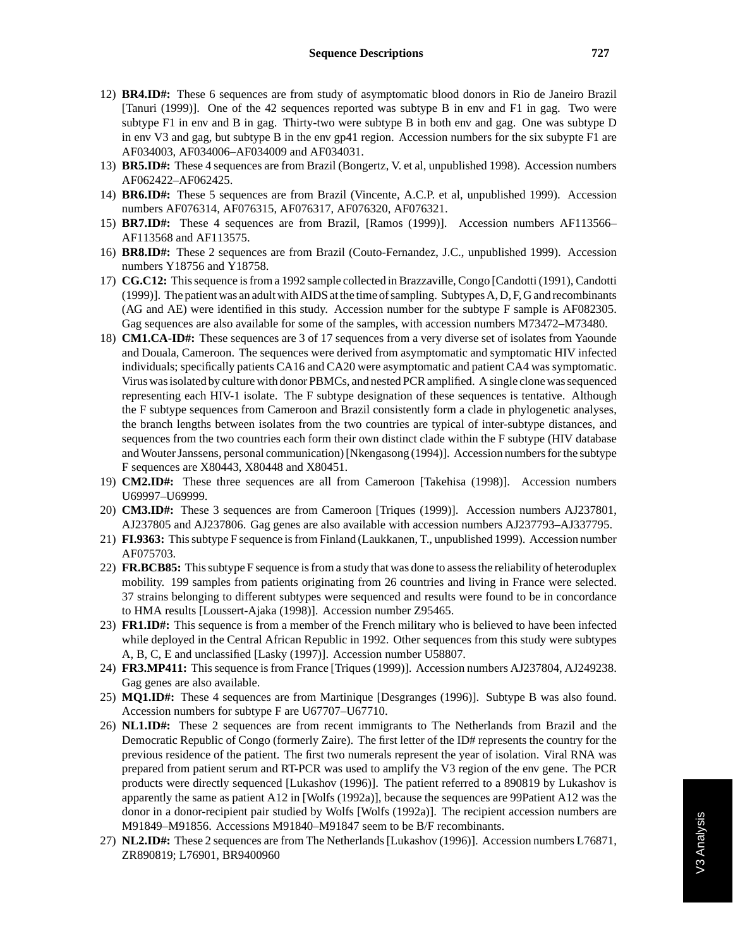- 12) **BR4.ID#:** These 6 sequences are from study of asymptomatic blood donors in Rio de Janeiro Brazil [Tanuri (1999)]. One of the 42 sequences reported was subtype B in env and F1 in gag. Two were subtype F1 in env and B in gag. Thirty-two were subtype B in both env and gag. One was subtype D in env V3 and gag, but subtype B in the env gp41 region. Accession numbers for the six subypte F1 are AF034003, AF034006–AF034009 and AF034031.
- 13) **BR5.ID#:** These 4 sequences are from Brazil (Bongertz, V. et al, unpublished 1998). Accession numbers AF062422–AF062425.
- 14) **BR6.ID#:** These 5 sequences are from Brazil (Vincente, A.C.P. et al, unpublished 1999). Accession numbers AF076314, AF076315, AF076317, AF076320, AF076321.
- 15) **BR7.ID#:** These 4 sequences are from Brazil, [Ramos (1999)]. Accession numbers AF113566– AF113568 and AF113575.
- 16) **BR8.ID#:** These 2 sequences are from Brazil (Couto-Fernandez, J.C., unpublished 1999). Accession numbers Y18756 and Y18758.
- 17) **CG.C12:** This sequence is from a 1992 sample collected in Brazzaville, Congo [Candotti (1991), Candotti (1999)]. The patient was an adult with AIDS at the time of sampling. Subtypes A, D, F, G and recombinants (AG and AE) were identified in this study. Accession number for the subtype F sample is AF082305. Gag sequences are also available for some of the samples, with accession numbers M73472–M73480.
- 18) **CM1.CA-ID#:** These sequences are 3 of 17 sequences from a very diverse set of isolates from Yaounde and Douala, Cameroon. The sequences were derived from asymptomatic and symptomatic HIV infected individuals; specifically patients CA16 and CA20 were asymptomatic and patient CA4 was symptomatic. Virus was isolated by culture with donor PBMCs, and nested PCR amplified. A single clone was sequenced representing each HIV-1 isolate. The F subtype designation of these sequences is tentative. Although the F subtype sequences from Cameroon and Brazil consistently form a clade in phylogenetic analyses, the branch lengths between isolates from the two countries are typical of inter-subtype distances, and sequences from the two countries each form their own distinct clade within the F subtype (HIV database and Wouter Janssens, personal communication) [Nkengasong (1994)]. Accession numbers for the subtype F sequences are X80443, X80448 and X80451.
- 19) **CM2.ID#:** These three sequences are all from Cameroon [Takehisa (1998)]. Accession numbers U69997–U69999.
- 20) **CM3.ID#:** These 3 sequences are from Cameroon [Triques (1999)]. Accession numbers AJ237801, AJ237805 and AJ237806. Gag genes are also available with accession numbers AJ237793–AJ337795.
- 21) **FI.9363:** This subtype F sequence is from Finland (Laukkanen, T., unpublished 1999). Accession number AF075703.
- 22) **FR.BCB85:** This subtype F sequence is from a study that was done to assess the reliability of heteroduplex mobility. 199 samples from patients originating from 26 countries and living in France were selected. 37 strains belonging to different subtypes were sequenced and results were found to be in concordance to HMA results [Loussert-Ajaka (1998)]. Accession number Z95465.
- 23) **FR1.ID#:** This sequence is from a member of the French military who is believed to have been infected while deployed in the Central African Republic in 1992. Other sequences from this study were subtypes A, B, C, E and unclassified [Lasky (1997)]. Accession number U58807.
- 24) **FR3.MP411:** This sequence is from France [Triques (1999)]. Accession numbers AJ237804, AJ249238. Gag genes are also available.
- 25) **MQ1.ID#:** These 4 sequences are from Martinique [Desgranges (1996)]. Subtype B was also found. Accession numbers for subtype F are U67707–U67710.
- 26) **NL1.ID#:** These 2 sequences are from recent immigrants to The Netherlands from Brazil and the Democratic Republic of Congo (formerly Zaire). The first letter of the ID# represents the country for the previous residence of the patient. The first two numerals represent the year of isolation. Viral RNA was prepared from patient serum and RT-PCR was used to amplify the V3 region of the env gene. The PCR products were directly sequenced [Lukashov (1996)]. The patient referred to a 890819 by Lukashov is apparently the same as patient A12 in [Wolfs (1992a)], because the sequences are 99Patient A12 was the donor in a donor-recipient pair studied by Wolfs [Wolfs (1992a)]. The recipient accession numbers are M91849–M91856. Accessions M91840–M91847 seem to be B/F recombinants.
- 27) **NL2.ID#:** These 2 sequences are from The Netherlands [Lukashov (1996)]. Accession numbers L76871, ZR890819; L76901, BR9400960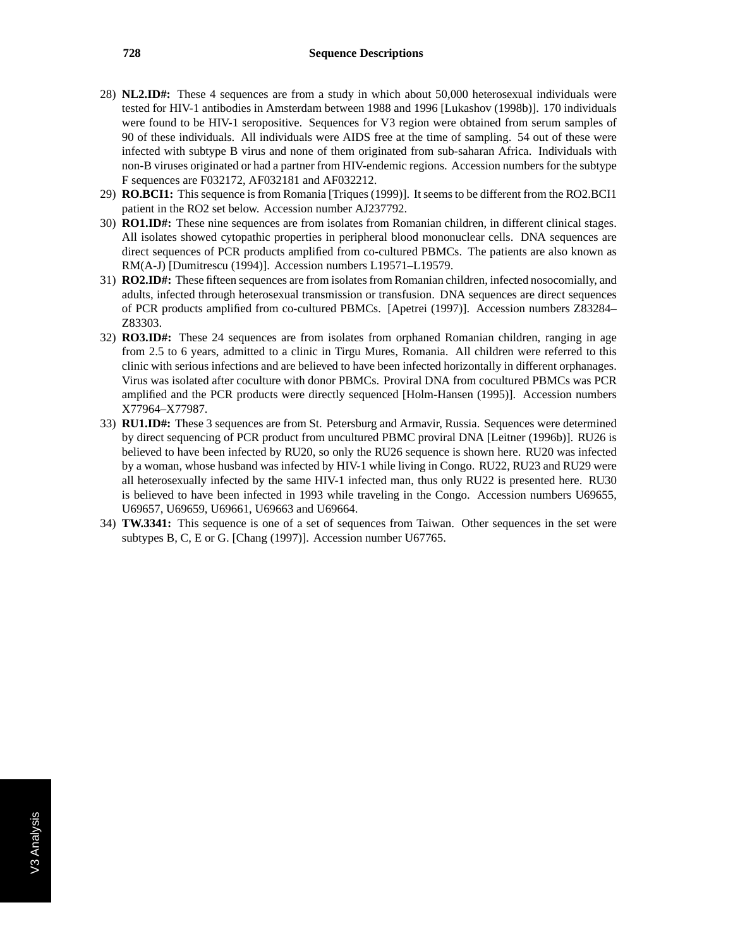- 28) **NL2.ID#:** These 4 sequences are from a study in which about 50,000 heterosexual individuals were tested for HIV-1 antibodies in Amsterdam between 1988 and 1996 [Lukashov (1998b)]. 170 individuals were found to be HIV-1 seropositive. Sequences for V3 region were obtained from serum samples of 90 of these individuals. All individuals were AIDS free at the time of sampling. 54 out of these were infected with subtype B virus and none of them originated from sub-saharan Africa. Individuals with non-B viruses originated or had a partner from HIV-endemic regions. Accession numbers for the subtype F sequences are F032172, AF032181 and AF032212.
- 29) **RO.BCI1:** This sequence is from Romania [Triques (1999)]. It seems to be different from the RO2.BCI1 patient in the RO2 set below. Accession number AJ237792.
- 30) **RO1.ID#:** These nine sequences are from isolates from Romanian children, in different clinical stages. All isolates showed cytopathic properties in peripheral blood mononuclear cells. DNA sequences are direct sequences of PCR products amplified from co-cultured PBMCs. The patients are also known as RM(A-J) [Dumitrescu (1994)]. Accession numbers L19571–L19579.
- 31) **RO2.ID#:** These fifteen sequences are from isolates from Romanian children, infected nosocomially, and adults, infected through heterosexual transmission or transfusion. DNA sequences are direct sequences of PCR products amplified from co-cultured PBMCs. [Apetrei (1997)]. Accession numbers Z83284– Z83303.
- 32) **RO3.ID#:** These 24 sequences are from isolates from orphaned Romanian children, ranging in age from 2.5 to 6 years, admitted to a clinic in Tirgu Mures, Romania. All children were referred to this clinic with serious infections and are believed to have been infected horizontally in different orphanages. Virus was isolated after coculture with donor PBMCs. Proviral DNA from cocultured PBMCs was PCR amplified and the PCR products were directly sequenced [Holm-Hansen (1995)]. Accession numbers X77964–X77987.
- 33) **RU1.ID#:** These 3 sequences are from St. Petersburg and Armavir, Russia. Sequences were determined by direct sequencing of PCR product from uncultured PBMC proviral DNA [Leitner (1996b)]. RU26 is believed to have been infected by RU20, so only the RU26 sequence is shown here. RU20 was infected by a woman, whose husband was infected by HIV-1 while living in Congo. RU22, RU23 and RU29 were all heterosexually infected by the same HIV-1 infected man, thus only RU22 is presented here. RU30 is believed to have been infected in 1993 while traveling in the Congo. Accession numbers U69655, U69657, U69659, U69661, U69663 and U69664.
- 34) **TW.3341:** This sequence is one of a set of sequences from Taiwan. Other sequences in the set were subtypes B, C, E or G. [Chang (1997)]. Accession number U67765.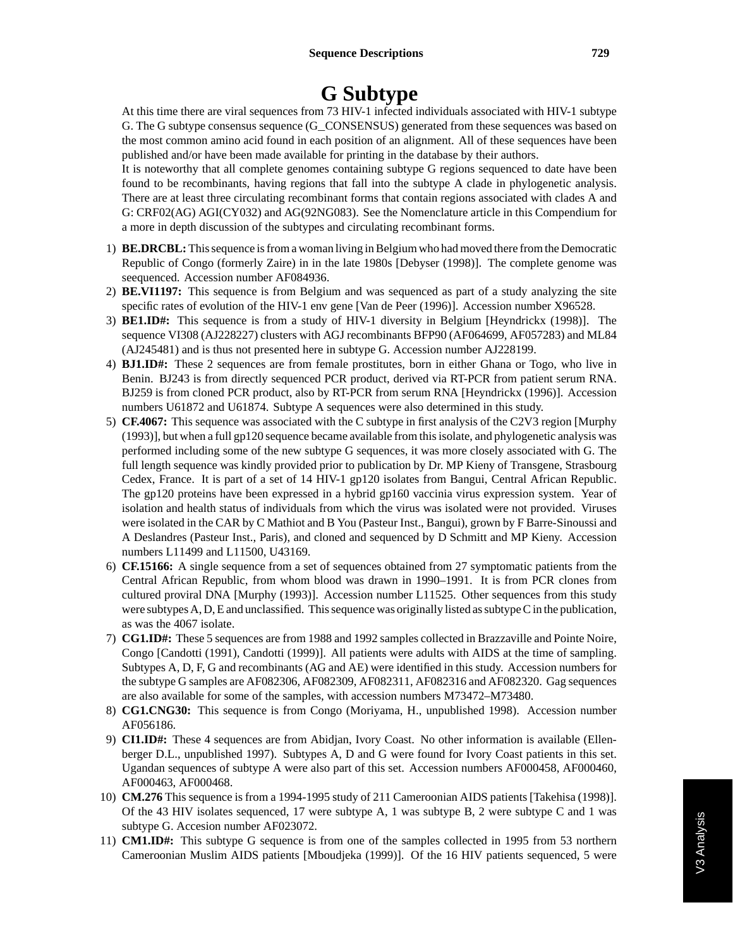### **G Subtype**

At this time there are viral sequences from 73 HIV-1 infected individuals associated with HIV-1 subtype G. The G subtype consensus sequence (G\_CONSENSUS) generated from these sequences was based on the most common amino acid found in each position of an alignment. All of these sequences have been published and/or have been made available for printing in the database by their authors.

It is noteworthy that all complete genomes containing subtype G regions sequenced to date have been found to be recombinants, having regions that fall into the subtype A clade in phylogenetic analysis. There are at least three circulating recombinant forms that contain regions associated with clades A and G: CRF02(AG) AGI(CY032) and AG(92NG083). See the Nomenclature article in this Compendium for a more in depth discussion of the subtypes and circulating recombinant forms.

- 1) **BE.DRCBL:**This sequence is from a woman living in Belgium who had moved there from the Democratic Republic of Congo (formerly Zaire) in in the late 1980s [Debyser (1998)]. The complete genome was seequenced. Accession number AF084936.
- 2) **BE.VI1197:** This sequence is from Belgium and was sequenced as part of a study analyzing the site specific rates of evolution of the HIV-1 env gene [Van de Peer (1996)]. Accession number X96528.
- 3) **BE1.ID#:** This sequence is from a study of HIV-1 diversity in Belgium [Heyndrickx (1998)]. The sequence VI308 (AJ228227) clusters with AGJ recombinants BFP90 (AF064699, AF057283) and ML84 (AJ245481) and is thus not presented here in subtype G. Accession number AJ228199.
- 4) **BJ1.ID#:** These 2 sequences are from female prostitutes, born in either Ghana or Togo, who live in Benin. BJ243 is from directly sequenced PCR product, derived via RT-PCR from patient serum RNA. BJ259 is from cloned PCR product, also by RT-PCR from serum RNA [Heyndrickx (1996)]. Accession numbers U61872 and U61874. Subtype A sequences were also determined in this study.
- 5) **CF.4067:** This sequence was associated with the C subtype in first analysis of the C2V3 region [Murphy (1993)], but when a full gp120 sequence became available from this isolate, and phylogenetic analysis was performed including some of the new subtype G sequences, it was more closely associated with G. The full length sequence was kindly provided prior to publication by Dr. MP Kieny of Transgene, Strasbourg Cedex, France. It is part of a set of 14 HIV-1 gp120 isolates from Bangui, Central African Republic. The gp120 proteins have been expressed in a hybrid gp160 vaccinia virus expression system. Year of isolation and health status of individuals from which the virus was isolated were not provided. Viruses were isolated in the CAR by C Mathiot and B You (Pasteur Inst., Bangui), grown by F Barre-Sinoussi and A Deslandres (Pasteur Inst., Paris), and cloned and sequenced by D Schmitt and MP Kieny. Accession numbers L11499 and L11500, U43169.
- 6) **CF.15166:** A single sequence from a set of sequences obtained from 27 symptomatic patients from the Central African Republic, from whom blood was drawn in 1990–1991. It is from PCR clones from cultured proviral DNA [Murphy (1993)]. Accession number L11525. Other sequences from this study were subtypes A, D, E and unclassified. This sequence was originally listed as subtype C in the publication, as was the 4067 isolate.
- 7) **CG1.ID#:** These 5 sequences are from 1988 and 1992 samples collected in Brazzaville and Pointe Noire, Congo [Candotti (1991), Candotti (1999)]. All patients were adults with AIDS at the time of sampling. Subtypes A, D, F, G and recombinants (AG and AE) were identified in this study. Accession numbers for the subtype G samples are AF082306, AF082309, AF082311, AF082316 and AF082320. Gag sequences are also available for some of the samples, with accession numbers M73472–M73480.
- 8) **CG1.CNG30:** This sequence is from Congo (Moriyama, H., unpublished 1998). Accession number AF056186.
- 9) **CI1.ID#:** These 4 sequences are from Abidjan, Ivory Coast. No other information is available (Ellenberger D.L., unpublished 1997). Subtypes A, D and G were found for Ivory Coast patients in this set. Ugandan sequences of subtype A were also part of this set. Accession numbers AF000458, AF000460, AF000463, AF000468.
- 10) **CM.276** This sequence is from a 1994-1995 study of 211 Cameroonian AIDS patients [Takehisa (1998)]. Of the 43 HIV isolates sequenced, 17 were subtype A, 1 was subtype B, 2 were subtype C and 1 was subtype G. Accesion number AF023072.
- 11) **CM1.ID#:** This subtype G sequence is from one of the samples collected in 1995 from 53 northern Cameroonian Muslim AIDS patients [Mboudjeka (1999)]. Of the 16 HIV patients sequenced, 5 were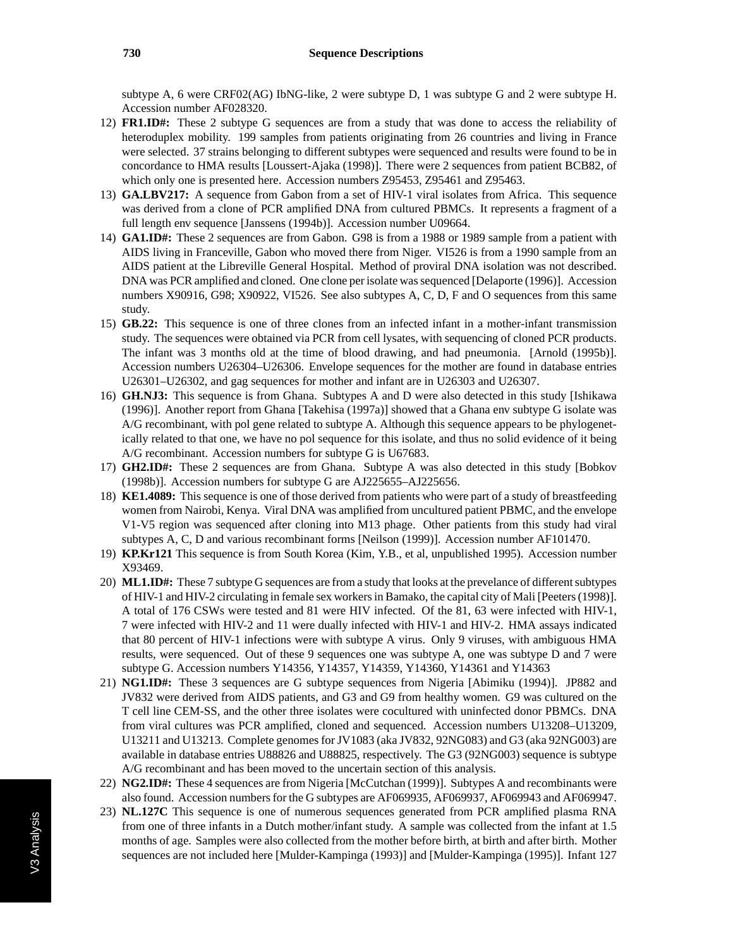subtype A, 6 were CRF02(AG) IbNG-like, 2 were subtype D, 1 was subtype G and 2 were subtype H. Accession number AF028320.

- 12) **FR1.ID#:** These 2 subtype G sequences are from a study that was done to access the reliability of heteroduplex mobility. 199 samples from patients originating from 26 countries and living in France were selected. 37 strains belonging to different subtypes were sequenced and results were found to be in concordance to HMA results [Loussert-Ajaka (1998)]. There were 2 sequences from patient BCB82, of which only one is presented here. Accession numbers Z95453, Z95461 and Z95463.
- 13) **GA.LBV217:** A sequence from Gabon from a set of HIV-1 viral isolates from Africa. This sequence was derived from a clone of PCR amplified DNA from cultured PBMCs. It represents a fragment of a full length env sequence [Janssens (1994b)]. Accession number U09664.
- 14) **GA1.ID#:** These 2 sequences are from Gabon. G98 is from a 1988 or 1989 sample from a patient with AIDS living in Franceville, Gabon who moved there from Niger. VI526 is from a 1990 sample from an AIDS patient at the Libreville General Hospital. Method of proviral DNA isolation was not described. DNA was PCR amplified and cloned. One clone per isolate was sequenced [Delaporte (1996)]. Accession numbers X90916, G98; X90922, VI526. See also subtypes A, C, D, F and O sequences from this same study.
- 15) **GB.22:** This sequence is one of three clones from an infected infant in a mother-infant transmission study. The sequences were obtained via PCR from cell lysates, with sequencing of cloned PCR products. The infant was 3 months old at the time of blood drawing, and had pneumonia. [Arnold (1995b)]. Accession numbers U26304–U26306. Envelope sequences for the mother are found in database entries U26301–U26302, and gag sequences for mother and infant are in U26303 and U26307.
- 16) **GH.NJ3:** This sequence is from Ghana. Subtypes A and D were also detected in this study [Ishikawa (1996)]. Another report from Ghana [Takehisa (1997a)] showed that a Ghana env subtype G isolate was A/G recombinant, with pol gene related to subtype A. Although this sequence appears to be phylogenetically related to that one, we have no pol sequence for this isolate, and thus no solid evidence of it being A/G recombinant. Accession numbers for subtype G is U67683.
- 17) **GH2.ID#:** These 2 sequences are from Ghana. Subtype A was also detected in this study [Bobkov (1998b)]. Accession numbers for subtype G are AJ225655–AJ225656.
- 18) **KE1.4089:** This sequence is one of those derived from patients who were part of a study of breastfeeding women from Nairobi, Kenya. Viral DNA was amplified from uncultured patient PBMC, and the envelope V1-V5 region was sequenced after cloning into M13 phage. Other patients from this study had viral subtypes A, C, D and various recombinant forms [Neilson (1999)]. Accession number AF101470.
- 19) **KP.Kr121** This sequence is from South Korea (Kim, Y.B., et al, unpublished 1995). Accession number X93469.
- 20) **ML1.ID#:** These 7 subtype G sequences are from a study that looks at the prevelance of different subtypes of HIV-1 and HIV-2 circulating in female sex workers in Bamako, the capital city of Mali [Peeters (1998)]. A total of 176 CSWs were tested and 81 were HIV infected. Of the 81, 63 were infected with HIV-1, 7 were infected with HIV-2 and 11 were dually infected with HIV-1 and HIV-2. HMA assays indicated that 80 percent of HIV-1 infections were with subtype A virus. Only 9 viruses, with ambiguous HMA results, were sequenced. Out of these 9 sequences one was subtype A, one was subtype D and 7 were subtype G. Accession numbers Y14356, Y14357, Y14359, Y14360, Y14361 and Y14363
- 21) **NG1.ID#:** These 3 sequences are G subtype sequences from Nigeria [Abimiku (1994)]. JP882 and JV832 were derived from AIDS patients, and G3 and G9 from healthy women. G9 was cultured on the T cell line CEM-SS, and the other three isolates were cocultured with uninfected donor PBMCs. DNA from viral cultures was PCR amplified, cloned and sequenced. Accession numbers U13208–U13209, U13211 and U13213. Complete genomes for JV1083 (aka JV832, 92NG083) and G3 (aka 92NG003) are available in database entries U88826 and U88825, respectively. The G3 (92NG003) sequence is subtype A/G recombinant and has been moved to the uncertain section of this analysis.
- 22) **NG2.ID#:** These 4 sequences are from Nigeria [McCutchan (1999)]. Subtypes A and recombinants were also found. Accession numbers for the G subtypes are AF069935, AF069937, AF069943 and AF069947.
- 23) **NL.127C** This sequence is one of numerous sequences generated from PCR amplified plasma RNA from one of three infants in a Dutch mother/infant study. A sample was collected from the infant at 1.5 months of age. Samples were also collected from the mother before birth, at birth and after birth. Mother sequences are not included here [Mulder-Kampinga (1993)] and [Mulder-Kampinga (1995)]. Infant 127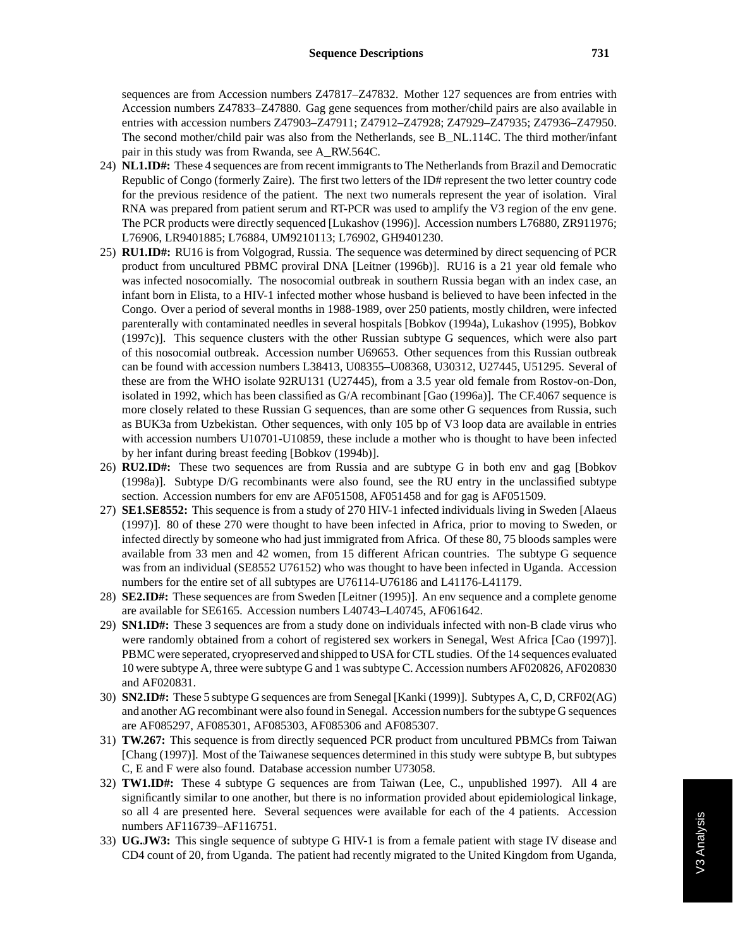sequences are from Accession numbers Z47817–Z47832. Mother 127 sequences are from entries with Accession numbers Z47833–Z47880. Gag gene sequences from mother/child pairs are also available in entries with accession numbers Z47903–Z47911; Z47912–Z47928; Z47929–Z47935; Z47936–Z47950. The second mother/child pair was also from the Netherlands, see B\_NL.114C. The third mother/infant pair in this study was from Rwanda, see A\_RW.564C.

- 24) **NL1.ID#:** These 4 sequences are from recent immigrants to The Netherlands from Brazil and Democratic Republic of Congo (formerly Zaire). The first two letters of the ID# represent the two letter country code for the previous residence of the patient. The next two numerals represent the year of isolation. Viral RNA was prepared from patient serum and RT-PCR was used to amplify the V3 region of the env gene. The PCR products were directly sequenced [Lukashov (1996)]. Accession numbers L76880, ZR911976; L76906, LR9401885; L76884, UM9210113; L76902, GH9401230.
- 25) **RU1.ID#:** RU16 is from Volgograd, Russia. The sequence was determined by direct sequencing of PCR product from uncultured PBMC proviral DNA [Leitner (1996b)]. RU16 is a 21 year old female who was infected nosocomially. The nosocomial outbreak in southern Russia began with an index case, an infant born in Elista, to a HIV-1 infected mother whose husband is believed to have been infected in the Congo. Over a period of several months in 1988-1989, over 250 patients, mostly children, were infected parenterally with contaminated needles in several hospitals [Bobkov (1994a), Lukashov (1995), Bobkov (1997c)]. This sequence clusters with the other Russian subtype G sequences, which were also part of this nosocomial outbreak. Accession number U69653. Other sequences from this Russian outbreak can be found with accession numbers L38413, U08355–U08368, U30312, U27445, U51295. Several of these are from the WHO isolate 92RU131 (U27445), from a 3.5 year old female from Rostov-on-Don, isolated in 1992, which has been classified as G/A recombinant [Gao (1996a)]. The CF.4067 sequence is more closely related to these Russian G sequences, than are some other G sequences from Russia, such as BUK3a from Uzbekistan. Other sequences, with only 105 bp of V3 loop data are available in entries with accession numbers U10701-U10859, these include a mother who is thought to have been infected by her infant during breast feeding [Bobkov (1994b)].
- 26) **RU2.ID#:** These two sequences are from Russia and are subtype G in both env and gag [Bobkov (1998a)]. Subtype D/G recombinants were also found, see the RU entry in the unclassified subtype section. Accession numbers for env are AF051508, AF051458 and for gag is AF051509.
- 27) **SE1.SE8552:** This sequence is from a study of 270 HIV-1 infected individuals living in Sweden [Alaeus (1997)]. 80 of these 270 were thought to have been infected in Africa, prior to moving to Sweden, or infected directly by someone who had just immigrated from Africa. Of these 80, 75 bloods samples were available from 33 men and 42 women, from 15 different African countries. The subtype G sequence was from an individual (SE8552 U76152) who was thought to have been infected in Uganda. Accession numbers for the entire set of all subtypes are U76114-U76186 and L41176-L41179.
- 28) **SE2.ID#:** These sequences are from Sweden [Leitner (1995)]. An env sequence and a complete genome are available for SE6165. Accession numbers L40743–L40745, AF061642.
- 29) **SN1.ID#:** These 3 sequences are from a study done on individuals infected with non-B clade virus who were randomly obtained from a cohort of registered sex workers in Senegal, West Africa [Cao (1997)]. PBMC were seperated, cryopreserved and shipped to USA for CTL studies. Of the 14 sequences evaluated 10 were subtype A, three were subtype G and 1 was subtype C. Accession numbers AF020826, AF020830 and AF020831.
- 30) **SN2.ID#:** These 5 subtype G sequences are from Senegal [Kanki (1999)]. Subtypes A, C, D, CRF02(AG) and another AG recombinant were also found in Senegal. Accession numbers for the subtype G sequences are AF085297, AF085301, AF085303, AF085306 and AF085307.
- 31) **TW.267:** This sequence is from directly sequenced PCR product from uncultured PBMCs from Taiwan [Chang (1997)]. Most of the Taiwanese sequences determined in this study were subtype B, but subtypes C, E and F were also found. Database accession number U73058.
- 32) **TW1.ID#:** These 4 subtype G sequences are from Taiwan (Lee, C., unpublished 1997). All 4 are significantly similar to one another, but there is no information provided about epidemiological linkage, so all 4 are presented here. Several sequences were available for each of the 4 patients. Accession numbers AF116739–AF116751.
- 33) **UG.JW3:** This single sequence of subtype G HIV-1 is from a female patient with stage IV disease and CD4 count of 20, from Uganda. The patient had recently migrated to the United Kingdom from Uganda,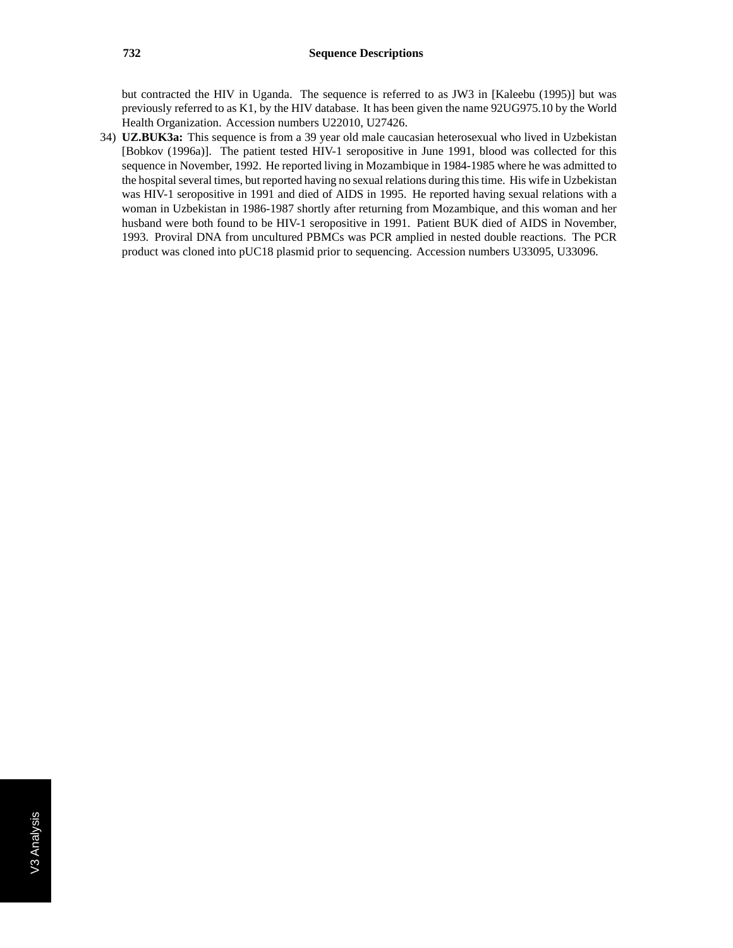but contracted the HIV in Uganda. The sequence is referred to as JW3 in [Kaleebu (1995)] but was previously referred to as K1, by the HIV database. It has been given the name 92UG975.10 by the World Health Organization. Accession numbers U22010, U27426.

34) **UZ.BUK3a:** This sequence is from a 39 year old male caucasian heterosexual who lived in Uzbekistan [Bobkov (1996a)]. The patient tested HIV-1 seropositive in June 1991, blood was collected for this sequence in November, 1992. He reported living in Mozambique in 1984-1985 where he was admitted to the hospital several times, but reported having no sexual relations during this time. His wife in Uzbekistan was HIV-1 seropositive in 1991 and died of AIDS in 1995. He reported having sexual relations with a woman in Uzbekistan in 1986-1987 shortly after returning from Mozambique, and this woman and her husband were both found to be HIV-1 seropositive in 1991. Patient BUK died of AIDS in November, 1993. Proviral DNA from uncultured PBMCs was PCR amplied in nested double reactions. The PCR product was cloned into pUC18 plasmid prior to sequencing. Accession numbers U33095, U33096.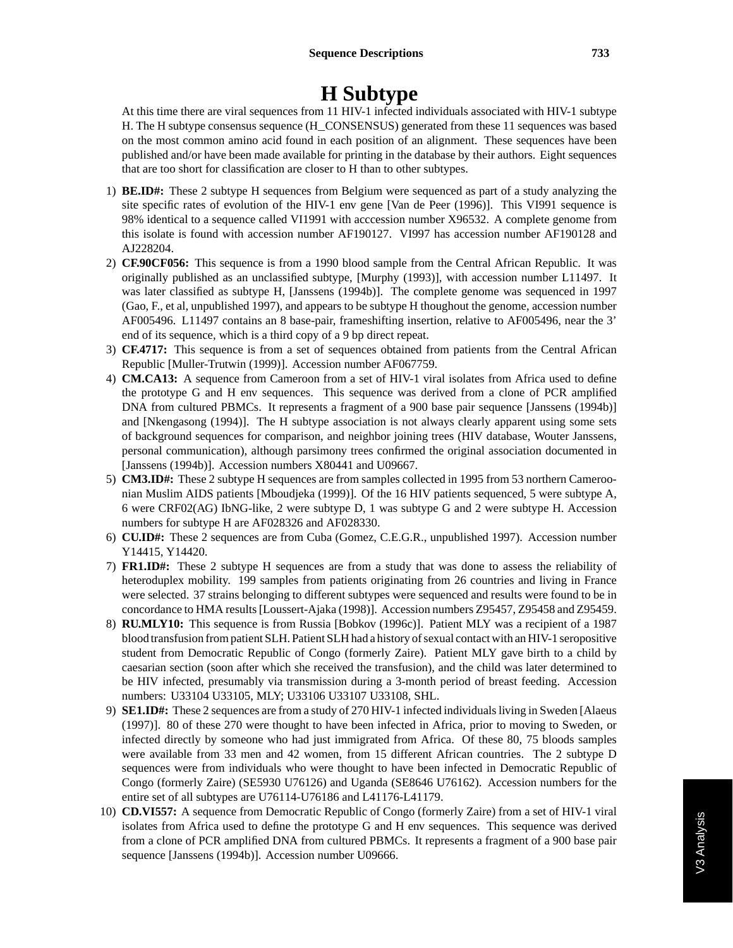## **H Subtype**

At this time there are viral sequences from 11 HIV-1 infected individuals associated with HIV-1 subtype H. The H subtype consensus sequence (H\_CONSENSUS) generated from these 11 sequences was based on the most common amino acid found in each position of an alignment. These sequences have been published and/or have been made available for printing in the database by their authors. Eight sequences that are too short for classification are closer to H than to other subtypes.

- 1) **BE.ID#:** These 2 subtype H sequences from Belgium were sequenced as part of a study analyzing the site specific rates of evolution of the HIV-1 env gene [Van de Peer (1996)]. This VI991 sequence is 98% identical to a sequence called VI1991 with acccession number X96532. A complete genome from this isolate is found with accession number AF190127. VI997 has accession number AF190128 and AJ228204.
- 2) **CF.90CF056:** This sequence is from a 1990 blood sample from the Central African Republic. It was originally published as an unclassified subtype, [Murphy (1993)], with accession number L11497. It was later classified as subtype H, [Janssens (1994b)]. The complete genome was sequenced in 1997 (Gao, F., et al, unpublished 1997), and appears to be subtype H thoughout the genome, accession number AF005496. L11497 contains an 8 base-pair, frameshifting insertion, relative to AF005496, near the 3' end of its sequence, which is a third copy of a 9 bp direct repeat.
- 3) **CF.4717:** This sequence is from a set of sequences obtained from patients from the Central African Republic [Muller-Trutwin (1999)]. Accession number AF067759.
- 4) **CM.CA13:** A sequence from Cameroon from a set of HIV-1 viral isolates from Africa used to define the prototype G and H env sequences. This sequence was derived from a clone of PCR amplified DNA from cultured PBMCs. It represents a fragment of a 900 base pair sequence [Janssens (1994b)] and [Nkengasong (1994)]. The H subtype association is not always clearly apparent using some sets of background sequences for comparison, and neighbor joining trees (HIV database, Wouter Janssens, personal communication), although parsimony trees confirmed the original association documented in [Janssens (1994b)]. Accession numbers X80441 and U09667.
- 5) **CM3.ID#:** These 2 subtype H sequences are from samples collected in 1995 from 53 northern Cameroonian Muslim AIDS patients [Mboudjeka (1999)]. Of the 16 HIV patients sequenced, 5 were subtype A, 6 were CRF02(AG) IbNG-like, 2 were subtype D, 1 was subtype G and 2 were subtype H. Accession numbers for subtype H are AF028326 and AF028330.
- 6) **CU.ID#:** These 2 sequences are from Cuba (Gomez, C.E.G.R., unpublished 1997). Accession number Y14415, Y14420.
- 7) **FR1.ID#:** These 2 subtype H sequences are from a study that was done to assess the reliability of heteroduplex mobility. 199 samples from patients originating from 26 countries and living in France were selected. 37 strains belonging to different subtypes were sequenced and results were found to be in concordance to HMA results [Loussert-Ajaka (1998)]. Accession numbers Z95457, Z95458 and Z95459.
- 8) **RU.MLY10:** This sequence is from Russia [Bobkov (1996c)]. Patient MLY was a recipient of a 1987 blood transfusion from patient SLH. Patient SLH had a history of sexual contact with an HIV-1 seropositive student from Democratic Republic of Congo (formerly Zaire). Patient MLY gave birth to a child by caesarian section (soon after which she received the transfusion), and the child was later determined to be HIV infected, presumably via transmission during a 3-month period of breast feeding. Accession numbers: U33104 U33105, MLY; U33106 U33107 U33108, SHL.
- 9) **SE1.ID#:** These 2 sequences are from a study of 270 HIV-1 infected individuals living in Sweden [Alaeus (1997)]. 80 of these 270 were thought to have been infected in Africa, prior to moving to Sweden, or infected directly by someone who had just immigrated from Africa. Of these 80, 75 bloods samples were available from 33 men and 42 women, from 15 different African countries. The 2 subtype D sequences were from individuals who were thought to have been infected in Democratic Republic of Congo (formerly Zaire) (SE5930 U76126) and Uganda (SE8646 U76162). Accession numbers for the entire set of all subtypes are U76114-U76186 and L41176-L41179.
- 10) **CD.VI557:** A sequence from Democratic Republic of Congo (formerly Zaire) from a set of HIV-1 viral isolates from Africa used to define the prototype G and H env sequences. This sequence was derived from a clone of PCR amplified DNA from cultured PBMCs. It represents a fragment of a 900 base pair sequence [Janssens (1994b)]. Accession number U09666.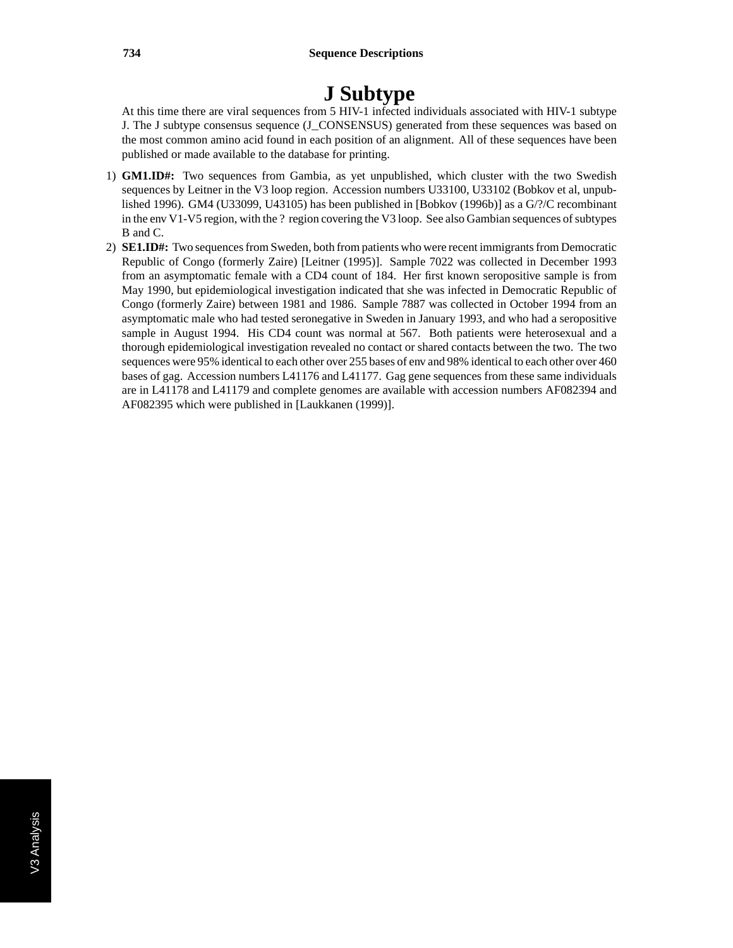# **J Subtype**

At this time there are viral sequences from 5 HIV-1 infected individuals associated with HIV-1 subtype J. The J subtype consensus sequence (J\_CONSENSUS) generated from these sequences was based on the most common amino acid found in each position of an alignment. All of these sequences have been published or made available to the database for printing.

- 1) **GM1.ID#:** Two sequences from Gambia, as yet unpublished, which cluster with the two Swedish sequences by Leitner in the V3 loop region. Accession numbers U33100, U33102 (Bobkov et al, unpublished 1996). GM4 (U33099, U43105) has been published in [Bobkov (1996b)] as a G/?/C recombinant in the env V1-V5 region, with the ? region covering the V3 loop. See also Gambian sequences of subtypes B and C.
- 2) **SE1.ID#:** Two sequences from Sweden, both from patients who were recent immigrants from Democratic Republic of Congo (formerly Zaire) [Leitner (1995)]. Sample 7022 was collected in December 1993 from an asymptomatic female with a CD4 count of 184. Her first known seropositive sample is from May 1990, but epidemiological investigation indicated that she was infected in Democratic Republic of Congo (formerly Zaire) between 1981 and 1986. Sample 7887 was collected in October 1994 from an asymptomatic male who had tested seronegative in Sweden in January 1993, and who had a seropositive sample in August 1994. His CD4 count was normal at 567. Both patients were heterosexual and a thorough epidemiological investigation revealed no contact or shared contacts between the two. The two sequences were 95% identical to each other over 255 bases of env and 98% identical to each other over 460 bases of gag. Accession numbers L41176 and L41177. Gag gene sequences from these same individuals are in L41178 and L41179 and complete genomes are available with accession numbers AF082394 and AF082395 which were published in [Laukkanen (1999)].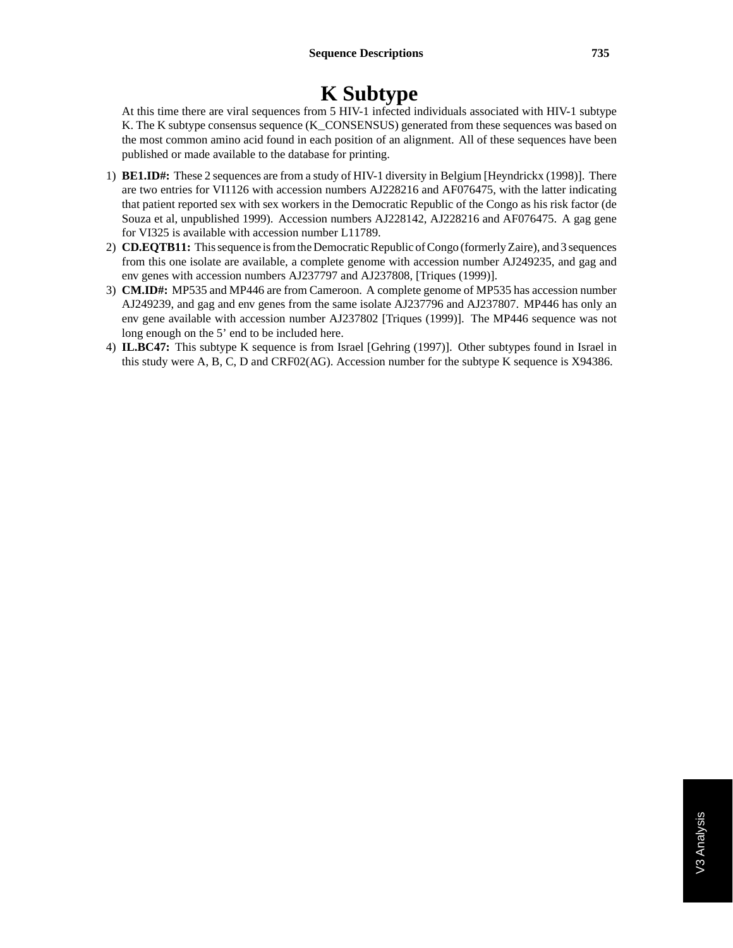# **K Subtype**

At this time there are viral sequences from 5 HIV-1 infected individuals associated with HIV-1 subtype K. The K subtype consensus sequence (K\_CONSENSUS) generated from these sequences was based on the most common amino acid found in each position of an alignment. All of these sequences have been published or made available to the database for printing.

- 1) **BE1.ID#:** These 2 sequences are from a study of HIV-1 diversity in Belgium [Heyndrickx (1998)]. There are two entries for VI1126 with accession numbers AJ228216 and AF076475, with the latter indicating that patient reported sex with sex workers in the Democratic Republic of the Congo as his risk factor (de Souza et al, unpublished 1999). Accession numbers AJ228142, AJ228216 and AF076475. A gag gene for VI325 is available with accession number L11789.
- 2) **CD.EQTB11:** This sequence is from the Democratic Republic of Congo (formerly Zaire), and 3 sequences from this one isolate are available, a complete genome with accession number AJ249235, and gag and env genes with accession numbers AJ237797 and AJ237808, [Triques (1999)].
- 3) **CM.ID#:** MP535 and MP446 are from Cameroon. A complete genome of MP535 has accession number AJ249239, and gag and env genes from the same isolate AJ237796 and AJ237807. MP446 has only an env gene available with accession number AJ237802 [Triques (1999)]. The MP446 sequence was not long enough on the 5' end to be included here.
- 4) **IL.BC47:** This subtype K sequence is from Israel [Gehring (1997)]. Other subtypes found in Israel in this study were A, B, C, D and CRF02(AG). Accession number for the subtype K sequence is X94386.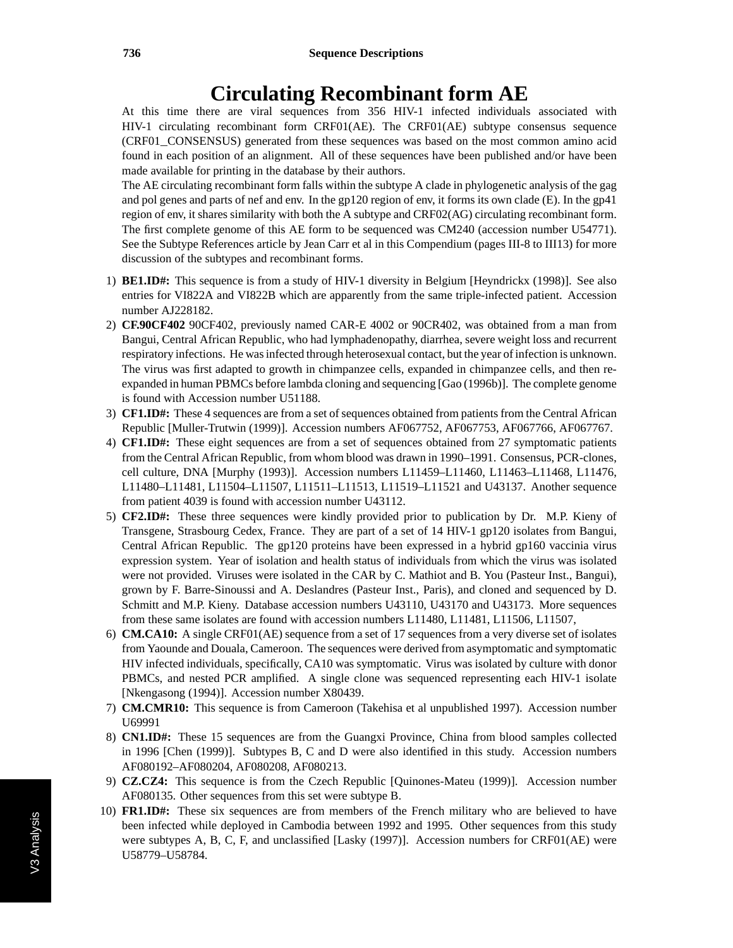#### **Circulating Recombinant form AE**

At this time there are viral sequences from 356 HIV-1 infected individuals associated with HIV-1 circulating recombinant form CRF01(AE). The CRF01(AE) subtype consensus sequence (CRF01\_CONSENSUS) generated from these sequences was based on the most common amino acid found in each position of an alignment. All of these sequences have been published and/or have been made available for printing in the database by their authors.

The AE circulating recombinant form falls within the subtype A clade in phylogenetic analysis of the gag and pol genes and parts of nef and env. In the gp120 region of env, it forms its own clade (E). In the gp41 region of env, it shares similarity with both the A subtype and CRF02(AG) circulating recombinant form. The first complete genome of this AE form to be sequenced was CM240 (accession number U54771). See the Subtype References article by Jean Carr et al in this Compendium (pages III-8 to III13) for more discussion of the subtypes and recombinant forms.

- 1) **BE1.ID#:** This sequence is from a study of HIV-1 diversity in Belgium [Heyndrickx (1998)]. See also entries for VI822A and VI822B which are apparently from the same triple-infected patient. Accession number AJ228182.
- 2) **CF.90CF402** 90CF402, previously named CAR-E 4002 or 90CR402, was obtained from a man from Bangui, Central African Republic, who had lymphadenopathy, diarrhea, severe weight loss and recurrent respiratory infections. He was infected through heterosexual contact, but the year of infection is unknown. The virus was first adapted to growth in chimpanzee cells, expanded in chimpanzee cells, and then reexpanded in human PBMCs before lambda cloning and sequencing [Gao (1996b)]. The complete genome is found with Accession number U51188.
- 3) **CF1.ID#:** These 4 sequences are from a set of sequences obtained from patients from the Central African Republic [Muller-Trutwin (1999)]. Accession numbers AF067752, AF067753, AF067766, AF067767.
- 4) **CF1.ID#:** These eight sequences are from a set of sequences obtained from 27 symptomatic patients from the Central African Republic, from whom blood was drawn in 1990–1991. Consensus, PCR-clones, cell culture, DNA [Murphy (1993)]. Accession numbers L11459–L11460, L11463–L11468, L11476, L11480–L11481, L11504–L11507, L11511–L11513, L11519–L11521 and U43137. Another sequence from patient 4039 is found with accession number U43112.
- 5) **CF2.ID#:** These three sequences were kindly provided prior to publication by Dr. M.P. Kieny of Transgene, Strasbourg Cedex, France. They are part of a set of 14 HIV-1 gp120 isolates from Bangui, Central African Republic. The gp120 proteins have been expressed in a hybrid gp160 vaccinia virus expression system. Year of isolation and health status of individuals from which the virus was isolated were not provided. Viruses were isolated in the CAR by C. Mathiot and B. You (Pasteur Inst., Bangui), grown by F. Barre-Sinoussi and A. Deslandres (Pasteur Inst., Paris), and cloned and sequenced by D. Schmitt and M.P. Kieny. Database accession numbers U43110, U43170 and U43173. More sequences from these same isolates are found with accession numbers L11480, L11481, L11506, L11507,
- 6) **CM.CA10:** A single CRF01(AE) sequence from a set of 17 sequences from a very diverse set of isolates from Yaounde and Douala, Cameroon. The sequences were derived from asymptomatic and symptomatic HIV infected individuals, specifically, CA10 was symptomatic. Virus was isolated by culture with donor PBMCs, and nested PCR amplified. A single clone was sequenced representing each HIV-1 isolate [Nkengasong (1994)]. Accession number X80439.
- 7) **CM.CMR10:** This sequence is from Cameroon (Takehisa et al unpublished 1997). Accession number U69991
- 8) **CN1.ID#:** These 15 sequences are from the Guangxi Province, China from blood samples collected in 1996 [Chen (1999)]. Subtypes B, C and D were also identified in this study. Accession numbers AF080192–AF080204, AF080208, AF080213.
- 9) **CZ.CZ4:** This sequence is from the Czech Republic [Quinones-Mateu (1999)]. Accession number AF080135. Other sequences from this set were subtype B.
- 10) **FR1.ID#:** These six sequences are from members of the French military who are believed to have been infected while deployed in Cambodia between 1992 and 1995. Other sequences from this study were subtypes A, B, C, F, and unclassified [Lasky (1997)]. Accession numbers for CRF01(AE) were U58779–U58784.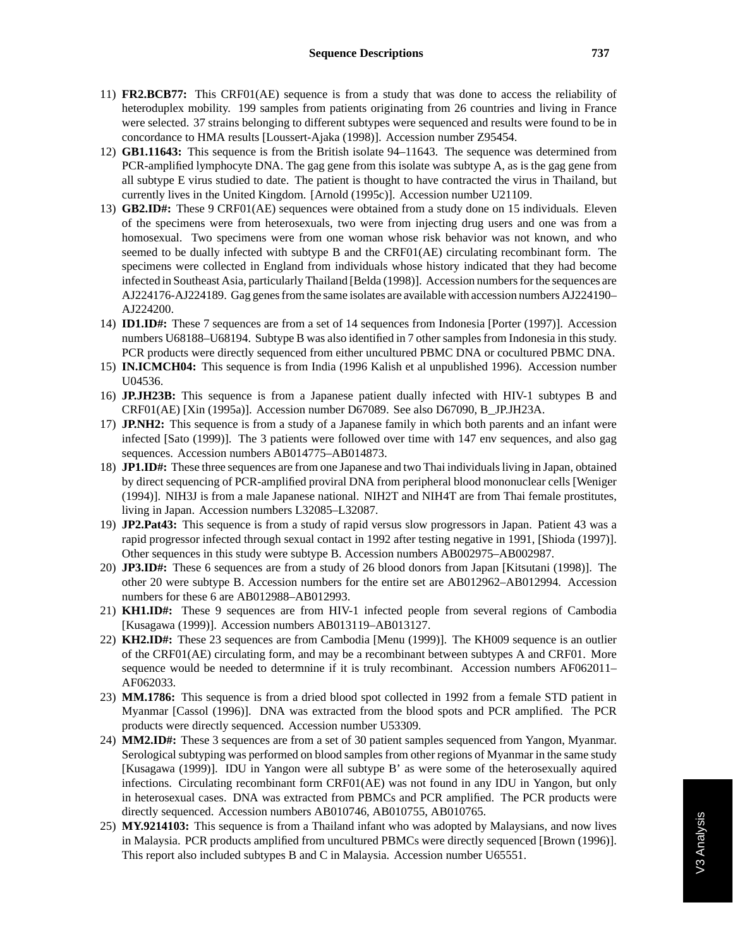- 11) **FR2.BCB77:** This CRF01(AE) sequence is from a study that was done to access the reliability of heteroduplex mobility. 199 samples from patients originating from 26 countries and living in France were selected. 37 strains belonging to different subtypes were sequenced and results were found to be in concordance to HMA results [Loussert-Ajaka (1998)]. Accession number Z95454.
- 12) **GB1.11643:** This sequence is from the British isolate 94–11643. The sequence was determined from PCR-amplified lymphocyte DNA. The gag gene from this isolate was subtype A, as is the gag gene from all subtype E virus studied to date. The patient is thought to have contracted the virus in Thailand, but currently lives in the United Kingdom. [Arnold (1995c)]. Accession number U21109.
- 13) **GB2.ID#:** These 9 CRF01(AE) sequences were obtained from a study done on 15 individuals. Eleven of the specimens were from heterosexuals, two were from injecting drug users and one was from a homosexual. Two specimens were from one woman whose risk behavior was not known, and who seemed to be dually infected with subtype B and the CRF01(AE) circulating recombinant form. The specimens were collected in England from individuals whose history indicated that they had become infected in Southeast Asia, particularly Thailand [Belda (1998)]. Accession numbers for the sequences are AJ224176-AJ224189. Gag genes from the same isolates are available with accession numbers AJ224190– AJ224200.
- 14) **ID1.ID#:** These 7 sequences are from a set of 14 sequences from Indonesia [Porter (1997)]. Accession numbers U68188–U68194. Subtype B was also identified in 7 other samples from Indonesia in this study. PCR products were directly sequenced from either uncultured PBMC DNA or cocultured PBMC DNA.
- 15) **IN.ICMCH04:** This sequence is from India (1996 Kalish et al unpublished 1996). Accession number U04536.
- 16) **JP.JH23B:** This sequence is from a Japanese patient dually infected with HIV-1 subtypes B and CRF01(AE) [Xin (1995a)]. Accession number D67089. See also D67090, B\_JP.JH23A.
- 17) **JP.NH2:** This sequence is from a study of a Japanese family in which both parents and an infant were infected [Sato (1999)]. The 3 patients were followed over time with 147 env sequences, and also gag sequences. Accession numbers AB014775–AB014873.
- 18) **JP1.ID#:** These three sequences are from one Japanese and two Thai individuals living in Japan, obtained by direct sequencing of PCR-amplified proviral DNA from peripheral blood mononuclear cells [Weniger (1994)]. NIH3J is from a male Japanese national. NIH2T and NIH4T are from Thai female prostitutes, living in Japan. Accession numbers L32085–L32087.
- 19) **JP2.Pat43:** This sequence is from a study of rapid versus slow progressors in Japan. Patient 43 was a rapid progressor infected through sexual contact in 1992 after testing negative in 1991, [Shioda (1997)]. Other sequences in this study were subtype B. Accession numbers AB002975–AB002987.
- 20) **JP3.ID#:** These 6 sequences are from a study of 26 blood donors from Japan [Kitsutani (1998)]. The other 20 were subtype B. Accession numbers for the entire set are AB012962–AB012994. Accession numbers for these 6 are AB012988–AB012993.
- 21) **KH1.ID#:** These 9 sequences are from HIV-1 infected people from several regions of Cambodia [Kusagawa (1999)]. Accession numbers AB013119–AB013127.
- 22) **KH2.ID#:** These 23 sequences are from Cambodia [Menu (1999)]. The KH009 sequence is an outlier of the CRF01(AE) circulating form, and may be a recombinant between subtypes A and CRF01. More sequence would be needed to determnine if it is truly recombinant. Accession numbers AF062011– AF062033.
- 23) **MM.1786:** This sequence is from a dried blood spot collected in 1992 from a female STD patient in Myanmar [Cassol (1996)]. DNA was extracted from the blood spots and PCR amplified. The PCR products were directly sequenced. Accession number U53309.
- 24) **MM2.ID#:** These 3 sequences are from a set of 30 patient samples sequenced from Yangon, Myanmar. Serological subtyping was performed on blood samples from other regions of Myanmar in the same study [Kusagawa (1999)]. IDU in Yangon were all subtype B' as were some of the heterosexually aquired infections. Circulating recombinant form CRF01(AE) was not found in any IDU in Yangon, but only in heterosexual cases. DNA was extracted from PBMCs and PCR amplified. The PCR products were directly sequenced. Accession numbers AB010746, AB010755, AB010765.
- 25) **MY.9214103:** This sequence is from a Thailand infant who was adopted by Malaysians, and now lives in Malaysia. PCR products amplified from uncultured PBMCs were directly sequenced [Brown (1996)]. This report also included subtypes B and C in Malaysia. Accession number U65551.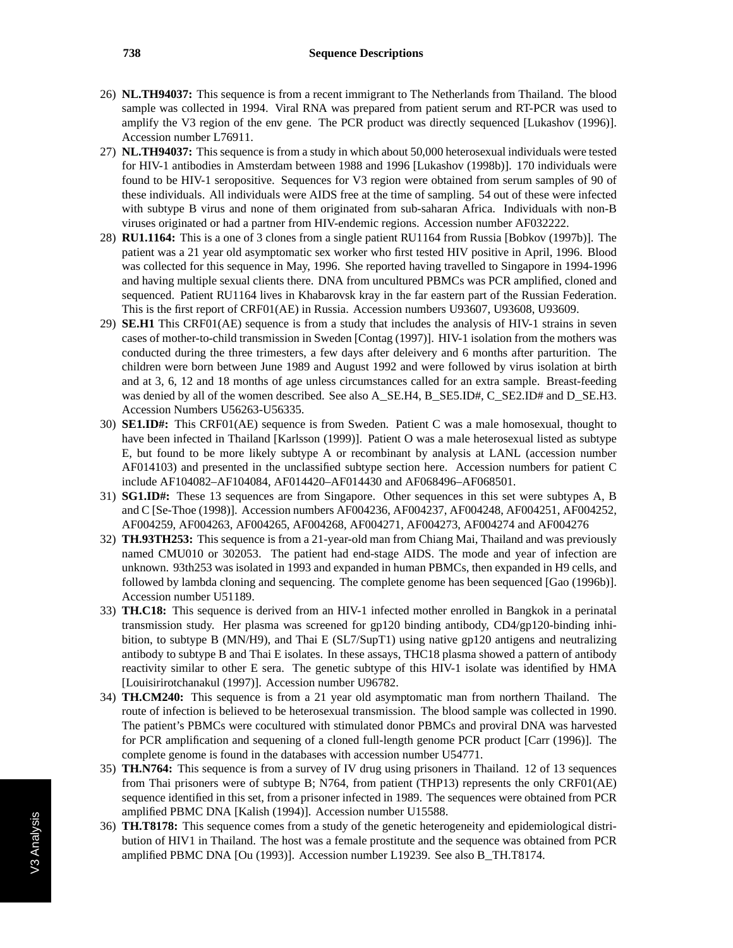- 26) **NL.TH94037:** This sequence is from a recent immigrant to The Netherlands from Thailand. The blood sample was collected in 1994. Viral RNA was prepared from patient serum and RT-PCR was used to amplify the V3 region of the env gene. The PCR product was directly sequenced [Lukashov (1996)]. Accession number L76911.
- 27) **NL.TH94037:** This sequence is from a study in which about 50,000 heterosexual individuals were tested for HIV-1 antibodies in Amsterdam between 1988 and 1996 [Lukashov (1998b)]. 170 individuals were found to be HIV-1 seropositive. Sequences for V3 region were obtained from serum samples of 90 of these individuals. All individuals were AIDS free at the time of sampling. 54 out of these were infected with subtype B virus and none of them originated from sub-saharan Africa. Individuals with non-B viruses originated or had a partner from HIV-endemic regions. Accession number AF032222.
- 28) **RU1.1164:** This is a one of 3 clones from a single patient RU1164 from Russia [Bobkov (1997b)]. The patient was a 21 year old asymptomatic sex worker who first tested HIV positive in April, 1996. Blood was collected for this sequence in May, 1996. She reported having travelled to Singapore in 1994-1996 and having multiple sexual clients there. DNA from uncultured PBMCs was PCR amplified, cloned and sequenced. Patient RU1164 lives in Khabarovsk kray in the far eastern part of the Russian Federation. This is the first report of CRF01(AE) in Russia. Accession numbers U93607, U93608, U93609.
- 29) **SE.H1** This CRF01(AE) sequence is from a study that includes the analysis of HIV-1 strains in seven cases of mother-to-child transmission in Sweden [Contag (1997)]. HIV-1 isolation from the mothers was conducted during the three trimesters, a few days after deleivery and 6 months after parturition. The children were born between June 1989 and August 1992 and were followed by virus isolation at birth and at 3, 6, 12 and 18 months of age unless circumstances called for an extra sample. Breast-feeding was denied by all of the women described. See also A\_SE.H4, B\_SE5.ID#, C\_SE2.ID# and D\_SE.H3. Accession Numbers U56263-U56335.
- 30) **SE1.ID#:** This CRF01(AE) sequence is from Sweden. Patient C was a male homosexual, thought to have been infected in Thailand [Karlsson (1999)]. Patient O was a male heterosexual listed as subtype E, but found to be more likely subtype A or recombinant by analysis at LANL (accession number AF014103) and presented in the unclassified subtype section here. Accession numbers for patient C include AF104082–AF104084, AF014420–AF014430 and AF068496–AF068501.
- 31) **SG1.ID#:** These 13 sequences are from Singapore. Other sequences in this set were subtypes A, B and C [Se-Thoe (1998)]. Accession numbers AF004236, AF004237, AF004248, AF004251, AF004252, AF004259, AF004263, AF004265, AF004268, AF004271, AF004273, AF004274 and AF004276
- 32) **TH.93TH253:** This sequence is from a 21-year-old man from Chiang Mai, Thailand and was previously named CMU010 or 302053. The patient had end-stage AIDS. The mode and year of infection are unknown. 93th253 was isolated in 1993 and expanded in human PBMCs, then expanded in H9 cells, and followed by lambda cloning and sequencing. The complete genome has been sequenced [Gao (1996b)]. Accession number U51189.
- 33) **TH.C18:** This sequence is derived from an HIV-1 infected mother enrolled in Bangkok in a perinatal transmission study. Her plasma was screened for gp120 binding antibody, CD4/gp120-binding inhibition, to subtype B (MN/H9), and Thai E (SL7/SupT1) using native gp120 antigens and neutralizing antibody to subtype B and Thai E isolates. In these assays, THC18 plasma showed a pattern of antibody reactivity similar to other E sera. The genetic subtype of this HIV-1 isolate was identified by HMA [Louisirirotchanakul (1997)]. Accession number U96782.
- 34) **TH.CM240:** This sequence is from a 21 year old asymptomatic man from northern Thailand. The route of infection is believed to be heterosexual transmission. The blood sample was collected in 1990. The patient's PBMCs were cocultured with stimulated donor PBMCs and proviral DNA was harvested for PCR amplification and sequening of a cloned full-length genome PCR product [Carr (1996)]. The complete genome is found in the databases with accession number U54771.
- 35) **TH.N764:** This sequence is from a survey of IV drug using prisoners in Thailand. 12 of 13 sequences from Thai prisoners were of subtype B; N764, from patient (THP13) represents the only CRF01(AE) sequence identified in this set, from a prisoner infected in 1989. The sequences were obtained from PCR amplified PBMC DNA [Kalish (1994)]. Accession number U15588.
- 36) **TH.T8178:** This sequence comes from a study of the genetic heterogeneity and epidemiological distribution of HIV1 in Thailand. The host was a female prostitute and the sequence was obtained from PCR amplified PBMC DNA [Ou (1993)]. Accession number L19239. See also B\_TH.T8174.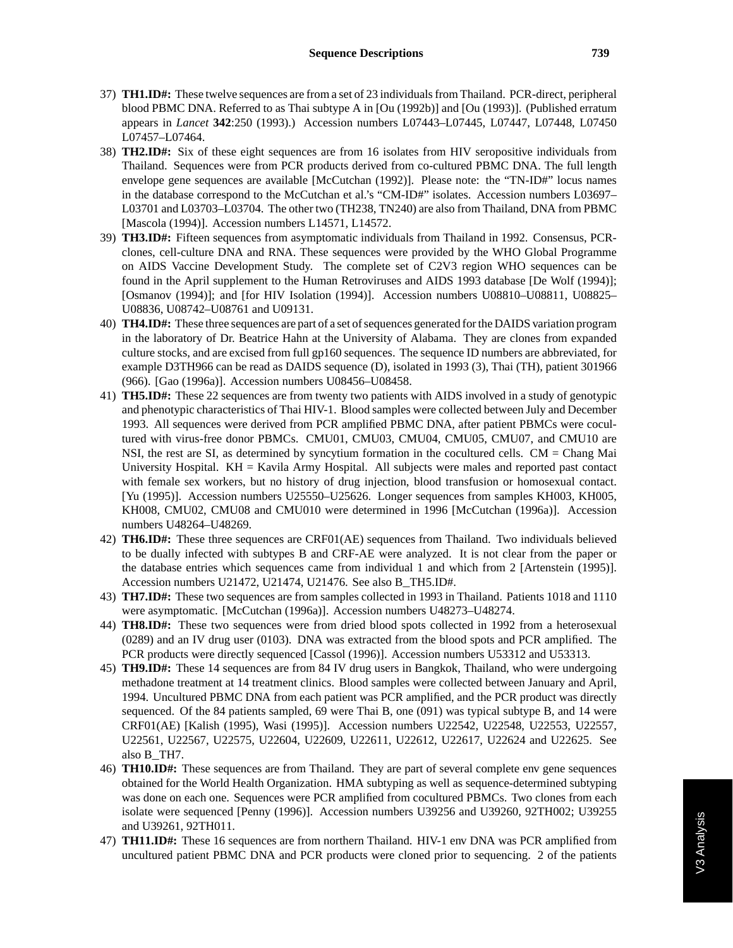- 37) **TH1.ID#:** These twelve sequences are from a set of 23 individuals from Thailand. PCR-direct, peripheral blood PBMC DNA. Referred to as Thai subtype A in [Ou (1992b)] and [Ou (1993)]. (Published erratum appears in *Lancet* **342**:250 (1993).) Accession numbers L07443–L07445, L07447, L07448, L07450 L07457–L07464.
- 38) **TH2.ID#:** Six of these eight sequences are from 16 isolates from HIV seropositive individuals from Thailand. Sequences were from PCR products derived from co-cultured PBMC DNA. The full length envelope gene sequences are available [McCutchan (1992)]. Please note: the "TN-ID#" locus names in the database correspond to the McCutchan et al.'s "CM-ID#" isolates. Accession numbers L03697– L03701 and L03703–L03704. The other two (TH238, TN240) are also from Thailand, DNA from PBMC [Mascola (1994)]. Accession numbers L14571, L14572.
- 39) **TH3.ID#:** Fifteen sequences from asymptomatic individuals from Thailand in 1992. Consensus, PCRclones, cell-culture DNA and RNA. These sequences were provided by the WHO Global Programme on AIDS Vaccine Development Study. The complete set of C2V3 region WHO sequences can be found in the April supplement to the Human Retroviruses and AIDS 1993 database [De Wolf (1994)]; [Osmanov (1994)]; and [for HIV Isolation (1994)]. Accession numbers U08810–U08811, U08825– U08836, U08742–U08761 and U09131.
- 40) **TH4.ID#:** These three sequences are part of a set of sequences generated for the DAIDS variation program in the laboratory of Dr. Beatrice Hahn at the University of Alabama. They are clones from expanded culture stocks, and are excised from full gp160 sequences. The sequence ID numbers are abbreviated, for example D3TH966 can be read as DAIDS sequence (D), isolated in 1993 (3), Thai (TH), patient 301966 (966). [Gao (1996a)]. Accession numbers U08456–U08458.
- 41) **TH5.ID#:** These 22 sequences are from twenty two patients with AIDS involved in a study of genotypic and phenotypic characteristics of Thai HIV-1. Blood samples were collected between July and December 1993. All sequences were derived from PCR amplified PBMC DNA, after patient PBMCs were cocultured with virus-free donor PBMCs. CMU01, CMU03, CMU04, CMU05, CMU07, and CMU10 are NSI, the rest are SI, as determined by syncytium formation in the cocultured cells. CM = Chang Mai University Hospital. KH = Kavila Army Hospital. All subjects were males and reported past contact with female sex workers, but no history of drug injection, blood transfusion or homosexual contact. [Yu (1995)]. Accession numbers U25550–U25626. Longer sequences from samples KH003, KH005, KH008, CMU02, CMU08 and CMU010 were determined in 1996 [McCutchan (1996a)]. Accession numbers U48264–U48269.
- 42) **TH6.ID#:** These three sequences are CRF01(AE) sequences from Thailand. Two individuals believed to be dually infected with subtypes B and CRF-AE were analyzed. It is not clear from the paper or the database entries which sequences came from individual 1 and which from 2 [Artenstein (1995)]. Accession numbers U21472, U21474, U21476. See also B\_TH5.ID#.
- 43) **TH7.ID#:** These two sequences are from samples collected in 1993 in Thailand. Patients 1018 and 1110 were asymptomatic. [McCutchan (1996a)]. Accession numbers U48273–U48274.
- 44) **TH8.ID#:** These two sequences were from dried blood spots collected in 1992 from a heterosexual (0289) and an IV drug user (0103). DNA was extracted from the blood spots and PCR amplified. The PCR products were directly sequenced [Cassol (1996)]. Accession numbers U53312 and U53313.
- 45) **TH9.ID#:** These 14 sequences are from 84 IV drug users in Bangkok, Thailand, who were undergoing methadone treatment at 14 treatment clinics. Blood samples were collected between January and April, 1994. Uncultured PBMC DNA from each patient was PCR amplified, and the PCR product was directly sequenced. Of the 84 patients sampled, 69 were Thai B, one (091) was typical subtype B, and 14 were CRF01(AE) [Kalish (1995), Wasi (1995)]. Accession numbers U22542, U22548, U22553, U22557, U22561, U22567, U22575, U22604, U22609, U22611, U22612, U22617, U22624 and U22625. See also B\_TH7.
- 46) **TH10.ID#:** These sequences are from Thailand. They are part of several complete env gene sequences obtained for the World Health Organization. HMA subtyping as well as sequence-determined subtyping was done on each one. Sequences were PCR amplified from cocultured PBMCs. Two clones from each isolate were sequenced [Penny (1996)]. Accession numbers U39256 and U39260, 92TH002; U39255 and U39261, 92TH011.
- 47) **TH11.ID#:** These 16 sequences are from northern Thailand. HIV-1 env DNA was PCR amplified from uncultured patient PBMC DNA and PCR products were cloned prior to sequencing. 2 of the patients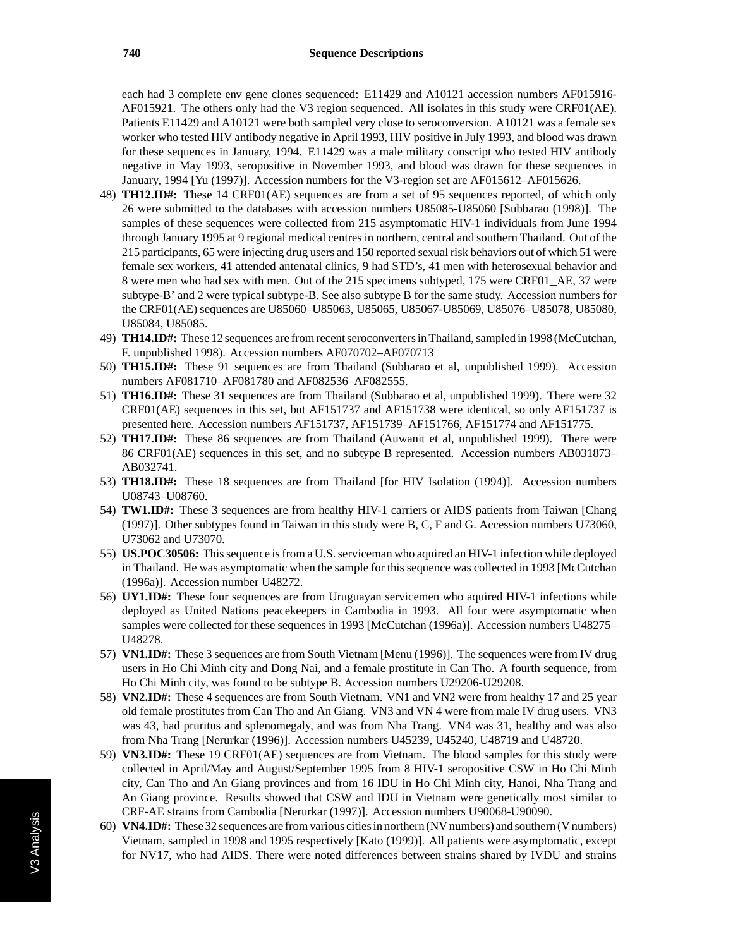each had 3 complete env gene clones sequenced: E11429 and A10121 accession numbers AF015916- AF015921. The others only had the V3 region sequenced. All isolates in this study were CRF01(AE). Patients E11429 and A10121 were both sampled very close to seroconversion. A10121 was a female sex worker who tested HIV antibody negative in April 1993, HIV positive in July 1993, and blood was drawn for these sequences in January, 1994. E11429 was a male military conscript who tested HIV antibody negative in May 1993, seropositive in November 1993, and blood was drawn for these sequences in January, 1994 [Yu (1997)]. Accession numbers for the V3-region set are AF015612–AF015626.

- 48) **TH12.ID#:** These 14 CRF01(AE) sequences are from a set of 95 sequences reported, of which only 26 were submitted to the databases with accession numbers U85085-U85060 [Subbarao (1998)]. The samples of these sequences were collected from 215 asymptomatic HIV-1 individuals from June 1994 through January 1995 at 9 regional medical centres in northern, central and southern Thailand. Out of the 215 participants, 65 were injecting drug users and 150 reported sexual risk behaviors out of which 51 were female sex workers, 41 attended antenatal clinics, 9 had STD's, 41 men with heterosexual behavior and 8 were men who had sex with men. Out of the 215 specimens subtyped, 175 were CRF01\_AE, 37 were subtype-B' and 2 were typical subtype-B. See also subtype B for the same study. Accession numbers for the CRF01(AE) sequences are U85060–U85063, U85065, U85067-U85069, U85076–U85078, U85080, U85084, U85085.
- 49) **TH14.ID#:** These 12 sequences are from recent seroconverters in Thailand, sampled in 1998 (McCutchan, F. unpublished 1998). Accession numbers AF070702–AF070713
- 50) **TH15.ID#:** These 91 sequences are from Thailand (Subbarao et al, unpublished 1999). Accession numbers AF081710–AF081780 and AF082536–AF082555.
- 51) **TH16.ID#:** These 31 sequences are from Thailand (Subbarao et al, unpublished 1999). There were 32 CRF01(AE) sequences in this set, but AF151737 and AF151738 were identical, so only AF151737 is presented here. Accession numbers AF151737, AF151739–AF151766, AF151774 and AF151775.
- 52) **TH17.ID#:** These 86 sequences are from Thailand (Auwanit et al, unpublished 1999). There were 86 CRF01(AE) sequences in this set, and no subtype B represented. Accession numbers AB031873– AB032741.
- 53) **TH18.ID#:** These 18 sequences are from Thailand [for HIV Isolation (1994)]. Accession numbers U08743–U08760.
- 54) **TW1.ID#:** These 3 sequences are from healthy HIV-1 carriers or AIDS patients from Taiwan [Chang (1997)]. Other subtypes found in Taiwan in this study were B, C, F and G. Accession numbers U73060, U73062 and U73070.
- 55) **US.POC30506:** This sequence is from a U.S. serviceman who aquired an HIV-1 infection while deployed in Thailand. He was asymptomatic when the sample for this sequence was collected in 1993 [McCutchan (1996a)]. Accession number U48272.
- 56) **UY1.ID#:** These four sequences are from Uruguayan servicemen who aquired HIV-1 infections while deployed as United Nations peacekeepers in Cambodia in 1993. All four were asymptomatic when samples were collected for these sequences in 1993 [McCutchan (1996a)]. Accession numbers U48275– U48278.
- 57) **VN1.ID#:** These 3 sequences are from South Vietnam [Menu (1996)]. The sequences were from IV drug users in Ho Chi Minh city and Dong Nai, and a female prostitute in Can Tho. A fourth sequence, from Ho Chi Minh city, was found to be subtype B. Accession numbers U29206-U29208.
- 58) **VN2.ID#:** These 4 sequences are from South Vietnam. VN1 and VN2 were from healthy 17 and 25 year old female prostitutes from Can Tho and An Giang. VN3 and VN 4 were from male IV drug users. VN3 was 43, had pruritus and splenomegaly, and was from Nha Trang. VN4 was 31, healthy and was also from Nha Trang [Nerurkar (1996)]. Accession numbers U45239, U45240, U48719 and U48720.
- 59) **VN3.ID#:** These 19 CRF01(AE) sequences are from Vietnam. The blood samples for this study were collected in April/May and August/September 1995 from 8 HIV-1 seropositive CSW in Ho Chi Minh city, Can Tho and An Giang provinces and from 16 IDU in Ho Chi Minh city, Hanoi, Nha Trang and An Giang province. Results showed that CSW and IDU in Vietnam were genetically most similar to CRF-AE strains from Cambodia [Nerurkar (1997)]. Accession numbers U90068-U90090.
- 60) **VN4.ID#:** These 32 sequences are from various cities in northern (NV numbers) and southern (V numbers) Vietnam, sampled in 1998 and 1995 respectively [Kato (1999)]. All patients were asymptomatic, except for NV17, who had AIDS. There were noted differences between strains shared by IVDU and strains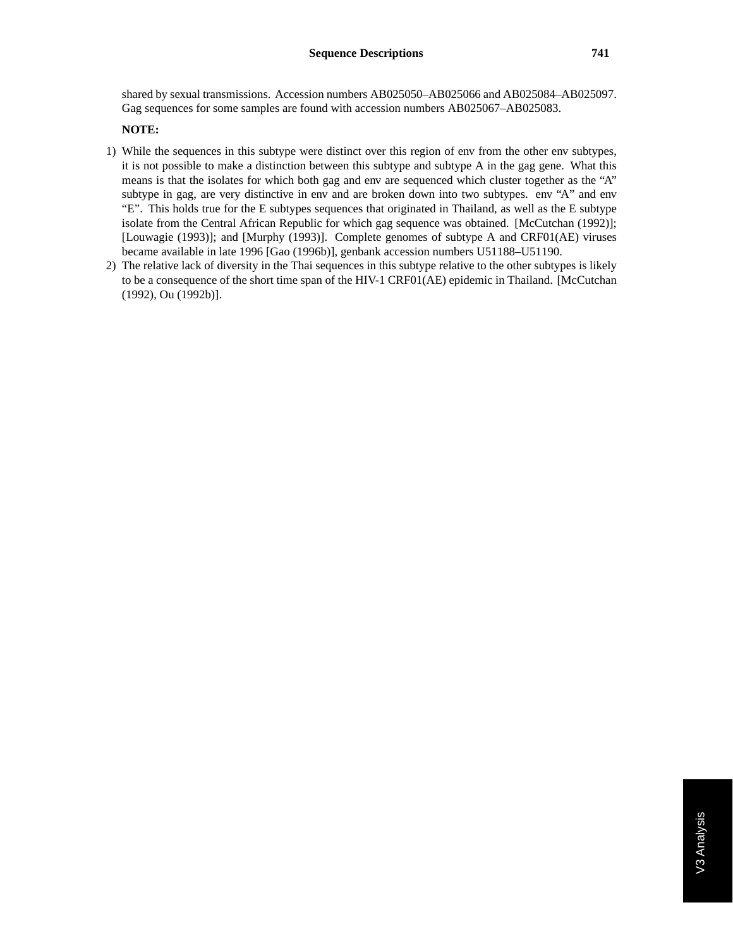shared by sexual transmissions. Accession numbers AB025050–AB025066 and AB025084–AB025097. Gag sequences for some samples are found with accession numbers AB025067–AB025083.

#### **NOTE:**

- 1) While the sequences in this subtype were distinct over this region of env from the other env subtypes, it is not possible to make a distinction between this subtype and subtype A in the gag gene. What this means is that the isolates for which both gag and env are sequenced which cluster together as the "A" subtype in gag, are very distinctive in env and are broken down into two subtypes. env "A" and env "E". This holds true for the E subtypes sequences that originated in Thailand, as well as the E subtype isolate from the Central African Republic for which gag sequence was obtained. [McCutchan (1992)]; [Louwagie (1993)]; and [Murphy (1993)]. Complete genomes of subtype A and CRF01(AE) viruses became available in late 1996 [Gao (1996b)], genbank accession numbers U51188–U51190.
- 2) The relative lack of diversity in the Thai sequences in this subtype relative to the other subtypes is likely to be a consequence of the short time span of the HIV-1 CRF01(AE) epidemic in Thailand. [McCutchan (1992), Ou (1992b)].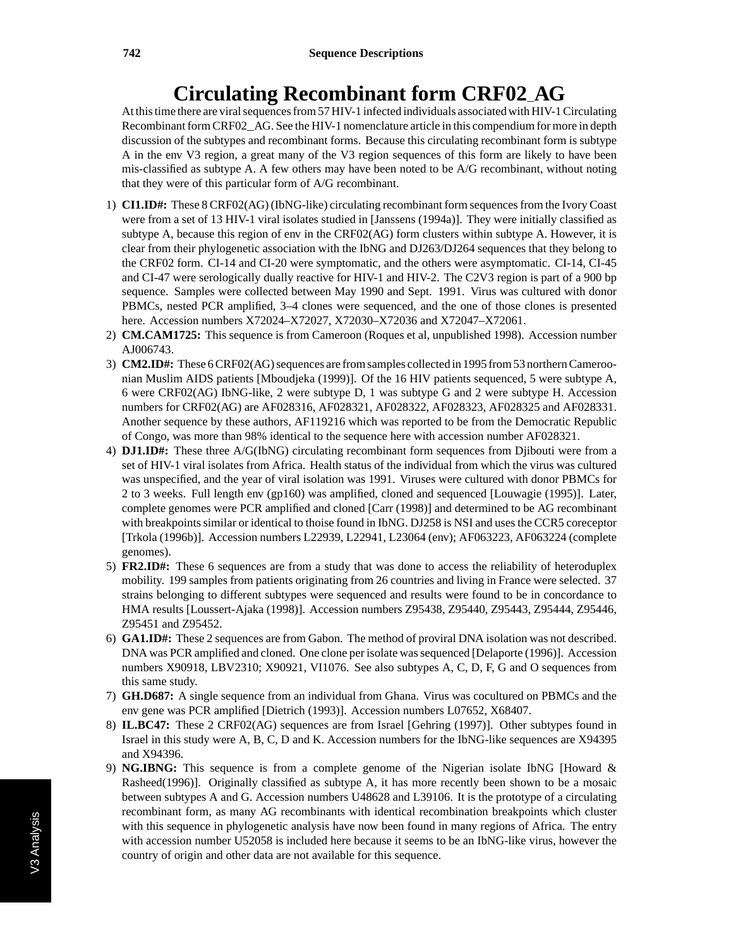# **Circulating Recombinant form CRF02**\_**AG**

At this time there are viral sequences from 57 HIV-1 infected individuals associated with HIV-1 Circulating Recombinant form CRF02\_AG. See the HIV-1 nomenclature article in this compendium for more in depth discussion of the subtypes and recombinant forms. Because this circulating recombinant form is subtype A in the env V3 region, a great many of the V3 region sequences of this form are likely to have been mis-classified as subtype A. A few others may have been noted to be A/G recombinant, without noting that they were of this particular form of A/G recombinant.

- 1) **CI1.ID#:** These 8 CRF02(AG) (IbNG-like) circulating recombinant form sequences from the Ivory Coast were from a set of 13 HIV-1 viral isolates studied in [Janssens (1994a)]. They were initially classified as subtype A, because this region of env in the CRF02(AG) form clusters within subtype A. However, it is clear from their phylogenetic association with the IbNG and DJ263/DJ264 sequences that they belong to the CRF02 form. CI-14 and CI-20 were symptomatic, and the others were asymptomatic. CI-14, CI-45 and CI-47 were serologically dually reactive for HIV-1 and HIV-2. The C2V3 region is part of a 900 bp sequence. Samples were collected between May 1990 and Sept. 1991. Virus was cultured with donor PBMCs, nested PCR amplified, 3–4 clones were sequenced, and the one of those clones is presented here. Accession numbers X72024–X72027, X72030–X72036 and X72047–X72061.
- 2) **CM.CAM1725:** This sequence is from Cameroon (Roques et al, unpublished 1998). Accession number AJ006743.
- 3) **CM2.ID#:** These 6 CRF02(AG) sequences are from samples collected in 1995 from 53 northern Cameroonian Muslim AIDS patients [Mboudjeka (1999)]. Of the 16 HIV patients sequenced, 5 were subtype A, 6 were CRF02(AG) IbNG-like, 2 were subtype D, 1 was subtype G and 2 were subtype H. Accession numbers for CRF02(AG) are AF028316, AF028321, AF028322, AF028323, AF028325 and AF028331. Another sequence by these authors, AF119216 which was reported to be from the Democratic Republic of Congo, was more than 98% identical to the sequence here with accession number AF028321.
- 4) **DJ1.ID#:** These three A/G(IbNG) circulating recombinant form sequences from Djibouti were from a set of HIV-1 viral isolates from Africa. Health status of the individual from which the virus was cultured was unspecified, and the year of viral isolation was 1991. Viruses were cultured with donor PBMCs for 2 to 3 weeks. Full length env (gp160) was amplified, cloned and sequenced [Louwagie (1995)]. Later, complete genomes were PCR amplified and cloned [Carr (1998)] and determined to be AG recombinant with breakpoints similar or identical to thoise found in IbNG. DJ258 is NSI and uses the CCR5 coreceptor [Trkola (1996b)]. Accession numbers L22939, L22941, L23064 (env); AF063223, AF063224 (complete genomes).
- 5) **FR2.ID#:** These 6 sequences are from a study that was done to access the reliability of heteroduplex mobility. 199 samples from patients originating from 26 countries and living in France were selected. 37 strains belonging to different subtypes were sequenced and results were found to be in concordance to HMA results [Loussert-Ajaka (1998)]. Accession numbers Z95438, Z95440, Z95443, Z95444, Z95446, Z95451 and Z95452.
- 6) **GA1.ID#:** These 2 sequences are from Gabon. The method of proviral DNA isolation was not described. DNA was PCR amplified and cloned. One clone per isolate was sequenced [Delaporte (1996)]. Accession numbers X90918, LBV2310; X90921, VI1076. See also subtypes A, C, D, F, G and O sequences from this same study.
- 7) **GH.D687:** A single sequence from an individual from Ghana. Virus was cocultured on PBMCs and the env gene was PCR amplified [Dietrich (1993)]. Accession numbers L07652, X68407.
- 8) **IL.BC47:** These 2 CRF02(AG) sequences are from Israel [Gehring (1997)]. Other subtypes found in Israel in this study were A, B, C, D and K. Accession numbers for the IbNG-like sequences are X94395 and X94396.
- 9) **NG.IBNG:** This sequence is from a complete genome of the Nigerian isolate IbNG [Howard & Rasheed(1996)]. Originally classified as subtype A, it has more recently been shown to be a mosaic between subtypes A and G. Accession numbers U48628 and L39106. It is the prototype of a circulating recombinant form, as many AG recombinants with identical recombination breakpoints which cluster with this sequence in phylogenetic analysis have now been found in many regions of Africa. The entry with accession number U52058 is included here because it seems to be an IbNG-like virus, however the country of origin and other data are not available for this sequence.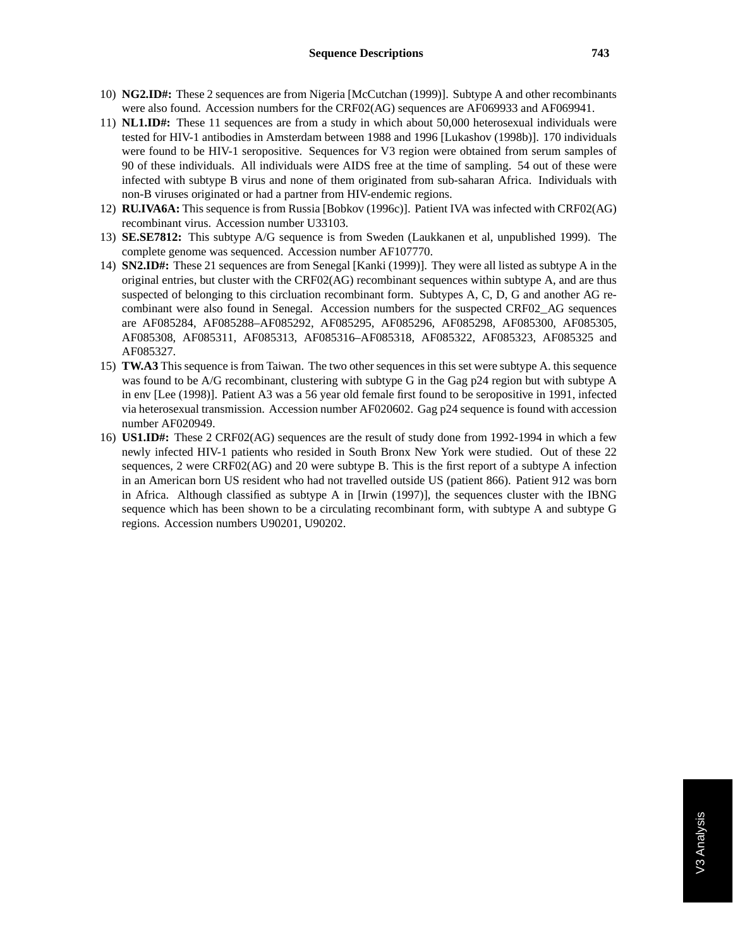- 10) **NG2.ID#:** These 2 sequences are from Nigeria [McCutchan (1999)]. Subtype A and other recombinants were also found. Accession numbers for the CRF02(AG) sequences are AF069933 and AF069941.
- 11) **NL1.ID#:** These 11 sequences are from a study in which about 50,000 heterosexual individuals were tested for HIV-1 antibodies in Amsterdam between 1988 and 1996 [Lukashov (1998b)]. 170 individuals were found to be HIV-1 seropositive. Sequences for V3 region were obtained from serum samples of 90 of these individuals. All individuals were AIDS free at the time of sampling. 54 out of these were infected with subtype B virus and none of them originated from sub-saharan Africa. Individuals with non-B viruses originated or had a partner from HIV-endemic regions.
- 12) **RU.IVA6A:** This sequence is from Russia [Bobkov (1996c)]. Patient IVA was infected with CRF02(AG) recombinant virus. Accession number U33103.
- 13) **SE.SE7812:** This subtype A/G sequence is from Sweden (Laukkanen et al, unpublished 1999). The complete genome was sequenced. Accession number AF107770.
- 14) **SN2.ID#:** These 21 sequences are from Senegal [Kanki (1999)]. They were all listed as subtype A in the original entries, but cluster with the CRF02(AG) recombinant sequences within subtype A, and are thus suspected of belonging to this circluation recombinant form. Subtypes A, C, D, G and another AG recombinant were also found in Senegal. Accession numbers for the suspected CRF02\_AG sequences are AF085284, AF085288–AF085292, AF085295, AF085296, AF085298, AF085300, AF085305, AF085308, AF085311, AF085313, AF085316–AF085318, AF085322, AF085323, AF085325 and AF085327.
- 15) **TW.A3** This sequence is from Taiwan. The two other sequences in this set were subtype A. this sequence was found to be A/G recombinant, clustering with subtype G in the Gag p24 region but with subtype A in env [Lee (1998)]. Patient A3 was a 56 year old female first found to be seropositive in 1991, infected via heterosexual transmission. Accession number AF020602. Gag p24 sequence is found with accession number AF020949.
- 16) **US1.ID#:** These 2 CRF02(AG) sequences are the result of study done from 1992-1994 in which a few newly infected HIV-1 patients who resided in South Bronx New York were studied. Out of these 22 sequences, 2 were CRF02(AG) and 20 were subtype B. This is the first report of a subtype A infection in an American born US resident who had not travelled outside US (patient 866). Patient 912 was born in Africa. Although classified as subtype A in [Irwin (1997)], the sequences cluster with the IBNG sequence which has been shown to be a circulating recombinant form, with subtype A and subtype G regions. Accession numbers U90201, U90202.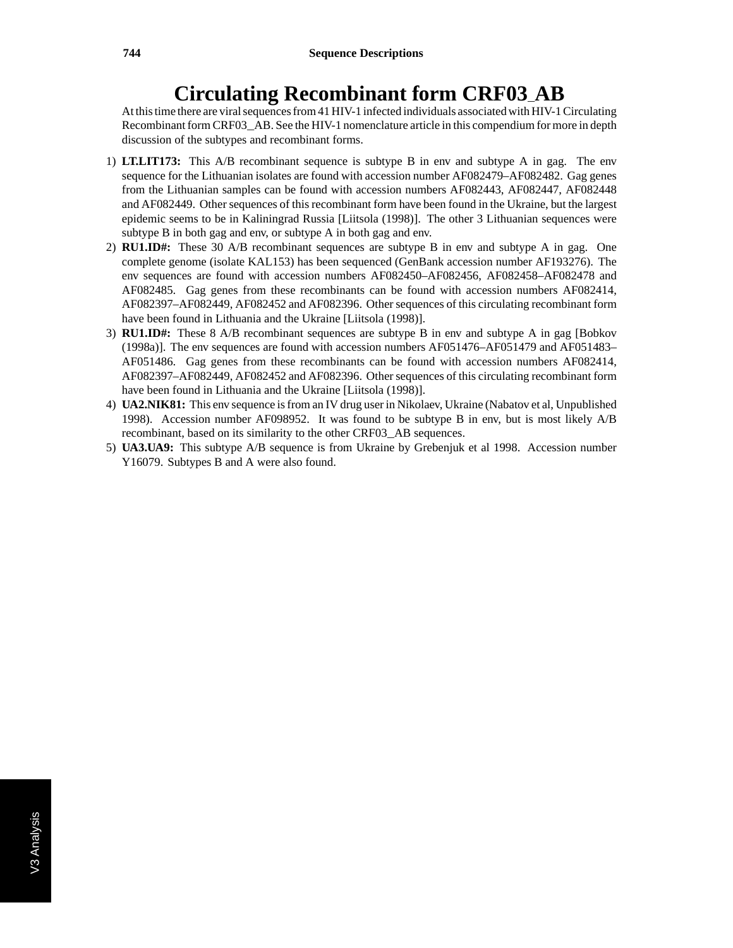## **Circulating Recombinant form CRF03**\_**AB**

At this time there are viral sequences from 41 HIV-1 infected individuals associated with HIV-1 Circulating Recombinant form CRF03\_AB. See the HIV-1 nomenclature article in this compendium for more in depth discussion of the subtypes and recombinant forms.

- 1) **LT.LIT173:** This A/B recombinant sequence is subtype B in env and subtype A in gag. The env sequence for the Lithuanian isolates are found with accession number AF082479–AF082482. Gag genes from the Lithuanian samples can be found with accession numbers AF082443, AF082447, AF082448 and AF082449. Other sequences of this recombinant form have been found in the Ukraine, but the largest epidemic seems to be in Kaliningrad Russia [Liitsola (1998)]. The other 3 Lithuanian sequences were subtype B in both gag and env, or subtype A in both gag and env.
- 2) **RU1.ID#:** These 30 A/B recombinant sequences are subtype B in env and subtype A in gag. One complete genome (isolate KAL153) has been sequenced (GenBank accession number AF193276). The env sequences are found with accession numbers AF082450–AF082456, AF082458–AF082478 and AF082485. Gag genes from these recombinants can be found with accession numbers AF082414, AF082397–AF082449, AF082452 and AF082396. Other sequences of this circulating recombinant form have been found in Lithuania and the Ukraine [Liitsola (1998)].
- 3) **RU1.ID#:** These 8 A/B recombinant sequences are subtype B in env and subtype A in gag [Bobkov (1998a)]. The env sequences are found with accession numbers AF051476–AF051479 and AF051483– AF051486. Gag genes from these recombinants can be found with accession numbers AF082414, AF082397–AF082449, AF082452 and AF082396. Other sequences of this circulating recombinant form have been found in Lithuania and the Ukraine [Liitsola (1998)].
- 4) **UA2.NIK81:** This env sequence is from an IV drug user in Nikolaev, Ukraine (Nabatov et al, Unpublished 1998). Accession number AF098952. It was found to be subtype B in env, but is most likely A/B recombinant, based on its similarity to the other CRF03\_AB sequences.
- 5) **UA3.UA9:** This subtype A/B sequence is from Ukraine by Grebenjuk et al 1998. Accession number Y16079. Subtypes B and A were also found.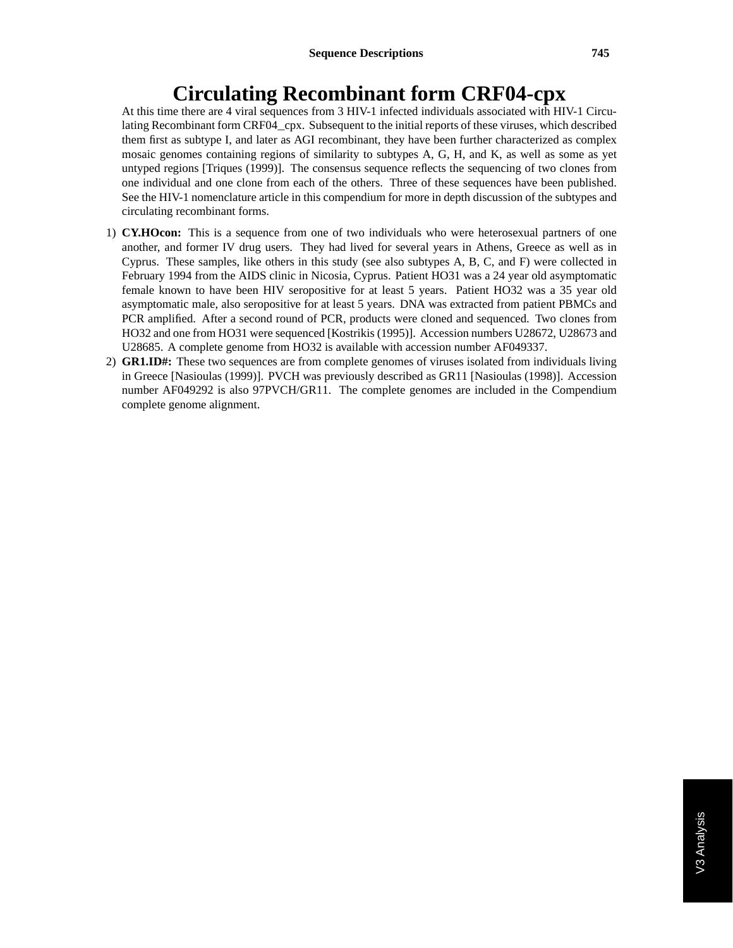## **Circulating Recombinant form CRF04-cpx**

At this time there are 4 viral sequences from 3 HIV-1 infected individuals associated with HIV-1 Circulating Recombinant form CRF04\_cpx. Subsequent to the initial reports of these viruses, which described them first as subtype I, and later as AGI recombinant, they have been further characterized as complex mosaic genomes containing regions of similarity to subtypes A, G, H, and K, as well as some as yet untyped regions [Triques (1999)]. The consensus sequence reflects the sequencing of two clones from one individual and one clone from each of the others. Three of these sequences have been published. See the HIV-1 nomenclature article in this compendium for more in depth discussion of the subtypes and circulating recombinant forms.

- 1) **CY.HOcon:** This is a sequence from one of two individuals who were heterosexual partners of one another, and former IV drug users. They had lived for several years in Athens, Greece as well as in Cyprus. These samples, like others in this study (see also subtypes A, B, C, and F) were collected in February 1994 from the AIDS clinic in Nicosia, Cyprus. Patient HO31 was a 24 year old asymptomatic female known to have been HIV seropositive for at least 5 years. Patient HO32 was a 35 year old asymptomatic male, also seropositive for at least 5 years. DNA was extracted from patient PBMCs and PCR amplified. After a second round of PCR, products were cloned and sequenced. Two clones from HO32 and one from HO31 were sequenced [Kostrikis (1995)]. Accession numbers U28672, U28673 and U28685. A complete genome from HO32 is available with accession number AF049337.
- 2) **GR1.ID#:** These two sequences are from complete genomes of viruses isolated from individuals living in Greece [Nasioulas (1999)]. PVCH was previously described as GR11 [Nasioulas (1998)]. Accession number AF049292 is also 97PVCH/GR11. The complete genomes are included in the Compendium complete genome alignment.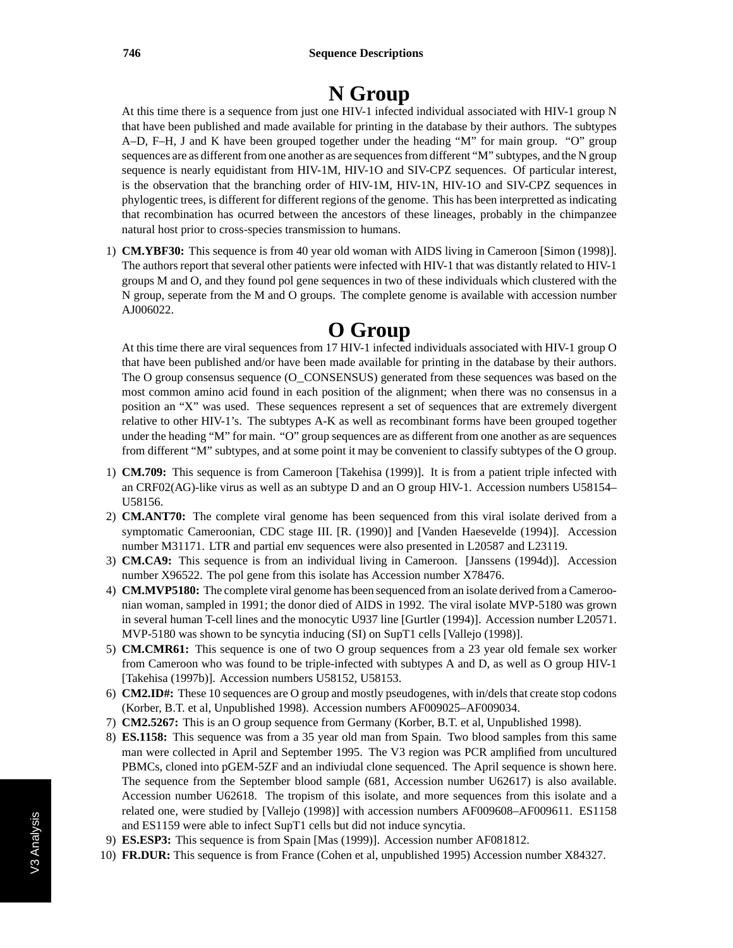# **N Group**

At this time there is a sequence from just one HIV-1 infected individual associated with HIV-1 group N that have been published and made available for printing in the database by their authors. The subtypes A–D, F–H, J and K have been grouped together under the heading "M" for main group. "O" group sequences are as different from one another as are sequences from different "M" subtypes, and the N group sequence is nearly equidistant from HIV-1M, HIV-1O and SIV-CPZ sequences. Of particular interest, is the observation that the branching order of HIV-1M, HIV-1N, HIV-1O and SIV-CPZ sequences in phylogentic trees, is different for different regions of the genome. This has been interpretted as indicating that recombination has ocurred between the ancestors of these lineages, probably in the chimpanzee natural host prior to cross-species transmission to humans.

1) **CM.YBF30:** This sequence is from 40 year old woman with AIDS living in Cameroon [Simon (1998)]. The authors report that several other patients were infected with HIV-1 that was distantly related to HIV-1 groups M and O, and they found pol gene sequences in two of these individuals which clustered with the N group, seperate from the M and O groups. The complete genome is available with accession number AJ006022.

# **O Group**

At this time there are viral sequences from 17 HIV-1 infected individuals associated with HIV-1 group O that have been published and/or have been made available for printing in the database by their authors. The O group consensus sequence (O\_CONSENSUS) generated from these sequences was based on the most common amino acid found in each position of the alignment; when there was no consensus in a position an "X" was used. These sequences represent a set of sequences that are extremely divergent relative to other HIV-1's. The subtypes A-K as well as recombinant forms have been grouped together under the heading "M" for main. "O" group sequences are as different from one another as are sequences from different "M" subtypes, and at some point it may be convenient to classify subtypes of the O group.

- 1) **CM.709:** This sequence is from Cameroon [Takehisa (1999)]. It is from a patient triple infected with an CRF02(AG)-like virus as well as an subtype D and an O group HIV-1. Accession numbers U58154– U58156.
- 2) **CM.ANT70:** The complete viral genome has been sequenced from this viral isolate derived from a symptomatic Cameroonian, CDC stage III. [R. (1990)] and [Vanden Haesevelde (1994)]. Accession number M31171. LTR and partial env sequences were also presented in L20587 and L23119.
- 3) **CM.CA9:** This sequence is from an individual living in Cameroon. [Janssens (1994d)]. Accession number X96522. The pol gene from this isolate has Accession number X78476.
- 4) **CM.MVP5180:** The complete viral genome has been sequenced from an isolate derived from a Cameroonian woman, sampled in 1991; the donor died of AIDS in 1992. The viral isolate MVP-5180 was grown in several human T-cell lines and the monocytic U937 line [Gurtler (1994)]. Accession number L20571. MVP-5180 was shown to be syncytia inducing (SI) on SupT1 cells [Vallejo (1998)].
- 5) **CM.CMR61:** This sequence is one of two O group sequences from a 23 year old female sex worker from Cameroon who was found to be triple-infected with subtypes A and D, as well as O group HIV-1 [Takehisa (1997b)]. Accession numbers U58152, U58153.
- 6) **CM2.ID#:** These 10 sequences are O group and mostly pseudogenes, with in/dels that create stop codons (Korber, B.T. et al, Unpublished 1998). Accession numbers AF009025–AF009034.
- 7) **CM2.5267:** This is an O group sequence from Germany (Korber, B.T. et al, Unpublished 1998).
- 8) **ES.1158:** This sequence was from a 35 year old man from Spain. Two blood samples from this same man were collected in April and September 1995. The V3 region was PCR amplified from uncultured PBMCs, cloned into pGEM-5ZF and an indiviudal clone sequenced. The April sequence is shown here. The sequence from the September blood sample (681, Accession number U62617) is also available. Accession number U62618. The tropism of this isolate, and more sequences from this isolate and a related one, were studied by [Vallejo (1998)] with accession numbers AF009608–AF009611. ES1158 and ES1159 were able to infect SupT1 cells but did not induce syncytia.
- 9) **ES.ESP3:** This sequence is from Spain [Mas (1999)]. Accession number AF081812.
- 10) **FR.DUR:** This sequence is from France (Cohen et al, unpublished 1995) Accession number X84327.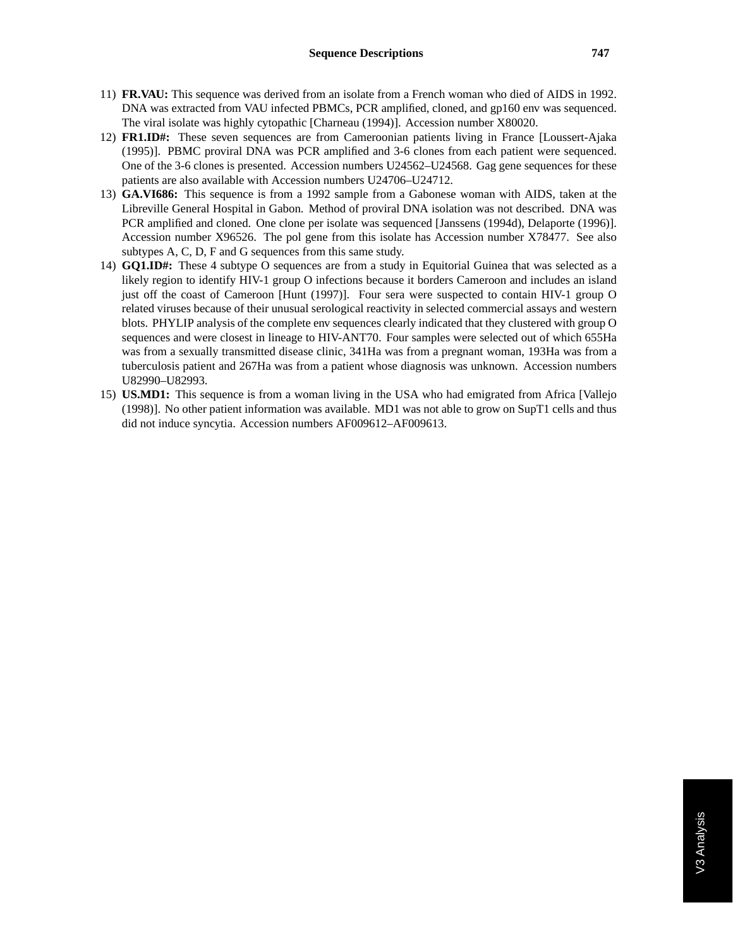- 11) **FR.VAU:** This sequence was derived from an isolate from a French woman who died of AIDS in 1992. DNA was extracted from VAU infected PBMCs, PCR amplified, cloned, and gp160 env was sequenced. The viral isolate was highly cytopathic [Charneau (1994)]. Accession number X80020.
- 12) **FR1.ID#:** These seven sequences are from Cameroonian patients living in France [Loussert-Ajaka (1995)]. PBMC proviral DNA was PCR amplified and 3-6 clones from each patient were sequenced. One of the 3-6 clones is presented. Accession numbers U24562–U24568. Gag gene sequences for these patients are also available with Accession numbers U24706–U24712.
- 13) **GA.VI686:** This sequence is from a 1992 sample from a Gabonese woman with AIDS, taken at the Libreville General Hospital in Gabon. Method of proviral DNA isolation was not described. DNA was PCR amplified and cloned. One clone per isolate was sequenced [Janssens (1994d), Delaporte (1996)]. Accession number X96526. The pol gene from this isolate has Accession number X78477. See also subtypes A, C, D, F and G sequences from this same study.
- 14) **GQ1.ID#:** These 4 subtype O sequences are from a study in Equitorial Guinea that was selected as a likely region to identify HIV-1 group O infections because it borders Cameroon and includes an island just off the coast of Cameroon [Hunt (1997)]. Four sera were suspected to contain HIV-1 group O related viruses because of their unusual serological reactivity in selected commercial assays and western blots. PHYLIP analysis of the complete env sequences clearly indicated that they clustered with group O sequences and were closest in lineage to HIV-ANT70. Four samples were selected out of which 655Ha was from a sexually transmitted disease clinic, 341Ha was from a pregnant woman, 193Ha was from a tuberculosis patient and 267Ha was from a patient whose diagnosis was unknown. Accession numbers U82990–U82993.
- 15) **US.MD1:** This sequence is from a woman living in the USA who had emigrated from Africa [Vallejo (1998)]. No other patient information was available. MD1 was not able to grow on SupT1 cells and thus did not induce syncytia. Accession numbers AF009612–AF009613.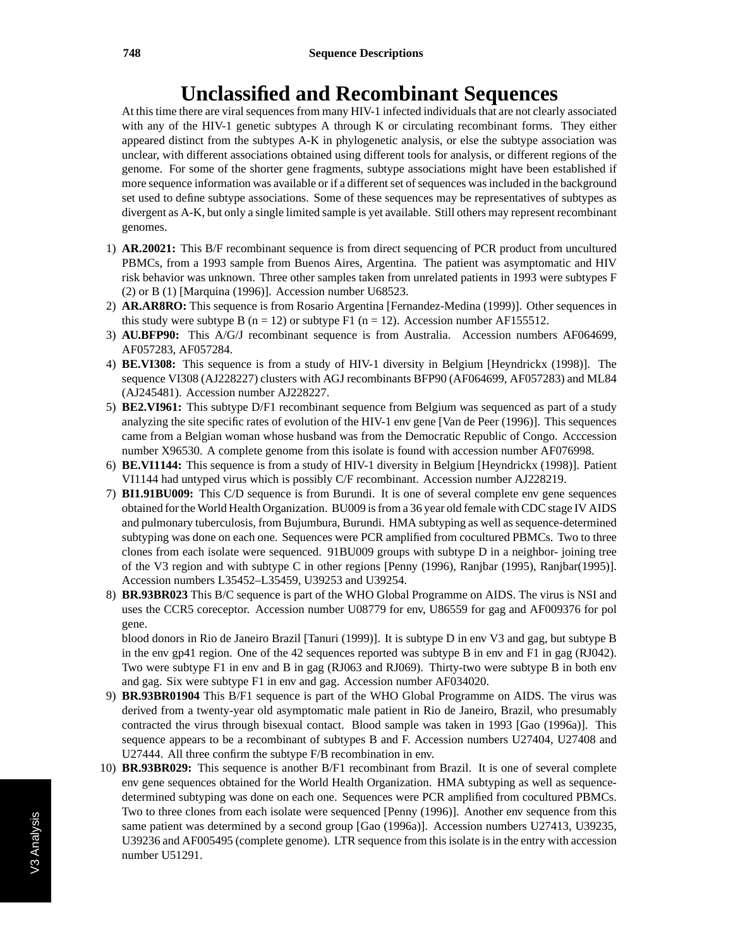### **Unclassified and Recombinant Sequences**

At this time there are viral sequences from many HIV-1 infected individuals that are not clearly associated with any of the HIV-1 genetic subtypes A through K or circulating recombinant forms. They either appeared distinct from the subtypes A-K in phylogenetic analysis, or else the subtype association was unclear, with different associations obtained using different tools for analysis, or different regions of the genome. For some of the shorter gene fragments, subtype associations might have been established if more sequence information was available or if a different set of sequences was included in the background set used to define subtype associations. Some of these sequences may be representatives of subtypes as divergent as A-K, but only a single limited sample is yet available. Still others may represent recombinant genomes.

- 1) **AR.20021:** This B/F recombinant sequence is from direct sequencing of PCR product from uncultured PBMCs, from a 1993 sample from Buenos Aires, Argentina. The patient was asymptomatic and HIV risk behavior was unknown. Three other samples taken from unrelated patients in 1993 were subtypes F (2) or B (1) [Marquina (1996)]. Accession number U68523.
- 2) **AR.AR8RO:** This sequence is from Rosario Argentina [Fernandez-Medina (1999)]. Other sequences in this study were subtype B ( $n = 12$ ) or subtype F1 ( $n = 12$ ). Accession number AF155512.
- 3) **AU.BFP90:** This A/G/J recombinant sequence is from Australia. Accession numbers AF064699, AF057283, AF057284.
- 4) **BE.VI308:** This sequence is from a study of HIV-1 diversity in Belgium [Heyndrickx (1998)]. The sequence VI308 (AJ228227) clusters with AGJ recombinants BFP90 (AF064699, AF057283) and ML84 (AJ245481). Accession number AJ228227.
- 5) **BE2.VI961:** This subtype D/F1 recombinant sequence from Belgium was sequenced as part of a study analyzing the site specific rates of evolution of the HIV-1 env gene [Van de Peer (1996)]. This sequences came from a Belgian woman whose husband was from the Democratic Republic of Congo. Acccession number X96530. A complete genome from this isolate is found with accession number AF076998.
- 6) **BE.VI1144:** This sequence is from a study of HIV-1 diversity in Belgium [Heyndrickx (1998)]. Patient VI1144 had untyped virus which is possibly C/F recombinant. Accession number AJ228219.
- 7) **BI1.91BU009:** This C/D sequence is from Burundi. It is one of several complete env gene sequences obtained for the World Health Organization. BU009 is from a 36 year old female with CDC stage IV AIDS and pulmonary tuberculosis, from Bujumbura, Burundi. HMA subtyping as well as sequence-determined subtyping was done on each one. Sequences were PCR amplified from cocultured PBMCs. Two to three clones from each isolate were sequenced. 91BU009 groups with subtype D in a neighbor- joining tree of the V3 region and with subtype C in other regions [Penny (1996), Ranjbar (1995), Ranjbar(1995)]. Accession numbers L35452–L35459, U39253 and U39254.
- 8) **BR.93BR023** This B/C sequence is part of the WHO Global Programme on AIDS. The virus is NSI and uses the CCR5 coreceptor. Accession number U08779 for env, U86559 for gag and AF009376 for pol gene.

blood donors in Rio de Janeiro Brazil [Tanuri (1999)]. It is subtype D in env V3 and gag, but subtype B in the env gp41 region. One of the 42 sequences reported was subtype B in env and F1 in gag (RJ042). Two were subtype F1 in env and B in gag (RJ063 and RJ069). Thirty-two were subtype B in both env and gag. Six were subtype F1 in env and gag. Accession number AF034020.

- 9) **BR.93BR01904** This B/F1 sequence is part of the WHO Global Programme on AIDS. The virus was derived from a twenty-year old asymptomatic male patient in Rio de Janeiro, Brazil, who presumably contracted the virus through bisexual contact. Blood sample was taken in 1993 [Gao (1996a)]. This sequence appears to be a recombinant of subtypes B and F. Accession numbers U27404, U27408 and U27444. All three confirm the subtype F/B recombination in env.
- 10) **BR.93BR029:** This sequence is another B/F1 recombinant from Brazil. It is one of several complete env gene sequences obtained for the World Health Organization. HMA subtyping as well as sequencedetermined subtyping was done on each one. Sequences were PCR amplified from cocultured PBMCs. Two to three clones from each isolate were sequenced [Penny (1996)]. Another env sequence from this same patient was determined by a second group [Gao (1996a)]. Accession numbers U27413, U39235, U39236 and AF005495 (complete genome). LTR sequence from this isolate is in the entry with accession number U51291.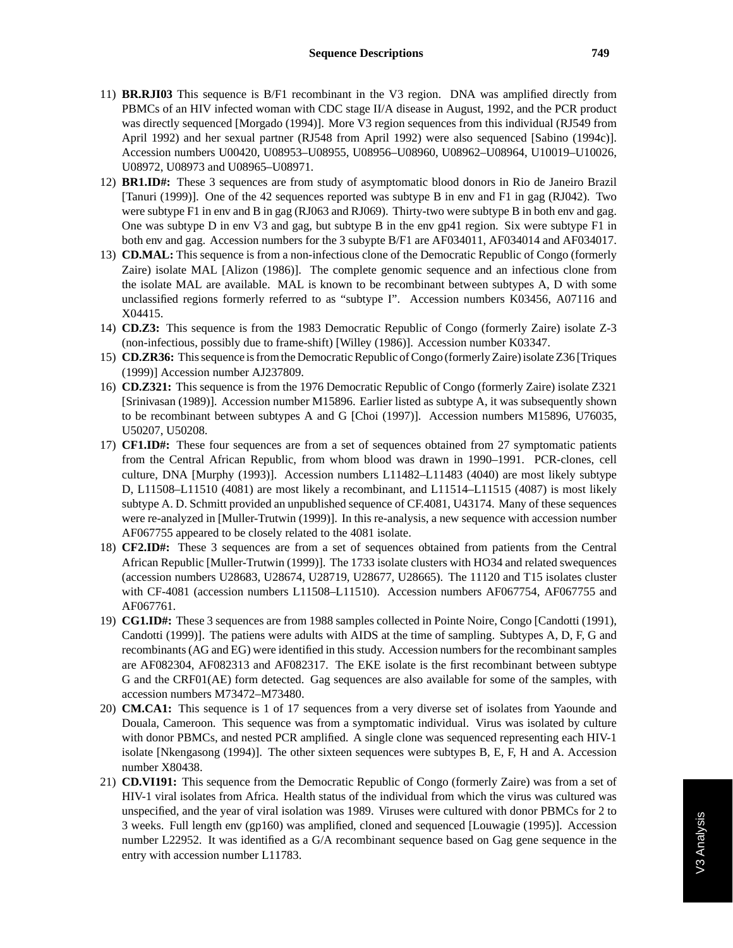- 11) **BR.RJI03** This sequence is B/F1 recombinant in the V3 region. DNA was amplified directly from PBMCs of an HIV infected woman with CDC stage II/A disease in August, 1992, and the PCR product was directly sequenced [Morgado (1994)]. More V3 region sequences from this individual (RJ549 from April 1992) and her sexual partner (RJ548 from April 1992) were also sequenced [Sabino (1994c)]. Accession numbers U00420, U08953–U08955, U08956–U08960, U08962–U08964, U10019–U10026, U08972, U08973 and U08965–U08971.
- 12) **BR1.ID#:** These 3 sequences are from study of asymptomatic blood donors in Rio de Janeiro Brazil [Tanuri (1999)]. One of the 42 sequences reported was subtype B in env and F1 in gag (RJ042). Two were subtype F1 in env and B in gag (RJ063 and RJ069). Thirty-two were subtype B in both env and gag. One was subtype D in env V3 and gag, but subtype B in the env gp41 region. Six were subtype F1 in both env and gag. Accession numbers for the 3 subypte B/F1 are AF034011, AF034014 and AF034017.
- 13) **CD.MAL:** This sequence is from a non-infectious clone of the Democratic Republic of Congo (formerly Zaire) isolate MAL [Alizon (1986)]. The complete genomic sequence and an infectious clone from the isolate MAL are available. MAL is known to be recombinant between subtypes A, D with some unclassified regions formerly referred to as "subtype I". Accession numbers K03456, A07116 and X04415.
- 14) **CD.Z3:** This sequence is from the 1983 Democratic Republic of Congo (formerly Zaire) isolate Z-3 (non-infectious, possibly due to frame-shift) [Willey (1986)]. Accession number K03347.
- 15) **CD.ZR36:** This sequence is from the Democratic Republic of Congo (formerly Zaire) isolate Z36 [Triques (1999)] Accession number AJ237809.
- 16) **CD.Z321:** This sequence is from the 1976 Democratic Republic of Congo (formerly Zaire) isolate Z321 [Srinivasan (1989)]. Accession number M15896. Earlier listed as subtype A, it was subsequently shown to be recombinant between subtypes A and G [Choi (1997)]. Accession numbers M15896, U76035, U50207, U50208.
- 17) **CF1.ID#:** These four sequences are from a set of sequences obtained from 27 symptomatic patients from the Central African Republic, from whom blood was drawn in 1990–1991. PCR-clones, cell culture, DNA [Murphy (1993)]. Accession numbers L11482–L11483 (4040) are most likely subtype D, L11508–L11510 (4081) are most likely a recombinant, and L11514–L11515 (4087) is most likely subtype A. D. Schmitt provided an unpublished sequence of CF.4081, U43174. Many of these sequences were re-analyzed in [Muller-Trutwin (1999)]. In this re-analysis, a new sequence with accession number AF067755 appeared to be closely related to the 4081 isolate.
- 18) **CF2.ID#:** These 3 sequences are from a set of sequences obtained from patients from the Central African Republic [Muller-Trutwin (1999)]. The 1733 isolate clusters with HO34 and related swequences (accession numbers U28683, U28674, U28719, U28677, U28665). The 11120 and T15 isolates cluster with CF-4081 (accession numbers L11508–L11510). Accession numbers AF067754, AF067755 and AF067761.
- 19) **CG1.ID#:** These 3 sequences are from 1988 samples collected in Pointe Noire, Congo [Candotti (1991), Candotti (1999)]. The patiens were adults with AIDS at the time of sampling. Subtypes A, D, F, G and recombinants (AG and EG) were identified in this study. Accession numbers for the recombinant samples are AF082304, AF082313 and AF082317. The EKE isolate is the first recombinant between subtype G and the CRF01(AE) form detected. Gag sequences are also available for some of the samples, with accession numbers M73472–M73480.
- 20) **CM.CA1:** This sequence is 1 of 17 sequences from a very diverse set of isolates from Yaounde and Douala, Cameroon. This sequence was from a symptomatic individual. Virus was isolated by culture with donor PBMCs, and nested PCR amplified. A single clone was sequenced representing each HIV-1 isolate [Nkengasong (1994)]. The other sixteen sequences were subtypes B, E, F, H and A. Accession number X80438.
- 21) **CD.VI191:** This sequence from the Democratic Republic of Congo (formerly Zaire) was from a set of HIV-1 viral isolates from Africa. Health status of the individual from which the virus was cultured was unspecified, and the year of viral isolation was 1989. Viruses were cultured with donor PBMCs for 2 to 3 weeks. Full length env (gp160) was amplified, cloned and sequenced [Louwagie (1995)]. Accession number L22952. It was identified as a G/A recombinant sequence based on Gag gene sequence in the entry with accession number L11783.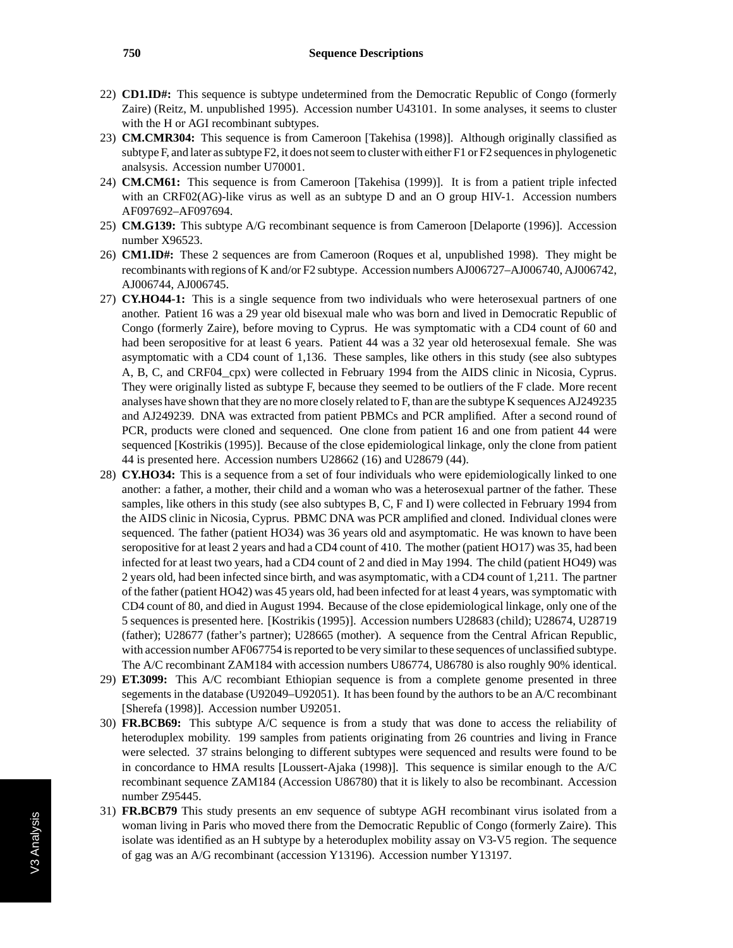- 22) **CD1.ID#:** This sequence is subtype undetermined from the Democratic Republic of Congo (formerly Zaire) (Reitz, M. unpublished 1995). Accession number U43101. In some analyses, it seems to cluster with the H or AGI recombinant subtypes.
- 23) **CM.CMR304:** This sequence is from Cameroon [Takehisa (1998)]. Although originally classified as subtype F, and later as subtype F2, it does not seem to cluster with either F1 or F2 sequences in phylogenetic analsysis. Accession number U70001.
- 24) **CM.CM61:** This sequence is from Cameroon [Takehisa (1999)]. It is from a patient triple infected with an CRF02(AG)-like virus as well as an subtype D and an O group HIV-1. Accession numbers AF097692–AF097694.
- 25) **CM.G139:** This subtype A/G recombinant sequence is from Cameroon [Delaporte (1996)]. Accession number X96523.
- 26) **CM1.ID#:** These 2 sequences are from Cameroon (Roques et al, unpublished 1998). They might be recombinants with regions of K and/or F2 subtype. Accession numbers AJ006727–AJ006740, AJ006742, AJ006744, AJ006745.
- 27) **CY.HO44-1:** This is a single sequence from two individuals who were heterosexual partners of one another. Patient 16 was a 29 year old bisexual male who was born and lived in Democratic Republic of Congo (formerly Zaire), before moving to Cyprus. He was symptomatic with a CD4 count of 60 and had been seropositive for at least 6 years. Patient 44 was a 32 year old heterosexual female. She was asymptomatic with a CD4 count of 1,136. These samples, like others in this study (see also subtypes A, B, C, and CRF04\_cpx) were collected in February 1994 from the AIDS clinic in Nicosia, Cyprus. They were originally listed as subtype F, because they seemed to be outliers of the F clade. More recent analyses have shown that they are no more closely related to F, than are the subtype K sequences AJ249235 and AJ249239. DNA was extracted from patient PBMCs and PCR amplified. After a second round of PCR, products were cloned and sequenced. One clone from patient 16 and one from patient 44 were sequenced [Kostrikis (1995)]. Because of the close epidemiological linkage, only the clone from patient 44 is presented here. Accession numbers U28662 (16) and U28679 (44).
- 28) **CY.HO34:** This is a sequence from a set of four individuals who were epidemiologically linked to one another: a father, a mother, their child and a woman who was a heterosexual partner of the father. These samples, like others in this study (see also subtypes B, C, F and I) were collected in February 1994 from the AIDS clinic in Nicosia, Cyprus. PBMC DNA was PCR amplified and cloned. Individual clones were sequenced. The father (patient HO34) was 36 years old and asymptomatic. He was known to have been seropositive for at least 2 years and had a CD4 count of 410. The mother (patient HO17) was 35, had been infected for at least two years, had a CD4 count of 2 and died in May 1994. The child (patient HO49) was 2 years old, had been infected since birth, and was asymptomatic, with a CD4 count of 1,211. The partner of the father (patient HO42) was 45 years old, had been infected for at least 4 years, was symptomatic with CD4 count of 80, and died in August 1994. Because of the close epidemiological linkage, only one of the 5 sequences is presented here. [Kostrikis (1995)]. Accession numbers U28683 (child); U28674, U28719 (father); U28677 (father's partner); U28665 (mother). A sequence from the Central African Republic, with accession number AF067754 is reported to be very similar to these sequences of unclassified subtype. The A/C recombinant ZAM184 with accession numbers U86774, U86780 is also roughly 90% identical.
- 29) **ET.3099:** This A/C recombiant Ethiopian sequence is from a complete genome presented in three segements in the database (U92049–U92051). It has been found by the authors to be an A/C recombinant [Sherefa (1998)]. Accession number U92051.
- 30) **FR.BCB69:** This subtype A/C sequence is from a study that was done to access the reliability of heteroduplex mobility. 199 samples from patients originating from 26 countries and living in France were selected. 37 strains belonging to different subtypes were sequenced and results were found to be in concordance to HMA results [Loussert-Ajaka (1998)]. This sequence is similar enough to the A/C recombinant sequence ZAM184 (Accession U86780) that it is likely to also be recombinant. Accession number Z95445.
- 31) **FR.BCB79** This study presents an env sequence of subtype AGH recombinant virus isolated from a woman living in Paris who moved there from the Democratic Republic of Congo (formerly Zaire). This isolate was identified as an H subtype by a heteroduplex mobility assay on V3-V5 region. The sequence of gag was an A/G recombinant (accession Y13196). Accession number Y13197.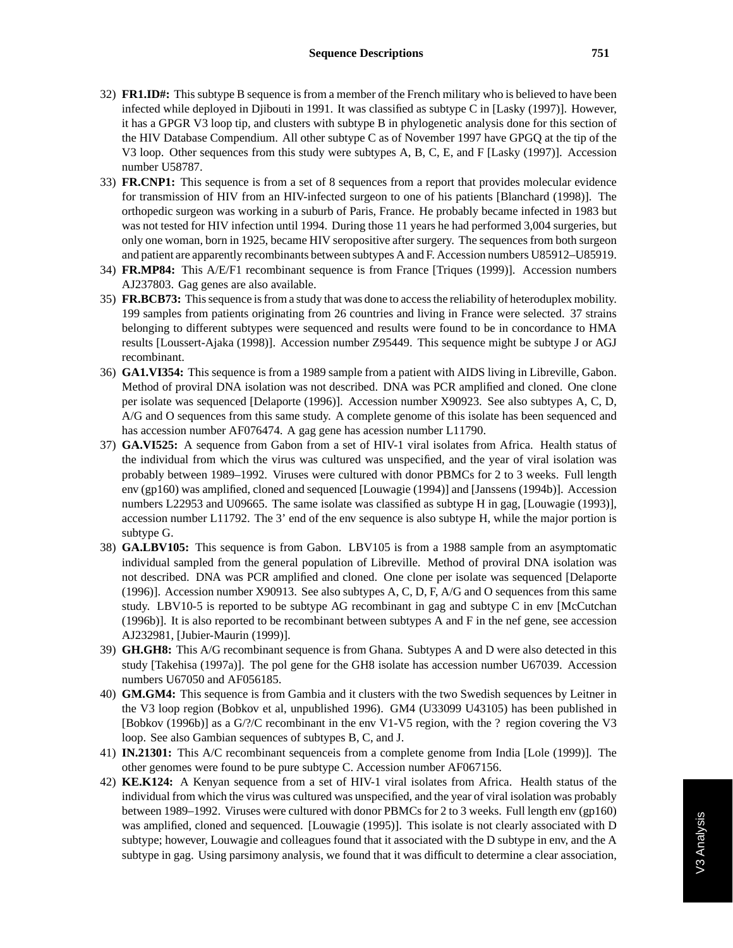- 32) **FR1.ID#:** This subtype B sequence is from a member of the French military who is believed to have been infected while deployed in Djibouti in 1991. It was classified as subtype C in [Lasky (1997)]. However, it has a GPGR V3 loop tip, and clusters with subtype B in phylogenetic analysis done for this section of the HIV Database Compendium. All other subtype C as of November 1997 have GPGQ at the tip of the V3 loop. Other sequences from this study were subtypes A, B, C, E, and F [Lasky (1997)]. Accession number U58787.
- 33) **FR.CNP1:** This sequence is from a set of 8 sequences from a report that provides molecular evidence for transmission of HIV from an HIV-infected surgeon to one of his patients [Blanchard (1998)]. The orthopedic surgeon was working in a suburb of Paris, France. He probably became infected in 1983 but was not tested for HIV infection until 1994. During those 11 years he had performed 3,004 surgeries, but only one woman, born in 1925, became HIV seropositive after surgery. The sequences from both surgeon and patient are apparently recombinants between subtypes A and F. Accession numbers U85912–U85919.
- 34) **FR.MP84:** This A/E/F1 recombinant sequence is from France [Triques (1999)]. Accession numbers AJ237803. Gag genes are also available.
- 35) **FR.BCB73:** This sequence is from a study that was done to access the reliability of heteroduplex mobility. 199 samples from patients originating from 26 countries and living in France were selected. 37 strains belonging to different subtypes were sequenced and results were found to be in concordance to HMA results [Loussert-Ajaka (1998)]. Accession number Z95449. This sequence might be subtype J or AGJ recombinant.
- 36) **GA1.VI354:** This sequence is from a 1989 sample from a patient with AIDS living in Libreville, Gabon. Method of proviral DNA isolation was not described. DNA was PCR amplified and cloned. One clone per isolate was sequenced [Delaporte (1996)]. Accession number X90923. See also subtypes A, C, D, A/G and O sequences from this same study. A complete genome of this isolate has been sequenced and has accession number AF076474. A gag gene has acession number L11790.
- 37) **GA.VI525:** A sequence from Gabon from a set of HIV-1 viral isolates from Africa. Health status of the individual from which the virus was cultured was unspecified, and the year of viral isolation was probably between 1989–1992. Viruses were cultured with donor PBMCs for 2 to 3 weeks. Full length env (gp160) was amplified, cloned and sequenced [Louwagie (1994)] and [Janssens (1994b)]. Accession numbers L22953 and U09665. The same isolate was classified as subtype H in gag, [Louwagie (1993)], accession number L11792. The 3' end of the env sequence is also subtype H, while the major portion is subtype G.
- 38) **GA.LBV105:** This sequence is from Gabon. LBV105 is from a 1988 sample from an asymptomatic individual sampled from the general population of Libreville. Method of proviral DNA isolation was not described. DNA was PCR amplified and cloned. One clone per isolate was sequenced [Delaporte (1996)]. Accession number X90913. See also subtypes A, C, D, F, A/G and O sequences from this same study. LBV10-5 is reported to be subtype AG recombinant in gag and subtype C in env [McCutchan (1996b)]. It is also reported to be recombinant between subtypes A and F in the nef gene, see accession AJ232981, [Jubier-Maurin (1999)].
- 39) **GH.GH8:** This A/G recombinant sequence is from Ghana. Subtypes A and D were also detected in this study [Takehisa (1997a)]. The pol gene for the GH8 isolate has accession number U67039. Accession numbers U67050 and AF056185.
- 40) **GM.GM4:** This sequence is from Gambia and it clusters with the two Swedish sequences by Leitner in the V3 loop region (Bobkov et al, unpublished 1996). GM4 (U33099 U43105) has been published in [Bobkov (1996b)] as a G/?/C recombinant in the env V1-V5 region, with the ? region covering the V3 loop. See also Gambian sequences of subtypes B, C, and J.
- 41) **IN.21301:** This A/C recombinant sequenceis from a complete genome from India [Lole (1999)]. The other genomes were found to be pure subtype C. Accession number AF067156.
- 42) **KE.K124:** A Kenyan sequence from a set of HIV-1 viral isolates from Africa. Health status of the individual from which the virus was cultured was unspecified, and the year of viral isolation was probably between 1989–1992. Viruses were cultured with donor PBMCs for 2 to 3 weeks. Full length env (gp160) was amplified, cloned and sequenced. [Louwagie (1995)]. This isolate is not clearly associated with D subtype; however, Louwagie and colleagues found that it associated with the D subtype in env, and the A subtype in gag. Using parsimony analysis, we found that it was difficult to determine a clear association,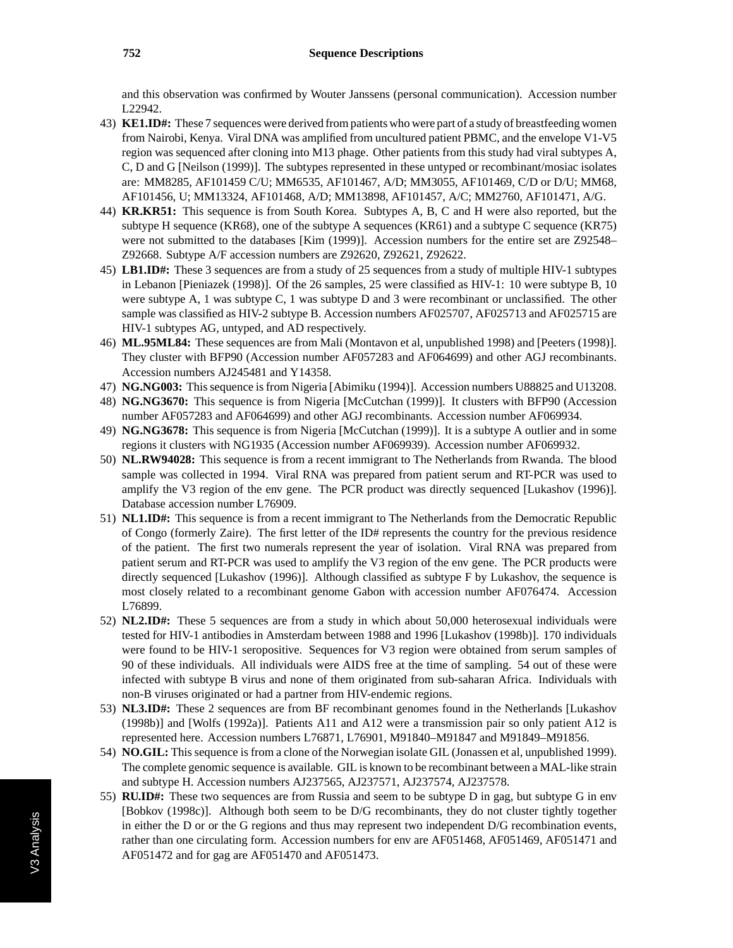and this observation was confirmed by Wouter Janssens (personal communication). Accession number L22942.

- 43) **KE1.ID#:** These 7 sequences were derived from patients who were part of a study of breastfeeding women from Nairobi, Kenya. Viral DNA was amplified from uncultured patient PBMC, and the envelope V1-V5 region was sequenced after cloning into M13 phage. Other patients from this study had viral subtypes A, C, D and G [Neilson (1999)]. The subtypes represented in these untyped or recombinant/mosiac isolates are: MM8285, AF101459 C/U; MM6535, AF101467, A/D; MM3055, AF101469, C/D or D/U; MM68, AF101456, U; MM13324, AF101468, A/D; MM13898, AF101457, A/C; MM2760, AF101471, A/G.
- 44) **KR.KR51:** This sequence is from South Korea. Subtypes A, B, C and H were also reported, but the subtype H sequence (KR68), one of the subtype A sequences (KR61) and a subtype C sequence (KR75) were not submitted to the databases [Kim (1999)]. Accession numbers for the entire set are Z92548– Z92668. Subtype A/F accession numbers are Z92620, Z92621, Z92622.
- 45) **LB1.ID#:** These 3 sequences are from a study of 25 sequences from a study of multiple HIV-1 subtypes in Lebanon [Pieniazek (1998)]. Of the 26 samples, 25 were classified as HIV-1: 10 were subtype B, 10 were subtype A, 1 was subtype C, 1 was subtype D and 3 were recombinant or unclassified. The other sample was classified as HIV-2 subtype B. Accession numbers AF025707, AF025713 and AF025715 are HIV-1 subtypes AG, untyped, and AD respectively.
- 46) **ML.95ML84:** These sequences are from Mali (Montavon et al, unpublished 1998) and [Peeters (1998)]. They cluster with BFP90 (Accession number AF057283 and AF064699) and other AGJ recombinants. Accession numbers AJ245481 and Y14358.
- 47) **NG.NG003:** This sequence is from Nigeria [Abimiku (1994)]. Accession numbers U88825 and U13208.
- 48) **NG.NG3670:** This sequence is from Nigeria [McCutchan (1999)]. It clusters with BFP90 (Accession number AF057283 and AF064699) and other AGJ recombinants. Accession number AF069934.
- 49) **NG.NG3678:** This sequence is from Nigeria [McCutchan (1999)]. It is a subtype A outlier and in some regions it clusters with NG1935 (Accession number AF069939). Accession number AF069932.
- 50) **NL.RW94028:** This sequence is from a recent immigrant to The Netherlands from Rwanda. The blood sample was collected in 1994. Viral RNA was prepared from patient serum and RT-PCR was used to amplify the V3 region of the env gene. The PCR product was directly sequenced [Lukashov (1996)]. Database accession number L76909.
- 51) **NL1.ID#:** This sequence is from a recent immigrant to The Netherlands from the Democratic Republic of Congo (formerly Zaire). The first letter of the ID# represents the country for the previous residence of the patient. The first two numerals represent the year of isolation. Viral RNA was prepared from patient serum and RT-PCR was used to amplify the V3 region of the env gene. The PCR products were directly sequenced [Lukashov (1996)]. Although classified as subtype F by Lukashov, the sequence is most closely related to a recombinant genome Gabon with accession number AF076474. Accession L76899.
- 52) **NL2.ID#:** These 5 sequences are from a study in which about 50,000 heterosexual individuals were tested for HIV-1 antibodies in Amsterdam between 1988 and 1996 [Lukashov (1998b)]. 170 individuals were found to be HIV-1 seropositive. Sequences for V3 region were obtained from serum samples of 90 of these individuals. All individuals were AIDS free at the time of sampling. 54 out of these were infected with subtype B virus and none of them originated from sub-saharan Africa. Individuals with non-B viruses originated or had a partner from HIV-endemic regions.
- 53) **NL3.ID#:** These 2 sequences are from BF recombinant genomes found in the Netherlands [Lukashov (1998b)] and [Wolfs (1992a)]. Patients A11 and A12 were a transmission pair so only patient A12 is represented here. Accession numbers L76871, L76901, M91840–M91847 and M91849–M91856.
- 54) **NO.GIL:** This sequence is from a clone of the Norwegian isolate GIL (Jonassen et al, unpublished 1999). The complete genomic sequence is available. GIL is known to be recombinant between a MAL-like strain and subtype H. Accession numbers AJ237565, AJ237571, AJ237574, AJ237578.
- 55) **RU.ID#:** These two sequences are from Russia and seem to be subtype D in gag, but subtype G in env [Bobkov (1998c)]. Although both seem to be D/G recombinants, they do not cluster tightly together in either the D or or the G regions and thus may represent two independent D/G recombination events, rather than one circulating form. Accession numbers for env are AF051468, AF051469, AF051471 and AF051472 and for gag are AF051470 and AF051473.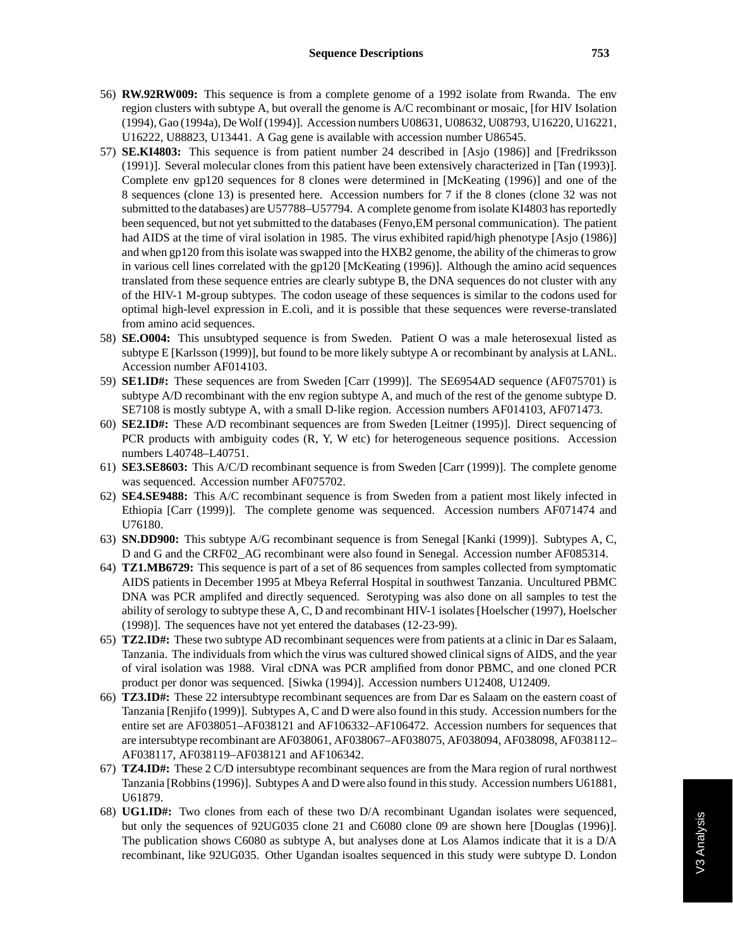- 56) **RW.92RW009:** This sequence is from a complete genome of a 1992 isolate from Rwanda. The env region clusters with subtype A, but overall the genome is A/C recombinant or mosaic, [for HIV Isolation (1994), Gao (1994a), De Wolf (1994)]. Accession numbers U08631, U08632, U08793, U16220, U16221, U16222, U88823, U13441. A Gag gene is available with accession number U86545.
- 57) **SE.KI4803:** This sequence is from patient number 24 described in [Asjo (1986)] and [Fredriksson (1991)]. Several molecular clones from this patient have been extensively characterized in [Tan (1993)]. Complete env gp120 sequences for 8 clones were determined in [McKeating (1996)] and one of the 8 sequences (clone 13) is presented here. Accession numbers for 7 if the 8 clones (clone 32 was not submitted to the databases) are U57788–U57794. A complete genome from isolate KI4803 has reportedly been sequenced, but not yet submitted to the databases (Fenyo,EM personal communication). The patient had AIDS at the time of viral isolation in 1985. The virus exhibited rapid/high phenotype [Asjo (1986)] and when gp120 from this isolate was swapped into the HXB2 genome, the ability of the chimeras to grow in various cell lines correlated with the gp120 [McKeating (1996)]. Although the amino acid sequences translated from these sequence entries are clearly subtype B, the DNA sequences do not cluster with any of the HIV-1 M-group subtypes. The codon useage of these sequences is similar to the codons used for optimal high-level expression in E.coli, and it is possible that these sequences were reverse-translated from amino acid sequences.
- 58) **SE.O004:** This unsubtyped sequence is from Sweden. Patient O was a male heterosexual listed as subtype E [Karlsson (1999)], but found to be more likely subtype A or recombinant by analysis at LANL. Accession number AF014103.
- 59) **SE1.ID#:** These sequences are from Sweden [Carr (1999)]. The SE6954AD sequence (AF075701) is subtype A/D recombinant with the env region subtype A, and much of the rest of the genome subtype D. SE7108 is mostly subtype A, with a small D-like region. Accession numbers AF014103, AF071473.
- 60) **SE2.ID#:** These A/D recombinant sequences are from Sweden [Leitner (1995)]. Direct sequencing of PCR products with ambiguity codes (R, Y, W etc) for heterogeneous sequence positions. Accession numbers L40748–L40751.
- 61) **SE3.SE8603:** This A/C/D recombinant sequence is from Sweden [Carr (1999)]. The complete genome was sequenced. Accession number AF075702.
- 62) **SE4.SE9488:** This A/C recombinant sequence is from Sweden from a patient most likely infected in Ethiopia [Carr (1999)]. The complete genome was sequenced. Accession numbers AF071474 and U76180.
- 63) **SN.DD900:** This subtype A/G recombinant sequence is from Senegal [Kanki (1999)]. Subtypes A, C, D and G and the CRF02\_AG recombinant were also found in Senegal. Accession number AF085314.
- 64) **TZ1.MB6729:** This sequence is part of a set of 86 sequences from samples collected from symptomatic AIDS patients in December 1995 at Mbeya Referral Hospital in southwest Tanzania. Uncultured PBMC DNA was PCR amplifed and directly sequenced. Serotyping was also done on all samples to test the ability of serology to subtype these A, C, D and recombinant HIV-1 isolates [Hoelscher (1997), Hoelscher (1998)]. The sequences have not yet entered the databases (12-23-99).
- 65) **TZ2.ID#:** These two subtype AD recombinant sequences were from patients at a clinic in Dar es Salaam, Tanzania. The individuals from which the virus was cultured showed clinical signs of AIDS, and the year of viral isolation was 1988. Viral cDNA was PCR amplified from donor PBMC, and one cloned PCR product per donor was sequenced. [Siwka (1994)]. Accession numbers U12408, U12409.
- 66) **TZ3.ID#:** These 22 intersubtype recombinant sequences are from Dar es Salaam on the eastern coast of Tanzania [Renjifo (1999)]. Subtypes A, C and D were also found in this study. Accession numbers for the entire set are AF038051–AF038121 and AF106332–AF106472. Accession numbers for sequences that are intersubtype recombinant are AF038061, AF038067–AF038075, AF038094, AF038098, AF038112– AF038117, AF038119–AF038121 and AF106342.
- 67) **TZ4.ID#:** These 2 C/D intersubtype recombinant sequences are from the Mara region of rural northwest Tanzania [Robbins (1996)]. Subtypes A and D were also found in this study. Accession numbers U61881, U61879.
- 68) **UG1.ID#:** Two clones from each of these two D/A recombinant Ugandan isolates were sequenced, but only the sequences of 92UG035 clone 21 and C6080 clone 09 are shown here [Douglas (1996)]. The publication shows C6080 as subtype A, but analyses done at Los Alamos indicate that it is a D/A recombinant, like 92UG035. Other Ugandan isoaltes sequenced in this study were subtype D. London